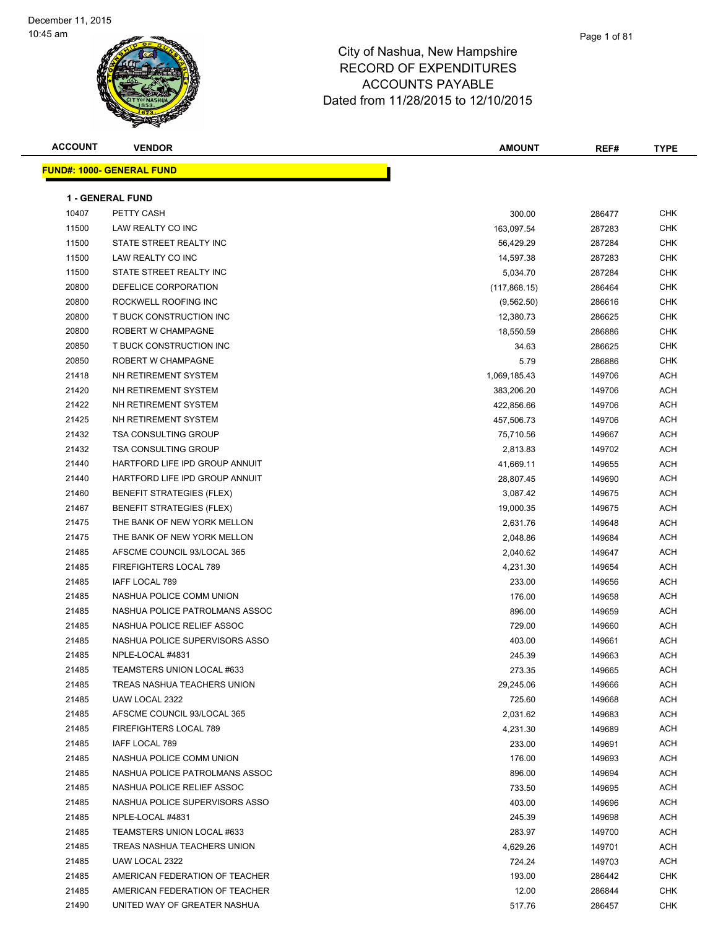

| <u> FUND#: 1000- GENERAL FUND</u> |                                                                                                                                                                                                                                                                                                                                                                                                                                                                                                                                                                                                                                                                                                                                                       |                                                                                                                                                                                                                                                                                                                                                                                                                                  |                                                                                                                                                                                                                                                                                                                                                                      |
|-----------------------------------|-------------------------------------------------------------------------------------------------------------------------------------------------------------------------------------------------------------------------------------------------------------------------------------------------------------------------------------------------------------------------------------------------------------------------------------------------------------------------------------------------------------------------------------------------------------------------------------------------------------------------------------------------------------------------------------------------------------------------------------------------------|----------------------------------------------------------------------------------------------------------------------------------------------------------------------------------------------------------------------------------------------------------------------------------------------------------------------------------------------------------------------------------------------------------------------------------|----------------------------------------------------------------------------------------------------------------------------------------------------------------------------------------------------------------------------------------------------------------------------------------------------------------------------------------------------------------------|
|                                   |                                                                                                                                                                                                                                                                                                                                                                                                                                                                                                                                                                                                                                                                                                                                                       |                                                                                                                                                                                                                                                                                                                                                                                                                                  |                                                                                                                                                                                                                                                                                                                                                                      |
|                                   |                                                                                                                                                                                                                                                                                                                                                                                                                                                                                                                                                                                                                                                                                                                                                       |                                                                                                                                                                                                                                                                                                                                                                                                                                  |                                                                                                                                                                                                                                                                                                                                                                      |
|                                   |                                                                                                                                                                                                                                                                                                                                                                                                                                                                                                                                                                                                                                                                                                                                                       |                                                                                                                                                                                                                                                                                                                                                                                                                                  | <b>CHK</b>                                                                                                                                                                                                                                                                                                                                                           |
|                                   |                                                                                                                                                                                                                                                                                                                                                                                                                                                                                                                                                                                                                                                                                                                                                       |                                                                                                                                                                                                                                                                                                                                                                                                                                  | <b>CHK</b>                                                                                                                                                                                                                                                                                                                                                           |
|                                   |                                                                                                                                                                                                                                                                                                                                                                                                                                                                                                                                                                                                                                                                                                                                                       |                                                                                                                                                                                                                                                                                                                                                                                                                                  | <b>CHK</b>                                                                                                                                                                                                                                                                                                                                                           |
|                                   |                                                                                                                                                                                                                                                                                                                                                                                                                                                                                                                                                                                                                                                                                                                                                       |                                                                                                                                                                                                                                                                                                                                                                                                                                  | <b>CHK</b>                                                                                                                                                                                                                                                                                                                                                           |
|                                   |                                                                                                                                                                                                                                                                                                                                                                                                                                                                                                                                                                                                                                                                                                                                                       |                                                                                                                                                                                                                                                                                                                                                                                                                                  | <b>CHK</b>                                                                                                                                                                                                                                                                                                                                                           |
|                                   |                                                                                                                                                                                                                                                                                                                                                                                                                                                                                                                                                                                                                                                                                                                                                       |                                                                                                                                                                                                                                                                                                                                                                                                                                  | CHK                                                                                                                                                                                                                                                                                                                                                                  |
|                                   |                                                                                                                                                                                                                                                                                                                                                                                                                                                                                                                                                                                                                                                                                                                                                       |                                                                                                                                                                                                                                                                                                                                                                                                                                  | <b>CHK</b>                                                                                                                                                                                                                                                                                                                                                           |
|                                   |                                                                                                                                                                                                                                                                                                                                                                                                                                                                                                                                                                                                                                                                                                                                                       |                                                                                                                                                                                                                                                                                                                                                                                                                                  | <b>CHK</b>                                                                                                                                                                                                                                                                                                                                                           |
|                                   |                                                                                                                                                                                                                                                                                                                                                                                                                                                                                                                                                                                                                                                                                                                                                       |                                                                                                                                                                                                                                                                                                                                                                                                                                  | CHK                                                                                                                                                                                                                                                                                                                                                                  |
|                                   |                                                                                                                                                                                                                                                                                                                                                                                                                                                                                                                                                                                                                                                                                                                                                       |                                                                                                                                                                                                                                                                                                                                                                                                                                  | <b>CHK</b>                                                                                                                                                                                                                                                                                                                                                           |
|                                   |                                                                                                                                                                                                                                                                                                                                                                                                                                                                                                                                                                                                                                                                                                                                                       |                                                                                                                                                                                                                                                                                                                                                                                                                                  | <b>CHK</b>                                                                                                                                                                                                                                                                                                                                                           |
|                                   |                                                                                                                                                                                                                                                                                                                                                                                                                                                                                                                                                                                                                                                                                                                                                       |                                                                                                                                                                                                                                                                                                                                                                                                                                  | ACH                                                                                                                                                                                                                                                                                                                                                                  |
|                                   |                                                                                                                                                                                                                                                                                                                                                                                                                                                                                                                                                                                                                                                                                                                                                       |                                                                                                                                                                                                                                                                                                                                                                                                                                  | ACH                                                                                                                                                                                                                                                                                                                                                                  |
|                                   |                                                                                                                                                                                                                                                                                                                                                                                                                                                                                                                                                                                                                                                                                                                                                       |                                                                                                                                                                                                                                                                                                                                                                                                                                  | ACH                                                                                                                                                                                                                                                                                                                                                                  |
|                                   |                                                                                                                                                                                                                                                                                                                                                                                                                                                                                                                                                                                                                                                                                                                                                       |                                                                                                                                                                                                                                                                                                                                                                                                                                  | ACH                                                                                                                                                                                                                                                                                                                                                                  |
|                                   |                                                                                                                                                                                                                                                                                                                                                                                                                                                                                                                                                                                                                                                                                                                                                       |                                                                                                                                                                                                                                                                                                                                                                                                                                  | ACH                                                                                                                                                                                                                                                                                                                                                                  |
|                                   |                                                                                                                                                                                                                                                                                                                                                                                                                                                                                                                                                                                                                                                                                                                                                       |                                                                                                                                                                                                                                                                                                                                                                                                                                  | ACH                                                                                                                                                                                                                                                                                                                                                                  |
| HARTFORD LIFE IPD GROUP ANNUIT    |                                                                                                                                                                                                                                                                                                                                                                                                                                                                                                                                                                                                                                                                                                                                                       |                                                                                                                                                                                                                                                                                                                                                                                                                                  | ACH                                                                                                                                                                                                                                                                                                                                                                  |
|                                   |                                                                                                                                                                                                                                                                                                                                                                                                                                                                                                                                                                                                                                                                                                                                                       |                                                                                                                                                                                                                                                                                                                                                                                                                                  | ACH                                                                                                                                                                                                                                                                                                                                                                  |
|                                   |                                                                                                                                                                                                                                                                                                                                                                                                                                                                                                                                                                                                                                                                                                                                                       |                                                                                                                                                                                                                                                                                                                                                                                                                                  | <b>ACH</b>                                                                                                                                                                                                                                                                                                                                                           |
|                                   |                                                                                                                                                                                                                                                                                                                                                                                                                                                                                                                                                                                                                                                                                                                                                       |                                                                                                                                                                                                                                                                                                                                                                                                                                  | ACH                                                                                                                                                                                                                                                                                                                                                                  |
|                                   |                                                                                                                                                                                                                                                                                                                                                                                                                                                                                                                                                                                                                                                                                                                                                       |                                                                                                                                                                                                                                                                                                                                                                                                                                  | ACH                                                                                                                                                                                                                                                                                                                                                                  |
|                                   |                                                                                                                                                                                                                                                                                                                                                                                                                                                                                                                                                                                                                                                                                                                                                       |                                                                                                                                                                                                                                                                                                                                                                                                                                  | ACH                                                                                                                                                                                                                                                                                                                                                                  |
| AFSCME COUNCIL 93/LOCAL 365       |                                                                                                                                                                                                                                                                                                                                                                                                                                                                                                                                                                                                                                                                                                                                                       |                                                                                                                                                                                                                                                                                                                                                                                                                                  | ACH                                                                                                                                                                                                                                                                                                                                                                  |
|                                   |                                                                                                                                                                                                                                                                                                                                                                                                                                                                                                                                                                                                                                                                                                                                                       |                                                                                                                                                                                                                                                                                                                                                                                                                                  | ACH                                                                                                                                                                                                                                                                                                                                                                  |
| IAFF LOCAL 789                    |                                                                                                                                                                                                                                                                                                                                                                                                                                                                                                                                                                                                                                                                                                                                                       |                                                                                                                                                                                                                                                                                                                                                                                                                                  | ACH                                                                                                                                                                                                                                                                                                                                                                  |
| NASHUA POLICE COMM UNION          |                                                                                                                                                                                                                                                                                                                                                                                                                                                                                                                                                                                                                                                                                                                                                       |                                                                                                                                                                                                                                                                                                                                                                                                                                  | ACH                                                                                                                                                                                                                                                                                                                                                                  |
| NASHUA POLICE PATROLMANS ASSOC    | 896.00                                                                                                                                                                                                                                                                                                                                                                                                                                                                                                                                                                                                                                                                                                                                                |                                                                                                                                                                                                                                                                                                                                                                                                                                  | ACH                                                                                                                                                                                                                                                                                                                                                                  |
|                                   |                                                                                                                                                                                                                                                                                                                                                                                                                                                                                                                                                                                                                                                                                                                                                       |                                                                                                                                                                                                                                                                                                                                                                                                                                  | ACH                                                                                                                                                                                                                                                                                                                                                                  |
|                                   |                                                                                                                                                                                                                                                                                                                                                                                                                                                                                                                                                                                                                                                                                                                                                       |                                                                                                                                                                                                                                                                                                                                                                                                                                  | ACH                                                                                                                                                                                                                                                                                                                                                                  |
| NPLE-LOCAL #4831                  |                                                                                                                                                                                                                                                                                                                                                                                                                                                                                                                                                                                                                                                                                                                                                       |                                                                                                                                                                                                                                                                                                                                                                                                                                  | <b>ACH</b>                                                                                                                                                                                                                                                                                                                                                           |
|                                   |                                                                                                                                                                                                                                                                                                                                                                                                                                                                                                                                                                                                                                                                                                                                                       |                                                                                                                                                                                                                                                                                                                                                                                                                                  | ACH                                                                                                                                                                                                                                                                                                                                                                  |
| TREAS NASHUA TEACHERS UNION       | 29,245.06                                                                                                                                                                                                                                                                                                                                                                                                                                                                                                                                                                                                                                                                                                                                             | 149666                                                                                                                                                                                                                                                                                                                                                                                                                           | ACH                                                                                                                                                                                                                                                                                                                                                                  |
| UAW LOCAL 2322                    |                                                                                                                                                                                                                                                                                                                                                                                                                                                                                                                                                                                                                                                                                                                                                       |                                                                                                                                                                                                                                                                                                                                                                                                                                  | ACH                                                                                                                                                                                                                                                                                                                                                                  |
| AFSCME COUNCIL 93/LOCAL 365       | 2,031.62                                                                                                                                                                                                                                                                                                                                                                                                                                                                                                                                                                                                                                                                                                                                              | 149683                                                                                                                                                                                                                                                                                                                                                                                                                           | ACH                                                                                                                                                                                                                                                                                                                                                                  |
| FIREFIGHTERS LOCAL 789            |                                                                                                                                                                                                                                                                                                                                                                                                                                                                                                                                                                                                                                                                                                                                                       |                                                                                                                                                                                                                                                                                                                                                                                                                                  | ACH                                                                                                                                                                                                                                                                                                                                                                  |
| IAFF LOCAL 789                    | 233.00                                                                                                                                                                                                                                                                                                                                                                                                                                                                                                                                                                                                                                                                                                                                                | 149691                                                                                                                                                                                                                                                                                                                                                                                                                           | ACH                                                                                                                                                                                                                                                                                                                                                                  |
| NASHUA POLICE COMM UNION          | 176.00                                                                                                                                                                                                                                                                                                                                                                                                                                                                                                                                                                                                                                                                                                                                                | 149693                                                                                                                                                                                                                                                                                                                                                                                                                           | ACH                                                                                                                                                                                                                                                                                                                                                                  |
| NASHUA POLICE PATROLMANS ASSOC    |                                                                                                                                                                                                                                                                                                                                                                                                                                                                                                                                                                                                                                                                                                                                                       |                                                                                                                                                                                                                                                                                                                                                                                                                                  | ACH                                                                                                                                                                                                                                                                                                                                                                  |
| NASHUA POLICE RELIEF ASSOC        |                                                                                                                                                                                                                                                                                                                                                                                                                                                                                                                                                                                                                                                                                                                                                       |                                                                                                                                                                                                                                                                                                                                                                                                                                  | ACH                                                                                                                                                                                                                                                                                                                                                                  |
| NASHUA POLICE SUPERVISORS ASSO    | 403.00                                                                                                                                                                                                                                                                                                                                                                                                                                                                                                                                                                                                                                                                                                                                                | 149696                                                                                                                                                                                                                                                                                                                                                                                                                           | ACH                                                                                                                                                                                                                                                                                                                                                                  |
| NPLE-LOCAL #4831                  | 245.39                                                                                                                                                                                                                                                                                                                                                                                                                                                                                                                                                                                                                                                                                                                                                | 149698                                                                                                                                                                                                                                                                                                                                                                                                                           | ACH                                                                                                                                                                                                                                                                                                                                                                  |
| TEAMSTERS UNION LOCAL #633        | 283.97                                                                                                                                                                                                                                                                                                                                                                                                                                                                                                                                                                                                                                                                                                                                                | 149700                                                                                                                                                                                                                                                                                                                                                                                                                           | ACH                                                                                                                                                                                                                                                                                                                                                                  |
| TREAS NASHUA TEACHERS UNION       | 4,629.26                                                                                                                                                                                                                                                                                                                                                                                                                                                                                                                                                                                                                                                                                                                                              | 149701                                                                                                                                                                                                                                                                                                                                                                                                                           | ACH                                                                                                                                                                                                                                                                                                                                                                  |
| UAW LOCAL 2322                    | 724.24                                                                                                                                                                                                                                                                                                                                                                                                                                                                                                                                                                                                                                                                                                                                                | 149703                                                                                                                                                                                                                                                                                                                                                                                                                           | ACH                                                                                                                                                                                                                                                                                                                                                                  |
| AMERICAN FEDERATION OF TEACHER    | 193.00                                                                                                                                                                                                                                                                                                                                                                                                                                                                                                                                                                                                                                                                                                                                                | 286442                                                                                                                                                                                                                                                                                                                                                                                                                           | <b>CHK</b>                                                                                                                                                                                                                                                                                                                                                           |
| AMERICAN FEDERATION OF TEACHER    | 12.00                                                                                                                                                                                                                                                                                                                                                                                                                                                                                                                                                                                                                                                                                                                                                 | 286844                                                                                                                                                                                                                                                                                                                                                                                                                           | <b>CHK</b>                                                                                                                                                                                                                                                                                                                                                           |
| UNITED WAY OF GREATER NASHUA      | 517.76                                                                                                                                                                                                                                                                                                                                                                                                                                                                                                                                                                                                                                                                                                                                                | 286457                                                                                                                                                                                                                                                                                                                                                                                                                           | <b>CHK</b>                                                                                                                                                                                                                                                                                                                                                           |
|                                   | <b>1 - GENERAL FUND</b><br>PETTY CASH<br>LAW REALTY CO INC<br>STATE STREET REALTY INC<br>LAW REALTY CO INC<br>STATE STREET REALTY INC<br>DEFELICE CORPORATION<br>ROCKWELL ROOFING INC<br>T BUCK CONSTRUCTION INC<br>ROBERT W CHAMPAGNE<br>T BUCK CONSTRUCTION INC<br>ROBERT W CHAMPAGNE<br>NH RETIREMENT SYSTEM<br>NH RETIREMENT SYSTEM<br>NH RETIREMENT SYSTEM<br>NH RETIREMENT SYSTEM<br><b>TSA CONSULTING GROUP</b><br><b>TSA CONSULTING GROUP</b><br>HARTFORD LIFE IPD GROUP ANNUIT<br><b>BENEFIT STRATEGIES (FLEX)</b><br><b>BENEFIT STRATEGIES (FLEX)</b><br>THE BANK OF NEW YORK MELLON<br>THE BANK OF NEW YORK MELLON<br>FIREFIGHTERS LOCAL 789<br>NASHUA POLICE RELIEF ASSOC<br>NASHUA POLICE SUPERVISORS ASSO<br>TEAMSTERS UNION LOCAL #633 | 300.00<br>163,097.54<br>56,429.29<br>14,597.38<br>5,034.70<br>(117, 868.15)<br>(9,562.50)<br>12,380.73<br>18,550.59<br>34.63<br>5.79<br>1,069,185.43<br>383,206.20<br>422,856.66<br>457,506.73<br>75,710.56<br>2,813.83<br>41,669.11<br>28,807.45<br>3,087.42<br>19,000.35<br>2,631.76<br>2,048.86<br>2,040.62<br>4,231.30<br>233.00<br>176.00<br>729.00<br>403.00<br>245.39<br>273.35<br>725.60<br>4,231.30<br>896.00<br>733.50 | 286477<br>287283<br>287284<br>287283<br>287284<br>286464<br>286616<br>286625<br>286886<br>286625<br>286886<br>149706<br>149706<br>149706<br>149706<br>149667<br>149702<br>149655<br>149690<br>149675<br>149675<br>149648<br>149684<br>149647<br>149654<br>149656<br>149658<br>149659<br>149660<br>149661<br>149663<br>149665<br>149668<br>149689<br>149694<br>149695 |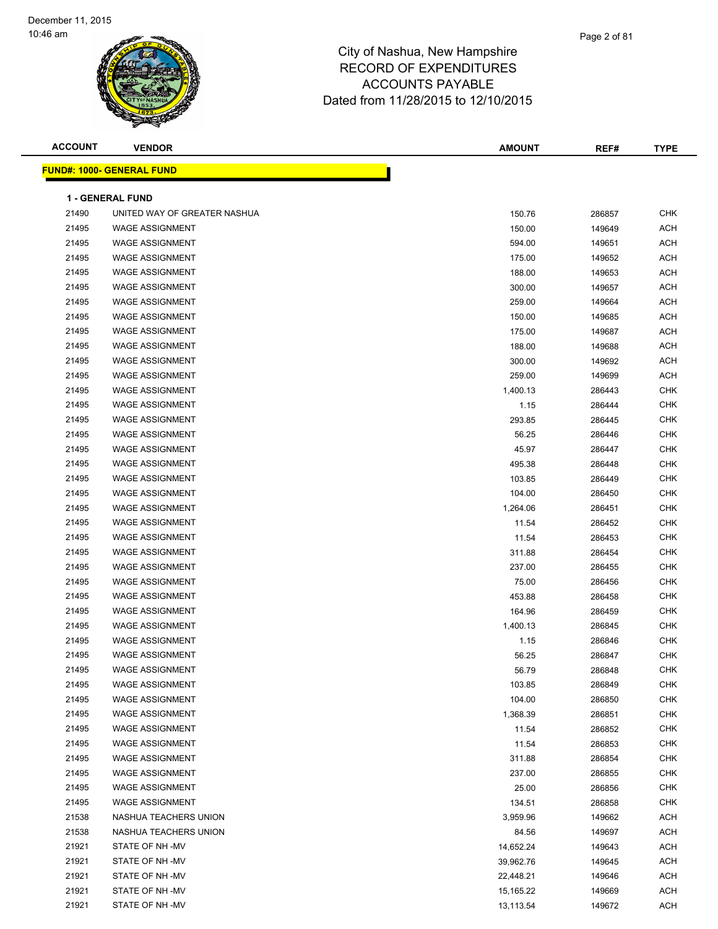| <b>ACCOUNT</b> | <b>VENDOR</b>                    | <b>AMOUNT</b> | REF#   | <b>TYPE</b> |
|----------------|----------------------------------|---------------|--------|-------------|
|                | <b>FUND#: 1000- GENERAL FUND</b> |               |        |             |
|                |                                  |               |        |             |
|                | <b>1 - GENERAL FUND</b>          |               |        |             |
| 21490          | UNITED WAY OF GREATER NASHUA     | 150.76        | 286857 | <b>CHK</b>  |
| 21495          | <b>WAGE ASSIGNMENT</b>           | 150.00        | 149649 | <b>ACH</b>  |
| 21495          | <b>WAGE ASSIGNMENT</b>           | 594.00        | 149651 | <b>ACH</b>  |
| 21495          | <b>WAGE ASSIGNMENT</b>           | 175.00        | 149652 | <b>ACH</b>  |
| 21495          | <b>WAGE ASSIGNMENT</b>           | 188.00        | 149653 | <b>ACH</b>  |
| 21495          | <b>WAGE ASSIGNMENT</b>           | 300.00        | 149657 | <b>ACH</b>  |
| 21495          | <b>WAGE ASSIGNMENT</b>           | 259.00        | 149664 | <b>ACH</b>  |
| 21495          | <b>WAGE ASSIGNMENT</b>           | 150.00        | 149685 | <b>ACH</b>  |
| 21495          | <b>WAGE ASSIGNMENT</b>           | 175.00        | 149687 | <b>ACH</b>  |
| 21495          | <b>WAGE ASSIGNMENT</b>           | 188.00        | 149688 | <b>ACH</b>  |
| 21495          | <b>WAGE ASSIGNMENT</b>           | 300.00        | 149692 | <b>ACH</b>  |
| 21495          | <b>WAGE ASSIGNMENT</b>           | 259.00        | 149699 | <b>ACH</b>  |
| 21495          | <b>WAGE ASSIGNMENT</b>           | 1,400.13      | 286443 | <b>CHK</b>  |
| 21495          | <b>WAGE ASSIGNMENT</b>           | 1.15          | 286444 | <b>CHK</b>  |
| 21495          | <b>WAGE ASSIGNMENT</b>           | 293.85        | 286445 | CHK         |
| 21495          | <b>WAGE ASSIGNMENT</b>           | 56.25         | 286446 | <b>CHK</b>  |
| 21495          | <b>WAGE ASSIGNMENT</b>           | 45.97         | 286447 | CHK         |
| 21495          | <b>WAGE ASSIGNMENT</b>           | 495.38        | 286448 | CHK         |
| 21495          | <b>WAGE ASSIGNMENT</b>           | 103.85        | 286449 | <b>CHK</b>  |
| 21495          | <b>WAGE ASSIGNMENT</b>           | 104.00        | 286450 | CHK         |
| 21495          | <b>WAGE ASSIGNMENT</b>           | 1,264.06      | 286451 | CHK         |
| 21495          | <b>WAGE ASSIGNMENT</b>           | 11.54         | 286452 | <b>CHK</b>  |
| 21495          | <b>WAGE ASSIGNMENT</b>           | 11.54         | 286453 | <b>CHK</b>  |
| 21495          | <b>WAGE ASSIGNMENT</b>           | 311.88        | 286454 | <b>CHK</b>  |
| 21495          | <b>WAGE ASSIGNMENT</b>           | 237.00        | 286455 | <b>CHK</b>  |
| 21495          | <b>WAGE ASSIGNMENT</b>           | 75.00         | 286456 | CHK         |
| 21495          | <b>WAGE ASSIGNMENT</b>           | 453.88        | 286458 | <b>CHK</b>  |
| 21495          | <b>WAGE ASSIGNMENT</b>           | 164.96        | 286459 | <b>CHK</b>  |
| 21495          | <b>WAGE ASSIGNMENT</b>           | 1,400.13      | 286845 | <b>CHK</b>  |
| 21495          | <b>WAGE ASSIGNMENT</b>           | 1.15          | 286846 | <b>CHK</b>  |
| 21495          | <b>WAGE ASSIGNMENT</b>           | 56.25         | 286847 | <b>CHK</b>  |
| 21495          | WAGE ASSIGNMENT                  | 56.79         | 286848 | CHK         |
| 21495          | <b>WAGE ASSIGNMENT</b>           | 103.85        | 286849 | CHK         |
| 21495          | <b>WAGE ASSIGNMENT</b>           | 104.00        | 286850 | <b>CHK</b>  |
| 21495          | <b>WAGE ASSIGNMENT</b>           | 1,368.39      | 286851 | CHK         |
| 21495          | <b>WAGE ASSIGNMENT</b>           | 11.54         | 286852 | CHK         |
| 21495          | <b>WAGE ASSIGNMENT</b>           | 11.54         | 286853 | <b>CHK</b>  |
| 21495          | <b>WAGE ASSIGNMENT</b>           | 311.88        | 286854 | CHK         |
| 21495          | <b>WAGE ASSIGNMENT</b>           | 237.00        | 286855 | CHK         |
| 21495          | <b>WAGE ASSIGNMENT</b>           | 25.00         | 286856 | CHK         |
| 21495          | <b>WAGE ASSIGNMENT</b>           | 134.51        | 286858 | CHK         |
| 21538          | NASHUA TEACHERS UNION            | 3,959.96      | 149662 | <b>ACH</b>  |
| 21538          | NASHUA TEACHERS UNION            | 84.56         | 149697 | <b>ACH</b>  |
| 21921          | STATE OF NH-MV                   | 14,652.24     | 149643 | ACH         |
| 21921          | STATE OF NH-MV                   | 39,962.76     | 149645 | ACH         |
| 21921          | STATE OF NH -MV                  | 22,448.21     | 149646 | <b>ACH</b>  |
| 21921          | STATE OF NH-MV                   | 15,165.22     | 149669 | ACH         |
| 21921          | STATE OF NH-MV                   | 13,113.54     | 149672 | <b>ACH</b>  |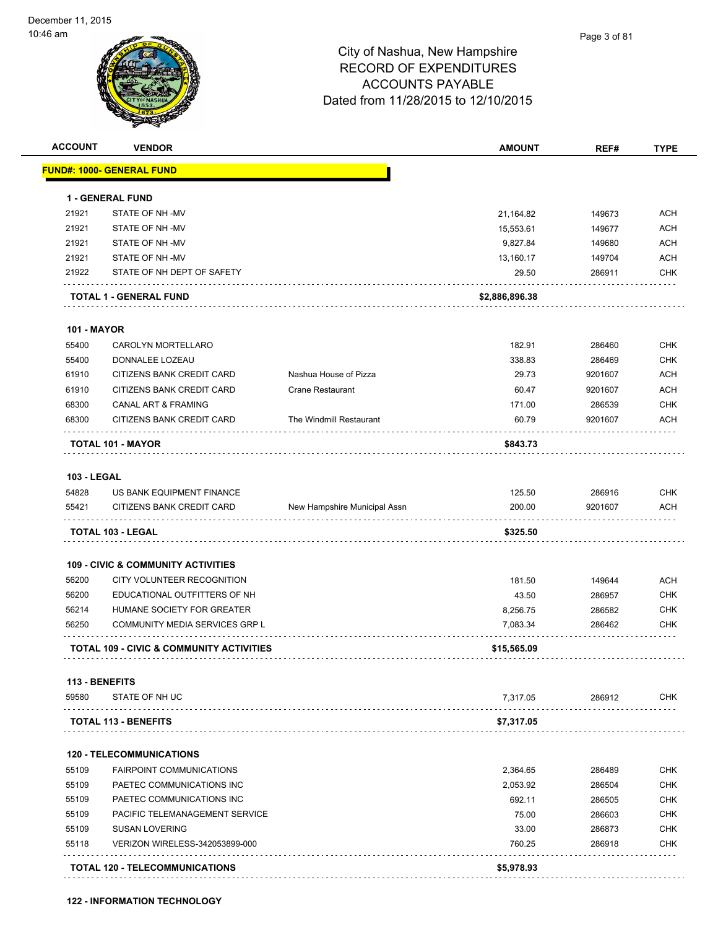

| <b>ACCOUNT</b>     | <b>VENDOR</b>                                 |                              | <b>AMOUNT</b>  | REF#    | <b>TYPE</b> |
|--------------------|-----------------------------------------------|------------------------------|----------------|---------|-------------|
|                    | FUND#: 1000- GENERAL FUND                     |                              |                |         |             |
|                    | <b>1 - GENERAL FUND</b>                       |                              |                |         |             |
| 21921              | STATE OF NH-MV                                |                              | 21,164.82      | 149673  | <b>ACH</b>  |
| 21921              | STATE OF NH-MV                                |                              | 15,553.61      | 149677  | <b>ACH</b>  |
| 21921              | STATE OF NH-MV                                |                              | 9,827.84       | 149680  | <b>ACH</b>  |
| 21921              | STATE OF NH-MV                                |                              | 13,160.17      | 149704  | <b>ACH</b>  |
| 21922              | STATE OF NH DEPT OF SAFETY                    |                              | 29.50          | 286911  | <b>CHK</b>  |
|                    | TOTAL 1 - GENERAL FUND                        |                              | \$2,886,896.38 |         |             |
| <b>101 - MAYOR</b> |                                               |                              |                |         |             |
| 55400              | <b>CAROLYN MORTELLARO</b>                     |                              | 182.91         | 286460  | <b>CHK</b>  |
| 55400              | DONNALEE LOZEAU                               |                              | 338.83         | 286469  | <b>CHK</b>  |
| 61910              | CITIZENS BANK CREDIT CARD                     | Nashua House of Pizza        | 29.73          | 9201607 | <b>ACH</b>  |
| 61910              | CITIZENS BANK CREDIT CARD                     | <b>Crane Restaurant</b>      | 60.47          | 9201607 | <b>ACH</b>  |
| 68300              | CANAL ART & FRAMING                           |                              | 171.00         | 286539  | <b>CHK</b>  |
| 68300              | CITIZENS BANK CREDIT CARD                     | The Windmill Restaurant      | 60.79          | 9201607 | ACH         |
|                    | <b>TOTAL 101 - MAYOR</b>                      |                              | \$843.73       |         |             |
| <b>103 - LEGAL</b> |                                               |                              |                |         |             |
| 54828              | US BANK EQUIPMENT FINANCE                     |                              | 125.50         | 286916  | <b>CHK</b>  |
| 55421              | CITIZENS BANK CREDIT CARD                     | New Hampshire Municipal Assn | 200.00         | 9201607 | <b>ACH</b>  |
|                    | TOTAL 103 - LEGAL                             |                              | \$325.50       |         |             |
|                    | <b>109 - CIVIC &amp; COMMUNITY ACTIVITIES</b> |                              |                |         |             |
| 56200              | CITY VOLUNTEER RECOGNITION                    |                              | 181.50         | 149644  | <b>ACH</b>  |
| 56200              | EDUCATIONAL OUTFITTERS OF NH                  |                              | 43.50          | 286957  | <b>CHK</b>  |
| 56214              | HUMANE SOCIETY FOR GREATER                    |                              | 8,256.75       | 286582  | <b>CHK</b>  |
| 56250              | COMMUNITY MEDIA SERVICES GRP L                |                              | 7,083.34       | 286462  | <b>CHK</b>  |
|                    | TOTAL 109 - CIVIC & COMMUNITY ACTIVITIES      |                              | \$15,565.09    |         |             |
| 113 - BENEFITS     |                                               |                              |                |         |             |
| 59580              | STATE OF NH UC                                |                              | 7,317.05       | 286912  | <b>CHK</b>  |
|                    | <b>TOTAL 113 - BENEFITS</b>                   |                              | \$7,317.05     |         |             |
|                    | <b>120 - TELECOMMUNICATIONS</b>               |                              |                |         |             |
| 55109              | <b>FAIRPOINT COMMUNICATIONS</b>               |                              | 2,364.65       | 286489  | <b>CHK</b>  |
| 55109              | PAETEC COMMUNICATIONS INC                     |                              | 2,053.92       | 286504  | <b>CHK</b>  |
| 55109              | PAETEC COMMUNICATIONS INC                     |                              | 692.11         | 286505  | <b>CHK</b>  |
|                    | PACIFIC TELEMANAGEMENT SERVICE                |                              | 75.00          | 286603  | <b>CHK</b>  |
| 55109              | <b>SUSAN LOVERING</b>                         |                              | 33.00          | 286873  | <b>CHK</b>  |
| 55109              |                                               |                              |                |         |             |
| 55118              | VERIZON WIRELESS-342053899-000                |                              | 760.25         | 286918  | <b>CHK</b>  |

**122 - INFORMATION TECHNOLOGY**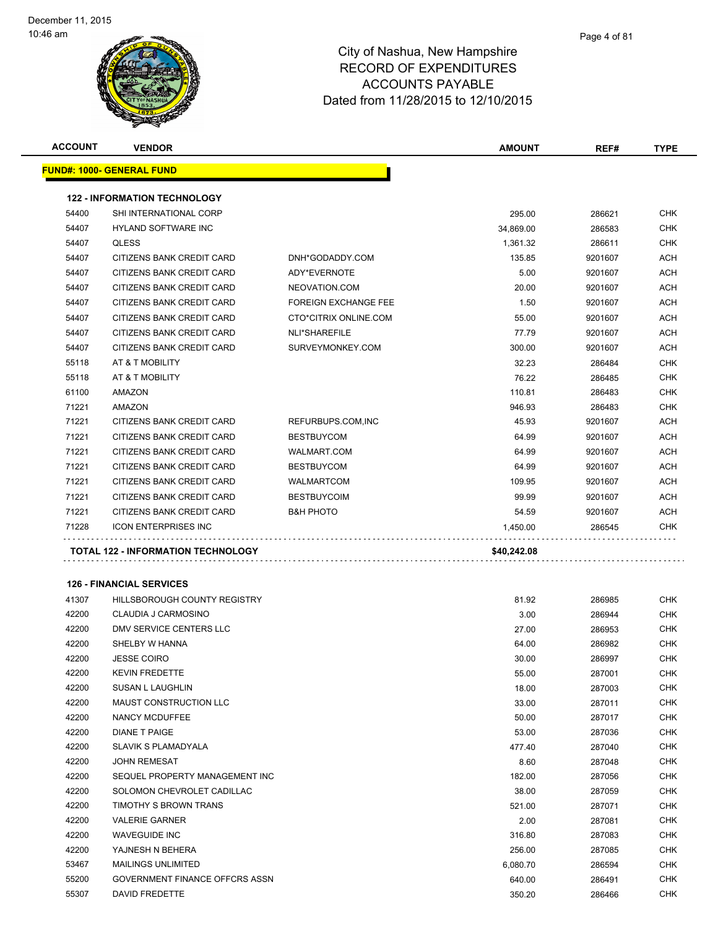| <b>ACCOUNT</b> | <b>VENDOR</b>                       |                             | <b>AMOUNT</b> | REF#    | <b>TYPE</b> |
|----------------|-------------------------------------|-----------------------------|---------------|---------|-------------|
|                | <b>FUND#: 1000- GENERAL FUND</b>    |                             |               |         |             |
|                |                                     |                             |               |         |             |
|                | <b>122 - INFORMATION TECHNOLOGY</b> |                             |               |         |             |
| 54400          | SHI INTERNATIONAL CORP              |                             | 295.00        | 286621  | <b>CHK</b>  |
| 54407          | <b>HYLAND SOFTWARE INC</b>          |                             | 34,869.00     | 286583  | <b>CHK</b>  |
| 54407          | <b>QLESS</b>                        |                             | 1,361.32      | 286611  | CHK         |
| 54407          | CITIZENS BANK CREDIT CARD           | DNH*GODADDY.COM             | 135.85        | 9201607 | ACH         |
| 54407          | CITIZENS BANK CREDIT CARD           | ADY*EVERNOTE                | 5.00          | 9201607 | ACH         |
| 54407          | CITIZENS BANK CREDIT CARD           | NEOVATION.COM               | 20.00         | 9201607 | ACH         |
| 54407          | CITIZENS BANK CREDIT CARD           | <b>FOREIGN EXCHANGE FEE</b> | 1.50          | 9201607 | ACH         |
| 54407          | CITIZENS BANK CREDIT CARD           | CTO*CITRIX ONLINE.COM       | 55.00         | 9201607 | ACH         |
| 54407          | CITIZENS BANK CREDIT CARD           | NLI*SHAREFILE               | 77.79         | 9201607 | ACH         |
| 54407          | CITIZENS BANK CREDIT CARD           | SURVEYMONKEY.COM            | 300.00        | 9201607 | ACH         |
| 55118          | AT & T MOBILITY                     |                             | 32.23         | 286484  | CHK         |
| 55118          | AT & T MOBILITY                     |                             | 76.22         | 286485  | CHK         |
| 61100          | AMAZON                              |                             | 110.81        | 286483  | CHK         |
| 71221          | AMAZON                              |                             | 946.93        | 286483  | CHK         |
| 71221          | CITIZENS BANK CREDIT CARD           | REFURBUPS.COM, INC          | 45.93         | 9201607 | ACH         |
| 71221          | CITIZENS BANK CREDIT CARD           | <b>BESTBUYCOM</b>           | 64.99         | 9201607 | ACH         |
| 71221          | CITIZENS BANK CREDIT CARD           | WALMART.COM                 | 64.99         | 9201607 | ACH         |
| 71221          | CITIZENS BANK CREDIT CARD           | <b>BESTBUYCOM</b>           | 64.99         | 9201607 | ACH         |
| 71221          | CITIZENS BANK CREDIT CARD           | <b>WALMARTCOM</b>           | 109.95        | 9201607 | ACH         |
| 71221          | CITIZENS BANK CREDIT CARD           | <b>BESTBUYCOIM</b>          | 99.99         | 9201607 | ACH         |
| 71221          | CITIZENS BANK CREDIT CARD           | <b>B&amp;H PHOTO</b>        | 54.59         | 9201607 | ACH         |
| 71228          | <b>ICON ENTERPRISES INC</b>         |                             | 1,450.00      | 286545  | CHK         |
|                | TOTAL 122 - INFORMATION TECHNOLOGY  |                             | \$40,242.08   |         |             |
|                |                                     |                             |               |         |             |
|                | <b>126 - FINANCIAL SERVICES</b>     |                             |               |         |             |
| 41307          | HILLSBOROUGH COUNTY REGISTRY        |                             | 81.92         | 286985  | <b>CHK</b>  |
| 42200          | CLAUDIA J CARMOSINO                 |                             | 3.00          | 286944  | CHK         |
| 42200          | DMV SERVICE CENTERS LLC             |                             | 27.00         | 286953  | CHK         |
| 42200          | SHELBY W HANNA                      |                             | 64.00         | 286982  | CHK         |
| 42200          | <b>JESSE COIRO</b>                  |                             | 30.00         | 286997  | CHK         |
| 42200          | <b>KEVIN FREDETTE</b>               |                             | 55.00         | 287001  | CHK         |
| 42200          | <b>SUSAN L LAUGHLIN</b>             |                             | 18.00         | 287003  | CHK         |
| 42200          | MAUST CONSTRUCTION LLC              |                             | 33.00         | 287011  | <b>CHK</b>  |
| 42200          | NANCY MCDUFFEE                      |                             | 50.00         | 287017  | <b>CHK</b>  |
| 42200          | <b>DIANE T PAIGE</b>                |                             | 53.00         | 287036  | <b>CHK</b>  |
| 42200          | <b>SLAVIK S PLAMADYALA</b>          |                             | 477.40        | 287040  | <b>CHK</b>  |
| 42200          | <b>JOHN REMESAT</b>                 |                             | 8.60          | 287048  | CHK         |
| 42200          | SEQUEL PROPERTY MANAGEMENT INC      |                             | 182.00        | 287056  | CHK         |
| 42200          | SOLOMON CHEVROLET CADILLAC          |                             | 38.00         | 287059  | <b>CHK</b>  |
| 42200          | TIMOTHY S BROWN TRANS               |                             | 521.00        | 287071  | CHK         |
| 42200          | <b>VALERIE GARNER</b>               |                             | 2.00          | 287081  | CHK         |
| 42200          | <b>WAVEGUIDE INC</b>                |                             | 316.80        | 287083  | CHK         |
| 42200          | YAJNESH N BEHERA                    |                             | 256.00        | 287085  | CHK         |
| 53467          | <b>MAILINGS UNLIMITED</b>           |                             | 6,080.70      | 286594  | CHK         |
| 55200          | GOVERNMENT FINANCE OFFCRS ASSN      |                             | 640.00        | 286491  | <b>CHK</b>  |
| 55307          | DAVID FREDETTE                      |                             | 350.20        | 286466  | CHK         |
|                |                                     |                             |               |         |             |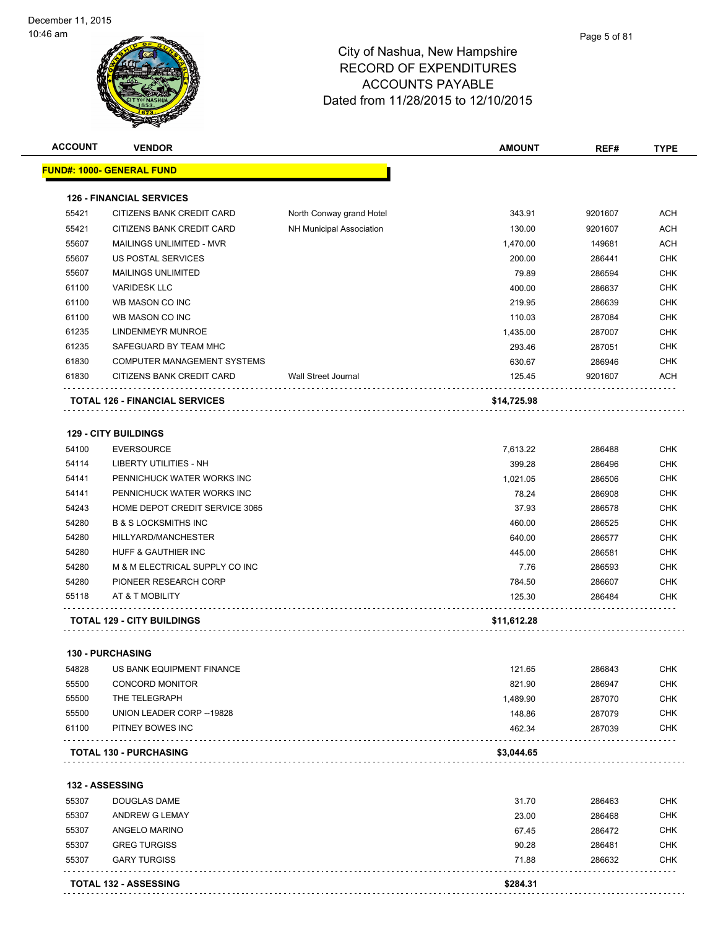. . . . . . . . . . . . . . . . . . .

# City of Nashua, New Hampshire RECORD OF EXPENDITURES ACCOUNTS PAYABLE Dated from 11/28/2015 to 12/10/2015

| <b>ACCOUNT</b> | <b>VENDOR</b>                         |                            | <b>AMOUNT</b> | REF#    | <b>TYPE</b> |
|----------------|---------------------------------------|----------------------------|---------------|---------|-------------|
|                | <u> FUND#: 1000- GENERAL FUND</u>     |                            |               |         |             |
|                | <b>126 - FINANCIAL SERVICES</b>       |                            |               |         |             |
| 55421          | CITIZENS BANK CREDIT CARD             | North Conway grand Hotel   | 343.91        | 9201607 | ACH         |
| 55421          | CITIZENS BANK CREDIT CARD             | NH Municipal Association   | 130.00        | 9201607 | <b>ACH</b>  |
| 55607          | MAILINGS UNLIMITED - MVR              |                            | 1,470.00      | 149681  | <b>ACH</b>  |
| 55607          | US POSTAL SERVICES                    |                            | 200.00        | 286441  | <b>CHK</b>  |
| 55607          | <b>MAILINGS UNLIMITED</b>             |                            | 79.89         | 286594  | <b>CHK</b>  |
| 61100          | <b>VARIDESK LLC</b>                   |                            | 400.00        | 286637  | <b>CHK</b>  |
| 61100          | WB MASON CO INC                       |                            | 219.95        | 286639  | <b>CHK</b>  |
| 61100          | WB MASON CO INC                       |                            | 110.03        | 287084  | <b>CHK</b>  |
| 61235          | LINDENMEYR MUNROE                     |                            | 1,435.00      | 287007  | <b>CHK</b>  |
| 61235          | SAFEGUARD BY TEAM MHC                 |                            | 293.46        | 287051  | <b>CHK</b>  |
| 61830          | <b>COMPUTER MANAGEMENT SYSTEMS</b>    |                            | 630.67        | 286946  | <b>CHK</b>  |
| 61830          | CITIZENS BANK CREDIT CARD             | <b>Wall Street Journal</b> | 125.45        | 9201607 | <b>ACH</b>  |
|                | <b>TOTAL 126 - FINANCIAL SERVICES</b> |                            | \$14,725.98   |         |             |
|                | <b>129 - CITY BUILDINGS</b>           |                            |               |         |             |
| 54100          | <b>EVERSOURCE</b>                     |                            | 7,613.22      | 286488  | <b>CHK</b>  |
| 54114          | LIBERTY UTILITIES - NH                |                            | 399.28        | 286496  | <b>CHK</b>  |
| 54141          | PENNICHUCK WATER WORKS INC            |                            | 1,021.05      | 286506  | <b>CHK</b>  |
| 54141          | PENNICHUCK WATER WORKS INC            |                            | 78.24         | 286908  | <b>CHK</b>  |
| 54243          | HOME DEPOT CREDIT SERVICE 3065        |                            | 37.93         | 286578  | <b>CHK</b>  |
| 54280          | <b>B &amp; S LOCKSMITHS INC</b>       |                            | 460.00        | 286525  | <b>CHK</b>  |
| 54280          | HILLYARD/MANCHESTER                   |                            | 640.00        | 286577  | <b>CHK</b>  |
| 54280          | HUFF & GAUTHIER INC                   |                            | 445.00        | 286581  | <b>CHK</b>  |
| 54280          | M & M ELECTRICAL SUPPLY CO INC        |                            | 7.76          | 286593  | <b>CHK</b>  |
| 54280          | PIONEER RESEARCH CORP                 |                            | 784.50        | 286607  | <b>CHK</b>  |
| 55118          | AT & T MOBILITY                       |                            | 125.30        | 286484  | <b>CHK</b>  |
|                | <b>TOTAL 129 - CITY BUILDINGS</b>     |                            | \$11,612.28   |         |             |
|                | <b>130 - PURCHASING</b>               |                            |               |         |             |
| 54828          | US BANK EQUIPMENT FINANCE             |                            | 121.65        | 286843  | <b>CHK</b>  |
| 55500          | <b>CONCORD MONITOR</b>                |                            | 821.90        | 286947  | <b>CHK</b>  |
| 55500          | THE TELEGRAPH                         |                            | 1,489.90      | 287070  | <b>CHK</b>  |
| 55500          | UNION LEADER CORP -- 19828            |                            | 148.86        | 287079  | <b>CHK</b>  |
| 61100          | PITNEY BOWES INC                      |                            | 462.34        | 287039  | <b>CHK</b>  |
|                | <b>TOTAL 130 - PURCHASING</b>         |                            | \$3,044.65    |         |             |
|                |                                       |                            |               |         |             |
|                | 132 - ASSESSING                       |                            |               |         |             |
| 55307          | DOUGLAS DAME                          |                            | 31.70         | 286463  | <b>CHK</b>  |
| 55307          | ANDREW G LEMAY                        |                            | 23.00         | 286468  | <b>CHK</b>  |
| 55307          | ANGELO MARINO                         |                            | 67.45         | 286472  | <b>CHK</b>  |
| 55307          | <b>GREG TURGISS</b>                   |                            | 90.28         | 286481  | <b>CHK</b>  |
| 55307          | <b>GARY TURGISS</b>                   |                            | 71.88         | 286632  | <b>CHK</b>  |

**TOTAL 132 - ASSESSING** \$284.31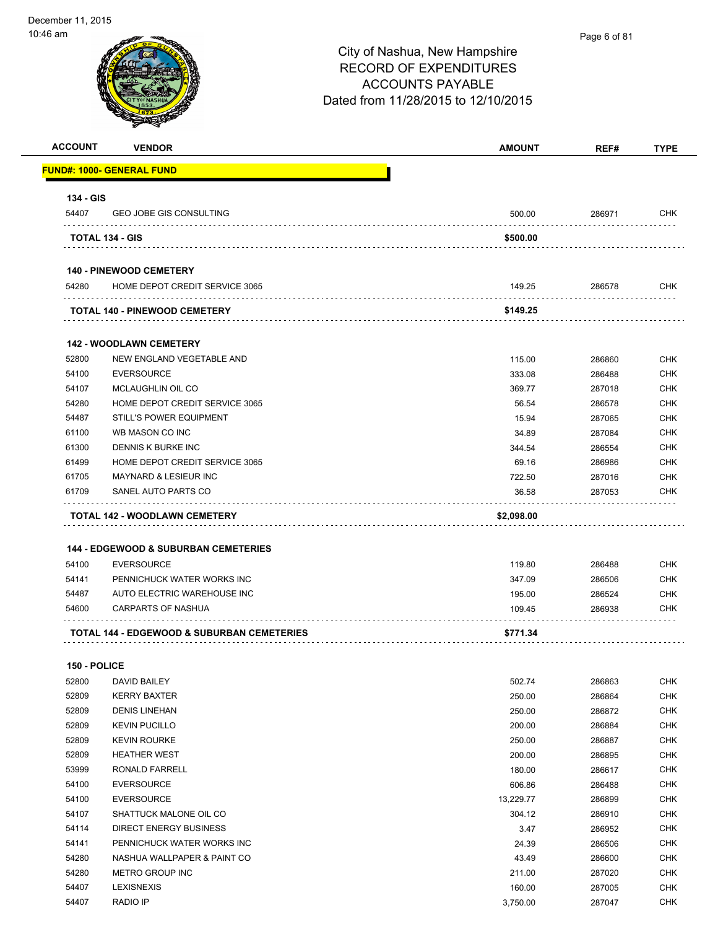## City of Nashua, New Hampshire RECORD OF EXPENDITURES ACCOUNTS PAYABLE Dated from 11/28/2015 to 12/10/2015 **ACCOUNT VENDOR AMOUNT REF# TYPE FUND#: 1000- GENERAL FUND 134 - GIS** 54407 GEO JOBE GIS CONSULTING 500.00 286971 CHK **TOTAL 134 - GIS \$500.00 140 - PINEWOOD CEMETERY** 54280 HOME DEPOT CREDIT SERVICE 3065 149.25 286578 CHK . . . . . . . . . **TOTAL 140 - PINEWOOD CEMETERY \$149.25 142 - WOODLAWN CEMETERY** 52800 NEW ENGLAND VEGETABLE AND 115.00 286860 CHK 54100 EVERSOURCE 333.08 286488 CHK 54107 MCLAUGHLIN OIL CO ANN 100 CHK CHANGER AND THE SERVICE SERVICE SERVICE SERVICE SERVICE SERVICE SERVICE SE 54280 HOME DEPOT CREDIT SERVICE 3065 56.54 286578 CHK 54487 STILL'S POWER EQUIPMENT 15.94 287065 CHK 61100 WB MASON CO INC 34.89 287084 CHK 61300 DENNIS K BURKE INC 344.54 286554 CHK 61499 HOME DEPOT CREDIT SERVICE 3065 69.16 286986 CHK 61705 MAYNARD & LESIEUR INC 722.50 287016 CHK 61709 SANEL AUTO PARTS CO 36.58 287053 CHK . . . . . . . . . . . . . . . . . . . . . . . . . . **TOTAL 142 - WOODLAWN CEMETERY \$2,098.00**

### **144 - EDGEWOOD & SUBURBAN CEMETERIES**

|       | <b>TOTAL 144 - EDGEWOOD &amp; SUBURBAN CEMETERIES</b> | \$771.34 |        |            |
|-------|-------------------------------------------------------|----------|--------|------------|
| 54600 | CARPARTS OF NASHUA                                    | 109.45   | 286938 | <b>CHK</b> |
| 54487 | AUTO ELECTRIC WAREHOUSE INC                           | 195.00   | 286524 | <b>CHK</b> |
| 54141 | PENNICHUCK WATER WORKS INC                            | 347.09   | 286506 | <b>CHK</b> |
| 54100 | EVERSOURCE                                            | 119.80   | 286488 | <b>CHK</b> |

### **150 - POLICE**

| 52800 | DAVID BAILEY                | 502.74    | 286863 | <b>CHK</b> |
|-------|-----------------------------|-----------|--------|------------|
| 52809 | <b>KERRY BAXTER</b>         | 250.00    | 286864 | <b>CHK</b> |
| 52809 | <b>DENIS LINEHAN</b>        | 250.00    | 286872 | <b>CHK</b> |
| 52809 | <b>KEVIN PUCILLO</b>        | 200.00    | 286884 | <b>CHK</b> |
| 52809 | <b>KEVIN ROURKE</b>         | 250.00    | 286887 | <b>CHK</b> |
| 52809 | <b>HEATHER WEST</b>         | 200.00    | 286895 | <b>CHK</b> |
| 53999 | RONALD FARRELL              | 180.00    | 286617 | <b>CHK</b> |
| 54100 | <b>EVERSOURCE</b>           | 606.86    | 286488 | <b>CHK</b> |
| 54100 | <b>EVERSOURCE</b>           | 13,229.77 | 286899 | <b>CHK</b> |
| 54107 | SHATTUCK MALONE OIL CO      | 304.12    | 286910 | <b>CHK</b> |
| 54114 | DIRECT ENERGY BUSINESS      | 3.47      | 286952 | <b>CHK</b> |
| 54141 | PENNICHUCK WATER WORKS INC  | 24.39     | 286506 | <b>CHK</b> |
| 54280 | NASHUA WALLPAPER & PAINT CO | 43.49     | 286600 | <b>CHK</b> |
| 54280 | <b>METRO GROUP INC</b>      | 211.00    | 287020 | <b>CHK</b> |
| 54407 | <b>LEXISNEXIS</b>           | 160.00    | 287005 | <b>CHK</b> |
| 54407 | <b>RADIO IP</b>             | 3,750.00  | 287047 | <b>CHK</b> |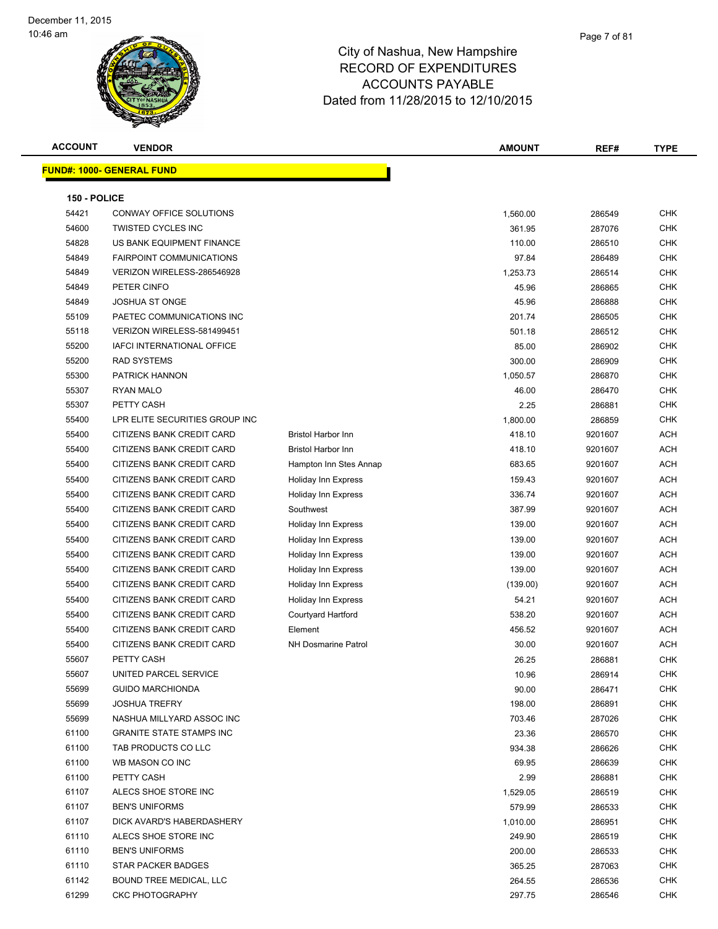| <b>ACCOUNT</b> | <b>VENDOR</b>                               |                            | <b>AMOUNT</b>    | REF#             | <b>TYPE</b>       |
|----------------|---------------------------------------------|----------------------------|------------------|------------------|-------------------|
|                | <b>FUND#: 1000- GENERAL FUND</b>            |                            |                  |                  |                   |
|                |                                             |                            |                  |                  |                   |
| 150 - POLICE   |                                             |                            |                  |                  |                   |
| 54421          | CONWAY OFFICE SOLUTIONS                     |                            | 1,560.00         | 286549           | <b>CHK</b>        |
| 54600          | <b>TWISTED CYCLES INC</b>                   |                            | 361.95           | 287076           | <b>CHK</b>        |
| 54828          | US BANK EQUIPMENT FINANCE                   |                            | 110.00           | 286510           | <b>CHK</b>        |
| 54849          | <b>FAIRPOINT COMMUNICATIONS</b>             |                            | 97.84            | 286489           | <b>CHK</b>        |
| 54849          | VERIZON WIRELESS-286546928                  |                            | 1,253.73         | 286514           | CHK               |
| 54849          | PETER CINFO                                 |                            | 45.96            | 286865           | <b>CHK</b>        |
| 54849          | <b>JOSHUA ST ONGE</b>                       |                            | 45.96            | 286888           | <b>CHK</b>        |
| 55109          | PAETEC COMMUNICATIONS INC                   |                            | 201.74           | 286505           | <b>CHK</b>        |
| 55118          | VERIZON WIRELESS-581499451                  |                            | 501.18           | 286512           | <b>CHK</b>        |
| 55200          | IAFCI INTERNATIONAL OFFICE                  |                            | 85.00            | 286902           | <b>CHK</b>        |
| 55200          | <b>RAD SYSTEMS</b>                          |                            | 300.00           | 286909           | <b>CHK</b>        |
| 55300          | <b>PATRICK HANNON</b>                       |                            | 1,050.57         | 286870           | <b>CHK</b>        |
| 55307          | <b>RYAN MALO</b>                            |                            | 46.00            | 286470           | <b>CHK</b>        |
| 55307          | PETTY CASH                                  |                            | 2.25             | 286881           | <b>CHK</b>        |
| 55400          | LPR ELITE SECURITIES GROUP INC              |                            | 1,800.00         | 286859           | <b>CHK</b>        |
| 55400          | CITIZENS BANK CREDIT CARD                   | <b>Bristol Harbor Inn</b>  | 418.10           | 9201607          | ACH               |
| 55400          | CITIZENS BANK CREDIT CARD                   | <b>Bristol Harbor Inn</b>  | 418.10           | 9201607          | <b>ACH</b>        |
| 55400          | CITIZENS BANK CREDIT CARD                   | Hampton Inn Stes Annap     | 683.65           | 9201607          | <b>ACH</b>        |
| 55400          | CITIZENS BANK CREDIT CARD                   | Holiday Inn Express        | 159.43           | 9201607          | <b>ACH</b>        |
| 55400          | CITIZENS BANK CREDIT CARD                   | Holiday Inn Express        | 336.74           | 9201607          | <b>ACH</b>        |
| 55400          | CITIZENS BANK CREDIT CARD                   | Southwest                  | 387.99           | 9201607          | <b>ACH</b>        |
| 55400          | CITIZENS BANK CREDIT CARD                   | Holiday Inn Express        | 139.00           | 9201607          | <b>ACH</b>        |
| 55400          | CITIZENS BANK CREDIT CARD                   | Holiday Inn Express        | 139.00           | 9201607          | <b>ACH</b>        |
| 55400          | CITIZENS BANK CREDIT CARD                   | Holiday Inn Express        | 139.00           | 9201607          | <b>ACH</b>        |
| 55400          | CITIZENS BANK CREDIT CARD                   | Holiday Inn Express        | 139.00           | 9201607          | <b>ACH</b>        |
| 55400          | CITIZENS BANK CREDIT CARD                   | Holiday Inn Express        | (139.00)         | 9201607          | <b>ACH</b>        |
| 55400          | CITIZENS BANK CREDIT CARD                   | <b>Holiday Inn Express</b> | 54.21            | 9201607          | <b>ACH</b>        |
| 55400          | CITIZENS BANK CREDIT CARD                   | Courtyard Hartford         | 538.20           | 9201607          | <b>ACH</b>        |
| 55400          | CITIZENS BANK CREDIT CARD                   | Element                    | 456.52           | 9201607          | <b>ACH</b>        |
| 55400          | CITIZENS BANK CREDIT CARD                   | <b>NH Dosmarine Patrol</b> | 30.00            | 9201607          | <b>ACH</b>        |
| 55607          | PETTY CASH                                  |                            | 26.25            | 286881           | CHK               |
| 55607          | UNITED PARCEL SERVICE                       |                            | 10.96            | 286914           | CHK               |
| 55699          | <b>GUIDO MARCHIONDA</b>                     |                            | 90.00            | 286471           | <b>CHK</b>        |
| 55699          | <b>JOSHUA TREFRY</b>                        |                            | 198.00           | 286891           | <b>CHK</b>        |
| 55699          | NASHUA MILLYARD ASSOC INC                   |                            | 703.46           | 287026           | <b>CHK</b>        |
| 61100          | <b>GRANITE STATE STAMPS INC</b>             |                            | 23.36            | 286570           | <b>CHK</b>        |
| 61100          | TAB PRODUCTS CO LLC                         |                            | 934.38           | 286626           | <b>CHK</b>        |
| 61100          | WB MASON CO INC                             |                            | 69.95            | 286639           | <b>CHK</b>        |
| 61100          | PETTY CASH                                  |                            | 2.99             | 286881           | <b>CHK</b>        |
| 61107          | ALECS SHOE STORE INC                        |                            | 1,529.05         | 286519           | <b>CHK</b>        |
| 61107          | <b>BEN'S UNIFORMS</b>                       |                            | 579.99           | 286533           | <b>CHK</b>        |
| 61107          | DICK AVARD'S HABERDASHERY                   |                            | 1,010.00         | 286951           | CHK               |
| 61110          | ALECS SHOE STORE INC                        |                            | 249.90           | 286519           | CHK               |
| 61110<br>61110 | <b>BEN'S UNIFORMS</b><br>STAR PACKER BADGES |                            | 200.00           | 286533           | CHK               |
| 61142          | BOUND TREE MEDICAL, LLC                     |                            | 365.25<br>264.55 | 287063<br>286536 | CHK<br><b>CHK</b> |
| 61299          | <b>CKC PHOTOGRAPHY</b>                      |                            | 297.75           | 286546           | <b>CHK</b>        |
|                |                                             |                            |                  |                  |                   |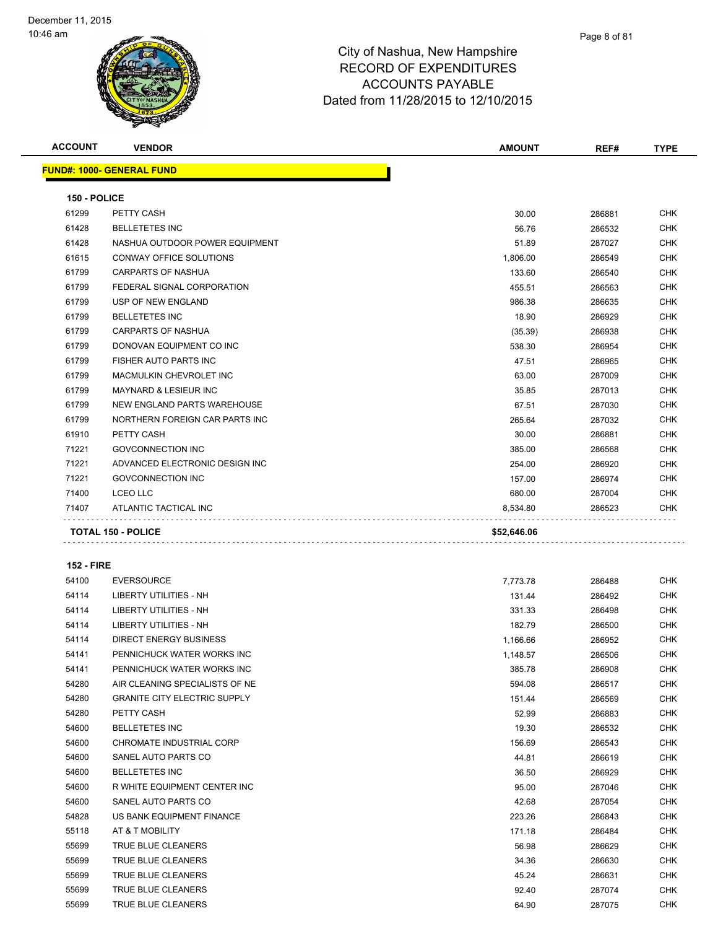

| <b>ACCOUNT</b>    | <b>VENDOR</b>                       | <b>AMOUNT</b> | REF#   | <b>TYPE</b> |
|-------------------|-------------------------------------|---------------|--------|-------------|
|                   | <u> FUND#: 1000- GENERAL FUND</u>   |               |        |             |
| 150 - POLICE      |                                     |               |        |             |
| 61299             | PETTY CASH                          | 30.00         | 286881 | CHK         |
| 61428             | <b>BELLETETES INC</b>               | 56.76         | 286532 | CHK         |
| 61428             | NASHUA OUTDOOR POWER EQUIPMENT      | 51.89         | 287027 | CHK         |
| 61615             | CONWAY OFFICE SOLUTIONS             | 1,806.00      | 286549 | CHK         |
| 61799             | <b>CARPARTS OF NASHUA</b>           | 133.60        | 286540 | <b>CHK</b>  |
| 61799             | FEDERAL SIGNAL CORPORATION          | 455.51        | 286563 | CHK         |
| 61799             | USP OF NEW ENGLAND                  | 986.38        | 286635 | <b>CHK</b>  |
| 61799             | <b>BELLETETES INC</b>               | 18.90         | 286929 | <b>CHK</b>  |
| 61799             | <b>CARPARTS OF NASHUA</b>           | (35.39)       | 286938 | <b>CHK</b>  |
| 61799             | DONOVAN EQUIPMENT CO INC            | 538.30        | 286954 | <b>CHK</b>  |
| 61799             | FISHER AUTO PARTS INC               | 47.51         | 286965 | CHK         |
| 61799             | MACMULKIN CHEVROLET INC             | 63.00         | 287009 | CHK         |
| 61799             | <b>MAYNARD &amp; LESIEUR INC</b>    | 35.85         | 287013 | <b>CHK</b>  |
| 61799             | NEW ENGLAND PARTS WAREHOUSE         | 67.51         | 287030 | CHK         |
| 61799             | NORTHERN FOREIGN CAR PARTS INC      | 265.64        | 287032 | <b>CHK</b>  |
| 61910             | PETTY CASH                          | 30.00         | 286881 | <b>CHK</b>  |
| 71221             | <b>GOVCONNECTION INC</b>            | 385.00        | 286568 | CHK         |
| 71221             | ADVANCED ELECTRONIC DESIGN INC      | 254.00        | 286920 | <b>CHK</b>  |
| 71221             | <b>GOVCONNECTION INC</b>            | 157.00        | 286974 | CHK         |
| 71400             | <b>LCEO LLC</b>                     | 680.00        | 287004 | CHK         |
| 71407             | ATLANTIC TACTICAL INC               | 8,534.80      | 286523 | CHK         |
|                   |                                     |               |        |             |
|                   | <b>TOTAL 150 - POLICE</b>           | \$52,646.06   |        |             |
| <b>152 - FIRE</b> |                                     |               |        |             |
| 54100             | <b>EVERSOURCE</b>                   | 7,773.78      | 286488 | CHK         |
| 54114             | LIBERTY UTILITIES - NH              | 131.44        | 286492 | CHK         |
| 54114             | LIBERTY UTILITIES - NH              | 331.33        | 286498 | CHK         |
| 54114             | LIBERTY UTILITIES - NH              | 182.79        | 286500 | CHK         |
| 54114             | <b>DIRECT ENERGY BUSINESS</b>       | 1,166.66      | 286952 | CHK         |
| 54141             | PENNICHUCK WATER WORKS INC          | 1,148.57      | 286506 | <b>CHK</b>  |
| 54141             | PENNICHUCK WATER WORKS INC          | 385.78        | 286908 | <b>CHK</b>  |
| 54280             | AIR CLEANING SPECIALISTS OF NE      | 594.08        | 286517 | <b>CHK</b>  |
| 54280             | <b>GRANITE CITY ELECTRIC SUPPLY</b> | 151.44        | 286569 | CHK         |
| 54280             | PETTY CASH                          | 52.99         | 286883 | CHK         |
| 54600             | <b>BELLETETES INC</b>               | 19.30         | 286532 | CHK         |
| 54600             | CHROMATE INDUSTRIAL CORP            | 156.69        | 286543 | CHK         |
| 54600             | SANEL AUTO PARTS CO                 | 44.81         | 286619 | CHK         |
| 54600             | <b>BELLETETES INC</b>               | 36.50         | 286929 | CHK         |
| 54600             | R WHITE EQUIPMENT CENTER INC        | 95.00         | 287046 | CHK         |
| 54600             | SANEL AUTO PARTS CO                 | 42.68         | 287054 | CHK         |
| 54828             | US BANK EQUIPMENT FINANCE           | 223.26        | 286843 | CHK         |
| 55118             | AT & T MOBILITY                     | 171.18        | 286484 | CHK         |
| 55699             | TRUE BLUE CLEANERS                  | 56.98         | 286629 | CHK         |
| 55699             | TRUE BLUE CLEANERS                  | 34.36         | 286630 | CHK         |
| 55699             | TRUE BLUE CLEANERS                  | 45.24         | 286631 | CHK         |

 TRUE BLUE CLEANERS 92.40 287074 CHK TRUE BLUE CLEANERS 64.90 287075 CHK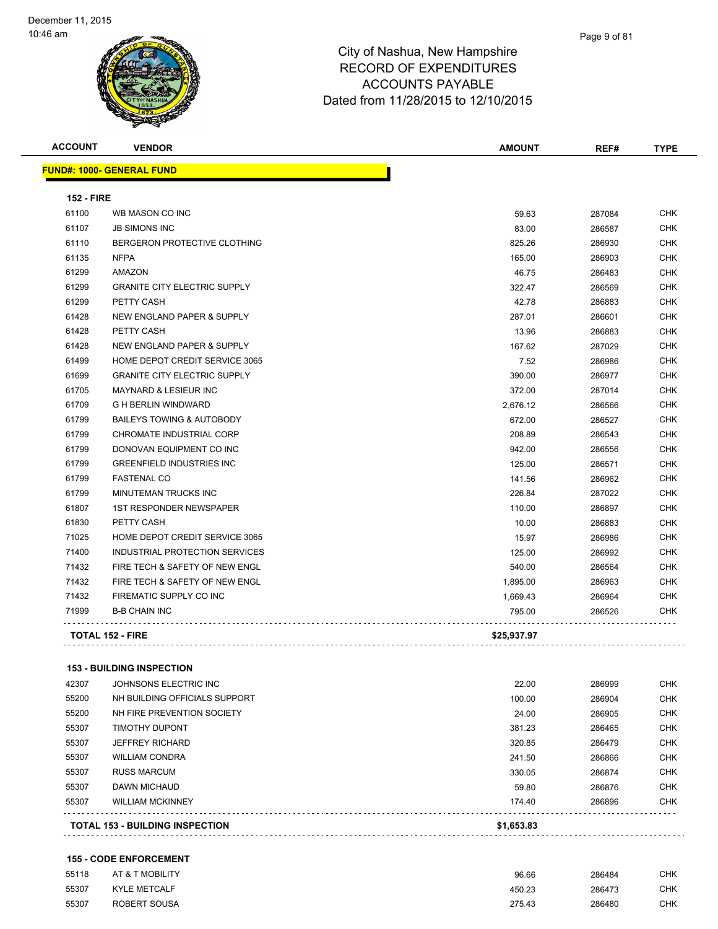| <b>ACCOUNT</b>    | <b>VENDOR</b>                        | <b>AMOUNT</b> | REF#   | <b>TYPE</b> |
|-------------------|--------------------------------------|---------------|--------|-------------|
|                   | <b>FUND#: 1000- GENERAL FUND</b>     |               |        |             |
| <b>152 - FIRE</b> |                                      |               |        |             |
| 61100             | WB MASON CO INC                      | 59.63         | 287084 | <b>CHK</b>  |
| 61107             | <b>JB SIMONS INC</b>                 | 83.00         | 286587 | <b>CHK</b>  |
| 61110             | BERGERON PROTECTIVE CLOTHING         | 825.26        | 286930 | <b>CHK</b>  |
| 61135             | <b>NFPA</b>                          | 165.00        | 286903 | <b>CHK</b>  |
| 61299             | AMAZON                               | 46.75         | 286483 | <b>CHK</b>  |
| 61299             | <b>GRANITE CITY ELECTRIC SUPPLY</b>  | 322.47        | 286569 | CHK         |
| 61299             | PETTY CASH                           | 42.78         | 286883 | <b>CHK</b>  |
| 61428             | NEW ENGLAND PAPER & SUPPLY           | 287.01        | 286601 | <b>CHK</b>  |
| 61428             | PETTY CASH                           | 13.96         | 286883 | <b>CHK</b>  |
| 61428             | NEW ENGLAND PAPER & SUPPLY           | 167.62        | 287029 | <b>CHK</b>  |
| 61499             | HOME DEPOT CREDIT SERVICE 3065       | 7.52          | 286986 | <b>CHK</b>  |
| 61699             | <b>GRANITE CITY ELECTRIC SUPPLY</b>  | 390.00        | 286977 | <b>CHK</b>  |
| 61705             | <b>MAYNARD &amp; LESIEUR INC</b>     | 372.00        | 287014 | <b>CHK</b>  |
| 61709             | <b>G H BERLIN WINDWARD</b>           | 2,676.12      | 286566 | <b>CHK</b>  |
| 61799             | <b>BAILEYS TOWING &amp; AUTOBODY</b> | 672.00        | 286527 | <b>CHK</b>  |
| 61799             | CHROMATE INDUSTRIAL CORP             | 208.89        | 286543 | <b>CHK</b>  |
| 61799             | DONOVAN EQUIPMENT CO INC             | 942.00        | 286556 | <b>CHK</b>  |
| 61799             | <b>GREENFIELD INDUSTRIES INC</b>     | 125.00        | 286571 | <b>CHK</b>  |
| 61799             | <b>FASTENAL CO</b>                   | 141.56        | 286962 | <b>CHK</b>  |
| 61799             | MINUTEMAN TRUCKS INC                 | 226.84        | 287022 | <b>CHK</b>  |
| 61807             | <b>1ST RESPONDER NEWSPAPER</b>       | 110.00        | 286897 | CHK         |
| 61830             | PETTY CASH                           | 10.00         | 286883 | <b>CHK</b>  |
| 71025             | HOME DEPOT CREDIT SERVICE 3065       | 15.97         | 286986 | <b>CHK</b>  |
| 71400             | INDUSTRIAL PROTECTION SERVICES       | 125.00        | 286992 | <b>CHK</b>  |
| 71432             | FIRE TECH & SAFETY OF NEW ENGL       | 540.00        | 286564 | <b>CHK</b>  |
| 71432             | FIRE TECH & SAFETY OF NEW ENGL       | 1,895.00      | 286963 | <b>CHK</b>  |
| 71432             | FIREMATIC SUPPLY CO INC              | 1,669.43      | 286964 | <b>CHK</b>  |
| 71999             | <b>B-B CHAIN INC</b>                 | 795.00        | 286526 | <b>CHK</b>  |
|                   | TOTAL 152 - FIRE                     | \$25,937.97   |        |             |
|                   | <b>153 - BUILDING INSPECTION</b>     |               |        |             |
| 42307             | JOHNSONS ELECTRIC INC                | 22.00         | 286999 | <b>CHK</b>  |
| 55200             | NH BUILDING OFFICIALS SUPPORT        | 100.00        | 286904 | <b>CHK</b>  |
| 55200             | NH FIRE PREVENTION SOCIETY           | 24.00         | 286905 | <b>CHK</b>  |
|                   |                                      |               |        |             |

|       | <b>TOTAL 153 - BUILDING INSPECTION</b> | \$1,653.83 |        |            |
|-------|----------------------------------------|------------|--------|------------|
| 55307 | <b>WILLIAM MCKINNEY</b>                | 174.40     | 286896 | CHK        |
| 55307 | DAWN MICHAUD                           | 59.80      | 286876 | <b>CHK</b> |
| 55307 | <b>RUSS MARCUM</b>                     | 330.05     | 286874 | CHK        |
| 55307 | <b>WILLIAM CONDRA</b>                  | 241.50     | 286866 | <b>CHK</b> |
| 55307 | <b>JEFFREY RICHARD</b>                 | 320.85     | 286479 | CHK        |
| 55307 | <b>TIMOTHY DUPONT</b>                  | 381.23     | 286465 | CHK        |
| 55200 | NH FIRE PREVENTION SOCIETY             | 24.00      | 286905 | CHK        |
| ນບ∠ບບ | <u>NH BUILDING OFFICIALS SUFFORT</u>   | TUU.UU     | 200904 | U TIN.     |

### **155 - CODE ENFORCEMENT**

| 55118 | AT & T MOBILITY     | 96.66  | 286484 | СНК |
|-------|---------------------|--------|--------|-----|
| 55307 | <b>KYLE METCALF</b> | 450.23 | 286473 | СНК |
| 55307 | ROBERT SOUSA        | 275.43 | 286480 | СНК |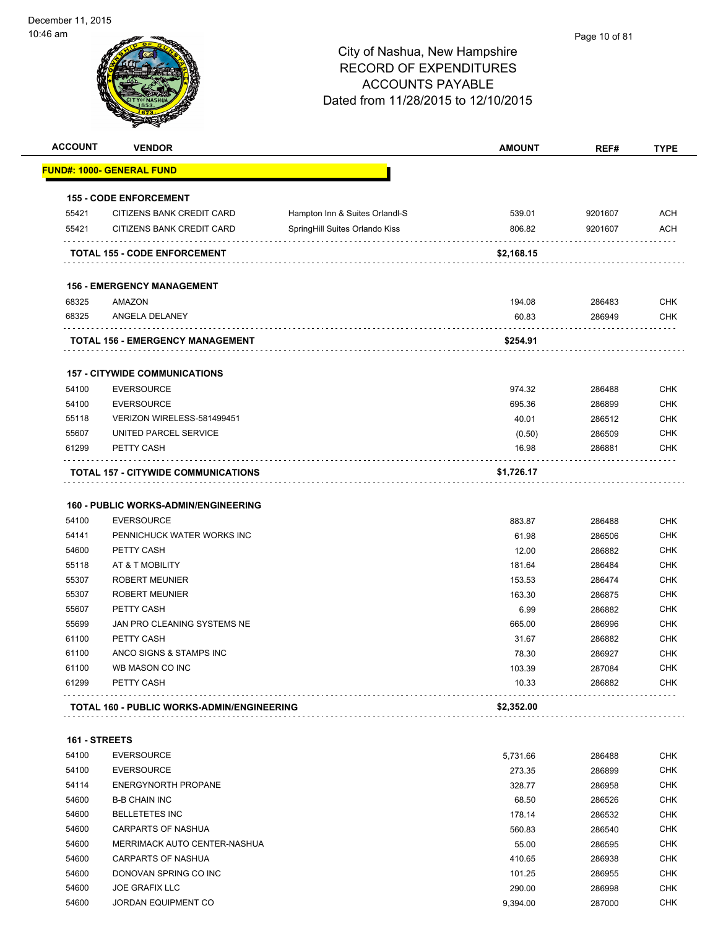| <b>ACCOUNT</b> | <b>VENDOR</b>                                                    |                                | <b>AMOUNT</b> | REF#    | <b>TYPE</b> |
|----------------|------------------------------------------------------------------|--------------------------------|---------------|---------|-------------|
|                | <u> FUND#: 1000- GENERAL FUND</u>                                |                                |               |         |             |
|                | <b>155 - CODE ENFORCEMENT</b>                                    |                                |               |         |             |
| 55421          | CITIZENS BANK CREDIT CARD                                        | Hampton Inn & Suites Orlandl-S | 539.01        | 9201607 | <b>ACH</b>  |
| 55421          | CITIZENS BANK CREDIT CARD                                        | SpringHill Suites Orlando Kiss | 806.82        | 9201607 | <b>ACH</b>  |
|                | <b>TOTAL 155 - CODE ENFORCEMENT</b>                              |                                | \$2,168.15    |         |             |
|                | <b>156 - EMERGENCY MANAGEMENT</b>                                |                                |               |         |             |
| 68325          | AMAZON                                                           |                                | 194.08        | 286483  | <b>CHK</b>  |
| 68325          | ANGELA DELANEY                                                   |                                | 60.83         | 286949  | <b>CHK</b>  |
|                | TOTAL 156 - EMERGENCY MANAGEMENT                                 |                                | \$254.91      |         |             |
|                | <b>157 - CITYWIDE COMMUNICATIONS</b>                             |                                |               |         |             |
| 54100          | <b>EVERSOURCE</b>                                                |                                | 974.32        | 286488  | <b>CHK</b>  |
| 54100          | <b>EVERSOURCE</b>                                                |                                | 695.36        | 286899  | <b>CHK</b>  |
| 55118          | VERIZON WIRELESS-581499451                                       |                                | 40.01         | 286512  | <b>CHK</b>  |
| 55607          | UNITED PARCEL SERVICE                                            |                                | (0.50)        | 286509  | <b>CHK</b>  |
| 61299          | PETTY CASH                                                       |                                | 16.98         | 286881  | <b>CHK</b>  |
|                | TOTAL 157 - CITYWIDE COMMUNICATIONS                              |                                | \$1,726.17    |         |             |
|                |                                                                  |                                |               |         |             |
| 54100          | <b>160 - PUBLIC WORKS-ADMIN/ENGINEERING</b><br><b>EVERSOURCE</b> |                                | 883.87        | 286488  | <b>CHK</b>  |
| 54141          | PENNICHUCK WATER WORKS INC                                       |                                | 61.98         | 286506  | <b>CHK</b>  |
| 54600          | PETTY CASH                                                       |                                | 12.00         | 286882  | <b>CHK</b>  |
| 55118          | AT & T MOBILITY                                                  |                                | 181.64        | 286484  | <b>CHK</b>  |
| 55307          | <b>ROBERT MEUNIER</b>                                            |                                | 153.53        | 286474  | <b>CHK</b>  |
| 55307          | <b>ROBERT MEUNIER</b>                                            |                                | 163.30        | 286875  | <b>CHK</b>  |
| 55607          | PETTY CASH                                                       |                                | 6.99          | 286882  | <b>CHK</b>  |
| 55699          | JAN PRO CLEANING SYSTEMS NE                                      |                                | 665.00        | 286996  | <b>CHK</b>  |
| 61100          | PETTY CASH                                                       |                                | 31.67         | 286882  | <b>CHK</b>  |
| 61100          | ANCO SIGNS & STAMPS INC                                          |                                | 78.30         | 286927  | <b>CHK</b>  |
| 61100          | WB MASON CO INC                                                  |                                | 103.39        | 287084  | <b>CHK</b>  |
| 61299          | PETTY CASH                                                       |                                | 10.33         | 286882  | <b>CHK</b>  |
|                | TOTAL 160 - PUBLIC WORKS-ADMIN/ENGINEERING                       |                                | \$2,352.00    |         |             |
|                |                                                                  |                                |               |         |             |
| 161 - STREETS  |                                                                  |                                |               |         |             |
| 54100          | <b>EVERSOURCE</b>                                                |                                | 5,731.66      | 286488  | <b>CHK</b>  |
| 54100          | <b>EVERSOURCE</b>                                                |                                | 273.35        | 286899  | <b>CHK</b>  |
| 54114          | <b>ENERGYNORTH PROPANE</b>                                       |                                | 328.77        | 286958  | <b>CHK</b>  |
| 54600          | <b>B-B CHAIN INC</b>                                             |                                | 68.50         | 286526  | <b>CHK</b>  |
| 54600          | <b>BELLETETES INC</b>                                            |                                | 178.14        | 286532  | <b>CHK</b>  |
| 54600          | <b>CARPARTS OF NASHUA</b>                                        |                                | 560.83        | 286540  | <b>CHK</b>  |
| 54600          | MERRIMACK AUTO CENTER-NASHUA                                     |                                | 55.00         | 286595  | <b>CHK</b>  |
| 54600          | CARPARTS OF NASHUA                                               |                                | 410.65        | 286938  | <b>CHK</b>  |
| 54600          | DONOVAN SPRING CO INC                                            |                                | 101.25        | 286955  | <b>CHK</b>  |
| 54600          | <b>JOE GRAFIX LLC</b>                                            |                                | 290.00        | 286998  | <b>CHK</b>  |
| 54600          | <b>JORDAN EQUIPMENT CO</b>                                       |                                | 9,394.00      | 287000  | <b>CHK</b>  |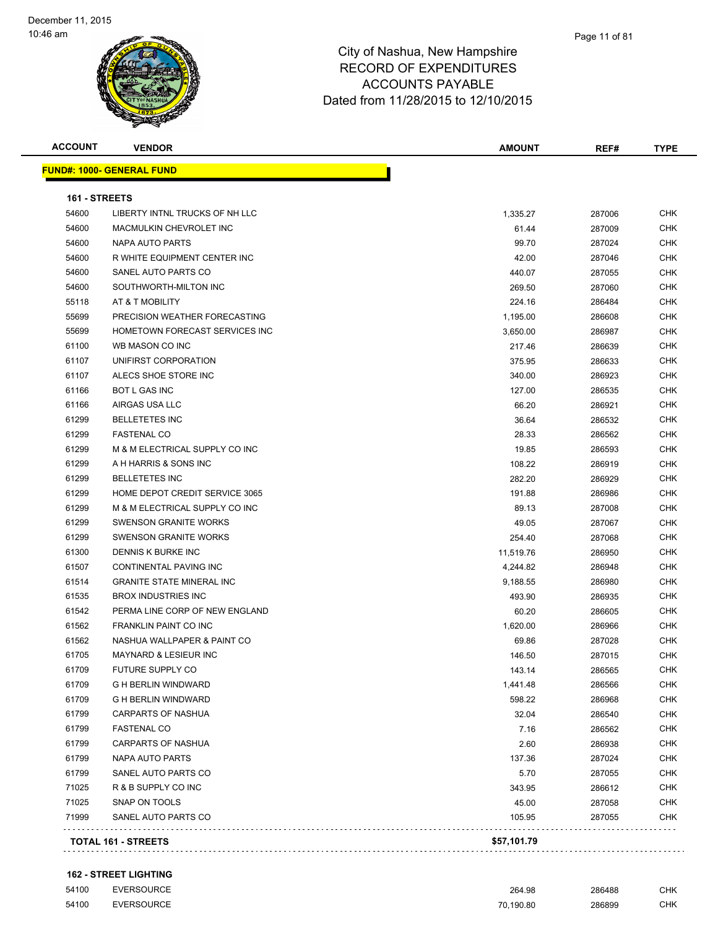| <b>ACCOUNT</b> | <b>VENDOR</b>                    | <b>AMOUNT</b> | REF#   | <b>TYPE</b> |
|----------------|----------------------------------|---------------|--------|-------------|
|                | <b>FUND#: 1000- GENERAL FUND</b> |               |        |             |
| 161 - STREETS  |                                  |               |        |             |
| 54600          | LIBERTY INTNL TRUCKS OF NH LLC   | 1,335.27      | 287006 | CHK         |
| 54600          | MACMULKIN CHEVROLET INC          | 61.44         | 287009 | <b>CHK</b>  |
| 54600          | NAPA AUTO PARTS                  | 99.70         | 287024 | CHK         |
| 54600          | R WHITE EQUIPMENT CENTER INC     | 42.00         | 287046 | CHK         |
| 54600          | SANEL AUTO PARTS CO              | 440.07        | 287055 | <b>CHK</b>  |
| 54600          | SOUTHWORTH-MILTON INC            | 269.50        | 287060 | CHK         |
| 55118          | AT & T MOBILITY                  | 224.16        | 286484 | CHK         |
| 55699          | PRECISION WEATHER FORECASTING    | 1,195.00      | 286608 | CHK         |
| 55699          | HOMETOWN FORECAST SERVICES INC   | 3,650.00      | 286987 | CHK         |
| 61100          | WB MASON CO INC                  | 217.46        | 286639 | CHK         |
| 61107          | UNIFIRST CORPORATION             | 375.95        | 286633 | CHK         |
| 61107          | ALECS SHOE STORE INC             | 340.00        | 286923 | CHK         |
| 61166          | <b>BOT L GAS INC</b>             | 127.00        | 286535 | <b>CHK</b>  |
| 61166          | AIRGAS USA LLC                   | 66.20         | 286921 | CHK         |
| 61299          | <b>BELLETETES INC</b>            | 36.64         | 286532 | CHK         |
| 61299          | <b>FASTENAL CO</b>               | 28.33         | 286562 | CHK         |
| 61299          | M & M ELECTRICAL SUPPLY CO INC   | 19.85         | 286593 | CHK         |
| 61299          | A H HARRIS & SONS INC            | 108.22        | 286919 | CHK         |
| 61299          | <b>BELLETETES INC</b>            | 282.20        | 286929 | CHK         |
| 61299          | HOME DEPOT CREDIT SERVICE 3065   | 191.88        | 286986 | CHK         |
| 61299          | M & M ELECTRICAL SUPPLY CO INC   | 89.13         | 287008 | CHK         |
| 61299          | <b>SWENSON GRANITE WORKS</b>     | 49.05         | 287067 | CHK         |
| 61299          | <b>SWENSON GRANITE WORKS</b>     | 254.40        | 287068 | CHK         |
| 61300          | DENNIS K BURKE INC               | 11,519.76     | 286950 | <b>CHK</b>  |
| 61507          | CONTINENTAL PAVING INC           | 4,244.82      | 286948 | CHK         |
| 61514          | <b>GRANITE STATE MINERAL INC</b> | 9,188.55      | 286980 | CHK         |
| 61535          | <b>BROX INDUSTRIES INC</b>       | 493.90        | 286935 | <b>CHK</b>  |
| 61542          | PERMA LINE CORP OF NEW ENGLAND   | 60.20         | 286605 | CHK         |
| 61562          | <b>FRANKLIN PAINT CO INC</b>     | 1,620.00      | 286966 | CHK         |
| 61562          | NASHUA WALLPAPER & PAINT CO      | 69.86         | 287028 | CHK         |
| 61705          | MAYNARD & LESIEUR INC            | 146.50        | 287015 | CHK         |
| 61709          | FUTURE SUPPLY CO                 | 143.14        | 286565 | <b>CHK</b>  |
| 61709          | <b>G H BERLIN WINDWARD</b>       | 1,441.48      | 286566 | CHK         |
| 61709          | <b>G H BERLIN WINDWARD</b>       | 598.22        | 286968 | <b>CHK</b>  |
| 61799          | CARPARTS OF NASHUA               | 32.04         | 286540 | <b>CHK</b>  |
| 61799          | <b>FASTENAL CO</b>               | 7.16          | 286562 | <b>CHK</b>  |
| 61799          | <b>CARPARTS OF NASHUA</b>        | 2.60          | 286938 | <b>CHK</b>  |
| 61799          | <b>NAPA AUTO PARTS</b>           | 137.36        | 287024 | <b>CHK</b>  |
| 61799          | SANEL AUTO PARTS CO              | 5.70          | 287055 | CHK         |
| 71025          | R & B SUPPLY CO INC              | 343.95        | 286612 | <b>CHK</b>  |
| 71025          | SNAP ON TOOLS                    | 45.00         | 287058 | CHK         |
| 71999          | SANEL AUTO PARTS CO              | 105.95        | 287055 | CHK         |
|                |                                  | \$57,101.79   |        |             |
|                | TOTAL 161 - STREETS              |               |        |             |

### **162 - STREET LIGHTING**

| 54100 | <b>EVERSOURCE</b> | 264.98    | 286488 | CHK. |
|-------|-------------------|-----------|--------|------|
| 54100 | <b>EVERSOURCE</b> | 70.190.80 | 286899 | СНК  |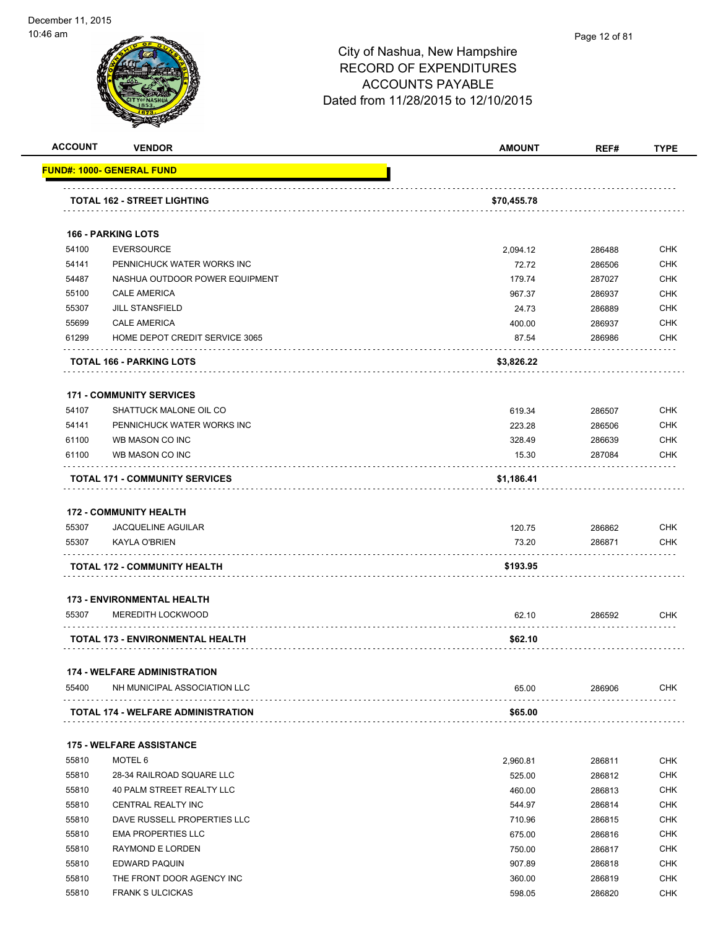| <b>ACCOUNT</b> | <b>VENDOR</b>                         | <b>AMOUNT</b> | REF#   | <b>TYPE</b> |
|----------------|---------------------------------------|---------------|--------|-------------|
|                | <b>FUND#: 1000- GENERAL FUND</b>      |               |        |             |
|                | <b>TOTAL 162 - STREET LIGHTING</b>    | \$70,455.78   |        |             |
|                | <b>166 - PARKING LOTS</b>             |               |        |             |
| 54100          | <b>EVERSOURCE</b>                     | 2,094.12      | 286488 | <b>CHK</b>  |
| 54141          | PENNICHUCK WATER WORKS INC            | 72.72         | 286506 | <b>CHK</b>  |
| 54487          | NASHUA OUTDOOR POWER EQUIPMENT        | 179.74        | 287027 | <b>CHK</b>  |
| 55100          | <b>CALE AMERICA</b>                   | 967.37        | 286937 | <b>CHK</b>  |
| 55307          | <b>JILL STANSFIELD</b>                | 24.73         | 286889 | <b>CHK</b>  |
| 55699          | <b>CALE AMERICA</b>                   | 400.00        | 286937 | <b>CHK</b>  |
| 61299          | HOME DEPOT CREDIT SERVICE 3065        | 87.54         | 286986 | <b>CHK</b>  |
|                | TOTAL 166 - PARKING LOTS              | \$3,826.22    |        |             |
|                | <b>171 - COMMUNITY SERVICES</b>       |               |        |             |
| 54107          | SHATTUCK MALONE OIL CO                | 619.34        | 286507 | <b>CHK</b>  |
| 54141          | PENNICHUCK WATER WORKS INC            | 223.28        | 286506 | <b>CHK</b>  |
| 61100          | WB MASON CO INC                       | 328.49        | 286639 | <b>CHK</b>  |
| 61100          | WB MASON CO INC                       | 15.30         | 287084 | <b>CHK</b>  |
|                | <b>TOTAL 171 - COMMUNITY SERVICES</b> | \$1,186.41    |        |             |
|                | <b>172 - COMMUNITY HEALTH</b>         |               |        |             |
| 55307          | <b>JACQUELINE AGUILAR</b>             | 120.75        | 286862 | <b>CHK</b>  |
| 55307          | <b>KAYLA O'BRIEN</b>                  | 73.20         | 286871 | CHK         |
|                | TOTAL 172 - COMMUNITY HEALTH          | \$193.95      |        |             |
|                | <b>173 - ENVIRONMENTAL HEALTH</b>     |               |        |             |
| 55307          | <b>MEREDITH LOCKWOOD</b>              | 62.10         | 286592 | <b>CHK</b>  |
|                | TOTAL 173 - ENVIRONMENTAL HEALTH      | \$62.10       |        |             |
|                | <b>174 - WELFARE ADMINISTRATION</b>   |               |        |             |
| 55400          | NH MUNICIPAL ASSOCIATION LLC          | 65.00         | 286906 | CHK         |
|                | TOTAL 174 - WELFARE ADMINISTRATION    | \$65.00       |        |             |
|                |                                       |               |        |             |
|                | <b>175 - WELFARE ASSISTANCE</b>       |               |        |             |
| 55810          | MOTEL 6                               | 2,960.81      | 286811 | CHK         |
| 55810          | 28-34 RAILROAD SQUARE LLC             | 525.00        | 286812 | <b>CHK</b>  |
| 55810          | 40 PALM STREET REALTY LLC             | 460.00        | 286813 | <b>CHK</b>  |
| 55810          | CENTRAL REALTY INC                    | 544.97        | 286814 | <b>CHK</b>  |
| 55810          | DAVE RUSSELL PROPERTIES LLC           | 710.96        | 286815 | <b>CHK</b>  |
| 55810          | <b>EMA PROPERTIES LLC</b>             | 675.00        | 286816 | <b>CHK</b>  |
| 55810          | RAYMOND E LORDEN                      | 750.00        | 286817 | <b>CHK</b>  |
| 55810          | EDWARD PAQUIN                         | 907.89        | 286818 | <b>CHK</b>  |
| 55810          | THE FRONT DOOR AGENCY INC             | 360.00        | 286819 | <b>CHK</b>  |
| 55810          | <b>FRANK S ULCICKAS</b>               | 598.05        | 286820 | CHK         |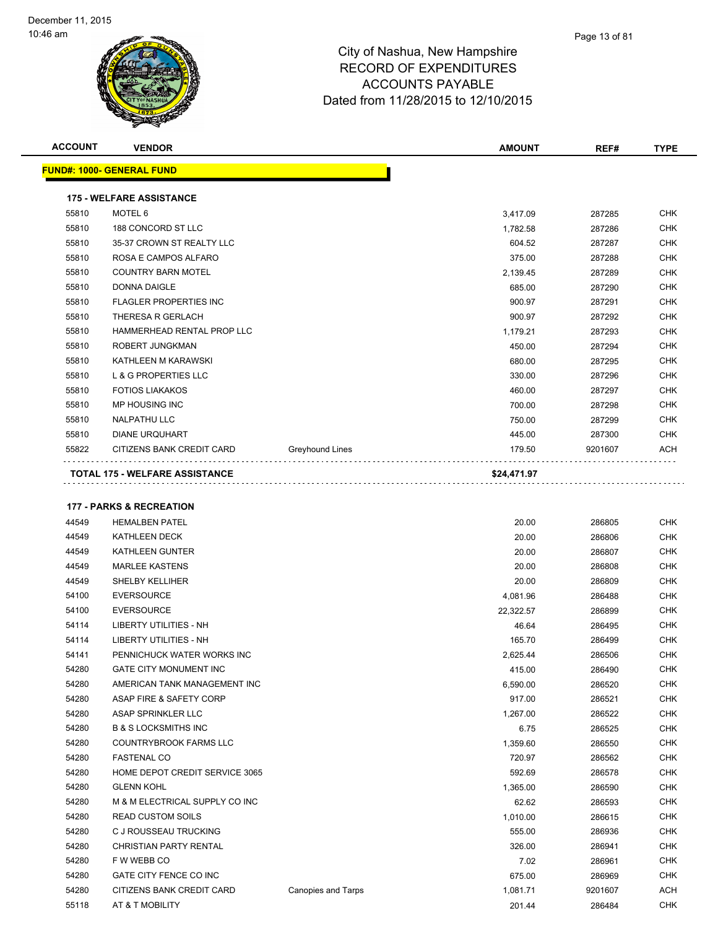| <b>ACCOUNT</b> | <b>VENDOR</b>                         |                 | <b>AMOUNT</b> | REF#    | <b>TYPE</b> |
|----------------|---------------------------------------|-----------------|---------------|---------|-------------|
|                | <b>FUND#: 1000- GENERAL FUND</b>      |                 |               |         |             |
|                | <b>175 - WELFARE ASSISTANCE</b>       |                 |               |         |             |
| 55810          | MOTEL 6                               |                 | 3,417.09      | 287285  | <b>CHK</b>  |
| 55810          | 188 CONCORD ST LLC                    |                 | 1,782.58      | 287286  | <b>CHK</b>  |
| 55810          | 35-37 CROWN ST REALTY LLC             |                 | 604.52        | 287287  | <b>CHK</b>  |
| 55810          | ROSA E CAMPOS ALFARO                  |                 | 375.00        | 287288  | <b>CHK</b>  |
| 55810          | <b>COUNTRY BARN MOTEL</b>             |                 | 2,139.45      | 287289  | <b>CHK</b>  |
| 55810          | <b>DONNA DAIGLE</b>                   |                 | 685.00        | 287290  | <b>CHK</b>  |
| 55810          | <b>FLAGLER PROPERTIES INC</b>         |                 | 900.97        | 287291  | <b>CHK</b>  |
| 55810          | THERESA R GERLACH                     |                 | 900.97        | 287292  | <b>CHK</b>  |
| 55810          | HAMMERHEAD RENTAL PROP LLC            |                 | 1,179.21      | 287293  | <b>CHK</b>  |
| 55810          | ROBERT JUNGKMAN                       |                 | 450.00        | 287294  | <b>CHK</b>  |
| 55810          | KATHLEEN M KARAWSKI                   |                 | 680.00        | 287295  | <b>CHK</b>  |
| 55810          | <b>L &amp; G PROPERTIES LLC</b>       |                 | 330.00        | 287296  | <b>CHK</b>  |
| 55810          | <b>FOTIOS LIAKAKOS</b>                |                 | 460.00        | 287297  | <b>CHK</b>  |
| 55810          | <b>MP HOUSING INC</b>                 |                 | 700.00        | 287298  | <b>CHK</b>  |
| 55810          | <b>NALPATHU LLC</b>                   |                 | 750.00        | 287299  | <b>CHK</b>  |
| 55810          | <b>DIANE URQUHART</b>                 |                 | 445.00        | 287300  | <b>CHK</b>  |
| 55822          | CITIZENS BANK CREDIT CARD             | Greyhound Lines | 179.50        | 9201607 | <b>ACH</b>  |
|                | <b>TOTAL 175 - WELFARE ASSISTANCE</b> |                 | \$24,471.97   |         |             |

### **177 - PARKS & RECREATION**

| <b>HEMALBEN PATEL</b>           |                           | 20.00     | 286805  | <b>CHK</b> |
|---------------------------------|---------------------------|-----------|---------|------------|
| <b>KATHLEEN DECK</b>            |                           | 20.00     | 286806  | <b>CHK</b> |
| <b>KATHLEEN GUNTER</b>          |                           | 20.00     | 286807  | <b>CHK</b> |
| <b>MARLEE KASTENS</b>           |                           | 20.00     | 286808  | <b>CHK</b> |
| <b>SHELBY KELLIHER</b>          |                           | 20.00     | 286809  | <b>CHK</b> |
| <b>EVERSOURCE</b>               |                           | 4,081.96  | 286488  | <b>CHK</b> |
| <b>EVERSOURCE</b>               |                           | 22,322.57 | 286899  | <b>CHK</b> |
| <b>LIBERTY UTILITIES - NH</b>   |                           | 46.64     | 286495  | <b>CHK</b> |
| <b>LIBERTY UTILITIES - NH</b>   |                           | 165.70    | 286499  | <b>CHK</b> |
| PENNICHUCK WATER WORKS INC      |                           | 2,625.44  | 286506  | <b>CHK</b> |
| <b>GATE CITY MONUMENT INC</b>   |                           | 415.00    | 286490  | <b>CHK</b> |
| AMERICAN TANK MANAGEMENT INC    |                           | 6,590.00  | 286520  | <b>CHK</b> |
| ASAP FIRE & SAFETY CORP         |                           | 917.00    | 286521  | <b>CHK</b> |
| ASAP SPRINKLER LLC              |                           | 1,267.00  | 286522  | <b>CHK</b> |
| <b>B &amp; S LOCKSMITHS INC</b> |                           | 6.75      | 286525  | <b>CHK</b> |
| COUNTRYBROOK FARMS LLC          |                           | 1,359.60  | 286550  | <b>CHK</b> |
| <b>FASTENAL CO</b>              |                           | 720.97    | 286562  | <b>CHK</b> |
| HOME DEPOT CREDIT SERVICE 3065  |                           | 592.69    | 286578  | <b>CHK</b> |
| <b>GLENN KOHL</b>               |                           | 1,365.00  | 286590  | <b>CHK</b> |
| M & M ELECTRICAL SUPPLY CO INC  |                           | 62.62     | 286593  | <b>CHK</b> |
| <b>READ CUSTOM SOILS</b>        |                           | 1,010.00  | 286615  | <b>CHK</b> |
| C J ROUSSEAU TRUCKING           |                           | 555.00    | 286936  | <b>CHK</b> |
| <b>CHRISTIAN PARTY RENTAL</b>   |                           | 326.00    | 286941  | <b>CHK</b> |
| F W WEBB CO                     |                           | 7.02      | 286961  | <b>CHK</b> |
| GATE CITY FENCE CO INC          |                           | 675.00    | 286969  | <b>CHK</b> |
| CITIZENS BANK CREDIT CARD       | <b>Canopies and Tarps</b> | 1,081.71  | 9201607 | <b>ACH</b> |
| AT & T MOBILITY                 |                           | 201.44    | 286484  | <b>CHK</b> |
|                                 |                           |           |         |            |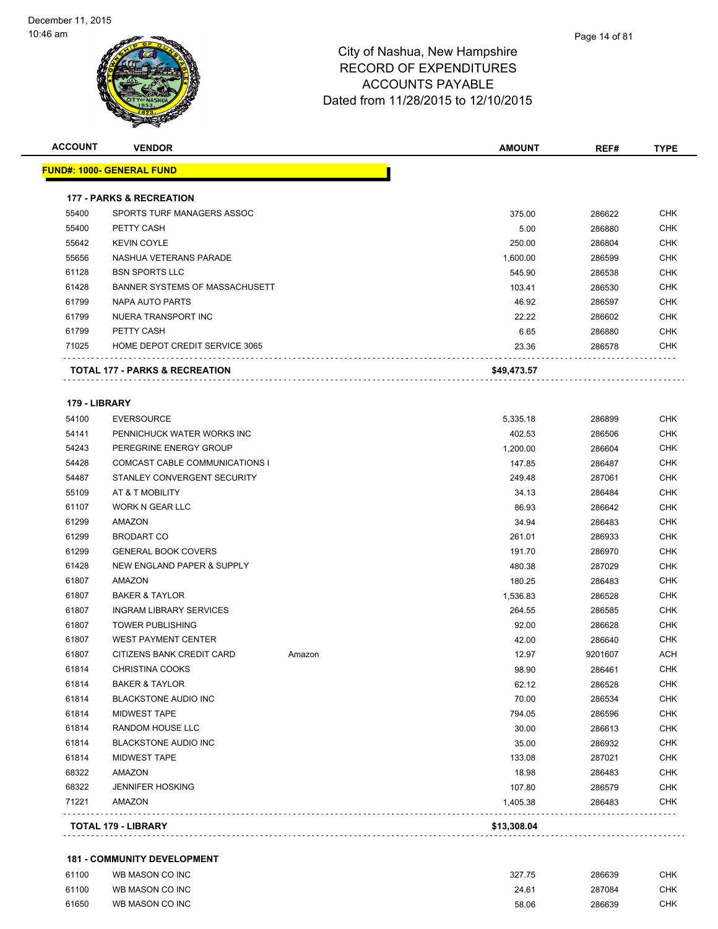

| <u> FUND#: 1000- GENERAL FUND</u>   |                                                                                                                              |             |                                                             |                                                                    |
|-------------------------------------|------------------------------------------------------------------------------------------------------------------------------|-------------|-------------------------------------------------------------|--------------------------------------------------------------------|
|                                     |                                                                                                                              |             |                                                             |                                                                    |
| <b>177 - PARKS &amp; RECREATION</b> |                                                                                                                              |             |                                                             |                                                                    |
| SPORTS TURF MANAGERS ASSOC          |                                                                                                                              | 375.00      | 286622                                                      | CHK                                                                |
| PETTY CASH                          |                                                                                                                              | 5.00        | 286880                                                      | CHK                                                                |
| <b>KEVIN COYLE</b>                  |                                                                                                                              | 250.00      | 286804                                                      | CHK                                                                |
| NASHUA VETERANS PARADE              |                                                                                                                              | 1,600.00    | 286599                                                      | <b>CHK</b>                                                         |
| <b>BSN SPORTS LLC</b>               |                                                                                                                              | 545.90      | 286538                                                      | CHK                                                                |
| BANNER SYSTEMS OF MASSACHUSETT      |                                                                                                                              | 103.41      | 286530                                                      | CHK                                                                |
| NAPA AUTO PARTS                     |                                                                                                                              | 46.92       | 286597                                                      | <b>CHK</b>                                                         |
| NUERA TRANSPORT INC                 |                                                                                                                              | 22.22       | 286602                                                      | CHK                                                                |
| PETTY CASH                          |                                                                                                                              | 6.65        | 286880                                                      | <b>CHK</b>                                                         |
| HOME DEPOT CREDIT SERVICE 3065      |                                                                                                                              | 23.36       | 286578                                                      | <b>CHK</b>                                                         |
| TOTAL 177 - PARKS & RECREATION      |                                                                                                                              | \$49,473.57 |                                                             |                                                                    |
|                                     |                                                                                                                              |             |                                                             |                                                                    |
|                                     |                                                                                                                              |             |                                                             | CHK                                                                |
|                                     |                                                                                                                              |             |                                                             | <b>CHK</b>                                                         |
|                                     |                                                                                                                              |             |                                                             | <b>CHK</b>                                                         |
|                                     |                                                                                                                              |             |                                                             | CHK                                                                |
| STANLEY CONVERGENT SECURITY         |                                                                                                                              |             |                                                             | CHK                                                                |
| AT & T MOBILITY                     |                                                                                                                              | 34.13       | 286484                                                      | CHK                                                                |
| WORK N GEAR LLC                     |                                                                                                                              |             |                                                             | CHK                                                                |
| AMAZON                              |                                                                                                                              | 34.94       | 286483                                                      | <b>CHK</b>                                                         |
| <b>BRODART CO</b>                   |                                                                                                                              | 261.01      |                                                             | CHK                                                                |
| <b>GENERAL BOOK COVERS</b>          |                                                                                                                              | 191.70      | 286970                                                      | CHK                                                                |
| NEW ENGLAND PAPER & SUPPLY          |                                                                                                                              | 480.38      | 287029                                                      | CHK                                                                |
| AMAZON                              |                                                                                                                              | 180.25      | 286483                                                      | CHK                                                                |
| <b>BAKER &amp; TAYLOR</b>           |                                                                                                                              | 1,536.83    | 286528                                                      | CHK                                                                |
| <b>INGRAM LIBRARY SERVICES</b>      |                                                                                                                              | 264.55      | 286585                                                      | CHK                                                                |
| <b>TOWER PUBLISHING</b>             |                                                                                                                              | 92.00       | 286628                                                      | CHK                                                                |
| <b>WEST PAYMENT CENTER</b>          |                                                                                                                              | 42.00       | 286640                                                      | CHK                                                                |
| CITIZENS BANK CREDIT CARD           | Amazon                                                                                                                       | 12.97       | 9201607                                                     | ACH                                                                |
| CHRISTINA COOKS                     |                                                                                                                              | 98.90       | 286461                                                      | <b>CHK</b>                                                         |
| <b>BAKER &amp; TAYLOR</b>           |                                                                                                                              | 62.12       | 286528                                                      | <b>CHK</b>                                                         |
| <b>BLACKSTONE AUDIO INC</b>         |                                                                                                                              | 70.00       | 286534                                                      | <b>CHK</b>                                                         |
| MIDWEST TAPE                        |                                                                                                                              | 794.05      | 286596                                                      | <b>CHK</b>                                                         |
| RANDOM HOUSE LLC                    |                                                                                                                              | 30.00       | 286613                                                      | <b>CHK</b>                                                         |
| <b>BLACKSTONE AUDIO INC</b>         |                                                                                                                              | 35.00       | 286932                                                      | <b>CHK</b>                                                         |
| <b>MIDWEST TAPE</b>                 |                                                                                                                              | 133.08      | 287021                                                      | <b>CHK</b>                                                         |
| <b>AMAZON</b>                       |                                                                                                                              | 18.98       | 286483                                                      | <b>CHK</b>                                                         |
| <b>JENNIFER HOSKING</b>             |                                                                                                                              | 107.80      | 286579                                                      | <b>CHK</b>                                                         |
| AMAZON                              |                                                                                                                              | 1,405.38    | 286483                                                      | <b>CHK</b>                                                         |
|                                     | 179 - LIBRARY<br><b>EVERSOURCE</b><br>PENNICHUCK WATER WORKS INC<br>PEREGRINE ENERGY GROUP<br>COMCAST CABLE COMMUNICATIONS I |             | 5,335.18<br>402.53<br>1,200.00<br>147.85<br>249.48<br>86.93 | 286899<br>286506<br>286604<br>286487<br>287061<br>286642<br>286933 |

### **181 - COMMUNITY DEVELOPMENT**

| 61100 | WB MASON CO INC | 327.75 | 286639 | СНК  |
|-------|-----------------|--------|--------|------|
| 61100 | WB MASON CO INC | 24.61  | 287084 | СНК  |
| 61650 | WB MASON CO INC | 58.06  | 286639 | CHK. |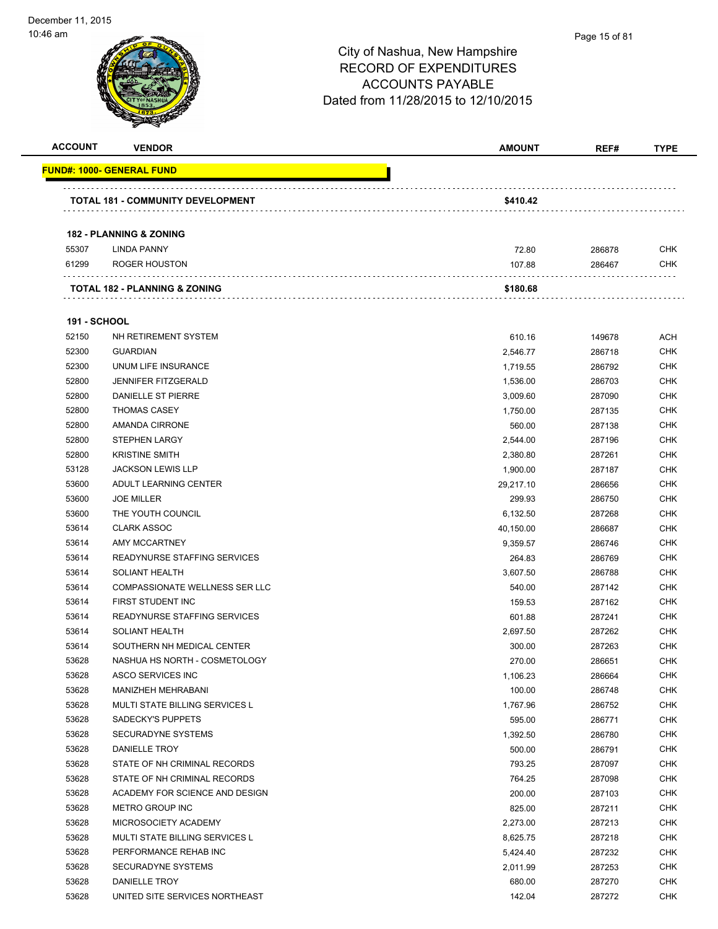| <b>ACCOUNT</b>      | <b>VENDOR</b>                            | <b>AMOUNT</b> | REF#   | <b>TYPE</b> |
|---------------------|------------------------------------------|---------------|--------|-------------|
|                     | <u> FUND#: 1000- GENERAL FUND</u>        |               |        |             |
|                     | <b>TOTAL 181 - COMMUNITY DEVELOPMENT</b> | \$410.42      |        |             |
|                     |                                          |               |        |             |
|                     | <b>182 - PLANNING &amp; ZONING</b>       |               |        |             |
| 55307               | <b>LINDA PANNY</b>                       | 72.80         | 286878 | <b>CHK</b>  |
| 61299               | ROGER HOUSTON                            | 107.88        | 286467 | <b>CHK</b>  |
|                     | <b>TOTAL 182 - PLANNING &amp; ZONING</b> | \$180.68      |        |             |
| <b>191 - SCHOOL</b> |                                          |               |        |             |
| 52150               | NH RETIREMENT SYSTEM                     | 610.16        | 149678 | ACH         |
| 52300               | <b>GUARDIAN</b>                          | 2,546.77      | 286718 | <b>CHK</b>  |
| 52300               | UNUM LIFE INSURANCE                      | 1,719.55      | 286792 | CHK         |
| 52800               | <b>JENNIFER FITZGERALD</b>               | 1,536.00      | 286703 | <b>CHK</b>  |
| 52800               | DANIELLE ST PIERRE                       | 3,009.60      | 287090 | <b>CHK</b>  |
| 52800               | <b>THOMAS CASEY</b>                      | 1,750.00      | 287135 | <b>CHK</b>  |
| 52800               | AMANDA CIRRONE                           | 560.00        | 287138 | <b>CHK</b>  |
| 52800               | <b>STEPHEN LARGY</b>                     | 2,544.00      | 287196 | <b>CHK</b>  |
| 52800               | <b>KRISTINE SMITH</b>                    | 2,380.80      | 287261 | <b>CHK</b>  |
| 53128               | <b>JACKSON LEWIS LLP</b>                 | 1,900.00      | 287187 | <b>CHK</b>  |
| 53600               | ADULT LEARNING CENTER                    | 29,217.10     | 286656 | CHK         |
| 53600               | <b>JOE MILLER</b>                        | 299.93        | 286750 | <b>CHK</b>  |
| 53600               | THE YOUTH COUNCIL                        | 6,132.50      | 287268 | <b>CHK</b>  |
| 53614               | <b>CLARK ASSOC</b>                       | 40,150.00     | 286687 | <b>CHK</b>  |
| 53614               | AMY MCCARTNEY                            | 9,359.57      | 286746 | <b>CHK</b>  |
| 53614               | READYNURSE STAFFING SERVICES             | 264.83        | 286769 | <b>CHK</b>  |
| 53614               | <b>SOLIANT HEALTH</b>                    | 3,607.50      | 286788 | <b>CHK</b>  |
| 53614               | COMPASSIONATE WELLNESS SER LLC           | 540.00        | 287142 | <b>CHK</b>  |
| 53614               | FIRST STUDENT INC                        | 159.53        | 287162 | <b>CHK</b>  |
| 53614               | READYNURSE STAFFING SERVICES             | 601.88        | 287241 | <b>CHK</b>  |
| 53614               | <b>SOLIANT HEALTH</b>                    | 2,697.50      | 287262 | CHK         |
| 53614               | SOUTHERN NH MEDICAL CENTER               | 300.00        | 287263 | CHK         |
| 53628               | NASHUA HS NORTH - COSMETOLOGY            | 270.00        | 286651 | <b>CHK</b>  |
| 53628               | ASCO SERVICES INC                        | 1,106.23      | 286664 | <b>CHK</b>  |
| 53628               | MANIZHEH MEHRABANI                       | 100.00        | 286748 | <b>CHK</b>  |
| 53628               | MULTI STATE BILLING SERVICES L           | 1,767.96      | 286752 | <b>CHK</b>  |
| 53628               | SADECKY'S PUPPETS                        | 595.00        | 286771 | <b>CHK</b>  |
| 53628               | <b>SECURADYNE SYSTEMS</b>                | 1,392.50      | 286780 | <b>CHK</b>  |
| 53628               | DANIELLE TROY                            | 500.00        | 286791 | <b>CHK</b>  |
| 53628               | STATE OF NH CRIMINAL RECORDS             | 793.25        | 287097 | <b>CHK</b>  |
| 53628               | STATE OF NH CRIMINAL RECORDS             | 764.25        | 287098 | <b>CHK</b>  |
| 53628               | ACADEMY FOR SCIENCE AND DESIGN           | 200.00        | 287103 | CHK         |
| 53628               | METRO GROUP INC                          | 825.00        | 287211 | CHK         |
| 53628               | MICROSOCIETY ACADEMY                     | 2,273.00      | 287213 | <b>CHK</b>  |
| 53628               | MULTI STATE BILLING SERVICES L           | 8,625.75      | 287218 | <b>CHK</b>  |
| 53628               | PERFORMANCE REHAB INC                    | 5,424.40      | 287232 | <b>CHK</b>  |
| 53628               | <b>SECURADYNE SYSTEMS</b>                | 2,011.99      | 287253 | <b>CHK</b>  |
| 53628               | DANIELLE TROY                            | 680.00        | 287270 | <b>CHK</b>  |
| 53628               | UNITED SITE SERVICES NORTHEAST           | 142.04        | 287272 | <b>CHK</b>  |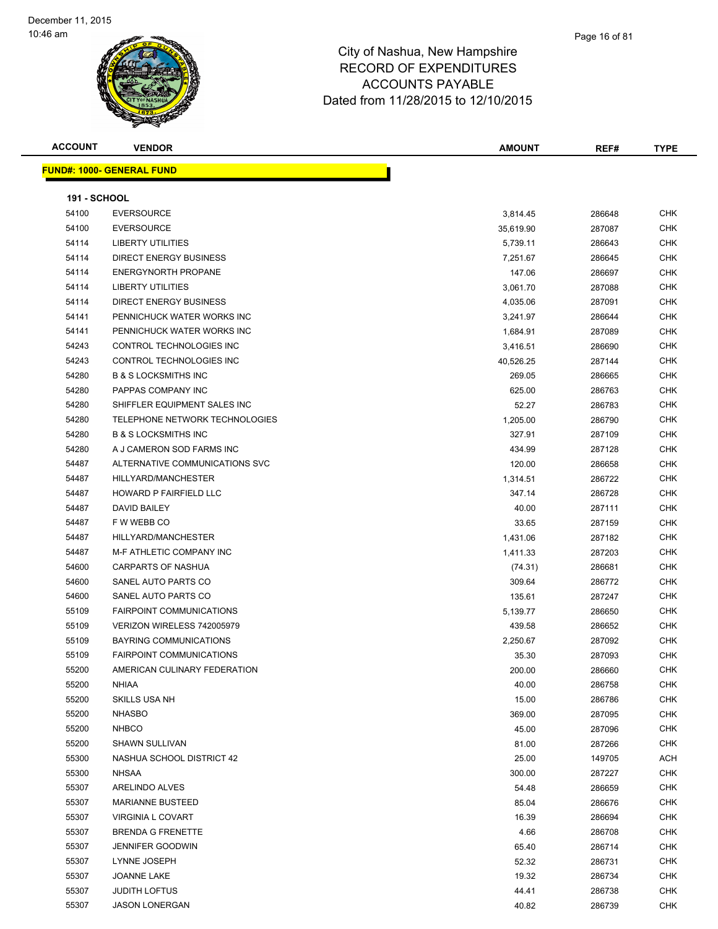### Page 16 of 81

# City of Nashua, New Hampshire RECORD OF EXPENDITURES ACCOUNTS PAYABLE Dated from 11/28/2015 to 12/10/2015

**ACCOUNT VENDOR AMOUNT REF# TYPE**

|                     | <u> FUND#: 1000- GENERAL FUND</u> |           |                  |            |
|---------------------|-----------------------------------|-----------|------------------|------------|
| <b>191 - SCHOOL</b> |                                   |           |                  |            |
| 54100               | <b>EVERSOURCE</b>                 | 3,814.45  | 286648           | <b>CHK</b> |
| 54100               | <b>EVERSOURCE</b>                 | 35,619.90 | 287087           | <b>CHK</b> |
| 54114               | LIBERTY UTILITIES                 | 5,739.11  | 286643           | CHK        |
| 54114               | <b>DIRECT ENERGY BUSINESS</b>     | 7,251.67  | 286645           | <b>CHK</b> |
| 54114               | <b>ENERGYNORTH PROPANE</b>        | 147.06    | 286697           | <b>CHK</b> |
| 54114               | <b>LIBERTY UTILITIES</b>          | 3,061.70  | 287088           | <b>CHK</b> |
| 54114               | <b>DIRECT ENERGY BUSINESS</b>     | 4,035.06  | 287091           | <b>CHK</b> |
| 54141               | PENNICHUCK WATER WORKS INC        | 3,241.97  | 286644           | <b>CHK</b> |
| 54141               | PENNICHUCK WATER WORKS INC        | 1,684.91  | 287089           | <b>CHK</b> |
| 54243               | CONTROL TECHNOLOGIES INC          | 3,416.51  | 286690           | <b>CHK</b> |
| 54243               | CONTROL TECHNOLOGIES INC          | 40,526.25 | 287144           | <b>CHK</b> |
| 54280               | <b>B &amp; S LOCKSMITHS INC</b>   | 269.05    | 286665           | <b>CHK</b> |
| 54280               | PAPPAS COMPANY INC                | 625.00    | 286763           | <b>CHK</b> |
| 54280               | SHIFFLER EQUIPMENT SALES INC      | 52.27     | 286783           | <b>CHK</b> |
| 54280               | TELEPHONE NETWORK TECHNOLOGIES    | 1,205.00  | 286790           | <b>CHK</b> |
| 54280               | <b>B &amp; S LOCKSMITHS INC</b>   | 327.91    | 287109           | <b>CHK</b> |
| 54280               | A J CAMERON SOD FARMS INC         | 434.99    | 287128           | <b>CHK</b> |
| 54487               | ALTERNATIVE COMMUNICATIONS SVC    | 120.00    | 286658           | <b>CHK</b> |
| 54487               | HILLYARD/MANCHESTER               | 1,314.51  | 286722           | <b>CHK</b> |
| 54487               | <b>HOWARD P FAIRFIELD LLC</b>     | 347.14    | 286728           | <b>CHK</b> |
| 54487               | DAVID BAILEY                      | 40.00     | 287111           | <b>CHK</b> |
| 54487               | F W WEBB CO                       | 33.65     | 287159           | <b>CHK</b> |
| 54487               | HILLYARD/MANCHESTER               | 1,431.06  | 287182           | <b>CHK</b> |
| 54487               | M-F ATHLETIC COMPANY INC          | 1,411.33  | 287203           | <b>CHK</b> |
| 54600               | <b>CARPARTS OF NASHUA</b>         | (74.31)   | 286681           | <b>CHK</b> |
| 54600               | SANEL AUTO PARTS CO               | 309.64    | 286772           | <b>CHK</b> |
| 54600               | SANEL AUTO PARTS CO               | 135.61    | 287247           | <b>CHK</b> |
| 55109               | <b>FAIRPOINT COMMUNICATIONS</b>   | 5,139.77  | 286650           | <b>CHK</b> |
| 55109               | VERIZON WIRELESS 742005979        | 439.58    | 286652           | <b>CHK</b> |
| 55109               | <b>BAYRING COMMUNICATIONS</b>     | 2,250.67  | 287092           | <b>CHK</b> |
| 55109               | <b>FAIRPOINT COMMUNICATIONS</b>   | 35.30     | 287093           | <b>CHK</b> |
| 55200               | AMERICAN CULINARY FEDERATION      | 200.00    | 286660           | <b>CHK</b> |
| 55200               | <b>NHIAA</b>                      | 40.00     | 286758           | <b>CHK</b> |
| 55200               | SKILLS USA NH                     | 15.00     | 286786           | <b>CHK</b> |
| 55200               | <b>NHASBO</b>                     | 369.00    | 287095           | <b>CHK</b> |
| 55200               | <b>NHBCO</b>                      | 45.00     | 287096           | CHK        |
| 55200               | <b>SHAWN SULLIVAN</b>             | 81.00     | 287266           | <b>CHK</b> |
| 55300               | NASHUA SCHOOL DISTRICT 42         | 25.00     | 149705           | ACH        |
| 55300               | <b>NHSAA</b>                      | 300.00    | 287227           | <b>CHK</b> |
| 55307               | ARELINDO ALVES                    | 54.48     |                  | <b>CHK</b> |
| 55307               | <b>MARIANNE BUSTEED</b>           | 85.04     | 286659<br>286676 | <b>CHK</b> |
| 55307               | <b>VIRGINIA L COVART</b>          | 16.39     | 286694           | <b>CHK</b> |
|                     |                                   |           |                  |            |
| 55307               | <b>BRENDA G FRENETTE</b>          | 4.66      | 286708           | <b>CHK</b> |
| 55307               | <b>JENNIFER GOODWIN</b>           | 65.40     | 286714           | <b>CHK</b> |
| 55307               | LYNNE JOSEPH                      | 52.32     | 286731           | <b>CHK</b> |
| 55307               | JOANNE LAKE                       | 19.32     | 286734           | <b>CHK</b> |
| 55307               | <b>JUDITH LOFTUS</b>              | 44.41     | 286738           | CHK        |
| 55307               | <b>JASON LONERGAN</b>             | 40.82     | 286739           | CHK        |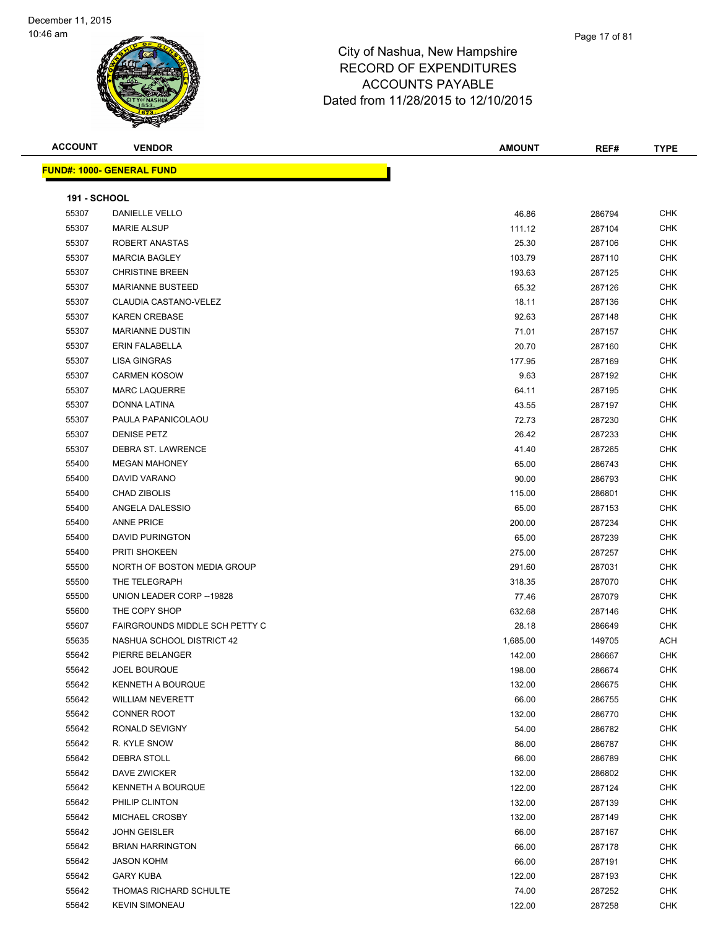| <b>ACCOUNT</b>      | <b>VENDOR</b>                    | <b>AMOUNT</b>   | REF#             | <b>TYPE</b> |
|---------------------|----------------------------------|-----------------|------------------|-------------|
|                     | <b>FUND#: 1000- GENERAL FUND</b> |                 |                  |             |
|                     |                                  |                 |                  |             |
| <b>191 - SCHOOL</b> |                                  |                 |                  |             |
| 55307               | DANIELLE VELLO                   | 46.86           | 286794           | <b>CHK</b>  |
| 55307               | <b>MARIE ALSUP</b>               | 111.12          | 287104           | <b>CHK</b>  |
| 55307               | ROBERT ANASTAS                   | 25.30           | 287106           | <b>CHK</b>  |
| 55307               | <b>MARCIA BAGLEY</b>             | 103.79          | 287110           | <b>CHK</b>  |
| 55307               | <b>CHRISTINE BREEN</b>           | 193.63          | 287125           | <b>CHK</b>  |
| 55307               | <b>MARIANNE BUSTEED</b>          | 65.32           | 287126           | <b>CHK</b>  |
| 55307               | CLAUDIA CASTANO-VELEZ            | 18.11           | 287136           | CHK         |
| 55307               | KAREN CREBASE                    | 92.63           | 287148           | <b>CHK</b>  |
| 55307               | <b>MARIANNE DUSTIN</b>           | 71.01           | 287157           | CHK         |
| 55307               | <b>ERIN FALABELLA</b>            | 20.70           | 287160           | CHK         |
| 55307               | <b>LISA GINGRAS</b>              | 177.95          | 287169           | <b>CHK</b>  |
| 55307               | <b>CARMEN KOSOW</b>              | 9.63            | 287192           | CHK         |
| 55307               | <b>MARC LAQUERRE</b>             | 64.11           | 287195           | CHK         |
| 55307               | DONNA LATINA                     | 43.55           | 287197           | CHK         |
| 55307               | PAULA PAPANICOLAOU               | 72.73           | 287230           | <b>CHK</b>  |
| 55307               | <b>DENISE PETZ</b>               | 26.42           | 287233           | <b>CHK</b>  |
| 55307               | DEBRA ST. LAWRENCE               | 41.40           | 287265           | <b>CHK</b>  |
| 55400               | <b>MEGAN MAHONEY</b>             | 65.00           | 286743           | <b>CHK</b>  |
| 55400               | DAVID VARANO                     | 90.00           | 286793           | <b>CHK</b>  |
| 55400               | <b>CHAD ZIBOLIS</b>              | 115.00          | 286801           | CHK         |
| 55400               | ANGELA DALESSIO                  | 65.00           | 287153           | <b>CHK</b>  |
| 55400               | <b>ANNE PRICE</b>                | 200.00          | 287234           | <b>CHK</b>  |
| 55400               | <b>DAVID PURINGTON</b>           | 65.00           | 287239           | <b>CHK</b>  |
| 55400               | <b>PRITI SHOKEEN</b>             | 275.00          | 287257           | <b>CHK</b>  |
| 55500               | NORTH OF BOSTON MEDIA GROUP      | 291.60          | 287031           | CHK         |
| 55500               | THE TELEGRAPH                    | 318.35          | 287070           | <b>CHK</b>  |
| 55500               | UNION LEADER CORP -- 19828       | 77.46           | 287079           | <b>CHK</b>  |
| 55600               | THE COPY SHOP                    | 632.68          | 287146           | <b>CHK</b>  |
| 55607               | FAIRGROUNDS MIDDLE SCH PETTY C   | 28.18           | 286649           | CHK         |
| 55635               | NASHUA SCHOOL DISTRICT 42        | 1,685.00        | 149705           | ACH         |
| 55642               | PIERRE BELANGER                  | 142.00          | 286667           | <b>CHK</b>  |
| 55642               | <b>JOEL BOURQUE</b>              | 198.00          | 286674           | <b>CHK</b>  |
| 55642               | <b>KENNETH A BOURQUE</b>         | 132.00          | 286675           | <b>CHK</b>  |
| 55642               | <b>WILLIAM NEVERETT</b>          | 66.00           | 286755           | <b>CHK</b>  |
| 55642               | <b>CONNER ROOT</b>               | 132.00          | 286770           | <b>CHK</b>  |
| 55642               | RONALD SEVIGNY                   | 54.00           | 286782           | <b>CHK</b>  |
| 55642               | R. KYLE SNOW                     | 86.00           | 286787           | <b>CHK</b>  |
| 55642               | DEBRA STOLL                      | 66.00           | 286789           | <b>CHK</b>  |
| 55642               | DAVE ZWICKER                     | 132.00          | 286802           | <b>CHK</b>  |
| 55642               | KENNETH A BOURQUE                | 122.00          | 287124           | <b>CHK</b>  |
| 55642               | PHILIP CLINTON                   | 132.00          | 287139           | <b>CHK</b>  |
| 55642               | MICHAEL CROSBY                   | 132.00          | 287149           | <b>CHK</b>  |
| 55642               | <b>JOHN GEISLER</b>              | 66.00           | 287167           | <b>CHK</b>  |
| 55642               | <b>BRIAN HARRINGTON</b>          | 66.00           | 287178           | <b>CHK</b>  |
| 55642               | <b>JASON KOHM</b>                | 66.00           |                  | <b>CHK</b>  |
| 55642               | <b>GARY KUBA</b>                 |                 | 287191           | <b>CHK</b>  |
| 55642               | THOMAS RICHARD SCHULTE           | 122.00<br>74.00 | 287193           | <b>CHK</b>  |
| 55642               | <b>KEVIN SIMONEAU</b>            | 122.00          | 287252<br>287258 | <b>CHK</b>  |
|                     |                                  |                 |                  |             |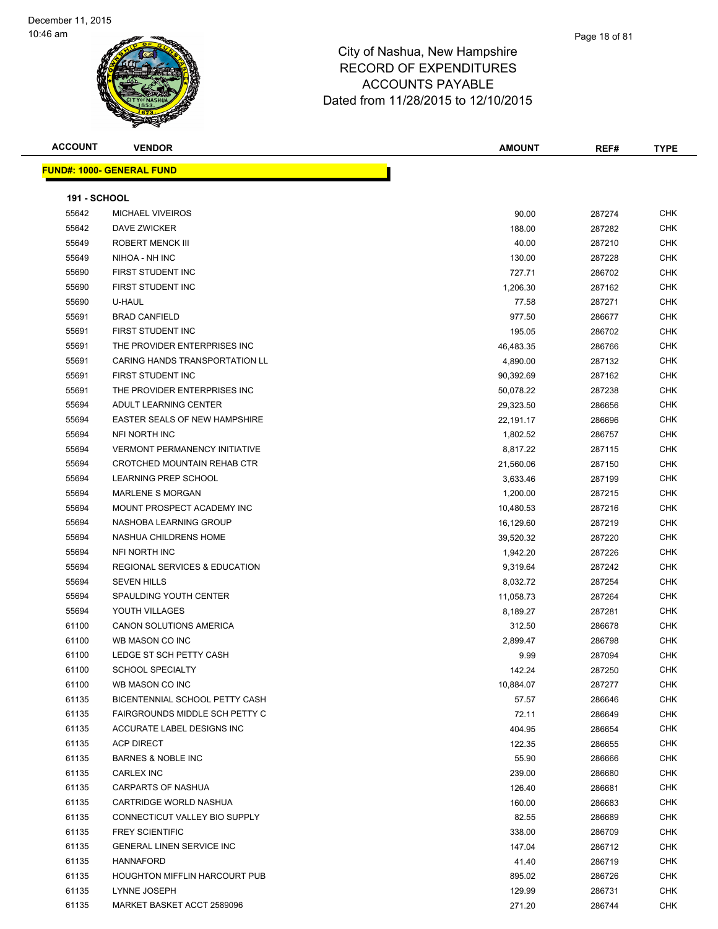| <b>ACCOUNT</b> | <b>VENDOR</b>                            | AMOUNT    | REF#   | <b>TYPE</b> |
|----------------|------------------------------------------|-----------|--------|-------------|
|                | <b>FUND#: 1000- GENERAL FUND</b>         |           |        |             |
|                |                                          |           |        |             |
| 191 - SCHOOL   |                                          |           |        |             |
| 55642          | <b>MICHAEL VIVEIROS</b>                  | 90.00     | 287274 | CHK         |
| 55642          | DAVE ZWICKER                             | 188.00    | 287282 | CHK         |
| 55649          | ROBERT MENCK III                         | 40.00     | 287210 | <b>CHK</b>  |
| 55649          | NIHOA - NH INC                           | 130.00    | 287228 | <b>CHK</b>  |
| 55690          | FIRST STUDENT INC                        | 727.71    | 286702 | <b>CHK</b>  |
| 55690          | FIRST STUDENT INC                        | 1,206.30  | 287162 | <b>CHK</b>  |
| 55690          | U-HAUL                                   | 77.58     | 287271 | CHK         |
| 55691          | <b>BRAD CANFIELD</b>                     | 977.50    | 286677 | CHK         |
| 55691          | FIRST STUDENT INC                        | 195.05    | 286702 | CHK         |
| 55691          | THE PROVIDER ENTERPRISES INC             | 46,483.35 | 286766 | CHK         |
| 55691          | CARING HANDS TRANSPORTATION LL           | 4,890.00  | 287132 | CHK         |
| 55691          | FIRST STUDENT INC                        | 90,392.69 | 287162 | CHK         |
| 55691          | THE PROVIDER ENTERPRISES INC             | 50,078.22 | 287238 | CHK         |
| 55694          | <b>ADULT LEARNING CENTER</b>             | 29,323.50 | 286656 | <b>CHK</b>  |
| 55694          | <b>EASTER SEALS OF NEW HAMPSHIRE</b>     | 22,191.17 | 286696 | CHK         |
| 55694          | NFI NORTH INC                            | 1,802.52  | 286757 | <b>CHK</b>  |
| 55694          | <b>VERMONT PERMANENCY INITIATIVE</b>     | 8,817.22  | 287115 | <b>CHK</b>  |
| 55694          | CROTCHED MOUNTAIN REHAB CTR              | 21,560.06 | 287150 | CHK         |
| 55694          | LEARNING PREP SCHOOL                     | 3,633.46  | 287199 | CHK         |
| 55694          | <b>MARLENE S MORGAN</b>                  | 1,200.00  | 287215 | <b>CHK</b>  |
| 55694          | MOUNT PROSPECT ACADEMY INC               | 10,480.53 | 287216 | <b>CHK</b>  |
| 55694          | NASHOBA LEARNING GROUP                   | 16,129.60 | 287219 | <b>CHK</b>  |
| 55694          | NASHUA CHILDRENS HOME                    | 39,520.32 | 287220 | CHK         |
| 55694          | NFI NORTH INC                            | 1,942.20  | 287226 | <b>CHK</b>  |
| 55694          | <b>REGIONAL SERVICES &amp; EDUCATION</b> | 9,319.64  | 287242 | <b>CHK</b>  |
| 55694          | <b>SEVEN HILLS</b>                       | 8,032.72  | 287254 | CHK         |
| 55694          | <b>SPAULDING YOUTH CENTER</b>            | 11,058.73 | 287264 | <b>CHK</b>  |
| 55694          | YOUTH VILLAGES                           | 8,189.27  | 287281 | <b>CHK</b>  |
| 61100          | CANON SOLUTIONS AMERICA                  | 312.50    | 286678 | CHK         |
| 61100          | WB MASON CO INC                          | 2,899.47  | 286798 | CHK         |
| 61100          | LEDGE ST SCH PETTY CASH                  | 9.99      | 287094 | CHK         |
| 61100          | <b>SCHOOL SPECIALTY</b>                  | 142.24    | 287250 | CHK         |
| 61100          | WB MASON CO INC                          | 10,884.07 | 287277 | <b>CHK</b>  |
| 61135          | BICENTENNIAL SCHOOL PETTY CASH           | 57.57     | 286646 | <b>CHK</b>  |
| 61135          | FAIRGROUNDS MIDDLE SCH PETTY C           | 72.11     | 286649 | <b>CHK</b>  |
| 61135          | ACCURATE LABEL DESIGNS INC               | 404.95    | 286654 | <b>CHK</b>  |
| 61135          | <b>ACP DIRECT</b>                        | 122.35    | 286655 | CHK         |
| 61135          | <b>BARNES &amp; NOBLE INC</b>            | 55.90     | 286666 | CHK         |
| 61135          | <b>CARLEX INC</b>                        | 239.00    | 286680 | CHK         |
| 61135          | <b>CARPARTS OF NASHUA</b>                | 126.40    | 286681 | CHK         |
| 61135          | CARTRIDGE WORLD NASHUA                   | 160.00    | 286683 | CHK         |
| 61135          | CONNECTICUT VALLEY BIO SUPPLY            | 82.55     | 286689 | CHK         |
| 61135          | <b>FREY SCIENTIFIC</b>                   | 338.00    | 286709 | CHK         |
| 61135          | <b>GENERAL LINEN SERVICE INC</b>         | 147.04    | 286712 | <b>CHK</b>  |
| 61135          | <b>HANNAFORD</b>                         | 41.40     | 286719 | CHK         |
| 61135          | <b>HOUGHTON MIFFLIN HARCOURT PUB</b>     | 895.02    | 286726 | CHK         |
| 61135          | LYNNE JOSEPH                             | 129.99    | 286731 | <b>CHK</b>  |
| 61135          | MARKET BASKET ACCT 2589096               | 271.20    | 286744 | CHK         |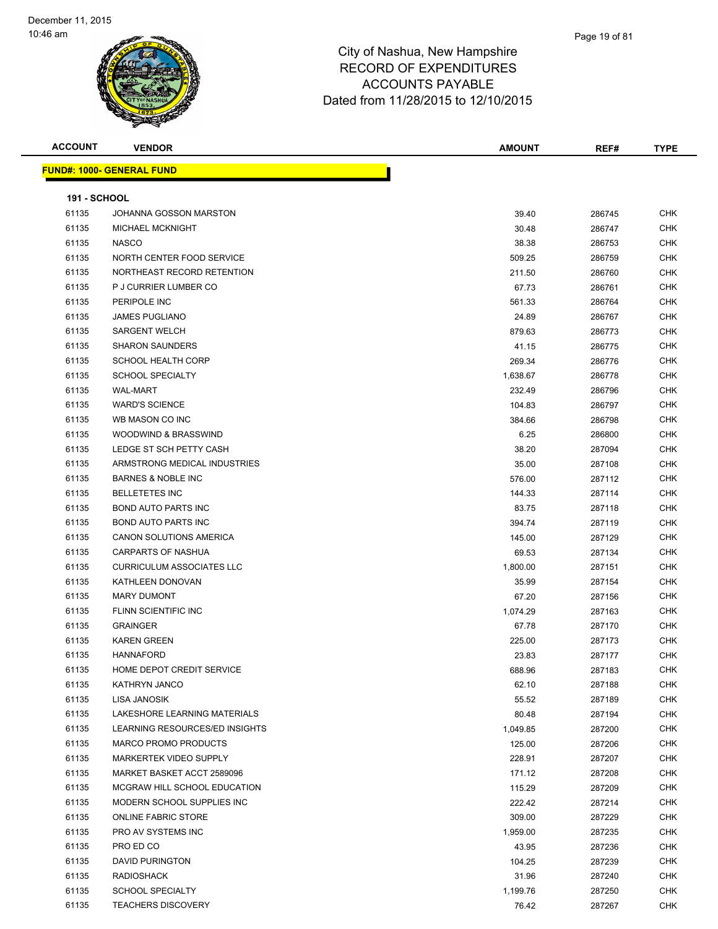| <b>ACCOUNT</b>      | <b>VENDOR</b>                    | <b>AMOUNT</b> | REF#   | <b>TYPE</b> |
|---------------------|----------------------------------|---------------|--------|-------------|
|                     | <b>FUND#: 1000- GENERAL FUND</b> |               |        |             |
| <b>191 - SCHOOL</b> |                                  |               |        |             |
| 61135               | JOHANNA GOSSON MARSTON           | 39.40         | 286745 | <b>CHK</b>  |
| 61135               | <b>MICHAEL MCKNIGHT</b>          | 30.48         | 286747 | <b>CHK</b>  |
| 61135               | <b>NASCO</b>                     | 38.38         | 286753 | <b>CHK</b>  |
| 61135               | NORTH CENTER FOOD SERVICE        | 509.25        | 286759 | <b>CHK</b>  |
| 61135               | NORTHEAST RECORD RETENTION       | 211.50        | 286760 | <b>CHK</b>  |
| 61135               | P J CURRIER LUMBER CO            | 67.73         | 286761 | <b>CHK</b>  |
| 61135               | PERIPOLE INC                     | 561.33        | 286764 | <b>CHK</b>  |
| 61135               | <b>JAMES PUGLIANO</b>            | 24.89         | 286767 | <b>CHK</b>  |
| 61135               | <b>SARGENT WELCH</b>             | 879.63        | 286773 | <b>CHK</b>  |
| 61135               | <b>SHARON SAUNDERS</b>           | 41.15         | 286775 | <b>CHK</b>  |
| 61135               | <b>SCHOOL HEALTH CORP</b>        | 269.34        | 286776 | <b>CHK</b>  |
| 61135               | <b>SCHOOL SPECIALTY</b>          | 1,638.67      | 286778 | <b>CHK</b>  |
| 61135               | <b>WAL-MART</b>                  | 232.49        | 286796 | <b>CHK</b>  |
| 61135               | <b>WARD'S SCIENCE</b>            | 104.83        | 286797 | <b>CHK</b>  |
| 61135               | WB MASON CO INC                  | 384.66        | 286798 | <b>CHK</b>  |
| 61135               | WOODWIND & BRASSWIND             | 6.25          | 286800 | <b>CHK</b>  |
| 61135               | LEDGE ST SCH PETTY CASH          | 38.20         | 287094 | <b>CHK</b>  |
| 61135               | ARMSTRONG MEDICAL INDUSTRIES     | 35.00         | 287108 | <b>CHK</b>  |
| 61135               | <b>BARNES &amp; NOBLE INC</b>    | 576.00        | 287112 | <b>CHK</b>  |
| 61135               | <b>BELLETETES INC</b>            | 144.33        | 287114 | <b>CHK</b>  |
| 61135               | <b>BOND AUTO PARTS INC</b>       | 83.75         | 287118 | <b>CHK</b>  |
| 61135               | BOND AUTO PARTS INC              | 394.74        | 287119 | <b>CHK</b>  |
| 61135               | CANON SOLUTIONS AMERICA          | 145.00        | 287129 | <b>CHK</b>  |
| 61135               | CARPARTS OF NASHUA               | 69.53         | 287134 | <b>CHK</b>  |
| 61135               | <b>CURRICULUM ASSOCIATES LLC</b> | 1,800.00      | 287151 | <b>CHK</b>  |
| 61135               | KATHLEEN DONOVAN                 | 35.99         | 287154 | CHK         |
| 61135               | <b>MARY DUMONT</b>               | 67.20         | 287156 | <b>CHK</b>  |
| 61135               | FLINN SCIENTIFIC INC             | 1,074.29      | 287163 | <b>CHK</b>  |
| 61135               | <b>GRAINGER</b>                  | 67.78         | 287170 | <b>CHK</b>  |
| 61135               | <b>KAREN GREEN</b>               | 225.00        | 287173 | <b>CHK</b>  |
| 61135               | HANNAFORD                        | 23.83         | 287177 | CHK         |
| 61135               | HOME DEPOT CREDIT SERVICE        | 688.96        | 287183 | <b>CHK</b>  |
| 61135               | KATHRYN JANCO                    | 62.10         | 287188 | CHK         |
| 61135               | LISA JANOSIK                     | 55.52         | 287189 | <b>CHK</b>  |
| 61135               | LAKESHORE LEARNING MATERIALS     | 80.48         | 287194 | <b>CHK</b>  |
| 61135               | LEARNING RESOURCES/ED INSIGHTS   | 1,049.85      | 287200 | <b>CHK</b>  |
| 61135               | MARCO PROMO PRODUCTS             | 125.00        | 287206 | <b>CHK</b>  |
| 61135               | MARKERTEK VIDEO SUPPLY           | 228.91        | 287207 | <b>CHK</b>  |
| 61135               | MARKET BASKET ACCT 2589096       | 171.12        | 287208 | <b>CHK</b>  |
| 61135               | MCGRAW HILL SCHOOL EDUCATION     | 115.29        | 287209 | <b>CHK</b>  |
| 61135               | MODERN SCHOOL SUPPLIES INC       | 222.42        | 287214 | CHK         |
| 61135               | <b>ONLINE FABRIC STORE</b>       | 309.00        | 287229 | <b>CHK</b>  |
| 61135               | PRO AV SYSTEMS INC               | 1,959.00      | 287235 | <b>CHK</b>  |
| 61135               | PRO ED CO                        | 43.95         | 287236 | CHK         |
| 61135               | <b>DAVID PURINGTON</b>           | 104.25        | 287239 | CHK         |
| 61135               | <b>RADIOSHACK</b>                | 31.96         | 287240 | CHK         |
| 61135               | <b>SCHOOL SPECIALTY</b>          | 1,199.76      | 287250 | CHK         |
| 61135               | <b>TEACHERS DISCOVERY</b>        | 76.42         | 287267 | CHK         |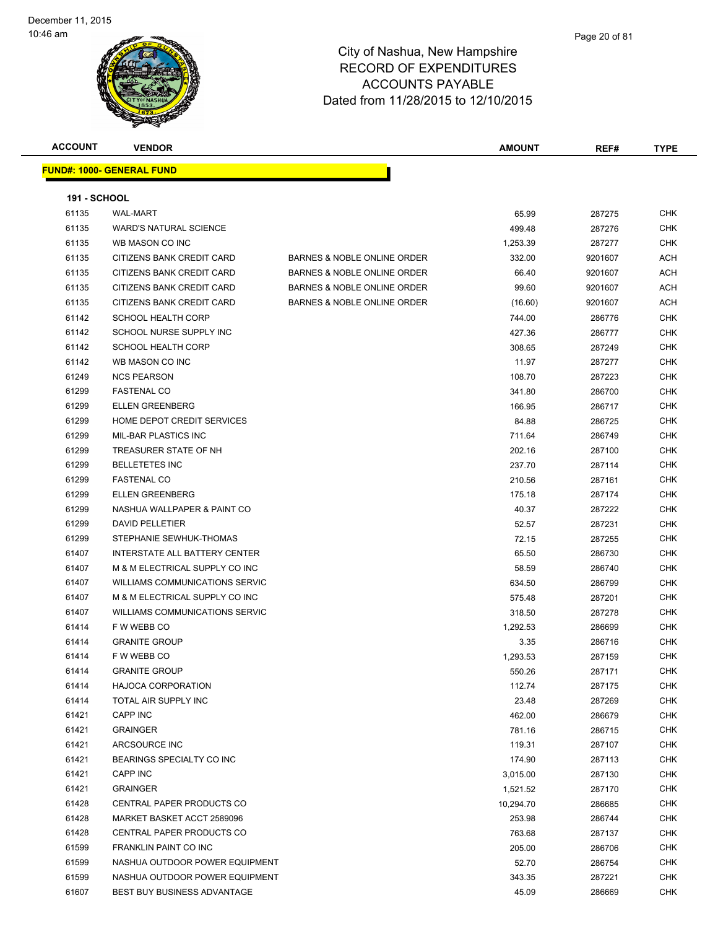| <b>ACCOUNT</b>      | <b>VENDOR</b>                     |                             | <b>AMOUNT</b> | REF#    | <b>TYPE</b> |
|---------------------|-----------------------------------|-----------------------------|---------------|---------|-------------|
|                     | <u> FUND#: 1000- GENERAL FUND</u> |                             |               |         |             |
|                     |                                   |                             |               |         |             |
| <b>191 - SCHOOL</b> |                                   |                             |               |         |             |
| 61135               | <b>WAL-MART</b>                   |                             | 65.99         | 287275  | <b>CHK</b>  |
| 61135               | <b>WARD'S NATURAL SCIENCE</b>     |                             | 499.48        | 287276  | CHK         |
| 61135               | WB MASON CO INC                   |                             | 1,253.39      | 287277  | <b>CHK</b>  |
| 61135               | CITIZENS BANK CREDIT CARD         | BARNES & NOBLE ONLINE ORDER | 332.00        | 9201607 | ACH         |
| 61135               | CITIZENS BANK CREDIT CARD         | BARNES & NOBLE ONLINE ORDER | 66.40         | 9201607 | ACH         |
| 61135               | CITIZENS BANK CREDIT CARD         | BARNES & NOBLE ONLINE ORDER | 99.60         | 9201607 | ACH         |
| 61135               | CITIZENS BANK CREDIT CARD         | BARNES & NOBLE ONLINE ORDER | (16.60)       | 9201607 | ACH         |
| 61142               | <b>SCHOOL HEALTH CORP</b>         |                             | 744.00        | 286776  | CHK         |
| 61142               | SCHOOL NURSE SUPPLY INC           |                             | 427.36        | 286777  | <b>CHK</b>  |
| 61142               | <b>SCHOOL HEALTH CORP</b>         |                             | 308.65        | 287249  | CHK         |
| 61142               | WB MASON CO INC                   |                             | 11.97         | 287277  | <b>CHK</b>  |
| 61249               | <b>NCS PEARSON</b>                |                             | 108.70        | 287223  | <b>CHK</b>  |
| 61299               | <b>FASTENAL CO</b>                |                             | 341.80        | 286700  | CHK         |
| 61299               | <b>ELLEN GREENBERG</b>            |                             | 166.95        | 286717  | CHK         |
| 61299               | HOME DEPOT CREDIT SERVICES        |                             | 84.88         | 286725  | CHK         |
| 61299               | <b>MIL-BAR PLASTICS INC</b>       |                             | 711.64        | 286749  | CHK         |
| 61299               | TREASURER STATE OF NH             |                             | 202.16        | 287100  | <b>CHK</b>  |
| 61299               | <b>BELLETETES INC</b>             |                             | 237.70        | 287114  | <b>CHK</b>  |
| 61299               | <b>FASTENAL CO</b>                |                             | 210.56        | 287161  | CHK         |
| 61299               | <b>ELLEN GREENBERG</b>            |                             | 175.18        | 287174  | <b>CHK</b>  |
| 61299               | NASHUA WALLPAPER & PAINT CO       |                             | 40.37         | 287222  | CHK         |
| 61299               | <b>DAVID PELLETIER</b>            |                             | 52.57         | 287231  | CHK         |
| 61299               | STEPHANIE SEWHUK-THOMAS           |                             | 72.15         | 287255  | <b>CHK</b>  |
| 61407               | INTERSTATE ALL BATTERY CENTER     |                             | 65.50         | 286730  | <b>CHK</b>  |
| 61407               | M & M ELECTRICAL SUPPLY CO INC    |                             | 58.59         | 286740  | CHK         |
| 61407               | WILLIAMS COMMUNICATIONS SERVIC    |                             | 634.50        | 286799  | CHK         |
| 61407               | M & M ELECTRICAL SUPPLY CO INC    |                             | 575.48        | 287201  | CHK         |
| 61407               | WILLIAMS COMMUNICATIONS SERVIC    |                             | 318.50        | 287278  | CHK         |
| 61414               | F W WEBB CO                       |                             | 1,292.53      | 286699  | CHK         |
| 61414               | <b>GRANITE GROUP</b>              |                             | 3.35          | 286716  | <b>CHK</b>  |
| 61414               | F W WEBB CO                       |                             | 1,293.53      | 287159  | <b>CHK</b>  |
| 61414               | <b>GRANITE GROUP</b>              |                             | 550.26        | 287171  | <b>CHK</b>  |
| 61414               | <b>HAJOCA CORPORATION</b>         |                             | 112.74        | 287175  | <b>CHK</b>  |
| 61414               | TOTAL AIR SUPPLY INC              |                             | 23.48         | 287269  | <b>CHK</b>  |
| 61421               | CAPP INC                          |                             | 462.00        | 286679  | <b>CHK</b>  |
| 61421               | <b>GRAINGER</b>                   |                             | 781.16        | 286715  | <b>CHK</b>  |
| 61421               | ARCSOURCE INC                     |                             | 119.31        | 287107  | CHK         |
| 61421               | BEARINGS SPECIALTY CO INC         |                             | 174.90        | 287113  | <b>CHK</b>  |
| 61421               | CAPP INC                          |                             | 3,015.00      | 287130  | CHK         |
| 61421               | <b>GRAINGER</b>                   |                             | 1,521.52      | 287170  | CHK         |
| 61428               | CENTRAL PAPER PRODUCTS CO         |                             | 10,294.70     | 286685  | <b>CHK</b>  |
| 61428               | MARKET BASKET ACCT 2589096        |                             | 253.98        | 286744  | CHK         |
| 61428               | CENTRAL PAPER PRODUCTS CO         |                             | 763.68        | 287137  | CHK         |
| 61599               | FRANKLIN PAINT CO INC             |                             | 205.00        | 286706  | CHK         |
| 61599               | NASHUA OUTDOOR POWER EQUIPMENT    |                             | 52.70         | 286754  | CHK         |
| 61599               | NASHUA OUTDOOR POWER EQUIPMENT    |                             | 343.35        | 287221  | <b>CHK</b>  |
| 61607               | BEST BUY BUSINESS ADVANTAGE       |                             | 45.09         | 286669  | <b>CHK</b>  |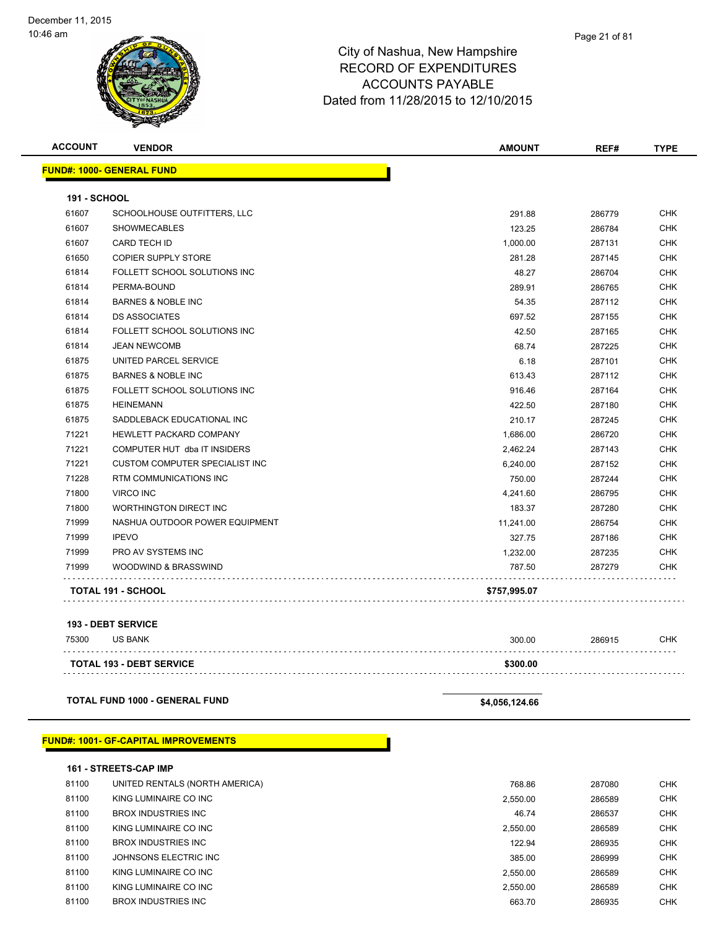| <b>ACCOUNT</b>      | <b>VENDOR</b>                         | <b>AMOUNT</b> | REF#   | <b>TYPE</b> |
|---------------------|---------------------------------------|---------------|--------|-------------|
|                     | <b>FUND#: 1000- GENERAL FUND</b>      |               |        |             |
| <b>191 - SCHOOL</b> |                                       |               |        |             |
| 61607               | SCHOOLHOUSE OUTFITTERS, LLC           | 291.88        | 286779 | <b>CHK</b>  |
| 61607               | <b>SHOWMECABLES</b>                   | 123.25        | 286784 | <b>CHK</b>  |
| 61607               | <b>CARD TECH ID</b>                   | 1,000.00      | 287131 | <b>CHK</b>  |
| 61650               | <b>COPIER SUPPLY STORE</b>            | 281.28        | 287145 | <b>CHK</b>  |
| 61814               | FOLLETT SCHOOL SOLUTIONS INC          | 48.27         | 286704 | CHK         |
| 61814               | PERMA-BOUND                           | 289.91        | 286765 | CHK         |
| 61814               | <b>BARNES &amp; NOBLE INC</b>         | 54.35         | 287112 | <b>CHK</b>  |
| 61814               | <b>DS ASSOCIATES</b>                  | 697.52        | 287155 | <b>CHK</b>  |
| 61814               | FOLLETT SCHOOL SOLUTIONS INC          | 42.50         | 287165 | <b>CHK</b>  |
| 61814               | <b>JEAN NEWCOMB</b>                   | 68.74         | 287225 | <b>CHK</b>  |
| 61875               | UNITED PARCEL SERVICE                 | 6.18          | 287101 | <b>CHK</b>  |
| 61875               | <b>BARNES &amp; NOBLE INC</b>         | 613.43        | 287112 | <b>CHK</b>  |
| 61875               | FOLLETT SCHOOL SOLUTIONS INC          | 916.46        | 287164 | CHK         |
| 61875               | <b>HEINEMANN</b>                      | 422.50        | 287180 | <b>CHK</b>  |
| 61875               | SADDLEBACK EDUCATIONAL INC            | 210.17        | 287245 | <b>CHK</b>  |
| 71221               | <b>HEWLETT PACKARD COMPANY</b>        | 1,686.00      | 286720 | <b>CHK</b>  |
| 71221               | COMPUTER HUT dba IT INSIDERS          | 2,462.24      | 287143 | <b>CHK</b>  |
| 71221               | <b>CUSTOM COMPUTER SPECIALIST INC</b> | 6,240.00      | 287152 | <b>CHK</b>  |
| 71228               | RTM COMMUNICATIONS INC                | 750.00        | 287244 | <b>CHK</b>  |
| 71800               | <b>VIRCO INC</b>                      | 4,241.60      | 286795 | <b>CHK</b>  |
| 71800               | <b>WORTHINGTON DIRECT INC</b>         | 183.37        | 287280 | <b>CHK</b>  |
| 71999               | NASHUA OUTDOOR POWER EQUIPMENT        | 11,241.00     | 286754 | <b>CHK</b>  |
| 71999               | <b>IPEVO</b>                          | 327.75        | 287186 | <b>CHK</b>  |
| 71999               | PRO AV SYSTEMS INC                    | 1,232.00      | 287235 | <b>CHK</b>  |
| 71999               | WOODWIND & BRASSWIND                  | 787.50        | 287279 | CHK         |
|                     | TOTAL 191 - SCHOOL                    | \$757,995.07  |        |             |
|                     |                                       |               |        |             |
|                     | <b>193 - DEBT SERVICE</b>             |               |        |             |

| 75300 | <b>US BANK</b>                  | 300.00   | 286915 | СНК |
|-------|---------------------------------|----------|--------|-----|
|       |                                 |          |        |     |
|       | <b>TOTAL 193 - DEBT SERVICE</b> | \$300.00 |        |     |
|       |                                 |          |        |     |

**TOTAL FUND 1000 - GENERAL FUND \$4,056,124.66** 

### **FUND#: 1001- GF-CAPITAL IMPROVEMENTS**

|       | <b>161 - STREETS-CAP IMP</b>   |          |        |            |
|-------|--------------------------------|----------|--------|------------|
| 81100 | UNITED RENTALS (NORTH AMERICA) | 768.86   | 287080 | <b>CHK</b> |
| 81100 | KING LUMINAIRE CO INC          | 2,550.00 | 286589 | <b>CHK</b> |
| 81100 | BROX INDUSTRIES INC            | 46.74    | 286537 | <b>CHK</b> |
| 81100 | KING LUMINAIRE CO INC          | 2.550.00 | 286589 | <b>CHK</b> |
| 81100 | <b>BROX INDUSTRIES INC.</b>    | 122.94   | 286935 | <b>CHK</b> |
| 81100 | JOHNSONS ELECTRIC INC          | 385.00   | 286999 | <b>CHK</b> |
| 81100 | KING LUMINAIRE CO INC          | 2.550.00 | 286589 | <b>CHK</b> |
| 81100 | KING LUMINAIRE CO INC          | 2.550.00 | 286589 | <b>CHK</b> |
| 81100 | <b>BROX INDUSTRIES INC.</b>    | 663.70   | 286935 | <b>CHK</b> |
|       |                                |          |        |            |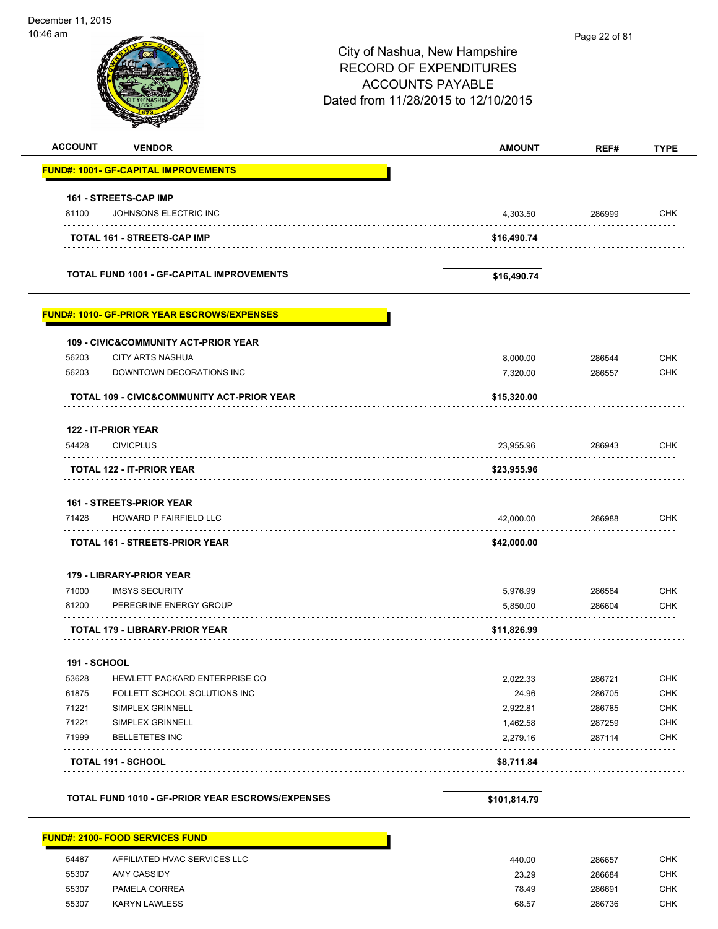| 10:46 am            |                                                     | City of Nashua, New Hampshire<br><b>RECORD OF EXPENDITURES</b><br><b>ACCOUNTS PAYABLE</b><br>Dated from 11/28/2015 to 12/10/2015 | Page 22 of 81    |                          |
|---------------------|-----------------------------------------------------|----------------------------------------------------------------------------------------------------------------------------------|------------------|--------------------------|
| <b>ACCOUNT</b>      | <b>VENDOR</b>                                       | <b>AMOUNT</b>                                                                                                                    | REF#             | <b>TYPE</b>              |
|                     | <b>FUND#: 1001- GF-CAPITAL IMPROVEMENTS</b>         |                                                                                                                                  |                  |                          |
|                     | 161 - STREETS-CAP IMP                               |                                                                                                                                  |                  |                          |
| 81100               | JOHNSONS ELECTRIC INC                               | 4,303.50                                                                                                                         | 286999           | <b>CHK</b>               |
|                     | TOTAL 161 - STREETS-CAP IMP                         | \$16,490.74                                                                                                                      |                  |                          |
|                     | <b>TOTAL FUND 1001 - GF-CAPITAL IMPROVEMENTS</b>    | \$16,490.74                                                                                                                      |                  |                          |
|                     | <b>FUND#: 1010- GF-PRIOR YEAR ESCROWS/EXPENSES</b>  |                                                                                                                                  |                  |                          |
|                     | <b>109 - CIVIC&amp;COMMUNITY ACT-PRIOR YEAR</b>     |                                                                                                                                  |                  |                          |
| 56203<br>56203      | <b>CITY ARTS NASHUA</b><br>DOWNTOWN DECORATIONS INC | 8,000.00                                                                                                                         | 286544           | <b>CHK</b><br><b>CHK</b> |
|                     |                                                     | 7,320.00                                                                                                                         | 286557           |                          |
|                     | TOTAL 109 - CIVIC&COMMUNITY ACT-PRIOR YEAR          | \$15,320.00                                                                                                                      |                  |                          |
|                     | 122 - IT-PRIOR YEAR                                 |                                                                                                                                  |                  |                          |
| 54428               | <b>CIVICPLUS</b>                                    | 23,955.96                                                                                                                        | 286943           | <b>CHK</b>               |
|                     | TOTAL 122 - IT-PRIOR YEAR                           | \$23,955.96                                                                                                                      |                  |                          |
|                     | <b>161 - STREETS-PRIOR YEAR</b>                     |                                                                                                                                  |                  |                          |
| 71428               | <b>HOWARD P FAIRFIELD LLC</b>                       | 42,000.00                                                                                                                        | 286988           | <b>CHK</b>               |
|                     | <b>TOTAL 161 - STREETS-PRIOR YEAR</b>               | \$42,000.00                                                                                                                      |                  |                          |
|                     | 179 - LIBRARY-PRIOR YEAR                            |                                                                                                                                  |                  |                          |
| 71000<br>81200      | <b>IMSYS SECURITY</b><br>PEREGRINE ENERGY GROUP     | 5,976.99                                                                                                                         | 286584<br>286604 | <b>CHK</b><br><b>CHK</b> |
|                     |                                                     | 5,850.00                                                                                                                         |                  |                          |
|                     | <b>TOTAL 179 - LIBRARY-PRIOR YEAR</b>               | \$11,826.99                                                                                                                      |                  |                          |
| <b>191 - SCHOOL</b> |                                                     |                                                                                                                                  |                  |                          |
| 53628               | HEWLETT PACKARD ENTERPRISE CO                       | 2,022.33                                                                                                                         | 286721           | <b>CHK</b>               |
| 61875               | FOLLETT SCHOOL SOLUTIONS INC                        | 24.96                                                                                                                            | 286705           | <b>CHK</b>               |
| 71221<br>71221      | SIMPLEX GRINNELL<br>SIMPLEX GRINNELL                | 2,922.81                                                                                                                         | 286785           | <b>CHK</b><br><b>CHK</b> |
| 71999               | <b>BELLETETES INC</b>                               | 1,462.58<br>2,279.16                                                                                                             | 287259<br>287114 | <b>CHK</b>               |
|                     | TOTAL 191 - SCHOOL                                  | \$8,711.84                                                                                                                       |                  |                          |
|                     |                                                     |                                                                                                                                  |                  |                          |
|                     | TOTAL FUND 1010 - GF-PRIOR YEAR ESCROWS/EXPENSES    | \$101,814.79                                                                                                                     |                  |                          |

| 54487 | AFFILIATED HVAC SERVICES LLC | 440.00 | 286657 |
|-------|------------------------------|--------|--------|
| 55307 | AMY CASSIDY                  | 23.29  | 286684 |
| 55307 | PAMELA CORREA                | 78.49  | 286691 |
| 55307 | <b>KARYN LAWLESS</b>         | 68.57  | 286736 |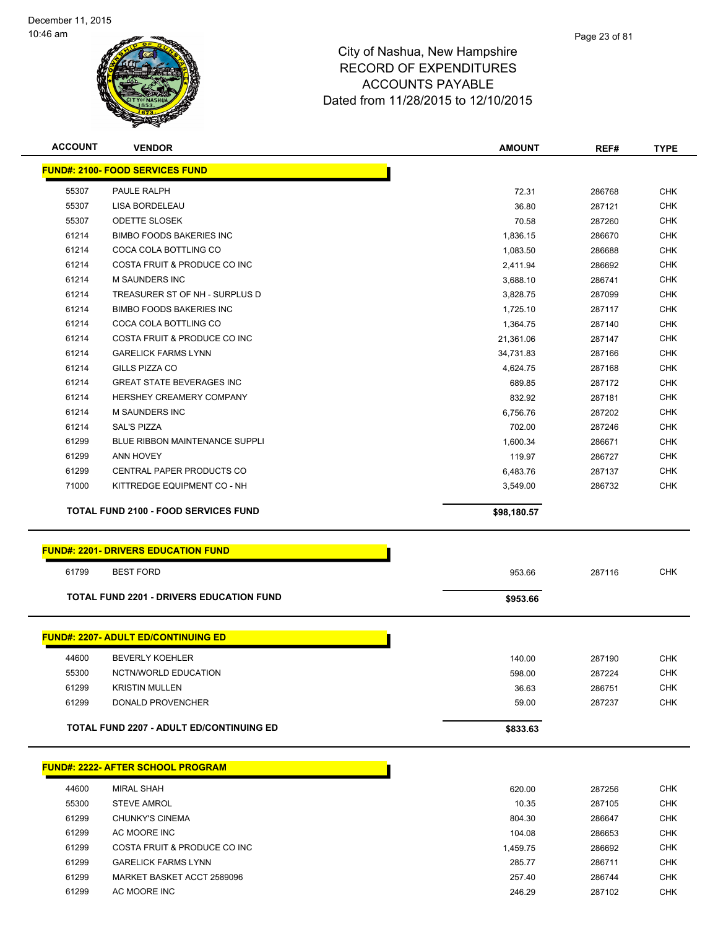

| <b>ACCOUNT</b> | <b>VENDOR</b>                                   | <b>AMOUNT</b> | REF#   | <b>TYPE</b> |
|----------------|-------------------------------------------------|---------------|--------|-------------|
|                | <b>FUND#: 2100- FOOD SERVICES FUND</b>          |               |        |             |
| 55307          | PAULE RALPH                                     | 72.31         | 286768 | <b>CHK</b>  |
| 55307          | <b>LISA BORDELEAU</b>                           | 36.80         | 287121 | <b>CHK</b>  |
| 55307          | <b>ODETTE SLOSEK</b>                            | 70.58         | 287260 | <b>CHK</b>  |
| 61214          | <b>BIMBO FOODS BAKERIES INC</b>                 | 1,836.15      | 286670 | <b>CHK</b>  |
| 61214          | COCA COLA BOTTLING CO                           | 1,083.50      | 286688 | <b>CHK</b>  |
| 61214          | COSTA FRUIT & PRODUCE CO INC                    | 2,411.94      | 286692 | <b>CHK</b>  |
| 61214          | M SAUNDERS INC                                  | 3,688.10      | 286741 | <b>CHK</b>  |
| 61214          | TREASURER ST OF NH - SURPLUS D                  | 3,828.75      | 287099 | <b>CHK</b>  |
| 61214          | <b>BIMBO FOODS BAKERIES INC.</b>                | 1,725.10      | 287117 | <b>CHK</b>  |
| 61214          | COCA COLA BOTTLING CO                           | 1,364.75      | 287140 | <b>CHK</b>  |
| 61214          | COSTA FRUIT & PRODUCE CO INC                    | 21,361.06     | 287147 | <b>CHK</b>  |
| 61214          | <b>GARELICK FARMS LYNN</b>                      | 34,731.83     | 287166 | <b>CHK</b>  |
| 61214          | GILLS PIZZA CO                                  | 4,624.75      | 287168 | <b>CHK</b>  |
| 61214          | <b>GREAT STATE BEVERAGES INC</b>                | 689.85        | 287172 | <b>CHK</b>  |
| 61214          | HERSHEY CREAMERY COMPANY                        | 832.92        | 287181 | <b>CHK</b>  |
| 61214          | <b>M SAUNDERS INC</b>                           | 6,756.76      | 287202 | <b>CHK</b>  |
| 61214          | <b>SAL'S PIZZA</b>                              | 702.00        | 287246 | <b>CHK</b>  |
| 61299          | <b>BLUE RIBBON MAINTENANCE SUPPLI</b>           | 1,600.34      | 286671 | <b>CHK</b>  |
| 61299          | <b>ANN HOVEY</b>                                | 119.97        | 286727 | <b>CHK</b>  |
| 61299          | CENTRAL PAPER PRODUCTS CO                       | 6,483.76      | 287137 | <b>CHK</b>  |
| 71000          | KITTREDGE EQUIPMENT CO - NH                     | 3,549.00      | 286732 | <b>CHK</b>  |
|                | <b>TOTAL FUND 2100 - FOOD SERVICES FUND</b>     | \$98,180.57   |        |             |
|                | <b>FUND#: 2201- DRIVERS EDUCATION FUND</b>      |               |        |             |
| 61799          | <b>BEST FORD</b>                                | 953.66        | 287116 | <b>CHK</b>  |
|                | <b>TOTAL FUND 2201 - DRIVERS EDUCATION FUND</b> | \$953.66      |        |             |
|                | <b>FUND#: 2207- ADULT ED/CONTINUING ED</b>      |               |        |             |
| 44600          | <b>BEVERLY KOEHLER</b>                          | 140.00        | 287190 | <b>CHK</b>  |
| 55300          | NCTN/WORLD EDUCATION                            | 598.00        | 287224 | <b>CHK</b>  |
| 61299          | <b>KRISTIN MULLEN</b>                           | 36.63         | 286751 | <b>CHK</b>  |
| 61299          | DONALD PROVENCHER                               | 59.00         | 287237 | <b>CHK</b>  |
|                |                                                 |               |        |             |
|                | <b>TOTAL FUND 2207 - ADULT ED/CONTINUING ED</b> | \$833.63      |        |             |
|                | <b>FUND#: 2222- AFTER SCHOOL PROGRAM</b>        |               |        |             |
| 44600          | <b>MIRAL SHAH</b>                               | 620.00        | 287256 | <b>CHK</b>  |
| 55300          | <b>STEVE AMROL</b>                              | 10.35         | 287105 | <b>CHK</b>  |
| 61299          | <b>CHUNKY'S CINEMA</b>                          | 804.30        | 286647 | <b>CHK</b>  |
| 61299          | AC MOORE INC                                    | 104.08        | 286653 | <b>CHK</b>  |
| 61299          | COSTA FRUIT & PRODUCE CO INC                    | 1,459.75      | 286692 | <b>CHK</b>  |
| 61299          | <b>GARELICK FARMS LYNN</b>                      | 285.77        | 286711 | <b>CHK</b>  |
| 61299          | MARKET BASKET ACCT 2589096                      | 257.40        | 286744 | <b>CHK</b>  |
| 61299          | AC MOORE INC                                    | 246.29        | 287102 | <b>CHK</b>  |
|                |                                                 |               |        |             |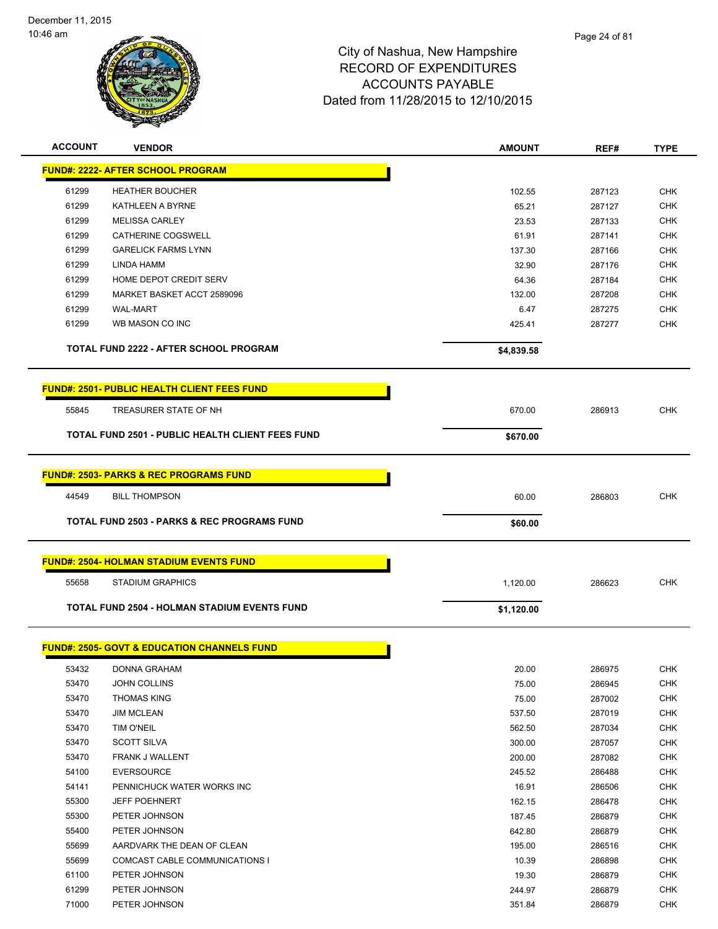

| <b>ACCOUNT</b> | <b>VENDOR</b>                                           | AMOUNT     | REF#   | <b>TYPE</b> |
|----------------|---------------------------------------------------------|------------|--------|-------------|
|                | <b>FUND#: 2222- AFTER SCHOOL PROGRAM</b>                |            |        |             |
| 61299          | <b>HEATHER BOUCHER</b>                                  | 102.55     | 287123 | <b>CHK</b>  |
| 61299          | KATHLEEN A BYRNE                                        | 65.21      | 287127 | <b>CHK</b>  |
| 61299          | <b>MELISSA CARLEY</b>                                   | 23.53      | 287133 | <b>CHK</b>  |
| 61299          | CATHERINE COGSWELL                                      | 61.91      | 287141 | <b>CHK</b>  |
| 61299          | <b>GARELICK FARMS LYNN</b>                              | 137.30     | 287166 | <b>CHK</b>  |
| 61299          | LINDA HAMM                                              | 32.90      | 287176 | <b>CHK</b>  |
| 61299          | HOME DEPOT CREDIT SERV                                  | 64.36      | 287184 | <b>CHK</b>  |
| 61299          | MARKET BASKET ACCT 2589096                              | 132.00     | 287208 | <b>CHK</b>  |
| 61299          | <b>WAL-MART</b>                                         | 6.47       | 287275 | <b>CHK</b>  |
| 61299          | WB MASON CO INC                                         | 425.41     | 287277 | <b>CHK</b>  |
|                | <b>TOTAL FUND 2222 - AFTER SCHOOL PROGRAM</b>           | \$4,839.58 |        |             |
|                | <b>FUND#: 2501- PUBLIC HEALTH CLIENT FEES FUND</b>      |            |        |             |
| 55845          | TREASURER STATE OF NH                                   | 670.00     | 286913 | <b>CHK</b>  |
|                | <b>TOTAL FUND 2501 - PUBLIC HEALTH CLIENT FEES FUND</b> | \$670.00   |        |             |
|                |                                                         |            |        |             |
|                | <b>FUND#: 2503- PARKS &amp; REC PROGRAMS FUND</b>       |            |        |             |
| 44549          | <b>BILL THOMPSON</b>                                    | 60.00      | 286803 | <b>CHK</b>  |
|                | <b>TOTAL FUND 2503 - PARKS &amp; REC PROGRAMS FUND</b>  | \$60.00    |        |             |
|                | <b>FUND#: 2504- HOLMAN STADIUM EVENTS FUND</b>          |            |        |             |
| 55658          | <b>STADIUM GRAPHICS</b>                                 | 1,120.00   | 286623 | <b>CHK</b>  |
|                | <b>TOTAL FUND 2504 - HOLMAN STADIUM EVENTS FUND</b>     | \$1,120.00 |        |             |
|                |                                                         |            |        |             |
|                | <b>FUND#: 2505- GOVT &amp; EDUCATION CHANNELS FUND</b>  |            |        |             |
| 53432          | DONNA GRAHAM                                            | 20.00      | 286975 | <b>CHK</b>  |
| 53470          | JOHN COLLINS                                            | 75.00      | 286945 | <b>CHK</b>  |
| 53470          | <b>THOMAS KING</b>                                      | 75.00      | 287002 | <b>CHK</b>  |
| 53470          | <b>JIM MCLEAN</b>                                       | 537.50     | 287019 | <b>CHK</b>  |
| 53470          | <b>TIM O'NEIL</b>                                       | 562.50     | 287034 | <b>CHK</b>  |
| 53470          | <b>SCOTT SILVA</b>                                      | 300.00     | 287057 | <b>CHK</b>  |
| 53470          | FRANK J WALLENT                                         | 200.00     | 287082 | <b>CHK</b>  |
| 54100          | <b>EVERSOURCE</b>                                       | 245.52     | 286488 | <b>CHK</b>  |
| 54141          | PENNICHUCK WATER WORKS INC                              | 16.91      | 286506 | <b>CHK</b>  |
| 55300          | <b>JEFF POEHNERT</b>                                    | 162.15     | 286478 | <b>CHK</b>  |
| 55300          | PETER JOHNSON                                           | 187.45     | 286879 | <b>CHK</b>  |
| 55400          | PETER JOHNSON                                           | 642.80     | 286879 | <b>CHK</b>  |
| 55699          | AARDVARK THE DEAN OF CLEAN                              | 195.00     | 286516 | <b>CHK</b>  |
| 55699          | COMCAST CABLE COMMUNICATIONS I                          | 10.39      | 286898 | <b>CHK</b>  |
| 61100          | PETER JOHNSON                                           | 19.30      | 286879 | <b>CHK</b>  |
| 61299          | PETER JOHNSON                                           | 244.97     | 286879 | <b>CHK</b>  |
| 71000          | PETER JOHNSON                                           | 351.84     | 286879 | <b>CHK</b>  |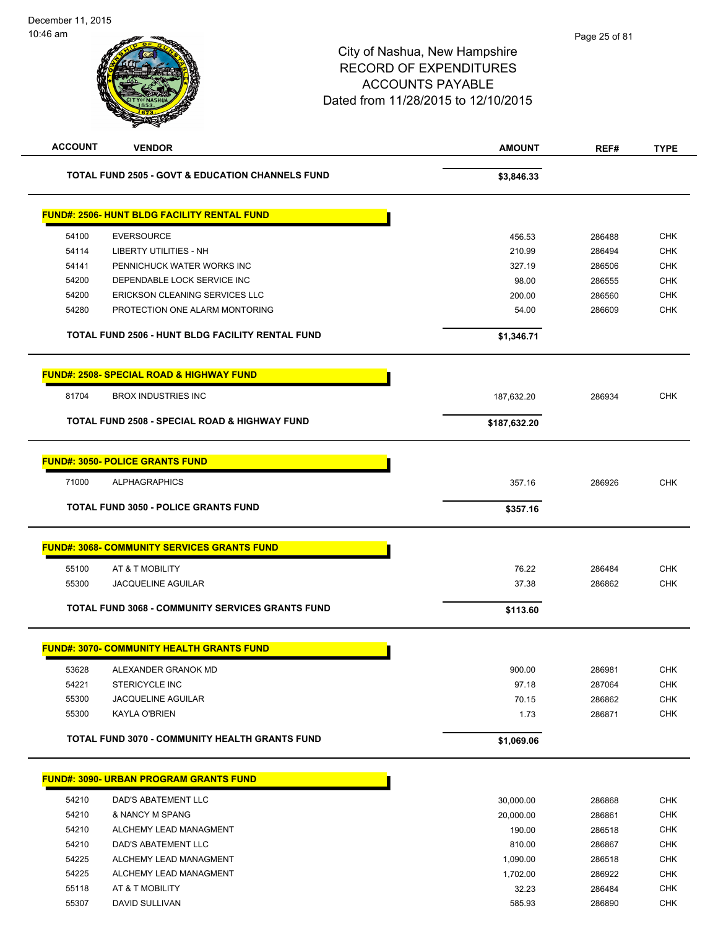| <b>ACCOUNT</b> | <b>VENDOR</b>                                               | <b>AMOUNT</b>       | REF#             | <b>TYPE</b>       |
|----------------|-------------------------------------------------------------|---------------------|------------------|-------------------|
|                | <b>TOTAL FUND 2505 - GOVT &amp; EDUCATION CHANNELS FUND</b> | \$3,846.33          |                  |                   |
|                | <b>FUND#: 2506- HUNT BLDG FACILITY RENTAL FUND</b>          |                     |                  |                   |
| 54100          | <b>EVERSOURCE</b>                                           | 456.53              | 286488           | <b>CHK</b>        |
| 54114          | <b>LIBERTY UTILITIES - NH</b>                               | 210.99              | 286494           | <b>CHK</b>        |
| 54141          | PENNICHUCK WATER WORKS INC                                  | 327.19              | 286506           | <b>CHK</b>        |
| 54200          | DEPENDABLE LOCK SERVICE INC                                 | 98.00               | 286555           | <b>CHK</b>        |
| 54200          | ERICKSON CLEANING SERVICES LLC                              | 200.00              | 286560           | <b>CHK</b>        |
| 54280          | PROTECTION ONE ALARM MONTORING                              | 54.00               | 286609           | <b>CHK</b>        |
|                | TOTAL FUND 2506 - HUNT BLDG FACILITY RENTAL FUND            | \$1,346.71          |                  |                   |
|                | <b>FUND#: 2508- SPECIAL ROAD &amp; HIGHWAY FUND</b>         |                     |                  |                   |
| 81704          | <b>BROX INDUSTRIES INC</b>                                  | 187,632.20          | 286934           | <b>CHK</b>        |
|                | TOTAL FUND 2508 - SPECIAL ROAD & HIGHWAY FUND               | \$187,632.20        |                  |                   |
|                | <b>FUND#: 3050- POLICE GRANTS FUND</b>                      |                     |                  |                   |
| 71000          | <b>ALPHAGRAPHICS</b>                                        | 357.16              | 286926           | <b>CHK</b>        |
|                | <b>TOTAL FUND 3050 - POLICE GRANTS FUND</b>                 | \$357.16            |                  |                   |
|                |                                                             |                     |                  |                   |
|                | <b>FUND#: 3068- COMMUNITY SERVICES GRANTS FUND</b>          |                     |                  |                   |
| 55100          | AT & T MOBILITY                                             | 76.22               | 286484           | <b>CHK</b>        |
| 55300          | <b>JACQUELINE AGUILAR</b>                                   | 37.38               | 286862           | <b>CHK</b>        |
|                | TOTAL FUND 3068 - COMMUNITY SERVICES GRANTS FUND            | \$113.60            |                  |                   |
|                | <b>FUND#: 3070- COMMUNITY HEALTH GRANTS FUND</b>            |                     |                  |                   |
| 53628          | ALEXANDER GRANOK MD                                         | 900.00              | 286981           | <b>CHK</b>        |
| 54221          | <b>STERICYCLE INC</b>                                       | 97.18               | 287064           | <b>CHK</b>        |
| 55300          | <b>JACQUELINE AGUILAR</b>                                   | 70.15               | 286862           | <b>CHK</b>        |
| 55300          | KAYLA O'BRIEN                                               | 1.73                | 286871           | <b>CHK</b>        |
|                | TOTAL FUND 3070 - COMMUNITY HEALTH GRANTS FUND              | \$1,069.06          |                  |                   |
|                | <b>FUND#: 3090- URBAN PROGRAM GRANTS FUND</b>               |                     |                  |                   |
|                |                                                             |                     |                  |                   |
| 54210          | DAD'S ABATEMENT LLC<br>& NANCY M SPANG                      | 30,000.00           | 286868           | <b>CHK</b><br>CHK |
| 54210<br>54210 | ALCHEMY LEAD MANAGMENT                                      | 20,000.00<br>190.00 | 286861<br>286518 | <b>CHK</b>        |
| 54210          | DAD'S ABATEMENT LLC                                         | 810.00              | 286867           | <b>CHK</b>        |
| 54225          | ALCHEMY LEAD MANAGMENT                                      | 1,090.00            | 286518           | <b>CHK</b>        |
| 54225          | ALCHEMY LEAD MANAGMENT                                      | 1,702.00            | 286922           | <b>CHK</b>        |
| 55118          | AT & T MOBILITY                                             | 32.23               | 286484           | <b>CHK</b>        |
| 55307          | DAVID SULLIVAN                                              | 585.93              | 286890           | <b>CHK</b>        |
|                |                                                             |                     |                  |                   |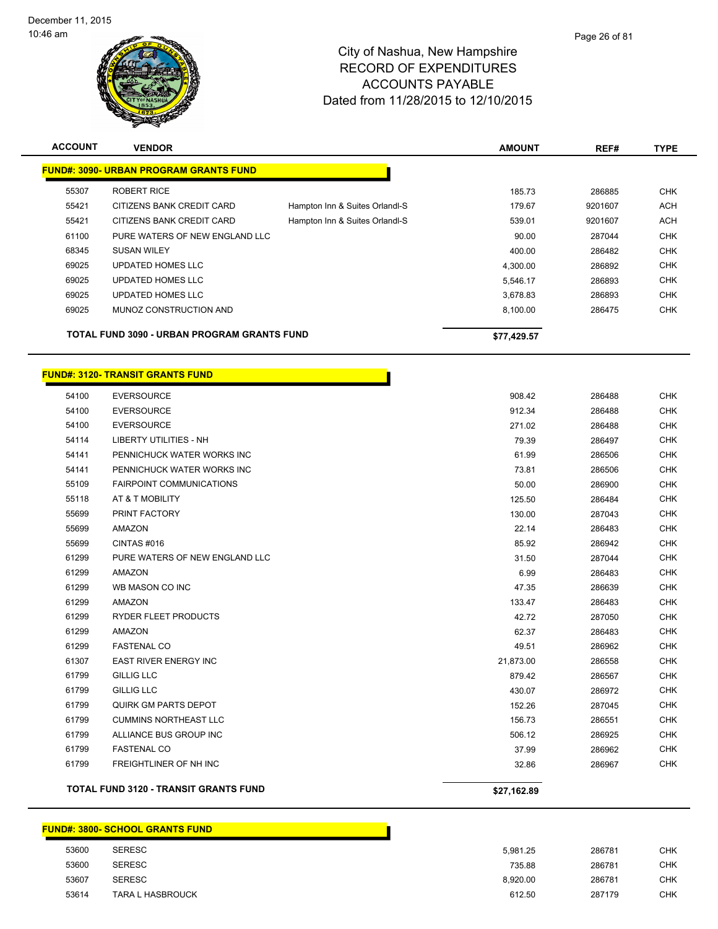

| <b>ACCOUNT</b> | <b>VENDOR</b>                                      |                                | <b>AMOUNT</b> | REF#    | <b>TYPE</b> |
|----------------|----------------------------------------------------|--------------------------------|---------------|---------|-------------|
|                | <b>FUND#: 3090- URBAN PROGRAM GRANTS FUND</b>      |                                |               |         |             |
| 55307          | <b>ROBERT RICE</b>                                 |                                | 185.73        | 286885  | <b>CHK</b>  |
| 55421          | CITIZENS BANK CREDIT CARD                          | Hampton Inn & Suites Orlandl-S | 179.67        | 9201607 | <b>ACH</b>  |
| 55421          | CITIZENS BANK CREDIT CARD                          | Hampton Inn & Suites Orlandl-S | 539.01        | 9201607 | <b>ACH</b>  |
| 61100          | PURE WATERS OF NEW ENGLAND LLC                     |                                | 90.00         | 287044  | <b>CHK</b>  |
| 68345          | <b>SUSAN WILEY</b>                                 |                                | 400.00        | 286482  | <b>CHK</b>  |
| 69025          | <b>UPDATED HOMES LLC</b>                           |                                | 4,300.00      | 286892  | <b>CHK</b>  |
| 69025          | <b>UPDATED HOMES LLC</b>                           |                                | 5.546.17      | 286893  | <b>CHK</b>  |
| 69025          | <b>UPDATED HOMES LLC</b>                           |                                | 3.678.83      | 286893  | <b>CHK</b>  |
| 69025          | MUNOZ CONSTRUCTION AND                             |                                | 8,100.00      | 286475  | <b>CHK</b>  |
|                | <b>TOTAL FUND 3090 - URBAN PROGRAM GRANTS FUND</b> |                                | \$77,429.57   |         |             |

h

### **FUND#: 3120- TRANSIT GRANTS FUND**

|       | <b>TOTAL FUND 3120 - TRANSIT GRANTS FUND</b> | \$27,162.89 |        |            |
|-------|----------------------------------------------|-------------|--------|------------|
| 61799 | FREIGHTLINER OF NH INC                       | 32.86       | 286967 | <b>CHK</b> |
| 61799 | <b>FASTENAL CO</b>                           | 37.99       | 286962 | <b>CHK</b> |
| 61799 | ALLIANCE BUS GROUP INC                       | 506.12      | 286925 | <b>CHK</b> |
| 61799 | <b>CUMMINS NORTHEAST LLC</b>                 | 156.73      | 286551 | <b>CHK</b> |
| 61799 | QUIRK GM PARTS DEPOT                         | 152.26      | 287045 | <b>CHK</b> |
| 61799 | <b>GILLIG LLC</b>                            | 430.07      | 286972 | <b>CHK</b> |
| 61799 | <b>GILLIG LLC</b>                            | 879.42      | 286567 | <b>CHK</b> |
| 61307 | <b>EAST RIVER ENERGY INC</b>                 | 21,873.00   | 286558 | <b>CHK</b> |
| 61299 | <b>FASTENAL CO</b>                           | 49.51       | 286962 | <b>CHK</b> |
| 61299 | <b>AMAZON</b>                                | 62.37       | 286483 | <b>CHK</b> |
| 61299 | RYDER FLEET PRODUCTS                         | 42.72       | 287050 | <b>CHK</b> |
| 61299 | <b>AMAZON</b>                                | 133.47      | 286483 | <b>CHK</b> |
| 61299 | WB MASON CO INC                              | 47.35       | 286639 | <b>CHK</b> |
| 61299 | AMAZON                                       | 6.99        | 286483 | <b>CHK</b> |
| 61299 | PURE WATERS OF NEW ENGLAND LLC               | 31.50       | 287044 | <b>CHK</b> |
| 55699 | CINTAS#016                                   | 85.92       | 286942 | <b>CHK</b> |
| 55699 | <b>AMAZON</b>                                | 22.14       | 286483 | <b>CHK</b> |
| 55699 | PRINT FACTORY                                | 130.00      | 287043 | <b>CHK</b> |
| 55118 | AT & T MOBILITY                              | 125.50      | 286484 | <b>CHK</b> |
| 55109 | <b>FAIRPOINT COMMUNICATIONS</b>              | 50.00       | 286900 | <b>CHK</b> |
| 54141 | PENNICHUCK WATER WORKS INC                   | 73.81       | 286506 | <b>CHK</b> |
| 54141 | PENNICHUCK WATER WORKS INC                   | 61.99       | 286506 | <b>CHK</b> |
| 54114 | <b>LIBERTY UTILITIES - NH</b>                | 79.39       | 286497 | <b>CHK</b> |
| 54100 | <b>EVERSOURCE</b>                            | 271.02      | 286488 | <b>CHK</b> |
| 54100 | <b>EVERSOURCE</b>                            | 912.34      | 286488 | <b>CHK</b> |
| 54100 | <b>EVERSOURCE</b>                            | 908.42      | 286488 | <b>CHK</b> |

### **FUND#: 3800- SCHOOL GRANTS FUND**

| 53600 | <b>SERESC</b>           | 5.981.25 | 286781 | СНК |
|-------|-------------------------|----------|--------|-----|
| 53600 | <b>SERESC</b>           | 735.88   | 286781 | CHK |
| 53607 | <b>SERESC</b>           | 8.920.00 | 286781 | CHK |
| 53614 | <b>TARA L HASBROUCK</b> | 612.50   | 287179 | CHK |

Г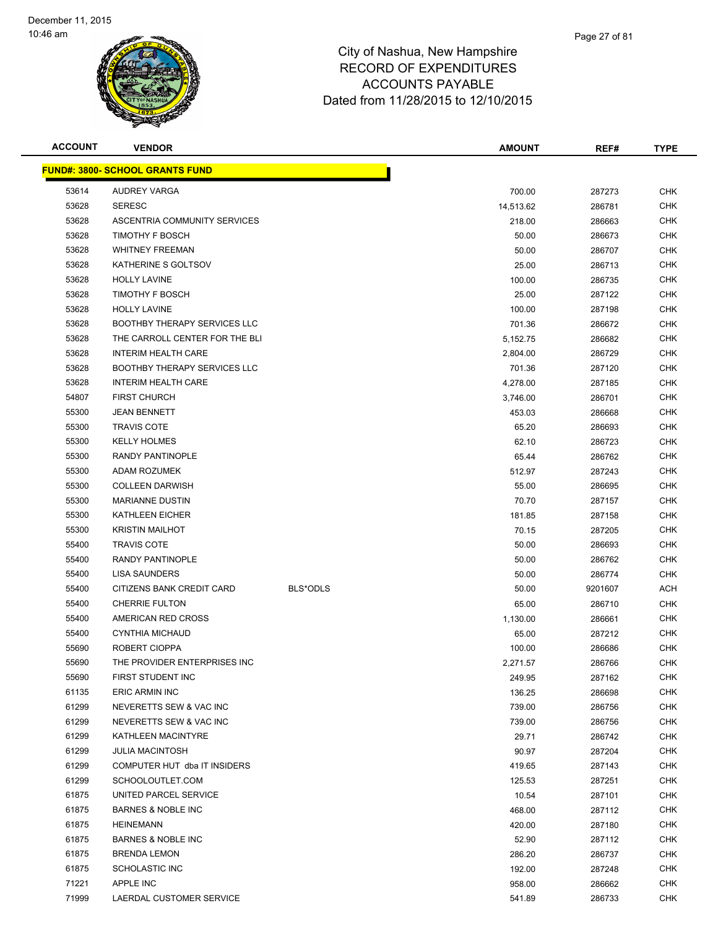

| <b>ACCOUNT</b> | <b>VENDOR</b>                          |          | <b>AMOUNT</b> | REF#    | <b>TYPE</b> |
|----------------|----------------------------------------|----------|---------------|---------|-------------|
|                | <b>FUND#: 3800- SCHOOL GRANTS FUND</b> |          |               |         |             |
| 53614          | <b>AUDREY VARGA</b>                    |          | 700.00        | 287273  | <b>CHK</b>  |
| 53628          | <b>SERESC</b>                          |          | 14,513.62     | 286781  | <b>CHK</b>  |
| 53628          | ASCENTRIA COMMUNITY SERVICES           |          | 218.00        | 286663  | <b>CHK</b>  |
| 53628          | <b>TIMOTHY F BOSCH</b>                 |          | 50.00         | 286673  | <b>CHK</b>  |
| 53628          | <b>WHITNEY FREEMAN</b>                 |          | 50.00         | 286707  | <b>CHK</b>  |
| 53628          | KATHERINE S GOLTSOV                    |          | 25.00         | 286713  | <b>CHK</b>  |
| 53628          | <b>HOLLY LAVINE</b>                    |          | 100.00        | 286735  | <b>CHK</b>  |
| 53628          | <b>TIMOTHY F BOSCH</b>                 |          | 25.00         | 287122  | <b>CHK</b>  |
| 53628          | <b>HOLLY LAVINE</b>                    |          | 100.00        | 287198  | <b>CHK</b>  |
| 53628          | <b>BOOTHBY THERAPY SERVICES LLC</b>    |          | 701.36        | 286672  | <b>CHK</b>  |
| 53628          | THE CARROLL CENTER FOR THE BLI         |          | 5,152.75      | 286682  | <b>CHK</b>  |
| 53628          | <b>INTERIM HEALTH CARE</b>             |          | 2,804.00      | 286729  | <b>CHK</b>  |
| 53628          | <b>BOOTHBY THERAPY SERVICES LLC</b>    |          | 701.36        | 287120  | <b>CHK</b>  |
| 53628          | <b>INTERIM HEALTH CARE</b>             |          | 4,278.00      | 287185  | <b>CHK</b>  |
| 54807          | <b>FIRST CHURCH</b>                    |          | 3,746.00      | 286701  | <b>CHK</b>  |
| 55300          | <b>JEAN BENNETT</b>                    |          | 453.03        | 286668  | <b>CHK</b>  |
| 55300          | <b>TRAVIS COTE</b>                     |          | 65.20         | 286693  | <b>CHK</b>  |
| 55300          | <b>KELLY HOLMES</b>                    |          | 62.10         | 286723  | <b>CHK</b>  |
| 55300          | <b>RANDY PANTINOPLE</b>                |          | 65.44         | 286762  | <b>CHK</b>  |
| 55300          | <b>ADAM ROZUMEK</b>                    |          | 512.97        | 287243  | <b>CHK</b>  |
| 55300          | <b>COLLEEN DARWISH</b>                 |          | 55.00         | 286695  | <b>CHK</b>  |
| 55300          | <b>MARIANNE DUSTIN</b>                 |          | 70.70         | 287157  | <b>CHK</b>  |
| 55300          | <b>KATHLEEN EICHER</b>                 |          | 181.85        | 287158  | <b>CHK</b>  |
| 55300          | <b>KRISTIN MAILHOT</b>                 |          | 70.15         | 287205  | <b>CHK</b>  |
| 55400          | <b>TRAVIS COTE</b>                     |          | 50.00         | 286693  | <b>CHK</b>  |
| 55400          | <b>RANDY PANTINOPLE</b>                |          | 50.00         | 286762  | <b>CHK</b>  |
| 55400          | <b>LISA SAUNDERS</b>                   |          | 50.00         | 286774  | <b>CHK</b>  |
| 55400          | CITIZENS BANK CREDIT CARD              | BLS*ODLS | 50.00         | 9201607 | <b>ACH</b>  |
| 55400          | <b>CHERRIE FULTON</b>                  |          | 65.00         | 286710  | <b>CHK</b>  |
| 55400          | AMERICAN RED CROSS                     |          | 1,130.00      | 286661  | <b>CHK</b>  |
| 55400          | <b>CYNTHIA MICHAUD</b>                 |          | 65.00         | 287212  | <b>CHK</b>  |
| 55690          | ROBERT CIOPPA                          |          | 100.00        | 286686  | <b>CHK</b>  |
| 55690          | THE PROVIDER ENTERPRISES INC           |          | 2.271.57      | 286766  | <b>CHK</b>  |
| 55690          | FIRST STUDENT INC                      |          | 249.95        | 287162  | <b>CHK</b>  |
| 61135          | <b>ERIC ARMIN INC</b>                  |          | 136.25        | 286698  | <b>CHK</b>  |
| 61299          | NEVERETTS SEW & VAC INC                |          | 739.00        | 286756  | <b>CHK</b>  |
| 61299          | NEVERETTS SEW & VAC INC                |          | 739.00        | 286756  | <b>CHK</b>  |
| 61299          | KATHLEEN MACINTYRE                     |          | 29.71         | 286742  | <b>CHK</b>  |
| 61299          | <b>JULIA MACINTOSH</b>                 |          | 90.97         | 287204  | <b>CHK</b>  |
| 61299          | COMPUTER HUT dba IT INSIDERS           |          | 419.65        | 287143  | CHK         |
| 61299          | SCHOOLOUTLET.COM                       |          | 125.53        | 287251  | <b>CHK</b>  |
| 61875          | UNITED PARCEL SERVICE                  |          | 10.54         | 287101  | CHK         |
| 61875          | <b>BARNES &amp; NOBLE INC</b>          |          | 468.00        | 287112  | <b>CHK</b>  |
| 61875          | <b>HEINEMANN</b>                       |          | 420.00        | 287180  | <b>CHK</b>  |
| 61875          | BARNES & NOBLE INC                     |          | 52.90         | 287112  | CHK         |
| 61875          | <b>BRENDA LEMON</b>                    |          | 286.20        | 286737  | <b>CHK</b>  |
| 61875          | <b>SCHOLASTIC INC</b>                  |          | 192.00        | 287248  | CHK         |
| 71221          | APPLE INC                              |          | 958.00        | 286662  | <b>CHK</b>  |
| 71999          | LAERDAL CUSTOMER SERVICE               |          | 541.89        | 286733  | <b>CHK</b>  |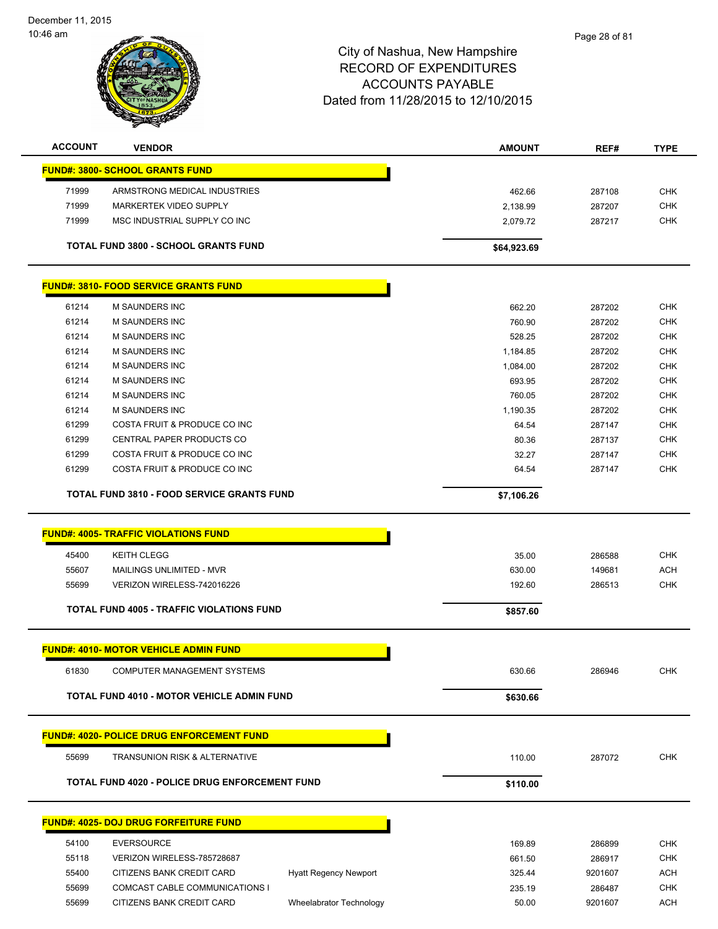| <b>ACCOUNT</b> | <b>VENDOR</b>                                | <b>AMOUNT</b> | REF#   | <b>TYPE</b> |
|----------------|----------------------------------------------|---------------|--------|-------------|
|                | <b>FUND#: 3800- SCHOOL GRANTS FUND</b>       |               |        |             |
| 71999          | ARMSTRONG MEDICAL INDUSTRIES                 | 462.66        | 287108 | <b>CHK</b>  |
| 71999          | MARKERTEK VIDEO SUPPLY                       | 2,138.99      | 287207 | <b>CHK</b>  |
| 71999          | MSC INDUSTRIAL SUPPLY CO INC                 | 2,079.72      | 287217 | <b>CHK</b>  |
|                | <b>TOTAL FUND 3800 - SCHOOL GRANTS FUND</b>  | \$64,923.69   |        |             |
|                | <b>FUND#: 3810- FOOD SERVICE GRANTS FUND</b> |               |        |             |
| 61214          | <b>M SAUNDERS INC</b>                        | 662.20        | 287202 | <b>CHK</b>  |
| 61214          | <b>M SAUNDERS INC</b>                        | 760.90        | 287202 | <b>CHK</b>  |
| 61214          | <b>M SAUNDERS INC</b>                        | 528.25        | 287202 | <b>CHK</b>  |
| 61214          | <b>M SAUNDERS INC</b>                        | 1,184.85      | 287202 | <b>CHK</b>  |
| 61214          | <b>M SAUNDERS INC</b>                        | 1,084.00      | 287202 | <b>CHK</b>  |
| 61214          | <b>M SAUNDERS INC</b>                        | 693.95        | 287202 | <b>CHK</b>  |
| 61214          | <b>M SAUNDERS INC</b>                        | 760.05        | 287202 | <b>CHK</b>  |
| 61214          | <b>M SAUNDERS INC</b>                        | 1,190.35      | 287202 | <b>CHK</b>  |
| 61299          | COSTA FRUIT & PRODUCE CO INC                 | 64.54         | 287147 | <b>CHK</b>  |
| 61299          | <b>CENTRAL PAPER PRODUCTS CO</b>             | 80.36         | 287137 | <b>CHK</b>  |

TOTAL FUND 3810 - FOOD SERVICE GRANTS FUND<br>
\$7,106.26

|       | <b>FUND#: 4005- TRAFFIC VIOLATIONS FUND</b>      |          |        |            |
|-------|--------------------------------------------------|----------|--------|------------|
| 45400 | KEITH CLEGG                                      | 35.00    | 286588 | <b>CHK</b> |
| 55607 | MAILINGS UNLIMITED - MVR                         | 630.00   | 149681 | <b>ACH</b> |
| 55699 | VERIZON WIRELESS-742016226                       | 192.60   | 286513 | <b>CHK</b> |
|       |                                                  |          |        |            |
|       | <b>TOTAL FUND 4005 - TRAFFIC VIOLATIONS FUND</b> | \$857.60 |        |            |

 61299 COSTA FRUIT & PRODUCE CO INC 32.27 287147 CHK 61299 COSTA FRUIT & PRODUCE CO INC 64.54 287147 CHK

|       | <b>FUND#: 4010- MOTOR VEHICLE ADMIN FUND</b>      |          |        |     |
|-------|---------------------------------------------------|----------|--------|-----|
| 61830 | COMPUTER MANAGEMENT SYSTEMS                       | 630.66   | 286946 | CHK |
|       | <b>TOTAL FUND 4010 - MOTOR VEHICLE ADMIN FUND</b> | \$630.66 |        |     |
|       |                                                   |          |        |     |

## **FUND#: 4020- POLICE DRUG ENFORCEMENT FUND**

| 55699 | <b>TRANSUNION RISK &amp; ALTERNATIVE</b>              | 110.00   | 287072 | СНК |
|-------|-------------------------------------------------------|----------|--------|-----|
|       | <b>TOTAL FUND 4020 - POLICE DRUG ENFORCEMENT FUND</b> | \$110.00 |        |     |

|       | <b>FUND#: 4025- DOJ DRUG FORFEITURE FUND</b> |                              |
|-------|----------------------------------------------|------------------------------|
| 54100 | EVERSOURCE                                   |                              |
| 55118 | VERIZON WIRELESS-785728687                   |                              |
| 55400 | CITIZENS BANK CREDIT CARD                    | <b>Hyatt Regency Newport</b> |
| 55699 | COMCAST CABLE COMMUNICATIONS I               |                              |
| 55699 | CITIZENS BANK CREDIT CARD                    | Wheelabrator Technology      |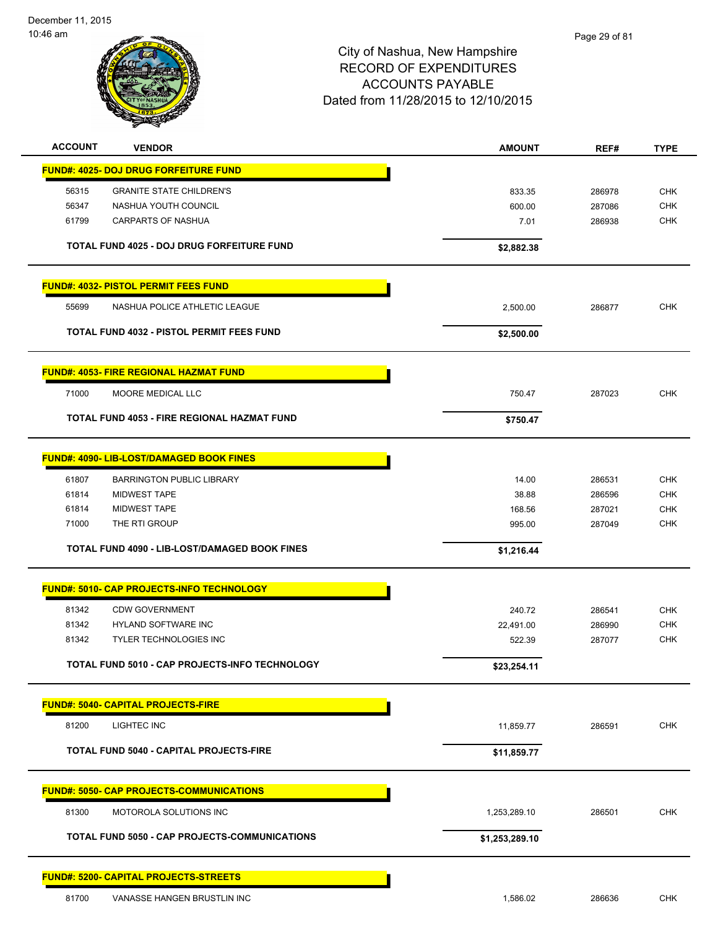December 11, 2015 10:46 am



| <b>ACCOUNT</b> | <b>VENDOR</b>                                    | <b>AMOUNT</b>    | REF#             | <b>TYPE</b>              |
|----------------|--------------------------------------------------|------------------|------------------|--------------------------|
|                | <b>FUND#: 4025- DOJ DRUG FORFEITURE FUND</b>     |                  |                  |                          |
| 56315          | <b>GRANITE STATE CHILDREN'S</b>                  | 833.35           | 286978           | <b>CHK</b>               |
| 56347          | NASHUA YOUTH COUNCIL                             | 600.00           | 287086           | <b>CHK</b>               |
| 61799          | <b>CARPARTS OF NASHUA</b>                        | 7.01             | 286938           | <b>CHK</b>               |
|                | TOTAL FUND 4025 - DOJ DRUG FORFEITURE FUND       | \$2,882.38       |                  |                          |
|                |                                                  |                  |                  |                          |
|                | <b>FUND#: 4032- PISTOL PERMIT FEES FUND</b>      |                  |                  |                          |
| 55699          | NASHUA POLICE ATHLETIC LEAGUE                    | 2,500.00         | 286877           | <b>CHK</b>               |
|                | <b>TOTAL FUND 4032 - PISTOL PERMIT FEES FUND</b> | \$2,500.00       |                  |                          |
|                | <b>FUND#: 4053- FIRE REGIONAL HAZMAT FUND</b>    |                  |                  |                          |
| 71000          | <b>MOORE MEDICAL LLC</b>                         | 750.47           | 287023           | <b>CHK</b>               |
|                | TOTAL FUND 4053 - FIRE REGIONAL HAZMAT FUND      | \$750.47         |                  |                          |
|                |                                                  |                  |                  |                          |
|                | <b>FUND#: 4090- LIB-LOST/DAMAGED BOOK FINES</b>  |                  |                  |                          |
| 61807          | <b>BARRINGTON PUBLIC LIBRARY</b>                 | 14.00            | 286531           | <b>CHK</b>               |
| 61814          | <b>MIDWEST TAPE</b><br><b>MIDWEST TAPE</b>       | 38.88            | 286596           | <b>CHK</b>               |
| 61814<br>71000 | THE RTI GROUP                                    | 168.56<br>995.00 | 287021<br>287049 | <b>CHK</b><br><b>CHK</b> |
|                |                                                  |                  |                  |                          |
|                | TOTAL FUND 4090 - LIB-LOST/DAMAGED BOOK FINES    | \$1,216.44       |                  |                          |
|                | <b>FUND#: 5010- CAP PROJECTS-INFO TECHNOLOGY</b> |                  |                  |                          |
| 81342          | <b>CDW GOVERNMENT</b>                            | 240.72           | 286541           | <b>CHK</b>               |
| 81342          | HYLAND SOFTWARE INC                              | 22,491.00        | 286990           | <b>CHK</b>               |
| 81342          | <b>TYLER TECHNOLOGIES INC</b>                    | 522.39           | 287077           | <b>CHK</b>               |
|                | TOTAL FUND 5010 - CAP PROJECTS-INFO TECHNOLOGY   | \$23,254.11      |                  |                          |
|                | <b>FUND#: 5040- CAPITAL PROJECTS-FIRE</b>        |                  |                  |                          |
| 81200          | <b>LIGHTEC INC</b>                               | 11,859.77        | 286591           | CHK                      |
|                | <b>TOTAL FUND 5040 - CAPITAL PROJECTS-FIRE</b>   | \$11,859.77      |                  |                          |
|                |                                                  |                  |                  |                          |
|                | <b>FUND#: 5050- CAP PROJECTS-COMMUNICATIONS</b>  |                  |                  |                          |
| 81300          | MOTOROLA SOLUTIONS INC                           | 1,253,289.10     | 286501           | CHK                      |
|                | TOTAL FUND 5050 - CAP PROJECTS-COMMUNICATIONS    | \$1,253,289.10   |                  |                          |
|                | <b>FUND#: 5200- CAPITAL PROJECTS-STREETS</b>     |                  |                  |                          |
| 81700          | VANASSE HANGEN BRUSTLIN INC                      | 1,586.02         | 286636           | CHK                      |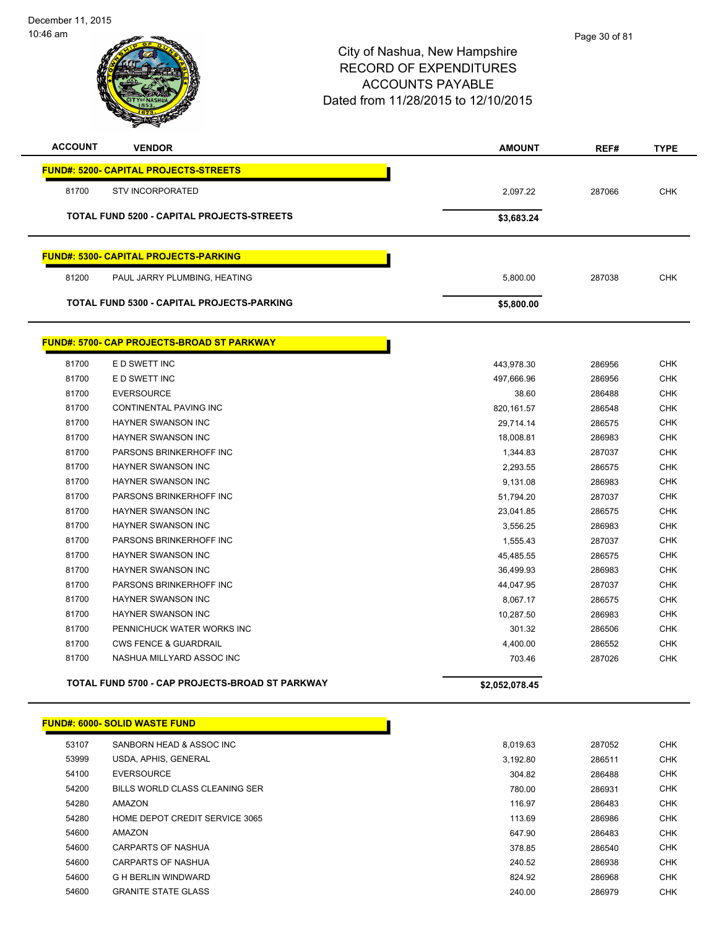| <b>ACCOUNT</b> | <b>VENDOR</b>                                     | <b>AMOUNT</b> | REF#   | <b>TYPE</b> |
|----------------|---------------------------------------------------|---------------|--------|-------------|
|                | <b>FUND#: 5200- CAPITAL PROJECTS-STREETS</b>      |               |        |             |
| 81700          | <b>STV INCORPORATED</b>                           | 2,097.22      | 287066 | <b>CHK</b>  |
|                | <b>TOTAL FUND 5200 - CAPITAL PROJECTS-STREETS</b> | \$3,683.24    |        |             |
|                |                                                   |               |        |             |
|                | <b>FUND#: 5300- CAPITAL PROJECTS-PARKING</b>      |               |        |             |
| 81200          | PAUL JARRY PLUMBING, HEATING                      | 5,800.00      | 287038 | <b>CHK</b>  |
|                | <b>TOTAL FUND 5300 - CAPITAL PROJECTS-PARKING</b> | \$5,800.00    |        |             |
|                |                                                   |               |        |             |
|                | <b>FUND#: 5700- CAP PROJECTS-BROAD ST PARKWAY</b> |               |        |             |
| 81700          | E D SWETT INC                                     | 443,978.30    | 286956 | <b>CHK</b>  |
| 81700          | E D SWETT INC                                     | 497,666.96    | 286956 | <b>CHK</b>  |
| 81700          | <b>EVERSOURCE</b>                                 | 38.60         | 286488 | <b>CHK</b>  |
| 81700          | CONTINENTAL PAVING INC                            | 820, 161.57   | 286548 | <b>CHK</b>  |
| 81700          | <b>HAYNER SWANSON INC</b>                         | 29,714.14     | 286575 | <b>CHK</b>  |
| 81700          | <b>HAYNER SWANSON INC</b>                         | 18,008.81     | 286983 | <b>CHK</b>  |
| 81700          | PARSONS BRINKERHOFF INC                           | 1,344.83      | 287037 | <b>CHK</b>  |
| 81700          | <b>HAYNER SWANSON INC</b>                         | 2,293.55      | 286575 | <b>CHK</b>  |
| 81700          | <b>HAYNER SWANSON INC</b>                         | 9,131.08      | 286983 | <b>CHK</b>  |
| 81700          | PARSONS BRINKERHOFF INC                           | 51,794.20     | 287037 | <b>CHK</b>  |
| 81700          | <b>HAYNER SWANSON INC</b>                         | 23,041.85     | 286575 | <b>CHK</b>  |
| 81700          | <b>HAYNER SWANSON INC</b>                         | 3,556.25      | 286983 | <b>CHK</b>  |
| 81700          | PARSONS BRINKERHOFF INC                           | 1,555.43      | 287037 | <b>CHK</b>  |
| 81700          | HAYNER SWANSON INC                                | 45,485.55     | 286575 | <b>CHK</b>  |
| 81700          | <b>HAYNER SWANSON INC</b>                         | 36,499.93     | 286983 | <b>CHK</b>  |
| 81700          | PARSONS BRINKERHOFF INC                           | 44,047.95     | 287037 | CHK         |
| 81700          | <b>HAYNER SWANSON INC</b>                         | 8,067.17      | 286575 | <b>CHK</b>  |
| 81700          | <b>HAYNER SWANSON INC</b>                         | 10,287.50     | 286983 | <b>CHK</b>  |
| 81700          | PENNICHUCK WATER WORKS INC                        | 301.32        | 286506 | <b>CHK</b>  |

**TOTAL FUND 5700 - CAP PROJECTS-BROAD ST PARKWAY \$2,052,078.45** 

|       | <b>FUND#: 6000- SOLID WASTE FUND</b> |          |        |            |
|-------|--------------------------------------|----------|--------|------------|
| 53107 | SANBORN HEAD & ASSOC INC             | 8.019.63 | 287052 | <b>CHK</b> |
| 53999 | USDA, APHIS, GENERAL                 | 3,192.80 | 286511 | <b>CHK</b> |
| 54100 | <b>EVERSOURCE</b>                    | 304.82   | 286488 |            |
| 54200 | BILLS WORLD CLASS CLEANING SER       | 780.00   | 286931 |            |
| 54280 | AMAZON                               | 116.97   | 286483 |            |
| 54280 | HOME DEPOT CREDIT SERVICE 3065       | 113.69   | 286986 |            |
| 54600 | AMAZON                               | 647.90   | 286483 |            |
| 54600 | CARPARTS OF NASHUA                   | 378.85   | 286540 |            |
| 54600 | CARPARTS OF NASHUA                   | 240.52   | 286938 |            |
| 54600 | G H BERLIN WINDWARD                  | 824.92   | 286968 |            |
| 54600 | <b>GRANITE STATE GLASS</b>           | 240.00   | 286979 |            |

 CWS FENCE & GUARDRAIL 4,400.00 286552 CHK 81700 NASHUA MILLYARD ASSOC INC **And Alternative Contract COST 103.46** 287026 CHK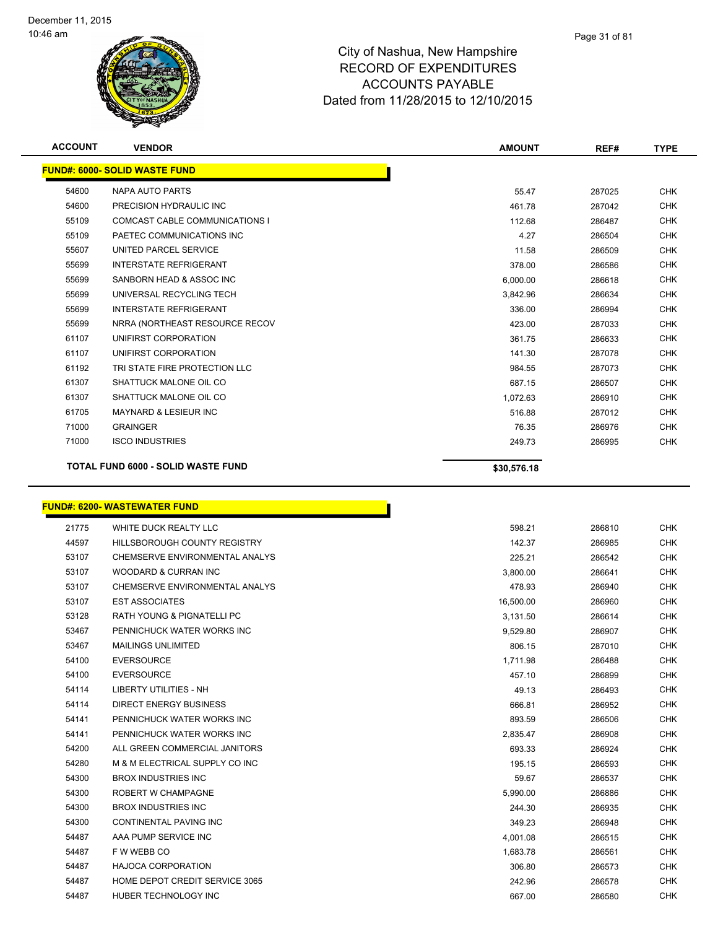

| <b>ACCOUNT</b> | <b>VENDOR</b>                             | <b>AMOUNT</b> | REF#   | <b>TYPE</b> |
|----------------|-------------------------------------------|---------------|--------|-------------|
|                | <b>FUND#: 6000- SOLID WASTE FUND</b>      |               |        |             |
| 54600          | NAPA AUTO PARTS                           | 55.47         | 287025 | <b>CHK</b>  |
| 54600          | PRECISION HYDRAULIC INC                   | 461.78        | 287042 | <b>CHK</b>  |
| 55109          | <b>COMCAST CABLE COMMUNICATIONS I</b>     | 112.68        | 286487 | <b>CHK</b>  |
| 55109          | PAETEC COMMUNICATIONS INC                 | 4.27          | 286504 | <b>CHK</b>  |
| 55607          | UNITED PARCEL SERVICE                     | 11.58         | 286509 | <b>CHK</b>  |
| 55699          | <b>INTERSTATE REFRIGERANT</b>             | 378.00        | 286586 | <b>CHK</b>  |
| 55699          | SANBORN HEAD & ASSOC INC                  | 6,000.00      | 286618 | <b>CHK</b>  |
| 55699          | UNIVERSAL RECYCLING TECH                  | 3,842.96      | 286634 | <b>CHK</b>  |
| 55699          | <b>INTERSTATE REFRIGERANT</b>             | 336.00        | 286994 | <b>CHK</b>  |
| 55699          | NRRA (NORTHEAST RESOURCE RECOV            | 423.00        | 287033 | <b>CHK</b>  |
| 61107          | UNIFIRST CORPORATION                      | 361.75        | 286633 | <b>CHK</b>  |
| 61107          | UNIFIRST CORPORATION                      | 141.30        | 287078 | <b>CHK</b>  |
| 61192          | TRI STATE FIRE PROTECTION LLC             | 984.55        | 287073 | <b>CHK</b>  |
| 61307          | SHATTUCK MALONE OIL CO                    | 687.15        | 286507 | <b>CHK</b>  |
| 61307          | SHATTUCK MALONE OIL CO                    | 1,072.63      | 286910 | <b>CHK</b>  |
| 61705          | <b>MAYNARD &amp; LESIEUR INC</b>          | 516.88        | 287012 | <b>CHK</b>  |
| 71000          | <b>GRAINGER</b>                           | 76.35         | 286976 | <b>CHK</b>  |
| 71000          | <b>ISCO INDUSTRIES</b>                    | 249.73        | 286995 | <b>CHK</b>  |
|                | <b>TOTAL FUND 6000 - SOLID WASTE FUND</b> | \$30,576.18   |        |             |

# **FUND#: 6200- WASTEWATER FUND**

| 21775 | WHITE DUCK REALTY LLC          | 598.21    | 286810 | <b>CHK</b> |
|-------|--------------------------------|-----------|--------|------------|
| 44597 | HILLSBOROUGH COUNTY REGISTRY   | 142.37    | 286985 | <b>CHK</b> |
| 53107 | CHEMSERVE ENVIRONMENTAL ANALYS | 225.21    | 286542 | <b>CHK</b> |
| 53107 | WOODARD & CURRAN INC           | 3,800.00  | 286641 | <b>CHK</b> |
| 53107 | CHEMSERVE ENVIRONMENTAL ANALYS | 478.93    | 286940 | <b>CHK</b> |
| 53107 | <b>EST ASSOCIATES</b>          | 16,500.00 | 286960 | <b>CHK</b> |
| 53128 | RATH YOUNG & PIGNATELLI PC     | 3,131.50  | 286614 | <b>CHK</b> |
| 53467 | PENNICHUCK WATER WORKS INC     | 9,529.80  | 286907 | <b>CHK</b> |
| 53467 | <b>MAILINGS UNLIMITED</b>      | 806.15    | 287010 | <b>CHK</b> |
| 54100 | <b>EVERSOURCE</b>              | 1,711.98  | 286488 | <b>CHK</b> |
| 54100 | <b>EVERSOURCE</b>              | 457.10    | 286899 | <b>CHK</b> |
| 54114 | <b>LIBERTY UTILITIES - NH</b>  | 49.13     | 286493 | <b>CHK</b> |
| 54114 | <b>DIRECT ENERGY BUSINESS</b>  | 666.81    | 286952 | <b>CHK</b> |
| 54141 | PENNICHUCK WATER WORKS INC     | 893.59    | 286506 | <b>CHK</b> |
| 54141 | PENNICHUCK WATER WORKS INC     | 2,835.47  | 286908 | <b>CHK</b> |
| 54200 | ALL GREEN COMMERCIAL JANITORS  | 693.33    | 286924 | <b>CHK</b> |
| 54280 | M & M ELECTRICAL SUPPLY CO INC | 195.15    | 286593 | <b>CHK</b> |
| 54300 | <b>BROX INDUSTRIES INC</b>     | 59.67     | 286537 | <b>CHK</b> |
| 54300 | ROBERT W CHAMPAGNE             | 5,990.00  | 286886 | <b>CHK</b> |
| 54300 | <b>BROX INDUSTRIES INC</b>     | 244.30    | 286935 | <b>CHK</b> |
| 54300 | CONTINENTAL PAVING INC         | 349.23    | 286948 | <b>CHK</b> |
| 54487 | AAA PUMP SERVICE INC           | 4,001.08  | 286515 | <b>CHK</b> |
| 54487 | F W WEBB CO                    | 1,683.78  | 286561 | <b>CHK</b> |
| 54487 | <b>HAJOCA CORPORATION</b>      | 306.80    | 286573 | <b>CHK</b> |
| 54487 | HOME DEPOT CREDIT SERVICE 3065 | 242.96    | 286578 | <b>CHK</b> |
| 54487 | HUBER TECHNOLOGY INC           | 667.00    | 286580 | <b>CHK</b> |

n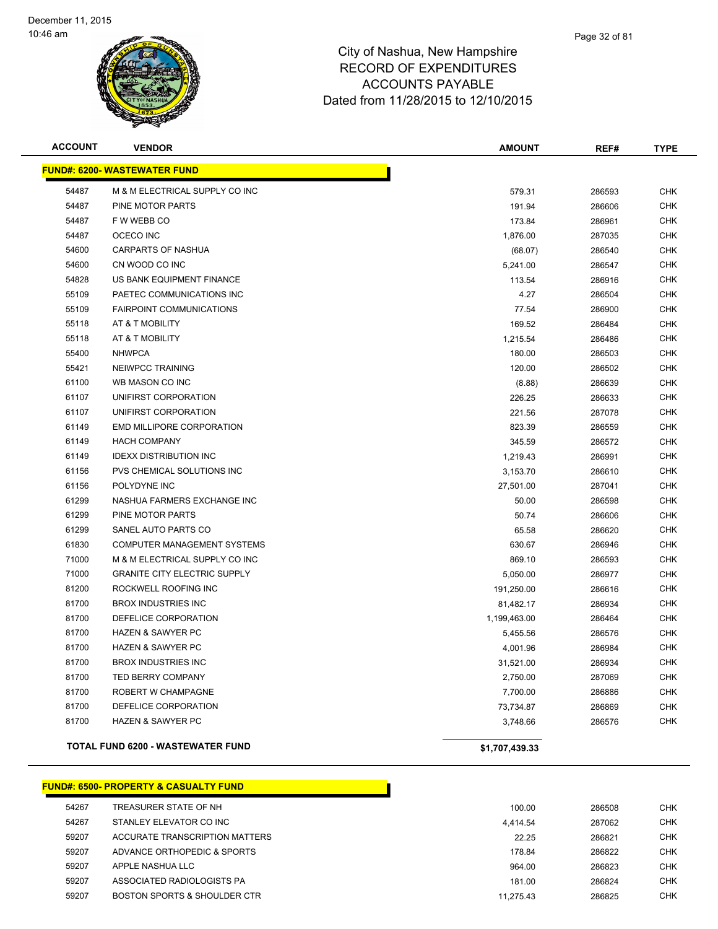

| <b>ACCOUNT</b> | <b>VENDOR</b>                            | <b>AMOUNT</b>  | REF#   | <b>TYPE</b> |
|----------------|------------------------------------------|----------------|--------|-------------|
|                | <b>FUND#: 6200- WASTEWATER FUND</b>      |                |        |             |
| 54487          | M & M ELECTRICAL SUPPLY CO INC           | 579.31         | 286593 | <b>CHK</b>  |
| 54487          | PINE MOTOR PARTS                         | 191.94         | 286606 | <b>CHK</b>  |
| 54487          | F W WEBB CO                              | 173.84         | 286961 | <b>CHK</b>  |
| 54487          | OCECO INC                                | 1,876.00       | 287035 | <b>CHK</b>  |
| 54600          | <b>CARPARTS OF NASHUA</b>                | (68.07)        | 286540 | <b>CHK</b>  |
| 54600          | CN WOOD CO INC                           | 5,241.00       | 286547 | <b>CHK</b>  |
| 54828          | US BANK EQUIPMENT FINANCE                | 113.54         | 286916 | <b>CHK</b>  |
| 55109          | PAETEC COMMUNICATIONS INC                | 4.27           | 286504 | <b>CHK</b>  |
| 55109          | <b>FAIRPOINT COMMUNICATIONS</b>          | 77.54          | 286900 | <b>CHK</b>  |
| 55118          | AT & T MOBILITY                          | 169.52         | 286484 | <b>CHK</b>  |
| 55118          | AT & T MOBILITY                          | 1,215.54       | 286486 | <b>CHK</b>  |
| 55400          | <b>NHWPCA</b>                            | 180.00         | 286503 | <b>CHK</b>  |
| 55421          | NEIWPCC TRAINING                         | 120.00         | 286502 | <b>CHK</b>  |
| 61100          | WB MASON CO INC                          | (8.88)         | 286639 | <b>CHK</b>  |
| 61107          | UNIFIRST CORPORATION                     | 226.25         | 286633 | <b>CHK</b>  |
| 61107          | UNIFIRST CORPORATION                     | 221.56         | 287078 | <b>CHK</b>  |
| 61149          | EMD MILLIPORE CORPORATION                | 823.39         | 286559 | <b>CHK</b>  |
| 61149          | <b>HACH COMPANY</b>                      | 345.59         | 286572 | <b>CHK</b>  |
| 61149          | <b>IDEXX DISTRIBUTION INC</b>            | 1,219.43       | 286991 | <b>CHK</b>  |
| 61156          | PVS CHEMICAL SOLUTIONS INC               | 3,153.70       | 286610 | <b>CHK</b>  |
| 61156          | POLYDYNE INC                             | 27,501.00      | 287041 | <b>CHK</b>  |
| 61299          | NASHUA FARMERS EXCHANGE INC              | 50.00          | 286598 | <b>CHK</b>  |
| 61299          | PINE MOTOR PARTS                         | 50.74          | 286606 | <b>CHK</b>  |
| 61299          | SANEL AUTO PARTS CO                      | 65.58          | 286620 | <b>CHK</b>  |
| 61830          | COMPUTER MANAGEMENT SYSTEMS              | 630.67         | 286946 | <b>CHK</b>  |
| 71000          | M & M ELECTRICAL SUPPLY CO INC           | 869.10         | 286593 | <b>CHK</b>  |
| 71000          | <b>GRANITE CITY ELECTRIC SUPPLY</b>      | 5,050.00       | 286977 | <b>CHK</b>  |
| 81200          | ROCKWELL ROOFING INC                     | 191,250.00     | 286616 | <b>CHK</b>  |
| 81700          | <b>BROX INDUSTRIES INC</b>               | 81,482.17      | 286934 | <b>CHK</b>  |
| 81700          | DEFELICE CORPORATION                     | 1,199,463.00   | 286464 | <b>CHK</b>  |
| 81700          | <b>HAZEN &amp; SAWYER PC</b>             | 5,455.56       | 286576 | <b>CHK</b>  |
| 81700          | <b>HAZEN &amp; SAWYER PC</b>             | 4,001.96       | 286984 | <b>CHK</b>  |
| 81700          | <b>BROX INDUSTRIES INC</b>               | 31,521.00      | 286934 | <b>CHK</b>  |
| 81700          | TED BERRY COMPANY                        | 2,750.00       | 287069 | <b>CHK</b>  |
| 81700          | ROBERT W CHAMPAGNE                       | 7,700.00       | 286886 | <b>CHK</b>  |
| 81700          | DEFELICE CORPORATION                     | 73,734.87      | 286869 | <b>CHK</b>  |
| 81700          | <b>HAZEN &amp; SAWYER PC</b>             | 3,748.66       | 286576 | <b>CHK</b>  |
|                | <b>TOTAL FUND 6200 - WASTEWATER FUND</b> | \$1,707,439.33 |        |             |

### **FUND#: 6500- PROPERTY & CASUALTY FUND**

| 54267 | TREASURER STATE OF NH          | 100.00    | 286508 | <b>CHK</b> |
|-------|--------------------------------|-----------|--------|------------|
| 54267 | STANLEY ELEVATOR CO INC        | 4.414.54  | 287062 | <b>CHK</b> |
| 59207 | ACCURATE TRANSCRIPTION MATTERS | 22.25     | 286821 | <b>CHK</b> |
| 59207 | ADVANCE ORTHOPEDIC & SPORTS    | 178.84    | 286822 | <b>CHK</b> |
| 59207 | APPLE NASHUA LLC               | 964.00    | 286823 | <b>CHK</b> |
| 59207 | ASSOCIATED RADIOLOGISTS PA     | 181.00    | 286824 | <b>CHK</b> |
| 59207 | BOSTON SPORTS & SHOULDER CTR   | 11.275.43 | 286825 | <b>CHK</b> |
|       |                                |           |        |            |

Г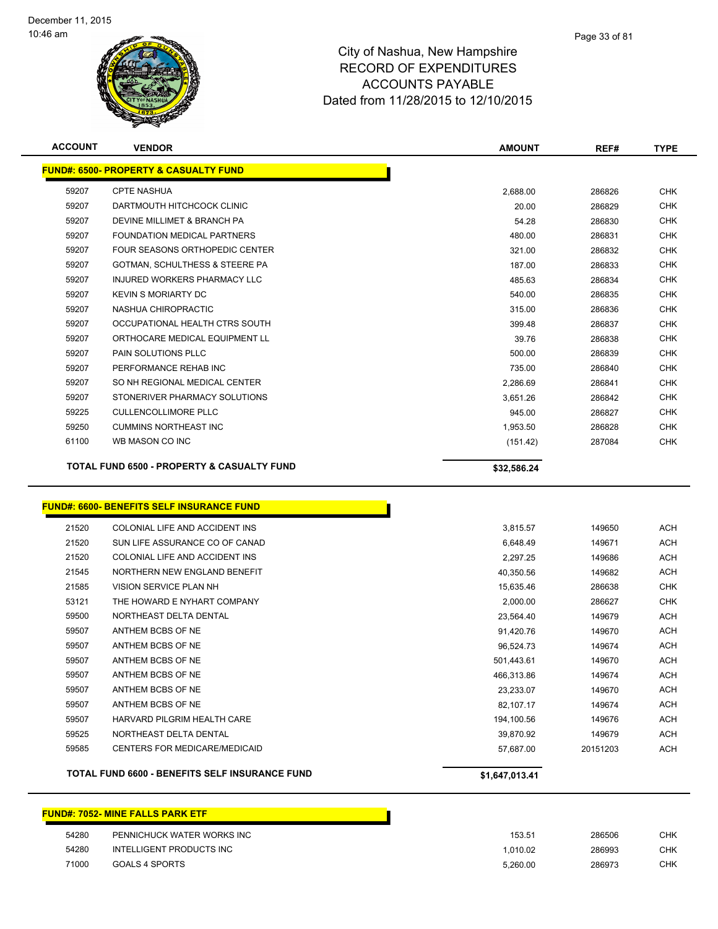

| <b>ACCOUNT</b>                                        | <b>VENDOR</b>                                    | <b>AMOUNT</b> | REF#   | <b>TYPE</b> |
|-------------------------------------------------------|--------------------------------------------------|---------------|--------|-------------|
|                                                       | <b>FUND#: 6500- PROPERTY &amp; CASUALTY FUND</b> |               |        |             |
| 59207                                                 | <b>CPTE NASHUA</b>                               | 2,688.00      | 286826 | <b>CHK</b>  |
| 59207                                                 | DARTMOUTH HITCHCOCK CLINIC                       | 20.00         | 286829 | <b>CHK</b>  |
| 59207                                                 | DEVINE MILLIMET & BRANCH PA                      | 54.28         | 286830 | <b>CHK</b>  |
| 59207                                                 | FOUNDATION MEDICAL PARTNERS                      | 480.00        | 286831 | <b>CHK</b>  |
| 59207                                                 | FOUR SEASONS ORTHOPEDIC CENTER                   | 321.00        | 286832 | <b>CHK</b>  |
| 59207                                                 | GOTMAN, SCHULTHESS & STEERE PA                   | 187.00        | 286833 | <b>CHK</b>  |
| 59207                                                 | INJURED WORKERS PHARMACY LLC                     | 485.63        | 286834 | <b>CHK</b>  |
| 59207                                                 | <b>KEVIN S MORIARTY DC</b>                       | 540.00        | 286835 | <b>CHK</b>  |
| 59207                                                 | NASHUA CHIROPRACTIC                              | 315.00        | 286836 | <b>CHK</b>  |
| 59207                                                 | OCCUPATIONAL HEALTH CTRS SOUTH                   | 399.48        | 286837 | <b>CHK</b>  |
| 59207                                                 | ORTHOCARE MEDICAL EQUIPMENT LL                   | 39.76         | 286838 | <b>CHK</b>  |
| 59207                                                 | PAIN SOLUTIONS PLLC                              | 500.00        | 286839 | <b>CHK</b>  |
| 59207                                                 | PERFORMANCE REHAB INC                            | 735.00        | 286840 | <b>CHK</b>  |
| 59207                                                 | SO NH REGIONAL MEDICAL CENTER                    | 2,286.69      | 286841 | <b>CHK</b>  |
| 59207                                                 | STONERIVER PHARMACY SOLUTIONS                    | 3,651.26      | 286842 | <b>CHK</b>  |
| 59225                                                 | <b>CULLENCOLLIMORE PLLC</b>                      | 945.00        | 286827 | <b>CHK</b>  |
| 59250                                                 | <b>CUMMINS NORTHEAST INC</b>                     | 1,953.50      | 286828 | <b>CHK</b>  |
| 61100                                                 | WB MASON CO INC                                  | (151.42)      | 287084 | CHK         |
| <b>TOTAL FUND 6500 - PROPERTY &amp; CASUALTY FUND</b> |                                                  | \$32,586.24   |        |             |
|                                                       |                                                  |               |        |             |

# **FUND#: 6600- BENEFITS SELF INSURANCE FUND**

|       | JND#: 6600- BENEFITS SELF INSURANCE FUND       |                |
|-------|------------------------------------------------|----------------|
| 21520 | COLONIAL LIFE AND ACCIDENT INS                 | 3,815.57       |
| 21520 | SUN LIFE ASSURANCE CO OF CANAD                 | 6.648.49       |
| 21520 | COLONIAL LIFE AND ACCIDENT INS                 | 2,297.25       |
| 21545 | NORTHERN NEW ENGLAND BENEFIT                   | 40,350.56      |
| 21585 | <b>VISION SERVICE PLAN NH</b>                  | 15.635.46      |
| 53121 | THE HOWARD E NYHART COMPANY                    | 2.000.00       |
| 59500 | NORTHEAST DELTA DENTAL                         | 23,564.40      |
| 59507 | ANTHEM BCBS OF NE                              | 91,420.76      |
| 59507 | ANTHEM BCBS OF NE                              | 96,524.73      |
| 59507 | ANTHEM BCBS OF NE                              | 501,443.61     |
| 59507 | ANTHEM BCBS OF NE                              | 466,313.86     |
| 59507 | ANTHEM BCBS OF NE                              | 23,233.07      |
| 59507 | ANTHEM BCBS OF NE                              | 82,107.17      |
| 59507 | HARVARD PILGRIM HEALTH CARE                    | 194,100.56     |
| 59525 | NORTHEAST DELTA DENTAL                         | 39,870.92      |
| 59585 | <b>CENTERS FOR MEDICARE/MEDICAID</b>           | 57.687.00      |
|       | TOTAL FUND 6600 - BENEFITS SELF INSURANCE FUND | \$1,647,013.41 |

### **FUND#: 7052- MINE FALLS PARK ETF**

| 54280 | PENNICHUCK WATER WORKS INC | 153.51   | 286506 | CHK |
|-------|----------------------------|----------|--------|-----|
| 54280 | INTELLIGENT PRODUCTS INC   | .010.02  | 286993 | CHK |
| 71000 | GOALS 4 SPORTS             | 5.260.00 | 286973 | CHK |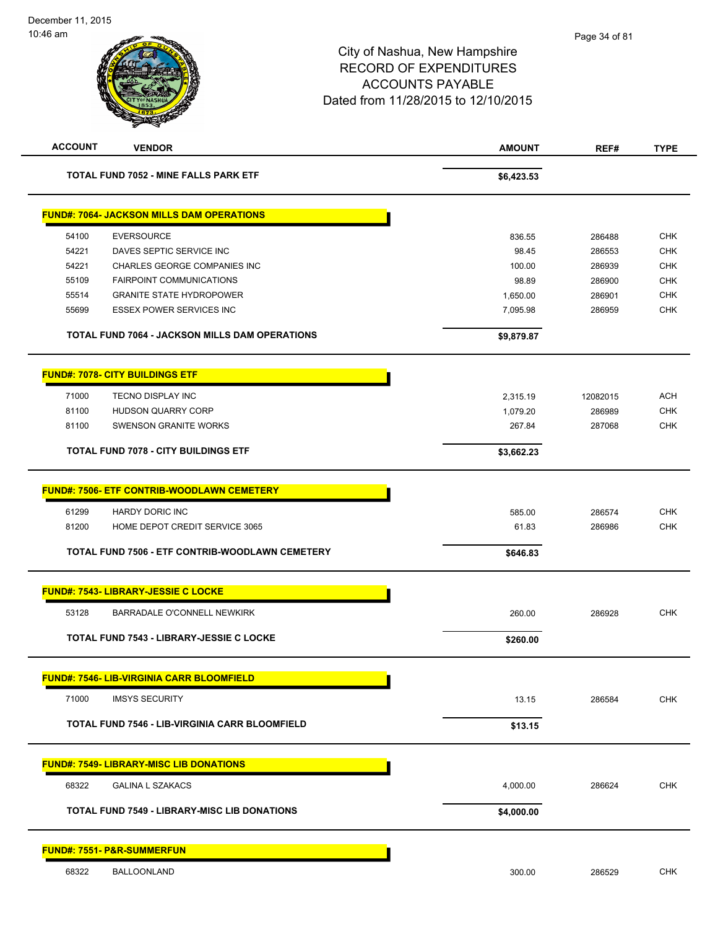| <b>ACCOUNT</b> | <b>VENDOR</b>                                         | <b>AMOUNT</b> | REF#     | <b>TYPE</b> |
|----------------|-------------------------------------------------------|---------------|----------|-------------|
|                | TOTAL FUND 7052 - MINE FALLS PARK ETF                 | \$6,423.53    |          |             |
|                | <b>FUND#: 7064- JACKSON MILLS DAM OPERATIONS</b>      |               |          |             |
| 54100          | <b>EVERSOURCE</b>                                     | 836.55        | 286488   | <b>CHK</b>  |
| 54221          | DAVES SEPTIC SERVICE INC                              | 98.45         | 286553   | <b>CHK</b>  |
| 54221          | CHARLES GEORGE COMPANIES INC                          | 100.00        | 286939   | <b>CHK</b>  |
| 55109          | <b>FAIRPOINT COMMUNICATIONS</b>                       | 98.89         | 286900   | <b>CHK</b>  |
| 55514          | <b>GRANITE STATE HYDROPOWER</b>                       | 1,650.00      | 286901   | <b>CHK</b>  |
| 55699          | <b>ESSEX POWER SERVICES INC</b>                       | 7,095.98      | 286959   | <b>CHK</b>  |
|                | <b>TOTAL FUND 7064 - JACKSON MILLS DAM OPERATIONS</b> | \$9,879.87    |          |             |
|                | <b>FUND#: 7078- CITY BUILDINGS ETF</b>                |               |          |             |
| 71000          | TECNO DISPLAY INC                                     | 2,315.19      | 12082015 | ACH         |
| 81100          | <b>HUDSON QUARRY CORP</b>                             | 1,079.20      | 286989   | <b>CHK</b>  |
| 81100          | <b>SWENSON GRANITE WORKS</b>                          | 267.84        | 287068   | <b>CHK</b>  |
|                | <b>TOTAL FUND 7078 - CITY BUILDINGS ETF</b>           | \$3,662.23    |          |             |
|                | <b>FUND#: 7506- ETF CONTRIB-WOODLAWN CEMETERY</b>     |               |          |             |
| 61299          | <b>HARDY DORIC INC</b>                                | 585.00        | 286574   | <b>CHK</b>  |
| 81200          | HOME DEPOT CREDIT SERVICE 3065                        | 61.83         | 286986   | <b>CHK</b>  |
|                | TOTAL FUND 7506 - ETF CONTRIB-WOODLAWN CEMETERY       | \$646.83      |          |             |
|                | <b>FUND#: 7543- LIBRARY-JESSIE C LOCKE</b>            |               |          |             |
| 53128          | <b>BARRADALE O'CONNELL NEWKIRK</b>                    | 260.00        | 286928   | <b>CHK</b>  |
|                | <b>TOTAL FUND 7543 - LIBRARY-JESSIE C LOCKE</b>       | \$260.00      |          |             |
|                | <b>FUND#: 7546- LIB-VIRGINIA CARR BLOOMFIELD</b>      |               |          |             |
| 71000          | <b>IMSYS SECURITY</b>                                 | 13.15         | 286584   | <b>CHK</b>  |
|                | TOTAL FUND 7546 - LIB-VIRGINIA CARR BLOOMFIELD        | \$13.15       |          |             |
|                | <b>FUND#: 7549- LIBRARY-MISC LIB DONATIONS</b>        |               |          |             |
| 68322          | <b>GALINA L SZAKACS</b>                               | 4,000.00      | 286624   | <b>CHK</b>  |
|                | <b>TOTAL FUND 7549 - LIBRARY-MISC LIB DONATIONS</b>   | \$4,000.00    |          |             |
|                | <b>FUND#: 7551- P&amp;R-SUMMERFUN</b>                 |               |          |             |
| 68322          | <b>BALLOONLAND</b>                                    | 300.00        | 286529   | <b>CHK</b>  |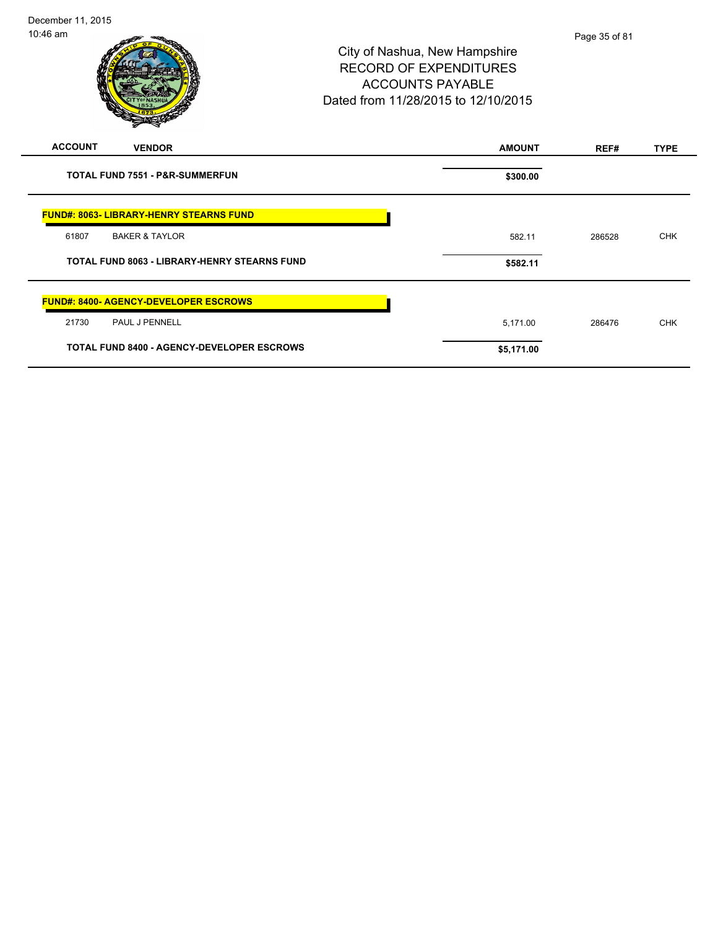|                                                     | STATISTICS OF                                     |               |        |             |
|-----------------------------------------------------|---------------------------------------------------|---------------|--------|-------------|
| <b>ACCOUNT</b>                                      | <b>VENDOR</b>                                     | <b>AMOUNT</b> | REF#   | <b>TYPE</b> |
|                                                     | <b>TOTAL FUND 7551 - P&amp;R-SUMMERFUN</b>        | \$300.00      |        |             |
|                                                     | <b>FUND#: 8063- LIBRARY-HENRY STEARNS FUND</b>    |               |        |             |
| 61807                                               | <b>BAKER &amp; TAYLOR</b>                         | 582.11        | 286528 | <b>CHK</b>  |
| <b>TOTAL FUND 8063 - LIBRARY-HENRY STEARNS FUND</b> |                                                   | \$582.11      |        |             |
|                                                     | <b>FUND#: 8400- AGENCY-DEVELOPER ESCROWS</b>      |               |        |             |
| 21730                                               | PAUL J PENNELL                                    | 5,171.00      | 286476 | <b>CHK</b>  |
|                                                     | <b>TOTAL FUND 8400 - AGENCY-DEVELOPER ESCROWS</b> | \$5,171.00    |        |             |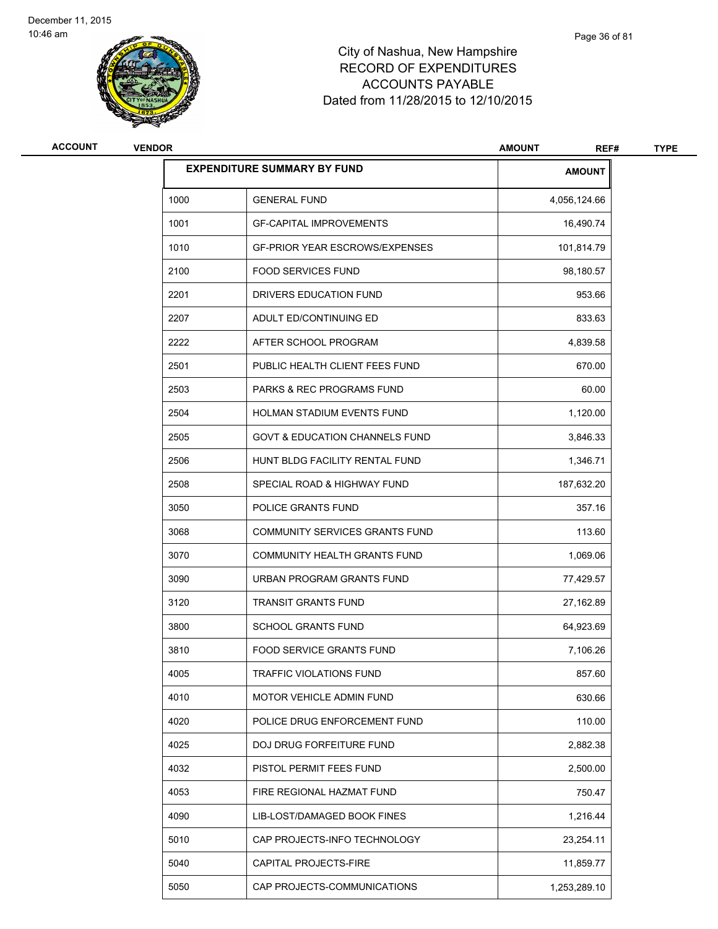

| <b>ACCOUNT</b> | <b>VENDOR</b> |                                           | <b>AMOUNT</b><br>REF# | <b>TYPE</b> |
|----------------|---------------|-------------------------------------------|-----------------------|-------------|
|                |               | <b>EXPENDITURE SUMMARY BY FUND</b>        | <b>AMOUNT</b>         |             |
|                | 1000          | <b>GENERAL FUND</b>                       | 4,056,124.66          |             |
|                | 1001          | <b>GF-CAPITAL IMPROVEMENTS</b>            | 16,490.74             |             |
|                | 1010          | <b>GF-PRIOR YEAR ESCROWS/EXPENSES</b>     | 101,814.79            |             |
|                | 2100          | <b>FOOD SERVICES FUND</b>                 | 98,180.57             |             |
|                | 2201          | DRIVERS EDUCATION FUND                    | 953.66                |             |
|                | 2207          | ADULT ED/CONTINUING ED                    | 833.63                |             |
|                | 2222          | AFTER SCHOOL PROGRAM                      | 4,839.58              |             |
|                | 2501          | PUBLIC HEALTH CLIENT FEES FUND            | 670.00                |             |
|                | 2503          | <b>PARKS &amp; REC PROGRAMS FUND</b>      | 60.00                 |             |
|                | 2504          | HOLMAN STADIUM EVENTS FUND                | 1,120.00              |             |
|                | 2505          | <b>GOVT &amp; EDUCATION CHANNELS FUND</b> | 3,846.33              |             |
|                | 2506          | HUNT BLDG FACILITY RENTAL FUND            | 1,346.71              |             |
|                | 2508          | SPECIAL ROAD & HIGHWAY FUND               | 187,632.20            |             |
|                | 3050          | POLICE GRANTS FUND                        | 357.16                |             |
|                | 3068          | COMMUNITY SERVICES GRANTS FUND            | 113.60                |             |
|                | 3070          | COMMUNITY HEALTH GRANTS FUND              | 1,069.06              |             |
|                | 3090          | URBAN PROGRAM GRANTS FUND                 | 77,429.57             |             |
|                | 3120          | <b>TRANSIT GRANTS FUND</b>                | 27,162.89             |             |
|                | 3800          | <b>SCHOOL GRANTS FUND</b>                 | 64,923.69             |             |
|                | 3810          | FOOD SERVICE GRANTS FUND                  | 7,106.26              |             |
|                | 4005          | TRAFFIC VIOLATIONS FUND                   | 857.60                |             |
|                | 4010          | MOTOR VEHICLE ADMIN FUND                  | 630.66                |             |
|                | 4020          | POLICE DRUG ENFORCEMENT FUND              | 110.00                |             |
|                | 4025          | DOJ DRUG FORFEITURE FUND                  | 2,882.38              |             |
|                | 4032          | PISTOL PERMIT FEES FUND                   | 2,500.00              |             |
|                | 4053          | FIRE REGIONAL HAZMAT FUND                 | 750.47                |             |
|                | 4090          | LIB-LOST/DAMAGED BOOK FINES               | 1,216.44              |             |
|                | 5010          | CAP PROJECTS-INFO TECHNOLOGY              | 23,254.11             |             |
|                | 5040          | CAPITAL PROJECTS-FIRE                     | 11,859.77             |             |
|                | 5050          | CAP PROJECTS-COMMUNICATIONS               | 1,253,289.10          |             |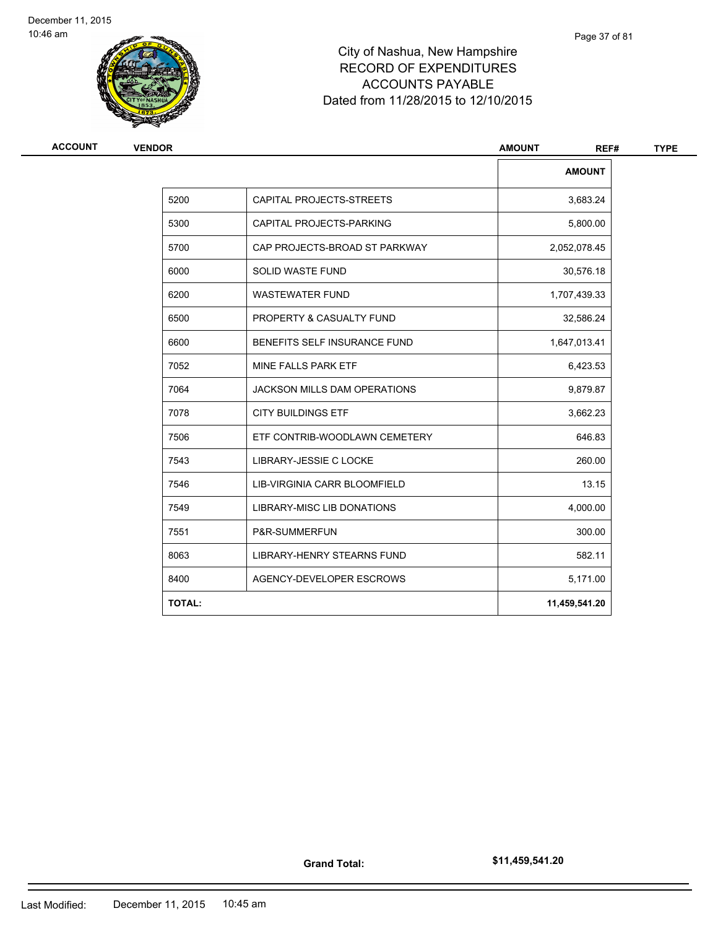

# City of Nashua, New Hampshire RECORD OF EXPENDITURES ACCOUNTS PAYABLE Dated from 11/28/2015 to 12/10/2015

| <b>VENDOR</b> |                                     | <b>AMOUNT</b><br>REF# |
|---------------|-------------------------------------|-----------------------|
|               |                                     | <b>AMOUNT</b>         |
| 5200          | CAPITAL PROJECTS-STREETS            | 3,683.24              |
| 5300          | CAPITAL PROJECTS-PARKING            | 5,800.00              |
| 5700          | CAP PROJECTS-BROAD ST PARKWAY       | 2,052,078.45          |
| 6000          | <b>SOLID WASTE FUND</b>             | 30,576.18             |
| 6200          | <b>WASTEWATER FUND</b>              | 1,707,439.33          |
| 6500          | PROPERTY & CASUALTY FUND            | 32,586.24             |
| 6600          | BENEFITS SELF INSURANCE FUND        | 1,647,013.41          |
| 7052          | MINE FALLS PARK ETF                 | 6,423.53              |
| 7064          | <b>JACKSON MILLS DAM OPERATIONS</b> | 9,879.87              |
| 7078          | <b>CITY BUILDINGS ETF</b>           | 3,662.23              |
| 7506          | ETF CONTRIB-WOODLAWN CEMETERY       | 646.83                |
| 7543          | LIBRARY-JESSIE C LOCKE              | 260.00                |
| 7546          | LIB-VIRGINIA CARR BLOOMFIELD        | 13.15                 |
| 7549          | <b>LIBRARY-MISC LIB DONATIONS</b>   | 4,000.00              |
| 7551          | P&R-SUMMERFUN                       | 300.00                |
| 8063          | <b>LIBRARY-HENRY STEARNS FUND</b>   | 582.11                |
| 8400          | AGENCY-DEVELOPER ESCROWS            | 5,171.00              |
| <b>TOTAL:</b> |                                     | 11,459,541.20         |
|               |                                     |                       |

Page 37 of 81

**Grand Total:**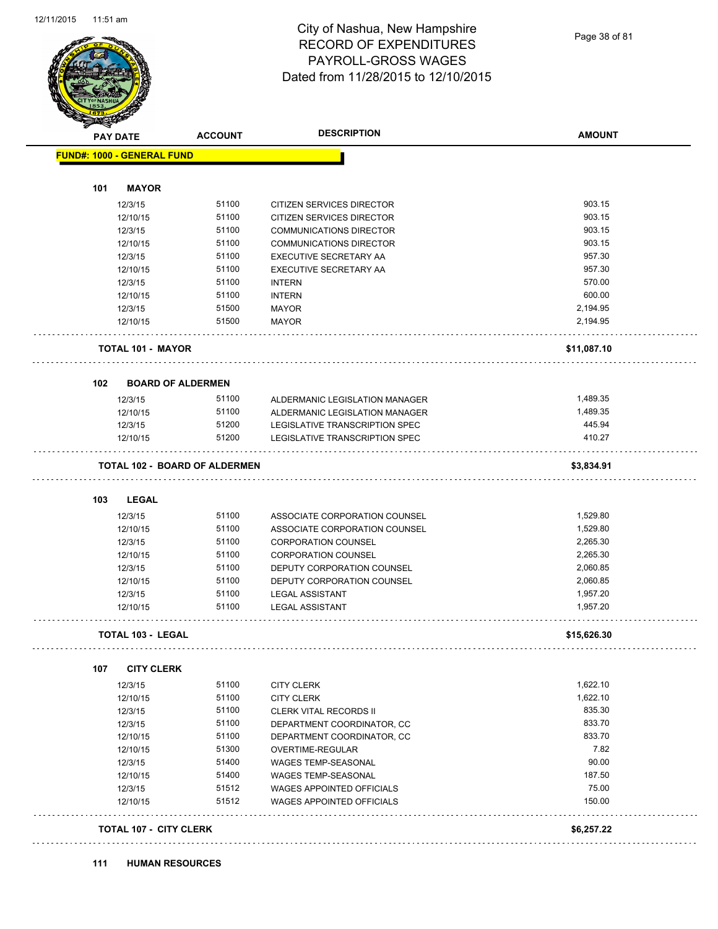

Page 38 of 81

|     | <b>PAY DATE</b>                   | <b>ACCOUNT</b>                       | <b>DESCRIPTION</b>               | <b>AMOUNT</b> |
|-----|-----------------------------------|--------------------------------------|----------------------------------|---------------|
|     | <b>FUND#: 1000 - GENERAL FUND</b> |                                      |                                  |               |
|     |                                   |                                      |                                  |               |
| 101 | <b>MAYOR</b>                      |                                      |                                  |               |
|     | 12/3/15                           | 51100                                | CITIZEN SERVICES DIRECTOR        | 903.15        |
|     | 12/10/15                          | 51100                                | CITIZEN SERVICES DIRECTOR        | 903.15        |
|     | 12/3/15                           | 51100                                | <b>COMMUNICATIONS DIRECTOR</b>   | 903.15        |
|     | 12/10/15                          | 51100                                | <b>COMMUNICATIONS DIRECTOR</b>   | 903.15        |
|     | 12/3/15                           | 51100                                | <b>EXECUTIVE SECRETARY AA</b>    | 957.30        |
|     | 12/10/15                          | 51100                                | EXECUTIVE SECRETARY AA           | 957.30        |
|     | 12/3/15                           | 51100                                | <b>INTERN</b>                    | 570.00        |
|     | 12/10/15                          | 51100                                | <b>INTERN</b>                    | 600.00        |
|     | 12/3/15                           | 51500                                | <b>MAYOR</b>                     | 2,194.95      |
|     | 12/10/15                          | 51500                                | <b>MAYOR</b>                     | 2,194.95      |
|     | <b>TOTAL 101 - MAYOR</b>          |                                      |                                  | \$11,087.10   |
| 102 | <b>BOARD OF ALDERMEN</b>          |                                      |                                  |               |
|     | 12/3/15                           | 51100                                | ALDERMANIC LEGISLATION MANAGER   | 1,489.35      |
|     | 12/10/15                          | 51100                                | ALDERMANIC LEGISLATION MANAGER   | 1,489.35      |
|     | 12/3/15                           | 51200                                | LEGISLATIVE TRANSCRIPTION SPEC   | 445.94        |
|     | 12/10/15                          | 51200                                | LEGISLATIVE TRANSCRIPTION SPEC   | 410.27        |
|     |                                   | <b>TOTAL 102 - BOARD OF ALDERMEN</b> |                                  | \$3,834.91    |
| 103 | <b>LEGAL</b>                      |                                      |                                  |               |
|     | 12/3/15                           | 51100                                | ASSOCIATE CORPORATION COUNSEL    | 1,529.80      |
|     | 12/10/15                          | 51100                                | ASSOCIATE CORPORATION COUNSEL    | 1,529.80      |
|     | 12/3/15                           | 51100                                | <b>CORPORATION COUNSEL</b>       | 2,265.30      |
|     | 12/10/15                          | 51100                                | <b>CORPORATION COUNSEL</b>       | 2,265.30      |
|     | 12/3/15                           | 51100                                | DEPUTY CORPORATION COUNSEL       | 2,060.85      |
|     | 12/10/15                          | 51100                                | DEPUTY CORPORATION COUNSEL       | 2,060.85      |
|     | 12/3/15                           | 51100                                | <b>LEGAL ASSISTANT</b>           | 1,957.20      |
|     | 12/10/15                          | 51100                                | <b>LEGAL ASSISTANT</b>           | 1,957.20      |
|     | <b>TOTAL 103 - LEGAL</b>          |                                      |                                  | \$15,626.30   |
| 107 | <b>CITY CLERK</b>                 |                                      |                                  |               |
|     | 12/3/15                           | 51100                                | <b>CITY CLERK</b>                | 1,622.10      |
|     | 12/10/15                          | 51100                                | <b>CITY CLERK</b>                | 1,622.10      |
|     | 12/3/15                           | 51100                                | <b>CLERK VITAL RECORDS II</b>    | 835.30        |
|     | 12/3/15                           | 51100                                | DEPARTMENT COORDINATOR, CC       | 833.70        |
|     | 12/10/15                          | 51100                                | DEPARTMENT COORDINATOR, CC       | 833.70        |
|     | 12/10/15                          | 51300                                | OVERTIME-REGULAR                 | 7.82          |
|     | 12/3/15                           | 51400                                | <b>WAGES TEMP-SEASONAL</b>       | 90.00         |
|     | 12/10/15                          | 51400                                | WAGES TEMP-SEASONAL              | 187.50        |
|     | 12/3/15                           | 51512                                | WAGES APPOINTED OFFICIALS        | 75.00         |
|     | 12/10/15                          | 51512                                | <b>WAGES APPOINTED OFFICIALS</b> | 150.00        |
|     |                                   |                                      |                                  |               |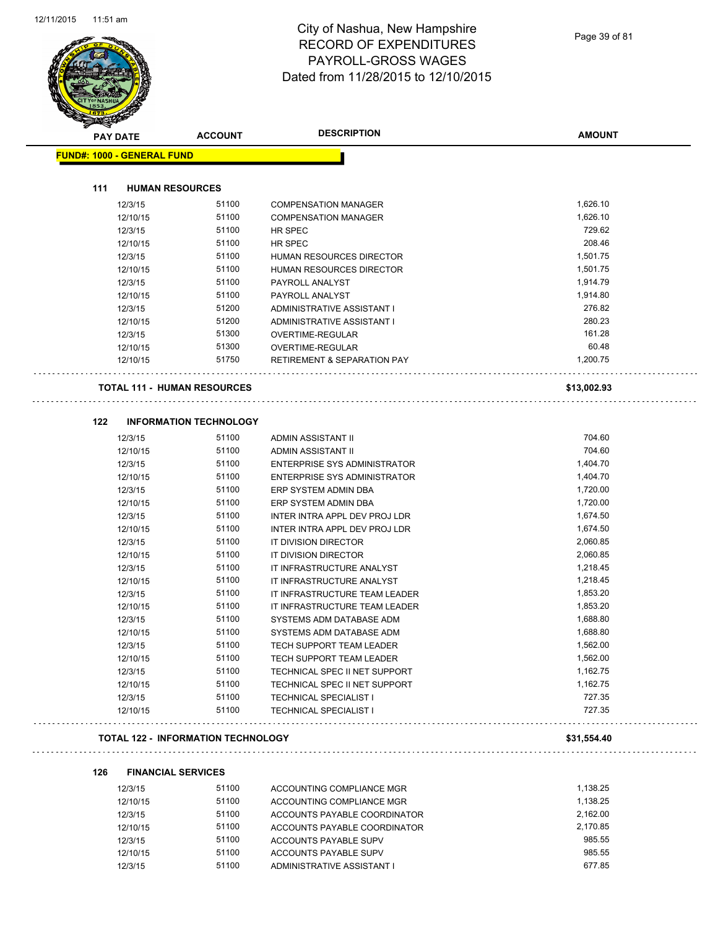

| <b>PAY DATE</b>                    | <b>ACCOUNT</b>                | <b>DESCRIPTION</b>                       | <b>AMOUNT</b> |
|------------------------------------|-------------------------------|------------------------------------------|---------------|
| <b>FUND#: 1000 - GENERAL FUND</b>  |                               |                                          |               |
| 111<br><b>HUMAN RESOURCES</b>      |                               |                                          |               |
| 12/3/15                            | 51100                         | <b>COMPENSATION MANAGER</b>              | 1,626.10      |
| 12/10/15                           | 51100                         | <b>COMPENSATION MANAGER</b>              | 1,626.10      |
| 12/3/15                            | 51100                         | HR SPEC                                  | 729.62        |
| 12/10/15                           | 51100                         | HR SPEC                                  | 208.46        |
| 12/3/15                            | 51100                         | HUMAN RESOURCES DIRECTOR                 | 1,501.75      |
| 12/10/15                           | 51100                         | HUMAN RESOURCES DIRECTOR                 | 1,501.75      |
| 12/3/15                            | 51100                         | PAYROLL ANALYST                          | 1,914.79      |
| 12/10/15                           | 51100                         | PAYROLL ANALYST                          | 1,914.80      |
| 12/3/15                            | 51200                         | ADMINISTRATIVE ASSISTANT I               | 276.82        |
| 12/10/15                           | 51200                         | ADMINISTRATIVE ASSISTANT I               | 280.23        |
| 12/3/15                            | 51300                         | OVERTIME-REGULAR                         | 161.28        |
| 12/10/15                           | 51300                         | OVERTIME-REGULAR                         | 60.48         |
| 12/10/15                           | 51750                         | <b>RETIREMENT &amp; SEPARATION PAY</b>   | 1,200.75      |
| <b>TOTAL 111 - HUMAN RESOURCES</b> |                               |                                          | \$13,002.93   |
| 122                                | <b>INFORMATION TECHNOLOGY</b> |                                          |               |
|                                    | 51100                         |                                          | 704.60        |
| 12/3/15                            | 51100                         | ADMIN ASSISTANT II<br>ADMIN ASSISTANT II | 704.60        |
| 12/10/15<br>12/3/15                | 51100                         | <b>ENTERPRISE SYS ADMINISTRATOR</b>      | 1,404.70      |
| 12/10/15                           | 51100                         | <b>ENTERPRISE SYS ADMINISTRATOR</b>      | 1,404.70      |
| 12/3/15                            | 51100                         | ERP SYSTEM ADMIN DBA                     | 1,720.00      |
| 12/10/15                           | 51100                         | ERP SYSTEM ADMIN DBA                     | 1,720.00      |
| 12/3/15                            | 51100                         | INTER INTRA APPL DEV PROJ LDR            | 1,674.50      |
| 12/10/15                           | 51100                         | INTER INTRA APPL DEV PROJ LDR            | 1,674.50      |
| 12/3/15                            | 51100                         | IT DIVISION DIRECTOR                     | 2,060.85      |
| 12/10/15                           | 51100                         | IT DIVISION DIRECTOR                     | 2,060.85      |
| 12/3/15                            | 51100                         | IT INFRASTRUCTURE ANALYST                | 1,218.45      |
| 12/10/15                           | 51100                         | IT INFRASTRUCTURE ANALYST                | 1,218.45      |
| 12/3/15                            | 51100                         | IT INFRASTRUCTURE TEAM LEADER            | 1,853.20      |
| 12/10/15                           | 51100                         | IT INFRASTRUCTURE TEAM LEADER            | 1,853.20      |
| 12/3/15                            | 51100                         | SYSTEMS ADM DATABASE ADM                 | 1,688.80      |
| 12/10/15                           | 51100                         | SYSTEMS ADM DATABASE ADM                 | 1,688.80      |
| 12/3/15                            | 51100                         | TECH SUPPORT TEAM LEADER                 | 1,562.00      |
| 12/10/15                           | 51100                         | TECH SUPPORT TEAM LEADER                 | 1,562.00      |
| 12/3/15                            | 51100                         | TECHNICAL SPEC II NET SUPPORT            | 1,162.75      |
| 12/10/15                           | 51100                         | TECHNICAL SPEC II NET SUPPORT            | 1,162.75      |
| 12/3/15                            | 51100                         | <b>TECHNICAL SPECIALIST I</b>            | 727.35        |
| 12/10/15                           | 51100                         | TECHNICAL SPECIALIST I                   | 727.35        |
|                                    |                               |                                          |               |

**126 FINANCIAL SERVICES**

| 12/3/15  | 51100 | ACCOUNTING COMPLIANCE MGR    | 1.138.25 |
|----------|-------|------------------------------|----------|
| 12/10/15 | 51100 | ACCOUNTING COMPLIANCE MGR    | 1.138.25 |
| 12/3/15  | 51100 | ACCOUNTS PAYABLE COORDINATOR | 2.162.00 |
| 12/10/15 | 51100 | ACCOUNTS PAYABLE COORDINATOR | 2.170.85 |
| 12/3/15  | 51100 | ACCOUNTS PAYABLE SUPV        | 985.55   |
| 12/10/15 | 51100 | ACCOUNTS PAYABLE SUPV        | 985.55   |
| 12/3/15  | 51100 | ADMINISTRATIVE ASSISTANT I   | 677.85   |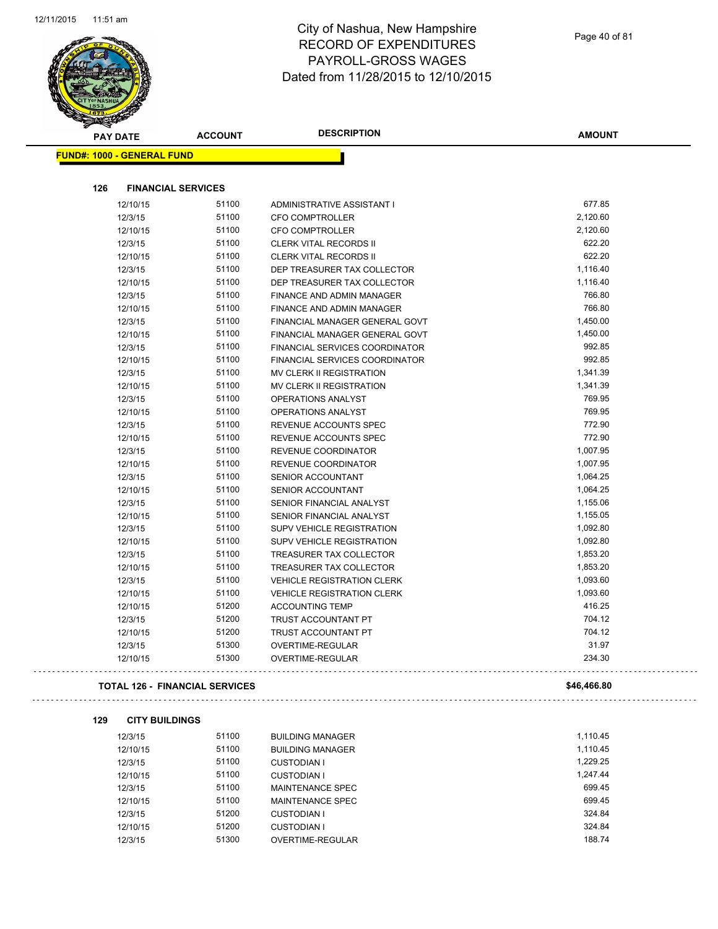$\overline{a}$ 



# City of Nashua, New Hampshire RECORD OF EXPENDITURES PAYROLL-GROSS WAGES Dated from 11/28/2015 to 12/10/2015

Page 40 of 81

| <b>STATERS</b>                        |                |                                   |               |
|---------------------------------------|----------------|-----------------------------------|---------------|
| <b>PAY DATE</b>                       | <b>ACCOUNT</b> | <b>DESCRIPTION</b>                | <b>AMOUNT</b> |
| <b>FUND#: 1000 - GENERAL FUND</b>     |                |                                   |               |
|                                       |                |                                   |               |
| 126<br><b>FINANCIAL SERVICES</b>      |                |                                   |               |
| 12/10/15                              | 51100          | ADMINISTRATIVE ASSISTANT I        | 677.85        |
| 12/3/15                               | 51100          | <b>CFO COMPTROLLER</b>            | 2,120.60      |
| 12/10/15                              | 51100          | <b>CFO COMPTROLLER</b>            | 2,120.60      |
| 12/3/15                               | 51100          | <b>CLERK VITAL RECORDS II</b>     | 622.20        |
| 12/10/15                              | 51100          | <b>CLERK VITAL RECORDS II</b>     | 622.20        |
| 12/3/15                               | 51100          | DEP TREASURER TAX COLLECTOR       | 1,116.40      |
| 12/10/15                              | 51100          | DEP TREASURER TAX COLLECTOR       | 1,116.40      |
| 12/3/15                               | 51100          | FINANCE AND ADMIN MANAGER         | 766.80        |
| 12/10/15                              | 51100          | FINANCE AND ADMIN MANAGER         | 766.80        |
| 12/3/15                               | 51100          | FINANCIAL MANAGER GENERAL GOVT    | 1,450.00      |
| 12/10/15                              | 51100          | FINANCIAL MANAGER GENERAL GOVT    | 1,450.00      |
| 12/3/15                               | 51100          | FINANCIAL SERVICES COORDINATOR    | 992.85        |
| 12/10/15                              | 51100          | FINANCIAL SERVICES COORDINATOR    | 992.85        |
|                                       | 51100          |                                   | 1,341.39      |
| 12/3/15                               |                | MV CLERK II REGISTRATION          |               |
| 12/10/15                              | 51100          | MV CLERK II REGISTRATION          | 1,341.39      |
| 12/3/15                               | 51100          | <b>OPERATIONS ANALYST</b>         | 769.95        |
| 12/10/15                              | 51100          | OPERATIONS ANALYST                | 769.95        |
| 12/3/15                               | 51100          | REVENUE ACCOUNTS SPEC             | 772.90        |
| 12/10/15                              | 51100          | REVENUE ACCOUNTS SPEC             | 772.90        |
| 12/3/15                               | 51100          | REVENUE COORDINATOR               | 1,007.95      |
| 12/10/15                              | 51100          | REVENUE COORDINATOR               | 1,007.95      |
| 12/3/15                               | 51100          | <b>SENIOR ACCOUNTANT</b>          | 1,064.25      |
| 12/10/15                              | 51100          | SENIOR ACCOUNTANT                 | 1,064.25      |
| 12/3/15                               | 51100          | SENIOR FINANCIAL ANALYST          | 1,155.06      |
| 12/10/15                              | 51100          | SENIOR FINANCIAL ANALYST          | 1,155.05      |
| 12/3/15                               | 51100          | <b>SUPV VEHICLE REGISTRATION</b>  | 1,092.80      |
| 12/10/15                              | 51100          | SUPV VEHICLE REGISTRATION         | 1,092.80      |
| 12/3/15                               | 51100          | TREASURER TAX COLLECTOR           | 1,853.20      |
| 12/10/15                              | 51100          | TREASURER TAX COLLECTOR           | 1,853.20      |
| 12/3/15                               | 51100          | <b>VEHICLE REGISTRATION CLERK</b> | 1,093.60      |
| 12/10/15                              | 51100          | <b>VEHICLE REGISTRATION CLERK</b> | 1,093.60      |
| 12/10/15                              | 51200          | <b>ACCOUNTING TEMP</b>            | 416.25        |
| 12/3/15                               | 51200          | TRUST ACCOUNTANT PT               | 704.12        |
| 12/10/15                              | 51200          | TRUST ACCOUNTANT PT               | 704.12        |
| 12/3/15                               | 51300          | OVERTIME-REGULAR                  | 31.97         |
| 12/10/15                              | 51300          | OVERTIME-REGULAR                  | 234.30        |
| <b>TOTAL 126 - FINANCIAL SERVICES</b> |                |                                   | \$46,466.80   |
|                                       |                |                                   |               |
| 129<br><b>CITY BUILDINGS</b>          |                |                                   |               |
| 12/3/15                               | 51100          | <b>BUILDING MANAGER</b>           | 1,110.45      |
| 12/10/15                              | 51100          | <b>BUILDING MANAGER</b>           | 1,110.45      |
| 12/3/15                               | 51100          | <b>CUSTODIAN I</b>                | 1,229.25      |
| 12/10/15                              | 51100          | <b>CUSTODIAN I</b>                | 1,247.44      |
| 12/3/15                               | 51100          | MAINTENANCE SPEC                  | 699.45        |
| 12/10/15                              | 51100          | MAINTENANCE SPEC                  | 699.45        |
| 12/3/15                               | 51200          | <b>CUSTODIAN I</b>                | 324.84        |
| 12/10/15                              | 51200          | <b>CUSTODIAN I</b>                | 324.84        |

12/3/15 51300 OVERTIME-REGULAR 188.74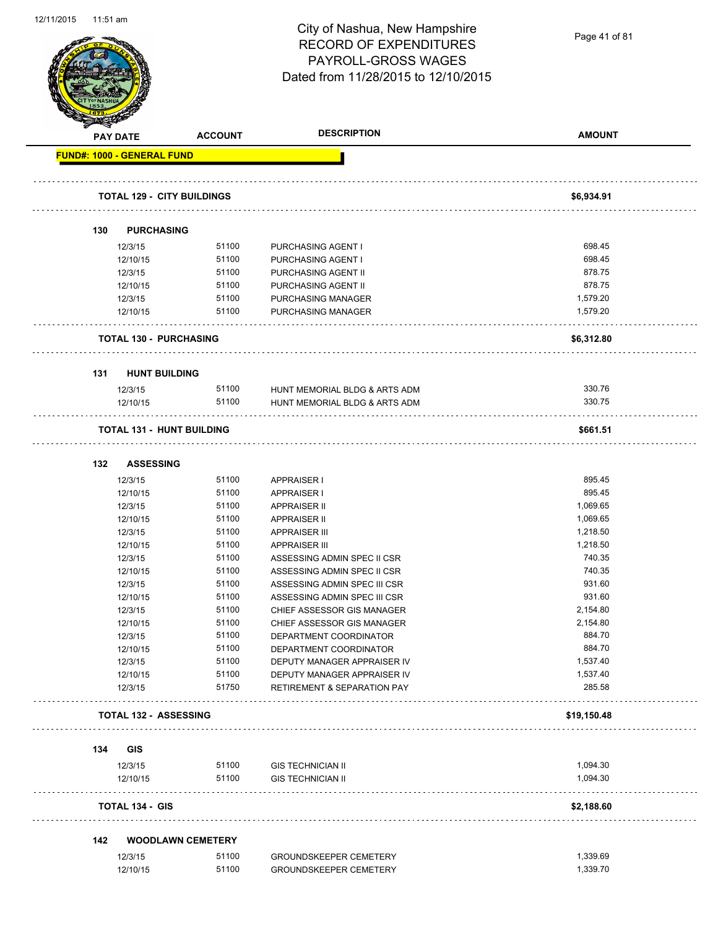Page 41 of 81

|     | <b>PAY DATE</b>                   | <b>ACCOUNT</b>           | <b>DESCRIPTION</b>                     | <b>AMOUNT</b> |
|-----|-----------------------------------|--------------------------|----------------------------------------|---------------|
|     | <b>FUND#: 1000 - GENERAL FUND</b> |                          |                                        |               |
|     |                                   |                          |                                        |               |
|     | <b>TOTAL 129 - CITY BUILDINGS</b> |                          |                                        | \$6,934.91    |
|     |                                   |                          |                                        |               |
| 130 | <b>PURCHASING</b>                 |                          |                                        |               |
|     | 12/3/15                           | 51100                    | PURCHASING AGENT I                     | 698.45        |
|     | 12/10/15                          | 51100                    | PURCHASING AGENT I                     | 698.45        |
|     | 12/3/15                           | 51100                    | PURCHASING AGENT II                    | 878.75        |
|     | 12/10/15                          | 51100                    | PURCHASING AGENT II                    | 878.75        |
|     | 12/3/15                           | 51100                    | PURCHASING MANAGER                     | 1,579.20      |
|     | 12/10/15                          | 51100                    | PURCHASING MANAGER                     | 1,579.20      |
|     | <b>TOTAL 130 - PURCHASING</b>     |                          |                                        | \$6,312.80    |
| 131 | <b>HUNT BUILDING</b>              |                          |                                        |               |
|     | 12/3/15                           | 51100                    | HUNT MEMORIAL BLDG & ARTS ADM          | 330.76        |
|     | 12/10/15                          | 51100                    | HUNT MEMORIAL BLDG & ARTS ADM          | 330.75        |
|     | <b>TOTAL 131 - HUNT BUILDING</b>  |                          |                                        | \$661.51      |
| 132 | <b>ASSESSING</b>                  |                          |                                        |               |
|     | 12/3/15                           | 51100                    | <b>APPRAISER I</b>                     | 895.45        |
|     | 12/10/15                          | 51100                    | <b>APPRAISER I</b>                     | 895.45        |
|     | 12/3/15                           | 51100                    | <b>APPRAISER II</b>                    | 1,069.65      |
|     | 12/10/15                          | 51100                    | <b>APPRAISER II</b>                    | 1,069.65      |
|     | 12/3/15                           | 51100                    | <b>APPRAISER III</b>                   | 1,218.50      |
|     | 12/10/15                          | 51100                    | <b>APPRAISER III</b>                   | 1,218.50      |
|     | 12/3/15                           | 51100                    | ASSESSING ADMIN SPEC II CSR            | 740.35        |
|     | 12/10/15                          | 51100                    | ASSESSING ADMIN SPEC II CSR            | 740.35        |
|     | 12/3/15                           | 51100                    | ASSESSING ADMIN SPEC III CSR           | 931.60        |
|     | 12/10/15                          | 51100                    | ASSESSING ADMIN SPEC III CSR           | 931.60        |
|     | 12/3/15                           | 51100                    | CHIEF ASSESSOR GIS MANAGER             | 2,154.80      |
|     | 12/10/15                          | 51100                    | CHIEF ASSESSOR GIS MANAGER             | 2,154.80      |
|     | 12/3/15                           | 51100                    | DEPARTMENT COORDINATOR                 | 884.70        |
|     | 12/10/15                          | 51100                    | DEPARTMENT COORDINATOR                 | 884.70        |
|     | 12/3/15                           | 51100                    | DEPUTY MANAGER APPRAISER IV            | 1,537.40      |
|     | 12/10/15                          | 51100                    | DEPUTY MANAGER APPRAISER IV            | 1,537.40      |
|     | 12/3/15                           | 51750                    | <b>RETIREMENT &amp; SEPARATION PAY</b> | 285.58        |
|     | <b>TOTAL 132 - ASSESSING</b>      |                          |                                        | \$19,150.48   |
| 134 | GIS                               |                          |                                        |               |
|     | 12/3/15                           | 51100                    | <b>GIS TECHNICIAN II</b>               | 1,094.30      |
|     | 12/10/15                          | 51100                    | <b>GIS TECHNICIAN II</b>               | 1,094.30      |
|     | <b>TOTAL 134 - GIS</b>            |                          |                                        | \$2,188.60    |
| 142 |                                   | <b>WOODLAWN CEMETERY</b> |                                        |               |
|     | 12/3/15                           | 51100                    | <b>GROUNDSKEEPER CEMETERY</b>          | 1,339.69      |
|     |                                   |                          |                                        |               |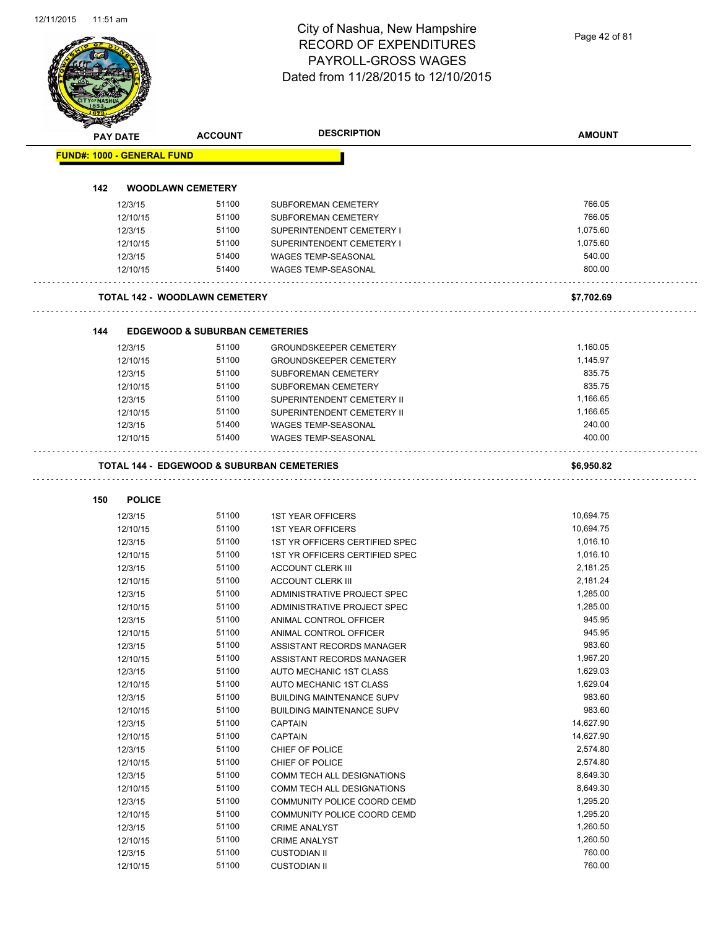|     | PAY DATE                          | <b>ACCOUNT</b>                                     | <b>DESCRIPTION</b>                                       | <b>AMOUNT</b>        |
|-----|-----------------------------------|----------------------------------------------------|----------------------------------------------------------|----------------------|
|     | <b>FUND#: 1000 - GENERAL FUND</b> |                                                    |                                                          |                      |
|     |                                   |                                                    |                                                          |                      |
| 142 |                                   | <b>WOODLAWN CEMETERY</b>                           |                                                          |                      |
|     | 12/3/15                           | 51100                                              | SUBFOREMAN CEMETERY                                      | 766.05               |
|     | 12/10/15                          | 51100                                              | SUBFOREMAN CEMETERY                                      | 766.05               |
|     | 12/3/15                           | 51100                                              | SUPERINTENDENT CEMETERY I                                | 1,075.60             |
|     | 12/10/15                          | 51100                                              | SUPERINTENDENT CEMETERY I                                | 1,075.60             |
|     | 12/3/15                           | 51400                                              | WAGES TEMP-SEASONAL                                      | 540.00               |
|     | 12/10/15                          | 51400                                              | WAGES TEMP-SEASONAL                                      | 800.00               |
|     |                                   | <b>TOTAL 142 - WOODLAWN CEMETERY</b>               |                                                          | \$7,702.69           |
|     |                                   |                                                    |                                                          |                      |
| 144 | 12/3/15                           | <b>EDGEWOOD &amp; SUBURBAN CEMETERIES</b><br>51100 | <b>GROUNDSKEEPER CEMETERY</b>                            |                      |
|     |                                   | 51100                                              |                                                          | 1,160.05<br>1,145.97 |
|     | 12/10/15<br>12/3/15               | 51100                                              | <b>GROUNDSKEEPER CEMETERY</b><br>SUBFOREMAN CEMETERY     | 835.75               |
|     |                                   | 51100                                              | <b>SUBFOREMAN CEMETERY</b>                               | 835.75               |
|     | 12/10/15                          | 51100                                              |                                                          | 1,166.65             |
|     | 12/3/15                           | 51100                                              | SUPERINTENDENT CEMETERY II<br>SUPERINTENDENT CEMETERY II | 1,166.65             |
|     | 12/10/15<br>12/3/15               | 51400                                              | <b>WAGES TEMP-SEASONAL</b>                               | 240.00               |
|     |                                   | 51400                                              |                                                          | 400.00               |
|     | 12/10/15                          |                                                    | <b>WAGES TEMP-SEASONAL</b>                               |                      |
|     |                                   |                                                    | TOTAL 144 - EDGEWOOD & SUBURBAN CEMETERIES               | \$6,950.82           |
| 150 | <b>POLICE</b>                     |                                                    |                                                          |                      |
|     | 12/3/15                           | 51100                                              | <b>1ST YEAR OFFICERS</b>                                 | 10,694.75            |
|     | 12/10/15                          | 51100                                              | <b>1ST YEAR OFFICERS</b>                                 | 10,694.75            |
|     | 12/3/15                           | 51100                                              | 1ST YR OFFICERS CERTIFIED SPEC                           | 1,016.10             |
|     | 12/10/15                          | 51100                                              | 1ST YR OFFICERS CERTIFIED SPEC                           | 1,016.10             |
|     | 12/3/15                           | 51100                                              | <b>ACCOUNT CLERK III</b>                                 | 2,181.25             |
|     | 12/10/15                          | 51100                                              | <b>ACCOUNT CLERK III</b>                                 | 2,181.24             |
|     | 12/3/15                           | 51100                                              | ADMINISTRATIVE PROJECT SPEC                              | 1,285.00             |
|     | 12/10/15                          | 51100                                              | ADMINISTRATIVE PROJECT SPEC                              | 1,285.00             |
|     | 12/3/15                           | 51100                                              | ANIMAL CONTROL OFFICER                                   | 945.95               |
|     | 12/10/15                          | 51100                                              | ANIMAL CONTROL OFFICER                                   | 945.95               |
|     | 12/3/15                           | 51100                                              | ASSISTANT RECORDS MANAGER                                | 983.60               |
|     | 12/10/15                          | 51100                                              | ASSISTANT RECORDS MANAGER                                | 1,967.20             |
|     | 12/3/15                           | 51100                                              | AUTO MECHANIC 1ST CLASS                                  | 1,629.03             |
|     | 12/10/15                          | 51100                                              | AUTO MECHANIC 1ST CLASS                                  | 1,629.04             |
|     | 12/3/15                           | 51100                                              | <b>BUILDING MAINTENANCE SUPV</b>                         | 983.60               |
|     | 12/10/15                          | 51100                                              | <b>BUILDING MAINTENANCE SUPV</b>                         | 983.60               |
|     | 12/3/15                           | 51100                                              | <b>CAPTAIN</b>                                           | 14,627.90            |
|     | 12/10/15                          | 51100                                              | <b>CAPTAIN</b>                                           | 14,627.90            |
|     | 12/3/15                           | 51100                                              | CHIEF OF POLICE                                          | 2,574.80             |
|     | 12/10/15                          | 51100                                              | CHIEF OF POLICE                                          | 2,574.80             |
|     | 12/3/15                           | 51100                                              | COMM TECH ALL DESIGNATIONS                               | 8,649.30             |
|     | 12/10/15                          | 51100                                              | COMM TECH ALL DESIGNATIONS                               | 8,649.30             |
|     | 12/3/15                           | 51100                                              | COMMUNITY POLICE COORD CEMD                              | 1,295.20             |
|     | 12/10/15                          | 51100                                              | COMMUNITY POLICE COORD CEMD                              | 1,295.20             |
|     | 12/3/15                           | 51100                                              | <b>CRIME ANALYST</b>                                     | 1,260.50             |
|     | 12/10/15                          | 51100                                              | <b>CRIME ANALYST</b>                                     | 1,260.50             |
|     | 12/3/15                           | 51100                                              | <b>CUSTODIAN II</b>                                      | 760.00               |
|     |                                   |                                                    |                                                          |                      |
|     | 12/10/15                          | 51100                                              | <b>CUSTODIAN II</b>                                      | 760.00               |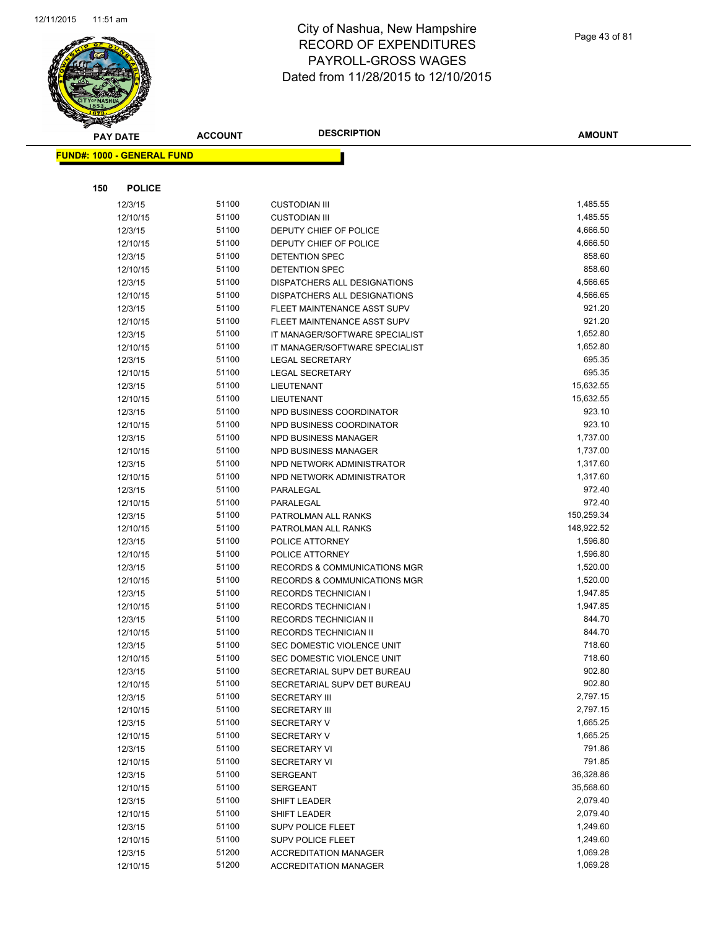

|     | <b>PAY DATE</b>                   | <b>ACCOUNT</b> | <b>DESCRIPTION</b>                                          | <b>AMOUNT</b>        |
|-----|-----------------------------------|----------------|-------------------------------------------------------------|----------------------|
|     | <b>FUND#: 1000 - GENERAL FUND</b> |                |                                                             |                      |
|     |                                   |                |                                                             |                      |
|     |                                   |                |                                                             |                      |
| 150 | <b>POLICE</b>                     |                |                                                             |                      |
|     | 12/3/15                           | 51100          | <b>CUSTODIAN III</b>                                        | 1,485.55             |
|     | 12/10/15                          | 51100          | <b>CUSTODIAN III</b>                                        | 1,485.55             |
|     | 12/3/15                           | 51100          | DEPUTY CHIEF OF POLICE                                      | 4,666.50             |
|     | 12/10/15                          | 51100          | DEPUTY CHIEF OF POLICE                                      | 4,666.50             |
|     | 12/3/15                           | 51100          | <b>DETENTION SPEC</b>                                       | 858.60               |
|     | 12/10/15                          | 51100          | DETENTION SPEC                                              | 858.60<br>4,566.65   |
|     | 12/3/15                           | 51100<br>51100 | DISPATCHERS ALL DESIGNATIONS                                | 4,566.65             |
|     | 12/10/15                          | 51100          | DISPATCHERS ALL DESIGNATIONS<br>FLEET MAINTENANCE ASST SUPV | 921.20               |
|     | 12/3/15<br>12/10/15               | 51100          | FLEET MAINTENANCE ASST SUPV                                 | 921.20               |
|     | 12/3/15                           | 51100          | IT MANAGER/SOFTWARE SPECIALIST                              | 1,652.80             |
|     | 12/10/15                          | 51100          | IT MANAGER/SOFTWARE SPECIALIST                              | 1,652.80             |
|     | 12/3/15                           | 51100          | <b>LEGAL SECRETARY</b>                                      | 695.35               |
|     | 12/10/15                          | 51100          | LEGAL SECRETARY                                             | 695.35               |
|     | 12/3/15                           | 51100          | LIEUTENANT                                                  | 15,632.55            |
|     | 12/10/15                          | 51100          | <b>LIEUTENANT</b>                                           | 15,632.55            |
|     | 12/3/15                           | 51100          | NPD BUSINESS COORDINATOR                                    | 923.10               |
|     | 12/10/15                          | 51100          | NPD BUSINESS COORDINATOR                                    | 923.10               |
|     | 12/3/15                           | 51100          | <b>NPD BUSINESS MANAGER</b>                                 | 1,737.00             |
|     | 12/10/15                          | 51100          | NPD BUSINESS MANAGER                                        | 1,737.00             |
|     | 12/3/15                           | 51100          | NPD NETWORK ADMINISTRATOR                                   | 1,317.60             |
|     | 12/10/15                          | 51100          | NPD NETWORK ADMINISTRATOR                                   | 1,317.60             |
|     | 12/3/15                           | 51100          | PARALEGAL                                                   | 972.40               |
|     | 12/10/15                          | 51100          | PARALEGAL                                                   | 972.40               |
|     | 12/3/15                           | 51100          | PATROLMAN ALL RANKS                                         | 150,259.34           |
|     | 12/10/15                          | 51100          | PATROLMAN ALL RANKS                                         | 148,922.52           |
|     | 12/3/15                           | 51100          | POLICE ATTORNEY                                             | 1,596.80             |
|     | 12/10/15                          | 51100          | POLICE ATTORNEY                                             | 1,596.80             |
|     | 12/3/15                           | 51100          | RECORDS & COMMUNICATIONS MGR                                | 1,520.00             |
|     | 12/10/15                          | 51100          | <b>RECORDS &amp; COMMUNICATIONS MGR</b>                     | 1,520.00             |
|     | 12/3/15                           | 51100          | <b>RECORDS TECHNICIAN I</b>                                 | 1,947.85             |
|     | 12/10/15                          | 51100          | <b>RECORDS TECHNICIAN I</b>                                 | 1,947.85             |
|     | 12/3/15                           | 51100          | RECORDS TECHNICIAN II                                       | 844.70               |
|     | 12/10/15                          | 51100          | <b>RECORDS TECHNICIAN II</b>                                | 844.70               |
|     | 12/3/15                           | 51100          | SEC DOMESTIC VIOLENCE UNIT                                  | 718.60               |
|     | 12/10/15                          | 51100          | SEC DOMESTIC VIOLENCE UNIT                                  | 718.60               |
|     | 12/3/15                           | 51100          | SECRETARIAL SUPV DET BUREAU                                 | 902.80               |
|     | 12/10/15                          | 51100          | SECRETARIAL SUPV DET BUREAU                                 | 902.80               |
|     | 12/3/15                           | 51100          | <b>SECRETARY III</b>                                        | 2,797.15             |
|     | 12/10/15                          | 51100          | <b>SECRETARY III</b>                                        | 2,797.15             |
|     | 12/3/15                           | 51100          | <b>SECRETARY V</b>                                          | 1,665.25             |
|     | 12/10/15                          | 51100          | <b>SECRETARY V</b>                                          | 1,665.25             |
|     | 12/3/15                           | 51100          | <b>SECRETARY VI</b>                                         | 791.86               |
|     | 12/10/15                          | 51100          | <b>SECRETARY VI</b>                                         | 791.85               |
|     | 12/3/15                           | 51100          | <b>SERGEANT</b>                                             | 36,328.86            |
|     | 12/10/15                          | 51100          | <b>SERGEANT</b>                                             | 35,568.60            |
|     | 12/3/15                           | 51100          | <b>SHIFT LEADER</b>                                         | 2,079.40             |
|     | 12/10/15                          | 51100          | SHIFT LEADER                                                | 2,079.40             |
|     | 12/3/15                           | 51100          | <b>SUPV POLICE FLEET</b>                                    | 1,249.60             |
|     | 12/10/15                          | 51100<br>51200 | SUPV POLICE FLEET                                           | 1,249.60             |
|     | 12/3/15                           | 51200          | <b>ACCREDITATION MANAGER</b>                                | 1,069.28<br>1,069.28 |
|     | 12/10/15                          |                | <b>ACCREDITATION MANAGER</b>                                |                      |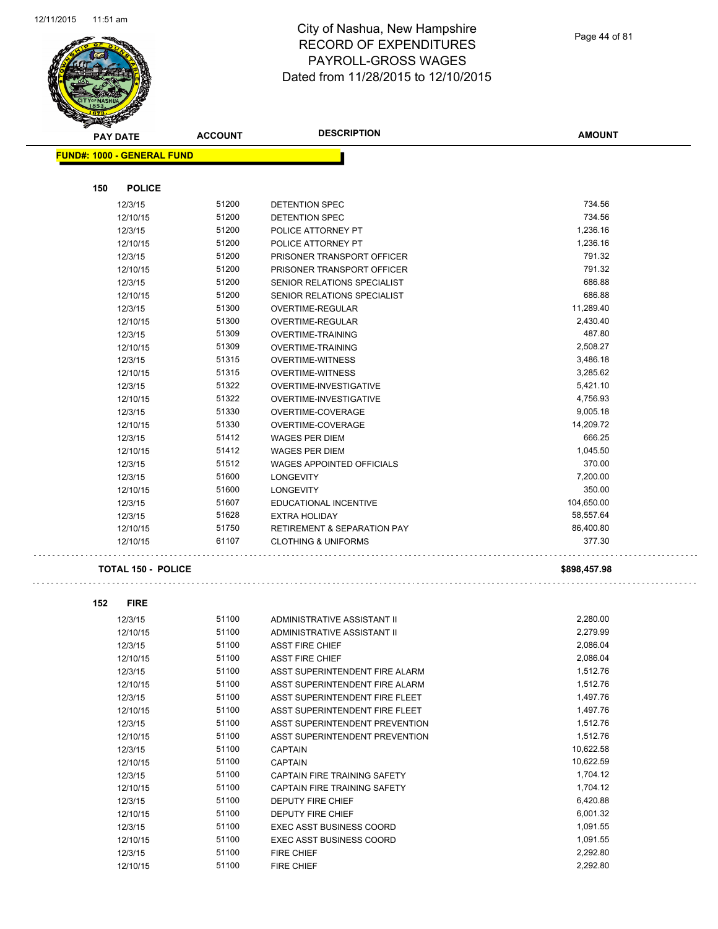$\hat{\beta}$ 



### City of Nashua, New Hampshire RECORD OF EXPENDITURES PAYROLL-GROSS WAGES Dated from 11/28/2015 to 12/10/2015

Page 44 of 81

| <del>ℱ</del><br>$\blacktriangle$ .<br><b>PAY DATE</b> | <b>ACCOUNT</b> | <b>DESCRIPTION</b>                     | <b>AMOUNT</b> |
|-------------------------------------------------------|----------------|----------------------------------------|---------------|
| <b>FUND#: 1000 - GENERAL FUND</b>                     |                |                                        |               |
|                                                       |                |                                        |               |
| <b>POLICE</b><br>150                                  |                |                                        |               |
| 12/3/15                                               | 51200          | <b>DETENTION SPEC</b>                  | 734.56        |
| 12/10/15                                              | 51200          | <b>DETENTION SPEC</b>                  | 734.56        |
| 12/3/15                                               | 51200          | POLICE ATTORNEY PT                     | 1,236.16      |
| 12/10/15                                              | 51200          | POLICE ATTORNEY PT                     | 1,236.16      |
| 12/3/15                                               | 51200          | PRISONER TRANSPORT OFFICER             | 791.32        |
| 12/10/15                                              | 51200          | PRISONER TRANSPORT OFFICER             | 791.32        |
| 12/3/15                                               | 51200          | SENIOR RELATIONS SPECIALIST            | 686.88        |
| 12/10/15                                              | 51200          | SENIOR RELATIONS SPECIALIST            | 686.88        |
| 12/3/15                                               | 51300          | OVERTIME-REGULAR                       | 11,289.40     |
| 12/10/15                                              | 51300          | OVERTIME-REGULAR                       | 2,430.40      |
| 12/3/15                                               | 51309          | <b>OVERTIME-TRAINING</b>               | 487.80        |
| 12/10/15                                              | 51309          | <b>OVERTIME-TRAINING</b>               | 2,508.27      |
| 12/3/15                                               | 51315          | <b>OVERTIME-WITNESS</b>                | 3,486.18      |
| 12/10/15                                              | 51315          | <b>OVERTIME-WITNESS</b>                | 3,285.62      |
| 12/3/15                                               | 51322          | OVERTIME-INVESTIGATIVE                 | 5,421.10      |
| 12/10/15                                              | 51322          | OVERTIME-INVESTIGATIVE                 | 4,756.93      |
| 12/3/15                                               | 51330          | OVERTIME-COVERAGE                      | 9,005.18      |
| 12/10/15                                              | 51330          | OVERTIME-COVERAGE                      | 14,209.72     |
| 12/3/15                                               | 51412          | <b>WAGES PER DIEM</b>                  | 666.25        |
| 12/10/15                                              | 51412          | <b>WAGES PER DIEM</b>                  | 1,045.50      |
| 12/3/15                                               | 51512          | <b>WAGES APPOINTED OFFICIALS</b>       | 370.00        |
| 12/3/15                                               | 51600          | <b>LONGEVITY</b>                       | 7,200.00      |
| 12/10/15                                              | 51600          | <b>LONGEVITY</b>                       | 350.00        |
| 12/3/15                                               | 51607          | EDUCATIONAL INCENTIVE                  | 104,650.00    |
| 12/3/15                                               | 51628          | <b>EXTRA HOLIDAY</b>                   | 58,557.64     |
| 12/10/15                                              | 51750          | <b>RETIREMENT &amp; SEPARATION PAY</b> | 86,400.80     |
| 12/10/15                                              | 61107          | <b>CLOTHING &amp; UNIFORMS</b>         | 377.30        |
| <b>TOTAL 150 - POLICE</b>                             |                |                                        | \$898,457.98  |
| 152<br><b>FIRE</b>                                    |                |                                        |               |
| 12/3/15                                               | 51100          | ADMINISTRATIVE ASSISTANT II            | 2,280.00      |
| 12/10/15                                              | 51100          | ADMINISTRATIVE ASSISTANT II            | 2,279.99      |
| 12/3/15                                               | 51100          | <b>ASST FIRE CHIEF</b>                 | 2,086.04      |
| 12/10/15                                              | 51100          | <b>ASST FIRE CHIEF</b>                 | 2,086.04      |
| 12/3/15                                               | 51100          | ASST SUPERINTENDENT FIRE ALARM         | 1,512.76      |
| 12/10/15                                              | 51100          | ASST SUPERINTENDENT FIRE ALARM         | 1,512.76      |
| 12/3/15                                               | 51100          | ASST SUPERINTENDENT FIRE FLEET         | 1,497.76      |
| 12/10/15                                              | 51100          | ASST SUPERINTENDENT FIRE FLEET         | 1,497.76      |
| 12/3/15                                               | 51100          | ASST SUPERINTENDENT PREVENTION         | 1,512.76      |
| 12/10/15                                              | 51100          | ASST SUPERINTENDENT PREVENTION         | 1,512.76      |
| 12/3/15                                               | 51100          | <b>CAPTAIN</b>                         | 10,622.58     |
| 12/10/15                                              | 51100          | <b>CAPTAIN</b>                         | 10,622.59     |
| 12/3/15                                               | 51100          | CAPTAIN FIRE TRAINING SAFETY           | 1,704.12      |
| 12/10/15                                              | 51100          | CAPTAIN FIRE TRAINING SAFETY           | 1,704.12      |
| 12/3/15                                               | 51100          | DEPUTY FIRE CHIEF                      | 6,420.88      |
| 12/10/15                                              | 51100          | DEPUTY FIRE CHIEF                      | 6,001.32      |
| 12/3/15                                               | 51100          | <b>EXEC ASST BUSINESS COORD</b>        | 1,091.55      |
| 12/10/15                                              | 51100          | <b>EXEC ASST BUSINESS COORD</b>        | 1,091.55      |
| 12/3/15                                               | 51100          | FIRE CHIEF                             | 2,292.80      |
| 12/10/15                                              | 51100          | FIRE CHIEF                             | 2,292.80      |
|                                                       |                |                                        |               |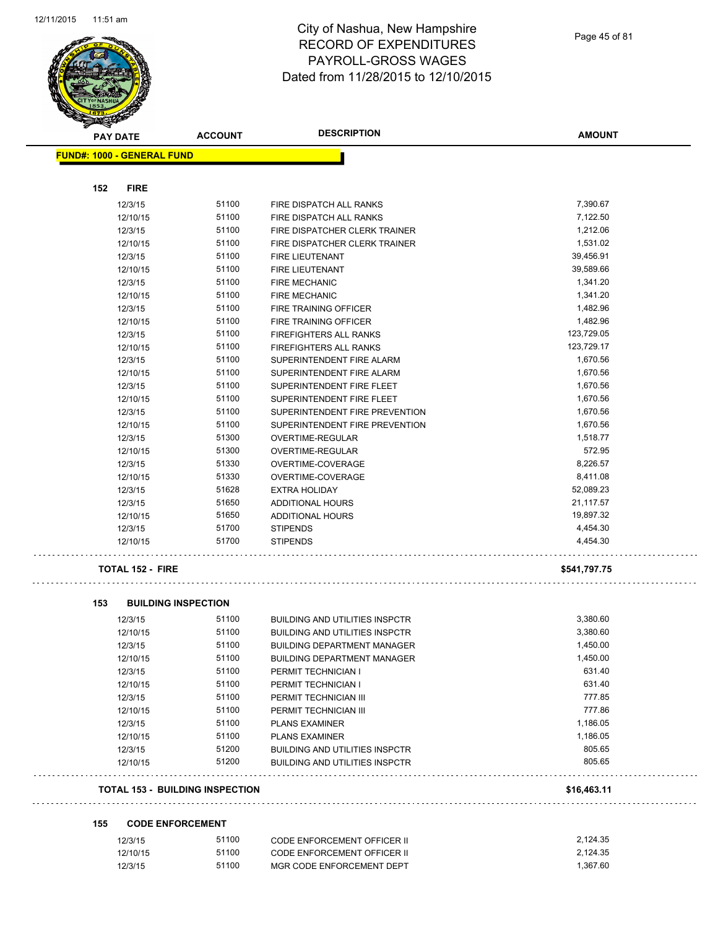

Page 45 of 81

| <b>PAY DATE</b>                   | <b>ACCOUNT</b>                         | <b>DESCRIPTION</b>                    | <b>AMOUNT</b> |
|-----------------------------------|----------------------------------------|---------------------------------------|---------------|
| <b>FUND#: 1000 - GENERAL FUND</b> |                                        |                                       |               |
|                                   |                                        |                                       |               |
| <b>FIRE</b><br>152                |                                        |                                       |               |
| 12/3/15                           | 51100                                  | <b>FIRE DISPATCH ALL RANKS</b>        | 7,390.67      |
| 12/10/15                          | 51100                                  | FIRE DISPATCH ALL RANKS               | 7,122.50      |
| 12/3/15                           | 51100                                  | FIRE DISPATCHER CLERK TRAINER         | 1,212.06      |
| 12/10/15                          | 51100                                  | FIRE DISPATCHER CLERK TRAINER         | 1,531.02      |
| 12/3/15                           | 51100                                  | <b>FIRE LIEUTENANT</b>                | 39,456.91     |
| 12/10/15                          | 51100                                  | <b>FIRE LIEUTENANT</b>                | 39,589.66     |
| 12/3/15                           | 51100                                  | <b>FIRE MECHANIC</b>                  | 1,341.20      |
| 12/10/15                          | 51100                                  | <b>FIRE MECHANIC</b>                  | 1,341.20      |
| 12/3/15                           | 51100                                  | FIRE TRAINING OFFICER                 | 1,482.96      |
| 12/10/15                          | 51100                                  | FIRE TRAINING OFFICER                 | 1,482.96      |
| 12/3/15                           | 51100                                  | <b>FIREFIGHTERS ALL RANKS</b>         | 123,729.05    |
| 12/10/15                          | 51100                                  | <b>FIREFIGHTERS ALL RANKS</b>         | 123,729.17    |
| 12/3/15                           | 51100                                  | SUPERINTENDENT FIRE ALARM             | 1,670.56      |
| 12/10/15                          | 51100                                  | SUPERINTENDENT FIRE ALARM             | 1,670.56      |
| 12/3/15                           | 51100                                  | SUPERINTENDENT FIRE FLEET             | 1,670.56      |
| 12/10/15                          | 51100                                  | SUPERINTENDENT FIRE FLEET             | 1,670.56      |
| 12/3/15                           | 51100                                  | SUPERINTENDENT FIRE PREVENTION        | 1,670.56      |
| 12/10/15                          | 51100                                  | SUPERINTENDENT FIRE PREVENTION        | 1,670.56      |
| 12/3/15                           | 51300                                  | OVERTIME-REGULAR                      | 1,518.77      |
| 12/10/15                          | 51300                                  | <b>OVERTIME-REGULAR</b>               | 572.95        |
| 12/3/15                           | 51330                                  | OVERTIME-COVERAGE                     | 8,226.57      |
| 12/10/15                          | 51330                                  | OVERTIME-COVERAGE                     | 8,411.08      |
| 12/3/15                           | 51628                                  | <b>EXTRA HOLIDAY</b>                  | 52,089.23     |
| 12/3/15                           | 51650                                  | ADDITIONAL HOURS                      | 21,117.57     |
| 12/10/15                          | 51650                                  | ADDITIONAL HOURS                      | 19,897.32     |
| 12/3/15                           | 51700                                  | <b>STIPENDS</b>                       | 4,454.30      |
| 12/10/15                          | 51700                                  | <b>STIPENDS</b>                       | 4,454.30      |
| <b>TOTAL 152 - FIRE</b>           |                                        |                                       | \$541,797.75  |
| 153                               | <b>BUILDING INSPECTION</b>             |                                       |               |
| 12/3/15                           | 51100                                  | <b>BUILDING AND UTILITIES INSPCTR</b> | 3,380.60      |
| 12/10/15                          | 51100                                  | <b>BUILDING AND UTILITIES INSPCTR</b> | 3,380.60      |
| 12/3/15                           | 51100                                  | <b>BUILDING DEPARTMENT MANAGER</b>    | 1,450.00      |
| 12/10/15                          | 51100                                  | <b>BUILDING DEPARTMENT MANAGER</b>    | 1,450.00      |
| 12/3/15                           | 51100                                  | PERMIT TECHNICIAN I                   | 631.40        |
| 12/10/15                          | 51100                                  | PERMIT TECHNICIAN I                   | 631.40        |
| 12/3/15                           | 51100                                  | PERMIT TECHNICIAN III                 | 777.85        |
| 12/10/15                          | 51100                                  | PERMIT TECHNICIAN III                 | 777.86        |
| 12/3/15                           | 51100                                  | <b>PLANS EXAMINER</b>                 | 1,186.05      |
| 12/10/15                          | 51100                                  | <b>PLANS EXAMINER</b>                 | 1,186.05      |
| 12/3/15                           | 51200                                  | <b>BUILDING AND UTILITIES INSPCTR</b> | 805.65        |
| 12/10/15                          | 51200                                  | <b>BUILDING AND UTILITIES INSPCTR</b> | 805.65        |
|                                   | <b>TOTAL 153 - BUILDING INSPECTION</b> |                                       | \$16,463.11   |

| <b>CODE ENFORCEMENT</b><br>155 |  |
|--------------------------------|--|
|--------------------------------|--|

| 12/3/15  | 51100 | CODE ENFORCEMENT OFFICER II | 2.124.35 |
|----------|-------|-----------------------------|----------|
| 12/10/15 | 51100 | CODE ENFORCEMENT OFFICER II | 2.124.35 |
| 12/3/15  | 51100 | MGR CODE ENFORCEMENT DEPT   | 1.367.60 |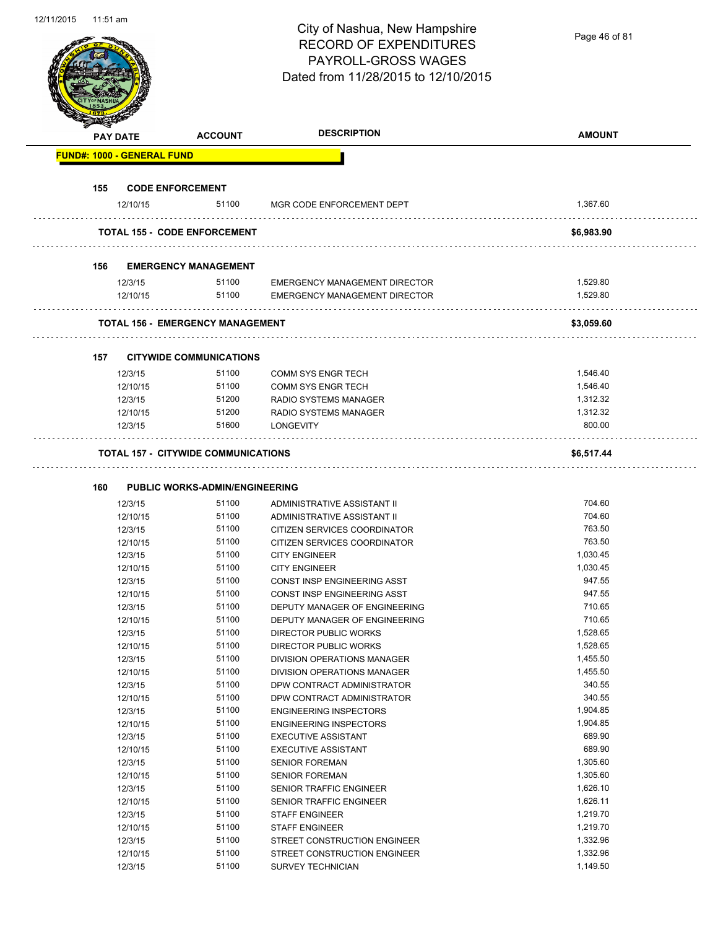Page 46 of 81

|     | <b>PAY DATE</b>                   | <b>ACCOUNT</b>                             | <b>DESCRIPTION</b>                                                           | <b>AMOUNT</b>        |
|-----|-----------------------------------|--------------------------------------------|------------------------------------------------------------------------------|----------------------|
|     | <b>FUND#: 1000 - GENERAL FUND</b> |                                            |                                                                              |                      |
| 155 |                                   | <b>CODE ENFORCEMENT</b>                    |                                                                              |                      |
|     | 12/10/15                          | 51100                                      | MGR CODE ENFORCEMENT DEPT                                                    | 1,367.60             |
|     |                                   | <b>TOTAL 155 - CODE ENFORCEMENT</b>        |                                                                              | \$6,983.90           |
|     |                                   |                                            |                                                                              |                      |
| 156 |                                   | <b>EMERGENCY MANAGEMENT</b>                |                                                                              |                      |
|     | 12/3/15<br>12/10/15               | 51100<br>51100                             | <b>EMERGENCY MANAGEMENT DIRECTOR</b><br><b>EMERGENCY MANAGEMENT DIRECTOR</b> | 1,529.80<br>1,529.80 |
|     |                                   |                                            |                                                                              |                      |
|     |                                   | <b>TOTAL 156 - EMERGENCY MANAGEMENT</b>    |                                                                              | \$3,059.60           |
| 157 |                                   | <b>CITYWIDE COMMUNICATIONS</b>             |                                                                              |                      |
|     | 12/3/15                           | 51100                                      | <b>COMM SYS ENGR TECH</b>                                                    | 1,546.40             |
|     | 12/10/15                          | 51100                                      | <b>COMM SYS ENGR TECH</b>                                                    | 1,546.40             |
|     | 12/3/15                           | 51200                                      | RADIO SYSTEMS MANAGER                                                        | 1,312.32             |
|     | 12/10/15                          | 51200                                      | RADIO SYSTEMS MANAGER                                                        | 1,312.32             |
|     | 12/3/15                           | 51600                                      | <b>LONGEVITY</b>                                                             | 800.00               |
|     |                                   | <b>TOTAL 157 - CITYWIDE COMMUNICATIONS</b> |                                                                              | \$6,517.44           |
| 160 |                                   | <b>PUBLIC WORKS-ADMIN/ENGINEERING</b>      |                                                                              |                      |
|     | 12/3/15                           | 51100                                      | ADMINISTRATIVE ASSISTANT II                                                  | 704.60               |
|     | 12/10/15                          | 51100                                      | ADMINISTRATIVE ASSISTANT II                                                  | 704.60               |
|     | 12/3/15                           | 51100                                      | CITIZEN SERVICES COORDINATOR                                                 | 763.50               |
|     | 12/10/15                          | 51100                                      | CITIZEN SERVICES COORDINATOR                                                 | 763.50               |
|     | 12/3/15                           | 51100                                      | <b>CITY ENGINEER</b>                                                         | 1,030.45             |
|     | 12/10/15                          | 51100                                      | <b>CITY ENGINEER</b>                                                         | 1,030.45             |
|     | 12/3/15                           | 51100                                      | CONST INSP ENGINEERING ASST                                                  | 947.55               |
|     | 12/10/15                          | 51100                                      | <b>CONST INSP ENGINEERING ASST</b>                                           | 947.55               |
|     | 12/3/15                           | 51100                                      | DEPUTY MANAGER OF ENGINEERING                                                | 710.65               |
|     | 12/10/15                          | 51100                                      | DEPUTY MANAGER OF ENGINEERING                                                | 710.65               |
|     | 12/3/15                           | 51100                                      | DIRECTOR PUBLIC WORKS                                                        | 1,528.65             |
|     | 12/10/15                          | 51100                                      | <b>DIRECTOR PUBLIC WORKS</b>                                                 | 1,528.65             |
|     | 12/3/15                           | 51100                                      | DIVISION OPERATIONS MANAGER                                                  | 1,455.50             |
|     | 12/10/15                          | 51100                                      | DIVISION OPERATIONS MANAGER                                                  | 1,455.50             |
|     | 12/3/15                           | 51100                                      | DPW CONTRACT ADMINISTRATOR                                                   | 340.55               |
|     | 12/10/15                          | 51100                                      | DPW CONTRACT ADMINISTRATOR                                                   | 340.55               |
|     | 12/3/15                           | 51100                                      | <b>ENGINEERING INSPECTORS</b>                                                | 1,904.85             |
|     | 12/10/15                          | 51100                                      | <b>ENGINEERING INSPECTORS</b>                                                | 1,904.85             |
|     | 12/3/15                           | 51100                                      | <b>EXECUTIVE ASSISTANT</b>                                                   | 689.90               |
|     | 12/10/15                          | 51100                                      | <b>EXECUTIVE ASSISTANT</b>                                                   | 689.90               |
|     | 12/3/15                           | 51100                                      | <b>SENIOR FOREMAN</b>                                                        | 1,305.60             |
|     | 12/10/15                          | 51100                                      | <b>SENIOR FOREMAN</b>                                                        | 1,305.60             |
|     | 12/3/15                           | 51100                                      | SENIOR TRAFFIC ENGINEER                                                      | 1,626.10             |
|     |                                   | 51100                                      |                                                                              | 1,626.11             |
|     | 12/10/15                          |                                            | SENIOR TRAFFIC ENGINEER                                                      |                      |
|     | 12/3/15                           | 51100                                      | <b>STAFF ENGINEER</b>                                                        | 1,219.70             |
|     | 12/10/15                          | 51100                                      | <b>STAFF ENGINEER</b>                                                        | 1,219.70             |
|     | 12/3/15                           | 51100                                      | STREET CONSTRUCTION ENGINEER                                                 | 1,332.96             |
|     | 12/10/15<br>12/3/15               | 51100<br>51100                             | STREET CONSTRUCTION ENGINEER<br>SURVEY TECHNICIAN                            | 1,332.96<br>1,149.50 |
|     |                                   |                                            |                                                                              |                      |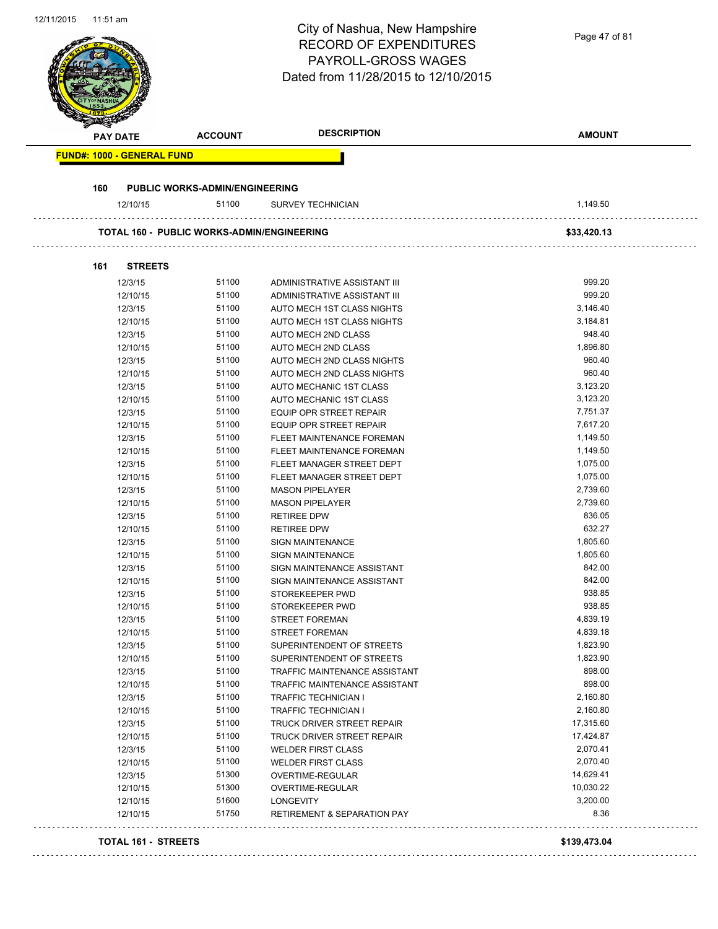|     |                                   |                                                   | <b>RECORD OF EXPENDITURES</b><br>PAYROLL-GROSS WAGES<br>Dated from 11/28/2015 to 12/10/2015 |                  |
|-----|-----------------------------------|---------------------------------------------------|---------------------------------------------------------------------------------------------|------------------|
|     | <b>PAY DATE</b>                   | <b>ACCOUNT</b>                                    | <b>DESCRIPTION</b>                                                                          | <b>AMOUNT</b>    |
|     | <b>FUND#: 1000 - GENERAL FUND</b> |                                                   |                                                                                             |                  |
| 160 |                                   | <b>PUBLIC WORKS-ADMIN/ENGINEERING</b>             |                                                                                             |                  |
|     | 12/10/15                          | 51100                                             | <b>SURVEY TECHNICIAN</b>                                                                    | 1,149.50         |
|     |                                   | <b>TOTAL 160 - PUBLIC WORKS-ADMIN/ENGINEERING</b> |                                                                                             | \$33,420.13      |
| 161 | <b>STREETS</b>                    |                                                   |                                                                                             |                  |
|     | 12/3/15                           | 51100                                             | ADMINISTRATIVE ASSISTANT III                                                                | 999.20           |
|     | 12/10/15                          | 51100                                             | ADMINISTRATIVE ASSISTANT III                                                                | 999.20           |
|     | 12/3/15                           | 51100                                             | AUTO MECH 1ST CLASS NIGHTS                                                                  | 3,146.40         |
|     | 12/10/15                          | 51100                                             | AUTO MECH 1ST CLASS NIGHTS                                                                  | 3,184.81         |
|     | 12/3/15                           | 51100                                             | AUTO MECH 2ND CLASS                                                                         | 948.40           |
|     | 12/10/15                          | 51100                                             | AUTO MECH 2ND CLASS                                                                         | 1,896.80         |
|     | 12/3/15                           | 51100                                             | AUTO MECH 2ND CLASS NIGHTS                                                                  | 960.40           |
|     | 12/10/15                          | 51100                                             | AUTO MECH 2ND CLASS NIGHTS                                                                  | 960.40           |
|     | 12/3/15                           | 51100                                             | AUTO MECHANIC 1ST CLASS                                                                     | 3,123.20         |
|     | 12/10/15                          | 51100                                             | AUTO MECHANIC 1ST CLASS                                                                     | 3,123.20         |
|     | 12/3/15                           | 51100                                             | EQUIP OPR STREET REPAIR                                                                     | 7,751.37         |
|     | 12/10/15                          | 51100                                             | EQUIP OPR STREET REPAIR                                                                     | 7,617.20         |
|     | 12/3/15                           | 51100                                             | FLEET MAINTENANCE FOREMAN                                                                   | 1,149.50         |
|     | 12/10/15                          | 51100                                             | FLEET MAINTENANCE FOREMAN                                                                   | 1,149.50         |
|     | 12/3/15                           | 51100                                             | FLEET MANAGER STREET DEPT                                                                   | 1,075.00         |
|     | 12/10/15                          | 51100                                             | FLEET MANAGER STREET DEPT                                                                   | 1,075.00         |
|     | 12/3/15                           | 51100                                             | <b>MASON PIPELAYER</b>                                                                      | 2,739.60         |
|     | 12/10/15                          | 51100                                             | <b>MASON PIPELAYER</b>                                                                      | 2,739.60         |
|     | 12/3/15                           | 51100                                             | <b>RETIREE DPW</b>                                                                          | 836.05           |
|     | 12/10/15                          | 51100                                             | <b>RETIREE DPW</b>                                                                          | 632.27           |
|     | 12/3/15                           | 51100                                             | <b>SIGN MAINTENANCE</b>                                                                     | 1,805.60         |
|     | 12/10/15                          | 51100                                             | SIGN MAINTENANCE                                                                            | 1,805.60         |
|     | 12/3/15                           | 51100                                             | SIGN MAINTENANCE ASSISTANT                                                                  | 842.00           |
|     | 12/10/15                          | 51100                                             | SIGN MAINTENANCE ASSISTANT                                                                  | 842.00           |
|     | 12/3/15                           | 51100<br>51100                                    | STOREKEEPER PWD                                                                             | 938.85<br>938.85 |
|     | 12/10/15                          |                                                   | STOREKEEPER PWD<br><b>STREET FOREMAN</b>                                                    | 4,839.19         |
|     | 12/3/15<br>12/10/15               | 51100<br>51100                                    | <b>STREET FOREMAN</b>                                                                       | 4,839.18         |
|     | 12/3/15                           | 51100                                             | SUPERINTENDENT OF STREETS                                                                   | 1,823.90         |
|     | 12/10/15                          | 51100                                             | SUPERINTENDENT OF STREETS                                                                   | 1,823.90         |
|     | 12/3/15                           | 51100                                             | TRAFFIC MAINTENANCE ASSISTANT                                                               | 898.00           |
|     | 12/10/15                          | 51100                                             | TRAFFIC MAINTENANCE ASSISTANT                                                               | 898.00           |
|     | 12/3/15                           | 51100                                             | <b>TRAFFIC TECHNICIAN I</b>                                                                 | 2,160.80         |
|     | 12/10/15                          | 51100                                             | <b>TRAFFIC TECHNICIAN I</b>                                                                 | 2,160.80         |
|     | 12/3/15                           | 51100                                             | TRUCK DRIVER STREET REPAIR                                                                  | 17,315.60        |
|     | 12/10/15                          | 51100                                             | TRUCK DRIVER STREET REPAIR                                                                  | 17,424.87        |
|     | 12/3/15                           | 51100                                             | <b>WELDER FIRST CLASS</b>                                                                   | 2,070.41         |
|     | 12/10/15                          | 51100                                             | <b>WELDER FIRST CLASS</b>                                                                   | 2,070.40         |
|     | 12/3/15                           | 51300                                             | OVERTIME-REGULAR                                                                            | 14,629.41        |
|     | 12/10/15                          | 51300                                             | OVERTIME-REGULAR                                                                            | 10,030.22        |
|     | 12/10/15                          | 51600                                             | LONGEVITY                                                                                   | 3,200.00         |
|     | 12/10/15                          | 51750                                             | <b>RETIREMENT &amp; SEPARATION PAY</b>                                                      | 8.36             |

12/11/2015 11:51 am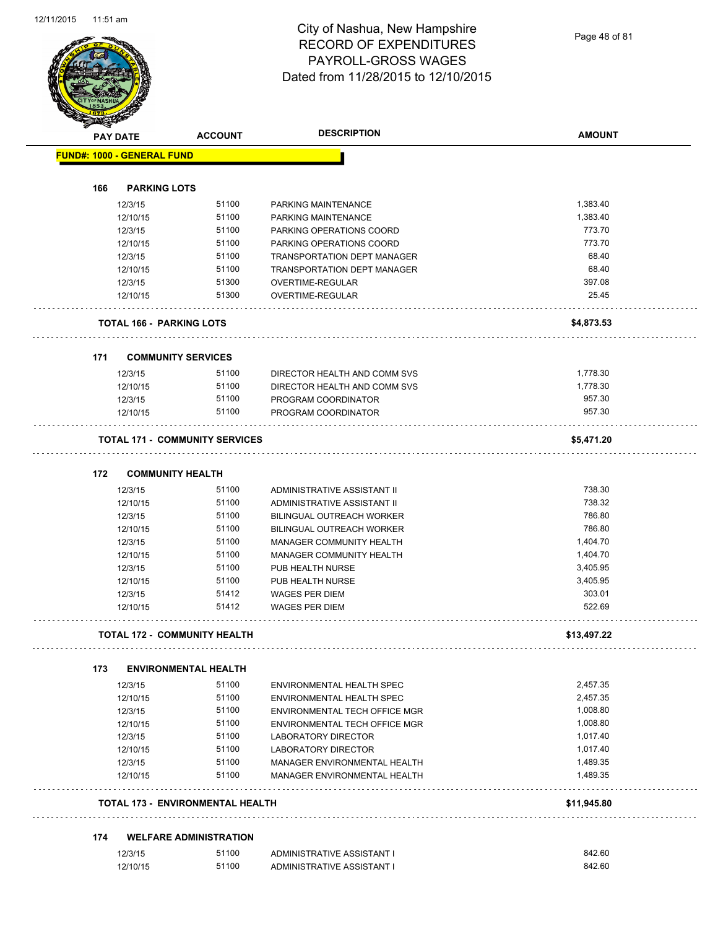Page 48 of 81

|     | <b>PAY DATE</b>                   | <b>ACCOUNT</b>                          | <b>DESCRIPTION</b>            | <b>AMOUNT</b> |
|-----|-----------------------------------|-----------------------------------------|-------------------------------|---------------|
|     | <b>FUND#: 1000 - GENERAL FUND</b> |                                         |                               |               |
| 166 | <b>PARKING LOTS</b>               |                                         |                               |               |
|     |                                   |                                         |                               |               |
|     | 12/3/15                           | 51100                                   | PARKING MAINTENANCE           | 1,383.40      |
|     | 12/10/15                          | 51100                                   | PARKING MAINTENANCE           | 1,383.40      |
|     | 12/3/15                           | 51100                                   | PARKING OPERATIONS COORD      | 773.70        |
|     | 12/10/15                          | 51100                                   | PARKING OPERATIONS COORD      | 773.70        |
|     | 12/3/15                           | 51100                                   | TRANSPORTATION DEPT MANAGER   | 68.40         |
|     | 12/10/15                          | 51100                                   | TRANSPORTATION DEPT MANAGER   | 68.40         |
|     | 12/3/15                           | 51300                                   | OVERTIME-REGULAR              | 397.08        |
|     | 12/10/15                          | 51300                                   | OVERTIME-REGULAR              | 25.45         |
|     | <b>TOTAL 166 - PARKING LOTS</b>   |                                         |                               | \$4,873.53    |
| 171 |                                   | <b>COMMUNITY SERVICES</b>               |                               |               |
|     | 12/3/15                           | 51100                                   | DIRECTOR HEALTH AND COMM SVS  | 1,778.30      |
|     | 12/10/15                          | 51100                                   | DIRECTOR HEALTH AND COMM SVS  | 1,778.30      |
|     | 12/3/15                           | 51100                                   | PROGRAM COORDINATOR           | 957.30        |
|     | 12/10/15                          | 51100                                   | PROGRAM COORDINATOR           | 957.30        |
|     |                                   | <b>TOTAL 171 - COMMUNITY SERVICES</b>   |                               | \$5,471.20    |
|     |                                   |                                         |                               |               |
| 172 | <b>COMMUNITY HEALTH</b>           |                                         |                               |               |
|     | 12/3/15                           | 51100                                   | ADMINISTRATIVE ASSISTANT II   | 738.30        |
|     | 12/10/15                          | 51100                                   | ADMINISTRATIVE ASSISTANT II   | 738.32        |
|     | 12/3/15                           | 51100                                   | BILINGUAL OUTREACH WORKER     | 786.80        |
|     | 12/10/15                          | 51100                                   | BILINGUAL OUTREACH WORKER     | 786.80        |
|     | 12/3/15                           | 51100                                   | MANAGER COMMUNITY HEALTH      | 1,404.70      |
|     | 12/10/15                          | 51100                                   | MANAGER COMMUNITY HEALTH      | 1,404.70      |
|     | 12/3/15                           | 51100                                   | PUB HEALTH NURSE              | 3,405.95      |
|     | 12/10/15                          | 51100                                   | PUB HEALTH NURSE              | 3,405.95      |
|     | 12/3/15                           | 51412                                   | <b>WAGES PER DIEM</b>         | 303.01        |
|     | 12/10/15                          | 51412                                   | WAGES PER DIEM                | 522.69        |
|     |                                   | TOTAL 172 - COMMUNITY HEALTH            |                               | \$13,497.22   |
| 173 |                                   | <b>ENVIRONMENTAL HEALTH</b>             |                               |               |
|     | 12/3/15                           | 51100                                   | ENVIRONMENTAL HEALTH SPEC     | 2,457.35      |
|     | 12/10/15                          | 51100                                   | ENVIRONMENTAL HEALTH SPEC     | 2,457.35      |
|     | 12/3/15                           | 51100                                   | ENVIRONMENTAL TECH OFFICE MGR | 1,008.80      |
|     | 12/10/15                          | 51100                                   | ENVIRONMENTAL TECH OFFICE MGR | 1,008.80      |
|     | 12/3/15                           | 51100                                   | <b>LABORATORY DIRECTOR</b>    | 1,017.40      |
|     |                                   | 51100                                   |                               | 1,017.40      |
|     | 12/10/15                          |                                         | LABORATORY DIRECTOR           |               |
|     | 12/3/15                           | 51100                                   | MANAGER ENVIRONMENTAL HEALTH  | 1,489.35      |
|     | 12/10/15                          | 51100                                   | MANAGER ENVIRONMENTAL HEALTH  | 1,489.35      |
|     |                                   | <b>TOTAL 173 - ENVIRONMENTAL HEALTH</b> |                               | \$11,945.80   |
| 174 |                                   | <b>WELFARE ADMINISTRATION</b>           |                               |               |
|     |                                   |                                         |                               |               |
|     | 12/3/15                           | 51100                                   | ADMINISTRATIVE ASSISTANT I    | 842.60        |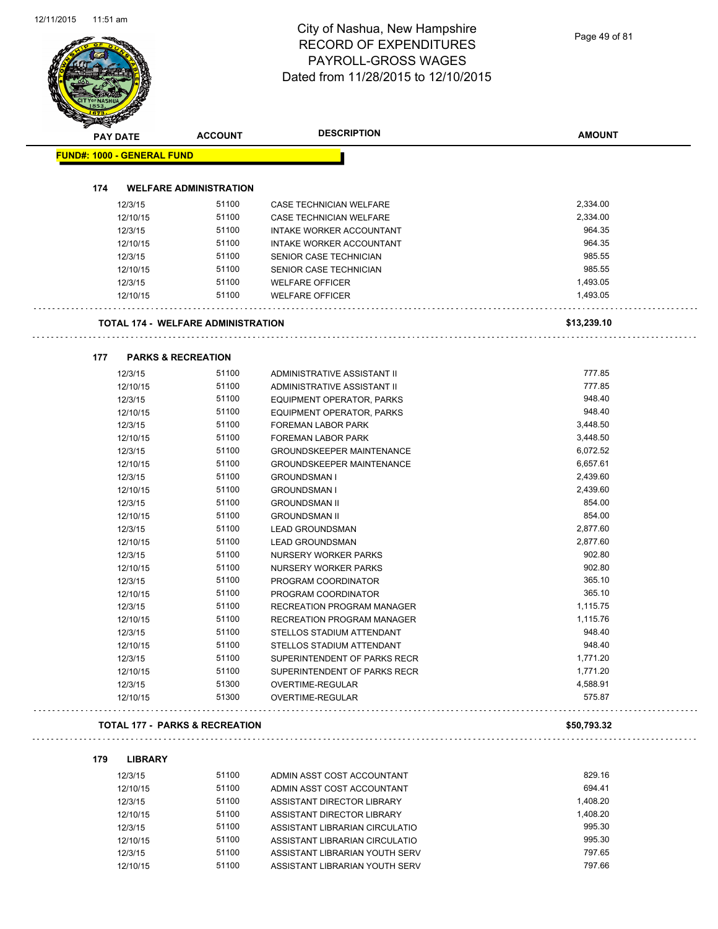|     | <b>PAY DATE</b>                   | <b>ACCOUNT</b>                            | <b>DESCRIPTION</b>               | <b>AMOUNT</b> |
|-----|-----------------------------------|-------------------------------------------|----------------------------------|---------------|
|     | <b>FUND#: 1000 - GENERAL FUND</b> |                                           |                                  |               |
|     |                                   |                                           |                                  |               |
| 174 |                                   | <b>WELFARE ADMINISTRATION</b>             |                                  |               |
|     | 12/3/15                           | 51100                                     | CASE TECHNICIAN WELFARE          | 2,334.00      |
|     | 12/10/15                          | 51100                                     | <b>CASE TECHNICIAN WELFARE</b>   | 2,334.00      |
|     | 12/3/15                           | 51100                                     | INTAKE WORKER ACCOUNTANT         | 964.35        |
|     | 12/10/15                          | 51100                                     | INTAKE WORKER ACCOUNTANT         | 964.35        |
|     | 12/3/15                           | 51100                                     | SENIOR CASE TECHNICIAN           | 985.55        |
|     | 12/10/15                          | 51100                                     | SENIOR CASE TECHNICIAN           | 985.55        |
|     | 12/3/15                           | 51100                                     | <b>WELFARE OFFICER</b>           | 1,493.05      |
|     | 12/10/15                          | 51100                                     | <b>WELFARE OFFICER</b>           | 1,493.05      |
|     |                                   | <b>TOTAL 174 - WELFARE ADMINISTRATION</b> |                                  | \$13,239.10   |
| 177 |                                   | <b>PARKS &amp; RECREATION</b>             |                                  |               |
|     | 12/3/15                           | 51100                                     | ADMINISTRATIVE ASSISTANT II      | 777.85        |
|     | 12/10/15                          | 51100                                     | ADMINISTRATIVE ASSISTANT II      | 777.85        |
|     | 12/3/15                           | 51100                                     | EQUIPMENT OPERATOR, PARKS        | 948.40        |
|     | 12/10/15                          | 51100                                     | EQUIPMENT OPERATOR, PARKS        | 948.40        |
|     | 12/3/15                           | 51100                                     | FOREMAN LABOR PARK               | 3,448.50      |
|     | 12/10/15                          | 51100                                     | FOREMAN LABOR PARK               | 3,448.50      |
|     | 12/3/15                           | 51100                                     | <b>GROUNDSKEEPER MAINTENANCE</b> | 6,072.52      |
|     | 12/10/15                          | 51100                                     | <b>GROUNDSKEEPER MAINTENANCE</b> | 6,657.61      |
|     | 12/3/15                           | 51100                                     | <b>GROUNDSMAN I</b>              | 2,439.60      |
|     | 12/10/15                          | 51100                                     | <b>GROUNDSMAN I</b>              | 2,439.60      |
|     | 12/3/15                           | 51100                                     | <b>GROUNDSMAN II</b>             | 854.00        |
|     | 12/10/15                          | 51100                                     | <b>GROUNDSMAN II</b>             | 854.00        |
|     | 12/3/15                           | 51100                                     | <b>LEAD GROUNDSMAN</b>           | 2,877.60      |
|     | 12/10/15                          | 51100                                     | <b>LEAD GROUNDSMAN</b>           | 2,877.60      |
|     | 12/3/15                           | 51100                                     | NURSERY WORKER PARKS             | 902.80        |
|     | 12/10/15                          | 51100                                     | NURSERY WORKER PARKS             | 902.80        |
|     | 12/3/15                           | 51100                                     | PROGRAM COORDINATOR              | 365.10        |
|     | 12/10/15                          | 51100                                     | PROGRAM COORDINATOR              | 365.10        |
|     | 12/3/15                           | 51100                                     | RECREATION PROGRAM MANAGER       | 1,115.75      |
|     | 12/10/15                          | 51100                                     | RECREATION PROGRAM MANAGER       | 1,115.76      |
|     |                                   | 51100                                     |                                  | 948.40        |
|     | 12/3/15                           | 51100                                     | STELLOS STADIUM ATTENDANT        | 948.40        |
|     | 12/10/15                          |                                           | STELLOS STADIUM ATTENDANT        |               |
|     | 12/3/15                           | 51100                                     | SUPERINTENDENT OF PARKS RECR     | 1,771.20      |
|     | 12/10/15                          | 51100                                     | SUPERINTENDENT OF PARKS RECR     | 1,771.20      |
|     | 12/3/15                           | 51300                                     | OVERTIME-REGULAR                 | 4,588.91      |
|     | 12/10/15                          | 51300                                     | <b>OVERTIME-REGULAR</b>          | 575.87        |
|     |                                   | <b>TOTAL 177 - PARKS &amp; RECREATION</b> |                                  | \$50,793.32   |
| 179 | <b>LIBRARY</b>                    |                                           |                                  |               |
|     | 12/3/15                           | 51100                                     | ADMIN ASST COST ACCOUNTANT       | 829.16        |
|     | 12/10/15                          | 51100                                     | ADMIN ASST COST ACCOUNTANT       | 694.41        |
|     | 12/3/15                           | 51100                                     | ASSISTANT DIRECTOR LIBRARY       | 1,408.20      |
|     |                                   | 51100                                     |                                  | 1,408.20      |

| 12/10/15 | 51100 | ASSISTANT DIRECTOR LIBRARY     | 1.408.20 |
|----------|-------|--------------------------------|----------|
| 12/3/15  | 51100 | ASSISTANT LIBRARIAN CIRCULATIO | 995.30   |
| 12/10/15 | 51100 | ASSISTANT LIBRARIAN CIRCULATIO | 995.30   |
| 12/3/15  | 51100 | ASSISTANT LIBRARIAN YOUTH SERV | 797.65   |
| 12/10/15 | 51100 | ASSISTANT LIBRARIAN YOUTH SERV | 797.66   |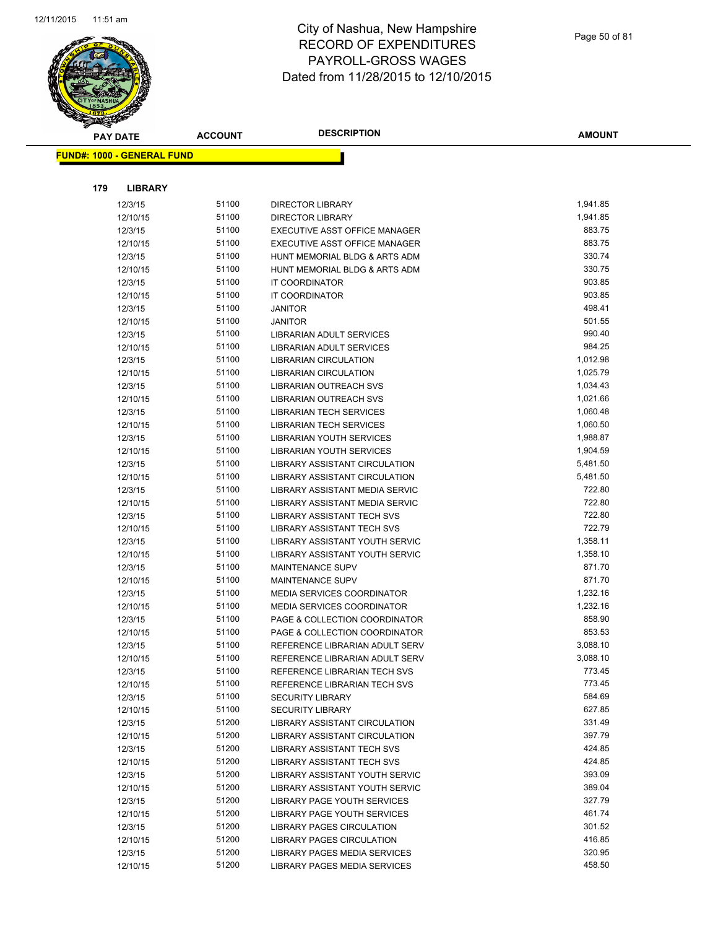

| <b>PAY DATE</b>                   | <b>ACCOUNT</b> | <b>DESCRIPTION</b>                                       | <b>AMOUNT</b>    |
|-----------------------------------|----------------|----------------------------------------------------------|------------------|
| <b>FUND#: 1000 - GENERAL FUND</b> |                |                                                          |                  |
|                                   |                |                                                          |                  |
|                                   |                |                                                          |                  |
| 179<br><b>LIBRARY</b>             |                |                                                          |                  |
| 12/3/15                           | 51100          | <b>DIRECTOR LIBRARY</b>                                  | 1,941.85         |
| 12/10/15                          | 51100          | <b>DIRECTOR LIBRARY</b>                                  | 1,941.85         |
| 12/3/15                           | 51100          | EXECUTIVE ASST OFFICE MANAGER                            | 883.75           |
| 12/10/15                          | 51100          | EXECUTIVE ASST OFFICE MANAGER                            | 883.75           |
| 12/3/15                           | 51100          | HUNT MEMORIAL BLDG & ARTS ADM                            | 330.74           |
| 12/10/15                          | 51100          | HUNT MEMORIAL BLDG & ARTS ADM                            | 330.75           |
| 12/3/15                           | 51100          | IT COORDINATOR                                           | 903.85           |
| 12/10/15                          | 51100          | IT COORDINATOR                                           | 903.85           |
| 12/3/15                           | 51100          | JANITOR                                                  | 498.41           |
| 12/10/15                          | 51100          | <b>JANITOR</b>                                           | 501.55           |
| 12/3/15                           | 51100<br>51100 | LIBRARIAN ADULT SERVICES                                 | 990.40<br>984.25 |
| 12/10/15<br>12/3/15               | 51100          | LIBRARIAN ADULT SERVICES<br><b>LIBRARIAN CIRCULATION</b> | 1,012.98         |
| 12/10/15                          | 51100          | <b>LIBRARIAN CIRCULATION</b>                             | 1,025.79         |
| 12/3/15                           | 51100          | LIBRARIAN OUTREACH SVS                                   | 1,034.43         |
| 12/10/15                          | 51100          | <b>LIBRARIAN OUTREACH SVS</b>                            | 1,021.66         |
| 12/3/15                           | 51100          | LIBRARIAN TECH SERVICES                                  | 1,060.48         |
| 12/10/15                          | 51100          | LIBRARIAN TECH SERVICES                                  | 1,060.50         |
| 12/3/15                           | 51100          | <b>LIBRARIAN YOUTH SERVICES</b>                          | 1,988.87         |
| 12/10/15                          | 51100          | <b>LIBRARIAN YOUTH SERVICES</b>                          | 1,904.59         |
| 12/3/15                           | 51100          | LIBRARY ASSISTANT CIRCULATION                            | 5,481.50         |
| 12/10/15                          | 51100          | LIBRARY ASSISTANT CIRCULATION                            | 5,481.50         |
| 12/3/15                           | 51100          | LIBRARY ASSISTANT MEDIA SERVIC                           | 722.80           |
| 12/10/15                          | 51100          | LIBRARY ASSISTANT MEDIA SERVIC                           | 722.80           |
| 12/3/15                           | 51100          | <b>LIBRARY ASSISTANT TECH SVS</b>                        | 722.80           |
| 12/10/15                          | 51100          | LIBRARY ASSISTANT TECH SVS                               | 722.79           |
| 12/3/15                           | 51100          | LIBRARY ASSISTANT YOUTH SERVIC                           | 1,358.11         |
| 12/10/15                          | 51100          | LIBRARY ASSISTANT YOUTH SERVIC                           | 1,358.10         |
| 12/3/15                           | 51100          | <b>MAINTENANCE SUPV</b>                                  | 871.70           |
| 12/10/15                          | 51100          | <b>MAINTENANCE SUPV</b>                                  | 871.70           |
| 12/3/15                           | 51100          | MEDIA SERVICES COORDINATOR                               | 1,232.16         |
| 12/10/15                          | 51100          | <b>MEDIA SERVICES COORDINATOR</b>                        | 1,232.16         |
| 12/3/15                           | 51100          | PAGE & COLLECTION COORDINATOR                            | 858.90           |
| 12/10/15                          | 51100          | PAGE & COLLECTION COORDINATOR                            | 853.53           |
| 12/3/15                           | 51100          | REFERENCE LIBRARIAN ADULT SERV                           | 3,088.10         |
| 12/10/15                          | 51100          | REFERENCE LIBRARIAN ADULT SERV                           | 3,088.10         |
| 12/3/15                           | 51100<br>51100 | REFERENCE LIBRARIAN TECH SVS                             | 773.45<br>773.45 |
| 12/10/15                          | 51100          | REFERENCE LIBRARIAN TECH SVS                             | 584.69           |
| 12/3/15<br>12/10/15               | 51100          | <b>SECURITY LIBRARY</b><br><b>SECURITY LIBRARY</b>       | 627.85           |
| 12/3/15                           | 51200          | LIBRARY ASSISTANT CIRCULATION                            | 331.49           |
| 12/10/15                          | 51200          | LIBRARY ASSISTANT CIRCULATION                            | 397.79           |
| 12/3/15                           | 51200          | LIBRARY ASSISTANT TECH SVS                               | 424.85           |
| 12/10/15                          | 51200          | LIBRARY ASSISTANT TECH SVS                               | 424.85           |
| 12/3/15                           | 51200          | LIBRARY ASSISTANT YOUTH SERVIC                           | 393.09           |
| 12/10/15                          | 51200          | LIBRARY ASSISTANT YOUTH SERVIC                           | 389.04           |
| 12/3/15                           | 51200          | LIBRARY PAGE YOUTH SERVICES                              | 327.79           |
| 12/10/15                          | 51200          | LIBRARY PAGE YOUTH SERVICES                              | 461.74           |
| 12/3/15                           | 51200          | LIBRARY PAGES CIRCULATION                                | 301.52           |
| 12/10/15                          | 51200          | LIBRARY PAGES CIRCULATION                                | 416.85           |
| 12/3/15                           | 51200          | LIBRARY PAGES MEDIA SERVICES                             | 320.95           |
| 12/10/15                          | 51200          | LIBRARY PAGES MEDIA SERVICES                             | 458.50           |
|                                   |                |                                                          |                  |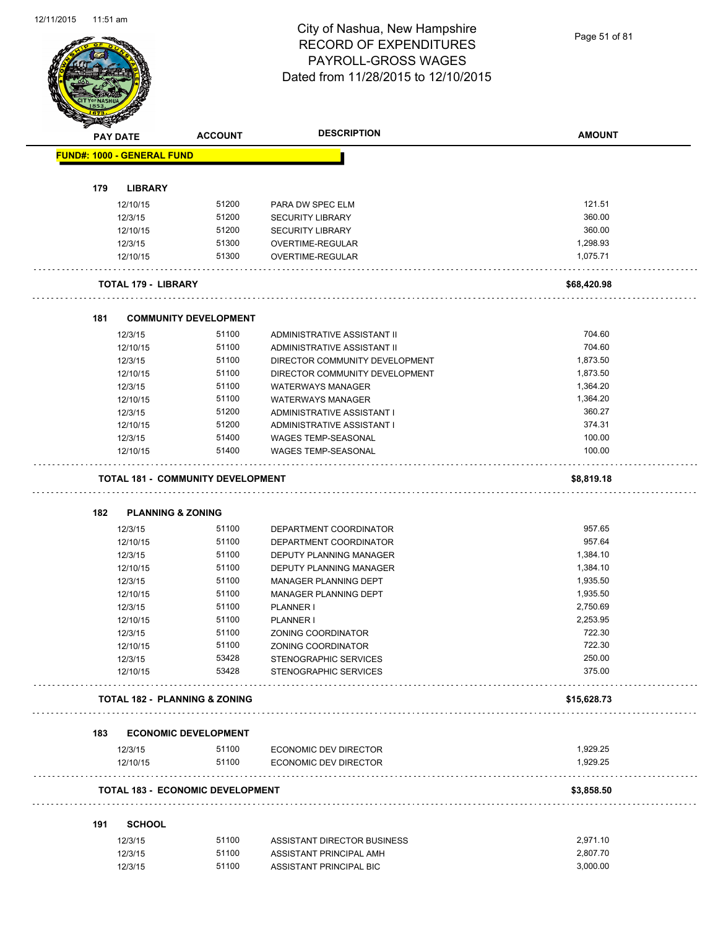Page 51 of 81

|     | <b>PAY DATE</b>                          | <b>ACCOUNT</b>                        | <b>DESCRIPTION</b>                                     | <b>AMOUNT</b>    |
|-----|------------------------------------------|---------------------------------------|--------------------------------------------------------|------------------|
|     | <b>FUND#: 1000 - GENERAL FUND</b>        |                                       |                                                        |                  |
|     |                                          |                                       |                                                        |                  |
| 179 | <b>LIBRARY</b>                           |                                       |                                                        |                  |
|     | 12/10/15                                 | 51200                                 | PARA DW SPEC ELM                                       | 121.51           |
|     | 12/3/15                                  | 51200                                 | <b>SECURITY LIBRARY</b>                                | 360.00           |
|     | 12/10/15                                 | 51200                                 | <b>SECURITY LIBRARY</b>                                | 360.00           |
|     | 12/3/15                                  | 51300                                 | OVERTIME-REGULAR                                       | 1,298.93         |
|     | 12/10/15                                 | 51300                                 | <b>OVERTIME-REGULAR</b>                                | 1,075.71         |
|     | <b>TOTAL 179 - LIBRARY</b>               |                                       |                                                        | \$68,420.98      |
|     |                                          |                                       |                                                        |                  |
| 181 |                                          | <b>COMMUNITY DEVELOPMENT</b><br>51100 |                                                        | 704.60           |
|     | 12/3/15                                  |                                       | ADMINISTRATIVE ASSISTANT II                            |                  |
|     | 12/10/15                                 | 51100                                 | ADMINISTRATIVE ASSISTANT II                            | 704.60           |
|     | 12/3/15                                  | 51100                                 | DIRECTOR COMMUNITY DEVELOPMENT                         | 1,873.50         |
|     | 12/10/15                                 | 51100                                 | DIRECTOR COMMUNITY DEVELOPMENT                         | 1,873.50         |
|     | 12/3/15                                  | 51100                                 | <b>WATERWAYS MANAGER</b>                               | 1,364.20         |
|     | 12/10/15                                 | 51100                                 | <b>WATERWAYS MANAGER</b>                               | 1,364.20         |
|     | 12/3/15                                  | 51200                                 | ADMINISTRATIVE ASSISTANT I                             | 360.27           |
|     | 12/10/15                                 | 51200                                 | ADMINISTRATIVE ASSISTANT I                             | 374.31           |
|     | 12/3/15                                  | 51400                                 | <b>WAGES TEMP-SEASONAL</b>                             | 100.00           |
|     | 12/10/15                                 | 51400                                 | <b>WAGES TEMP-SEASONAL</b>                             | 100.00           |
|     | <b>TOTAL 181 - COMMUNITY DEVELOPMENT</b> |                                       |                                                        | \$8,819.18       |
|     |                                          |                                       |                                                        |                  |
|     |                                          |                                       |                                                        |                  |
| 182 | <b>PLANNING &amp; ZONING</b>             |                                       |                                                        |                  |
|     | 12/3/15                                  | 51100                                 | DEPARTMENT COORDINATOR                                 | 957.65           |
|     | 12/10/15                                 | 51100                                 | DEPARTMENT COORDINATOR                                 | 957.64           |
|     | 12/3/15                                  | 51100                                 | DEPUTY PLANNING MANAGER                                | 1,384.10         |
|     | 12/10/15                                 | 51100                                 | DEPUTY PLANNING MANAGER                                | 1,384.10         |
|     | 12/3/15                                  | 51100                                 | MANAGER PLANNING DEPT                                  | 1,935.50         |
|     | 12/10/15                                 | 51100                                 | MANAGER PLANNING DEPT                                  | 1,935.50         |
|     | 12/3/15                                  | 51100                                 | PLANNER I                                              | 2,750.69         |
|     | 12/10/15                                 | 51100                                 | <b>PLANNER I</b>                                       | 2,253.95         |
|     |                                          | 51100                                 |                                                        | 722.30           |
|     | 12/3/15                                  |                                       | ZONING COORDINATOR                                     |                  |
|     | 12/10/15                                 | 51100                                 | ZONING COORDINATOR                                     | 722.30           |
|     | 12/3/15<br>12/10/15                      | 53428<br>53428                        | STENOGRAPHIC SERVICES<br>STENOGRAPHIC SERVICES         | 250.00<br>375.00 |
|     | <b>TOTAL 182 - PLANNING &amp; ZONING</b> |                                       |                                                        | \$15,628.73      |
|     |                                          |                                       |                                                        |                  |
| 183 |                                          | <b>ECONOMIC DEVELOPMENT</b>           |                                                        |                  |
|     | 12/3/15                                  | 51100                                 | ECONOMIC DEV DIRECTOR                                  | 1,929.25         |
|     | 12/10/15                                 | 51100                                 | <b>ECONOMIC DEV DIRECTOR</b>                           | 1,929.25         |
|     | <b>TOTAL 183 - ECONOMIC DEVELOPMENT</b>  |                                       |                                                        | \$3,858.50       |
| 191 | <b>SCHOOL</b>                            |                                       |                                                        |                  |
|     |                                          | 51100                                 |                                                        | 2,971.10         |
|     | 12/3/15<br>12/3/15                       | 51100                                 | ASSISTANT DIRECTOR BUSINESS<br>ASSISTANT PRINCIPAL AMH | 2,807.70         |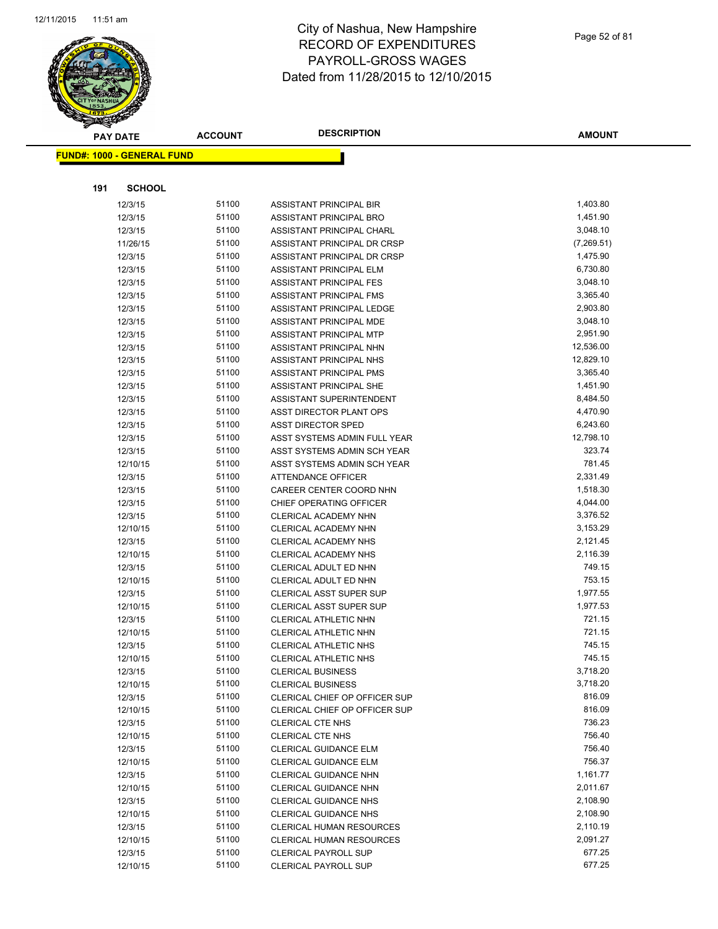

Page 52 of 81

|     | <b>PAY DATE</b>                   | <b>ACCOUNT</b> | <b>DESCRIPTION</b>                                       | <b>AMOUNT</b>        |
|-----|-----------------------------------|----------------|----------------------------------------------------------|----------------------|
|     | <b>FUND#: 1000 - GENERAL FUND</b> |                |                                                          |                      |
|     |                                   |                |                                                          |                      |
| 191 | <b>SCHOOL</b>                     |                |                                                          |                      |
|     |                                   |                |                                                          |                      |
|     | 12/3/15                           | 51100<br>51100 | ASSISTANT PRINCIPAL BIR                                  | 1,403.80<br>1,451.90 |
|     | 12/3/15                           | 51100          | ASSISTANT PRINCIPAL BRO                                  | 3,048.10             |
|     | 12/3/15<br>11/26/15               | 51100          | ASSISTANT PRINCIPAL CHARL<br>ASSISTANT PRINCIPAL DR CRSP | (7,269.51)           |
|     | 12/3/15                           | 51100          | ASSISTANT PRINCIPAL DR CRSP                              | 1,475.90             |
|     | 12/3/15                           | 51100          | ASSISTANT PRINCIPAL ELM                                  | 6,730.80             |
|     | 12/3/15                           | 51100          | <b>ASSISTANT PRINCIPAL FES</b>                           | 3,048.10             |
|     | 12/3/15                           | 51100          | ASSISTANT PRINCIPAL FMS                                  | 3,365.40             |
|     | 12/3/15                           | 51100          | ASSISTANT PRINCIPAL LEDGE                                | 2,903.80             |
|     | 12/3/15                           | 51100          | ASSISTANT PRINCIPAL MDE                                  | 3,048.10             |
|     | 12/3/15                           | 51100          | ASSISTANT PRINCIPAL MTP                                  | 2,951.90             |
|     | 12/3/15                           | 51100          | ASSISTANT PRINCIPAL NHN                                  | 12,536.00            |
|     | 12/3/15                           | 51100          | ASSISTANT PRINCIPAL NHS                                  | 12,829.10            |
|     | 12/3/15                           | 51100          | ASSISTANT PRINCIPAL PMS                                  | 3,365.40             |
|     | 12/3/15                           | 51100          | ASSISTANT PRINCIPAL SHE                                  | 1,451.90             |
|     | 12/3/15                           | 51100          | ASSISTANT SUPERINTENDENT                                 | 8,484.50             |
|     | 12/3/15                           | 51100          | ASST DIRECTOR PLANT OPS                                  | 4,470.90             |
|     | 12/3/15                           | 51100          | <b>ASST DIRECTOR SPED</b>                                | 6,243.60             |
|     | 12/3/15                           | 51100          | ASST SYSTEMS ADMIN FULL YEAR                             | 12,798.10            |
|     | 12/3/15                           | 51100          | ASST SYSTEMS ADMIN SCH YEAR                              | 323.74               |
|     | 12/10/15                          | 51100          | ASST SYSTEMS ADMIN SCH YEAR                              | 781.45               |
|     | 12/3/15                           | 51100          | ATTENDANCE OFFICER                                       | 2,331.49             |
|     | 12/3/15                           | 51100          | CAREER CENTER COORD NHN                                  | 1,518.30             |
|     | 12/3/15                           | 51100          | CHIEF OPERATING OFFICER                                  | 4,044.00             |
|     | 12/3/15                           | 51100          | CLERICAL ACADEMY NHN                                     | 3,376.52             |
|     | 12/10/15                          | 51100          | CLERICAL ACADEMY NHN                                     | 3,153.29             |
|     | 12/3/15                           | 51100          | CLERICAL ACADEMY NHS                                     | 2,121.45             |
|     | 12/10/15                          | 51100          | CLERICAL ACADEMY NHS                                     | 2,116.39             |
|     | 12/3/15                           | 51100          | CLERICAL ADULT ED NHN                                    | 749.15               |
|     | 12/10/15                          | 51100          | CLERICAL ADULT ED NHN                                    | 753.15               |
|     | 12/3/15                           | 51100          | <b>CLERICAL ASST SUPER SUP</b>                           | 1,977.55             |
|     | 12/10/15                          | 51100          | <b>CLERICAL ASST SUPER SUP</b>                           | 1,977.53             |
|     | 12/3/15                           | 51100          | CLERICAL ATHLETIC NHN                                    | 721.15               |
|     | 12/10/15                          | 51100          | <b>CLERICAL ATHLETIC NHN</b>                             | 721.15               |
|     | 12/3/15                           | 51100          | CLERICAL ATHLETIC NHS                                    | 745.15               |
|     | 12/10/15                          | 51100          | <b>CLERICAL ATHLETIC NHS</b>                             | 745.15               |
|     | 12/3/15                           | 51100          | <b>CLERICAL BUSINESS</b>                                 | 3,718.20             |
|     | 12/10/15                          | 51100          | <b>CLERICAL BUSINESS</b>                                 | 3,718.20             |
|     | 12/3/15                           | 51100          | CLERICAL CHIEF OP OFFICER SUP                            | 816.09               |
|     | 12/10/15                          | 51100          | CLERICAL CHIEF OP OFFICER SUP                            | 816.09               |
|     | 12/3/15                           | 51100          | CLERICAL CTE NHS                                         | 736.23               |
|     | 12/10/15                          | 51100          | <b>CLERICAL CTE NHS</b>                                  | 756.40               |
|     | 12/3/15                           | 51100          | CLERICAL GUIDANCE ELM                                    | 756.40               |
|     | 12/10/15                          | 51100          | CLERICAL GUIDANCE ELM                                    | 756.37               |
|     | 12/3/15                           | 51100          | CLERICAL GUIDANCE NHN                                    | 1,161.77             |
|     | 12/10/15                          | 51100          | CLERICAL GUIDANCE NHN                                    | 2,011.67             |
|     | 12/3/15                           | 51100          | <b>CLERICAL GUIDANCE NHS</b>                             | 2,108.90             |
|     | 12/10/15                          | 51100          | <b>CLERICAL GUIDANCE NHS</b>                             | 2,108.90             |
|     | 12/3/15                           | 51100          | <b>CLERICAL HUMAN RESOURCES</b>                          | 2,110.19             |
|     | 12/10/15                          | 51100          | <b>CLERICAL HUMAN RESOURCES</b>                          | 2,091.27             |
|     | 12/3/15                           | 51100          | CLERICAL PAYROLL SUP                                     | 677.25               |
|     | 12/10/15                          | 51100          | <b>CLERICAL PAYROLL SUP</b>                              | 677.25               |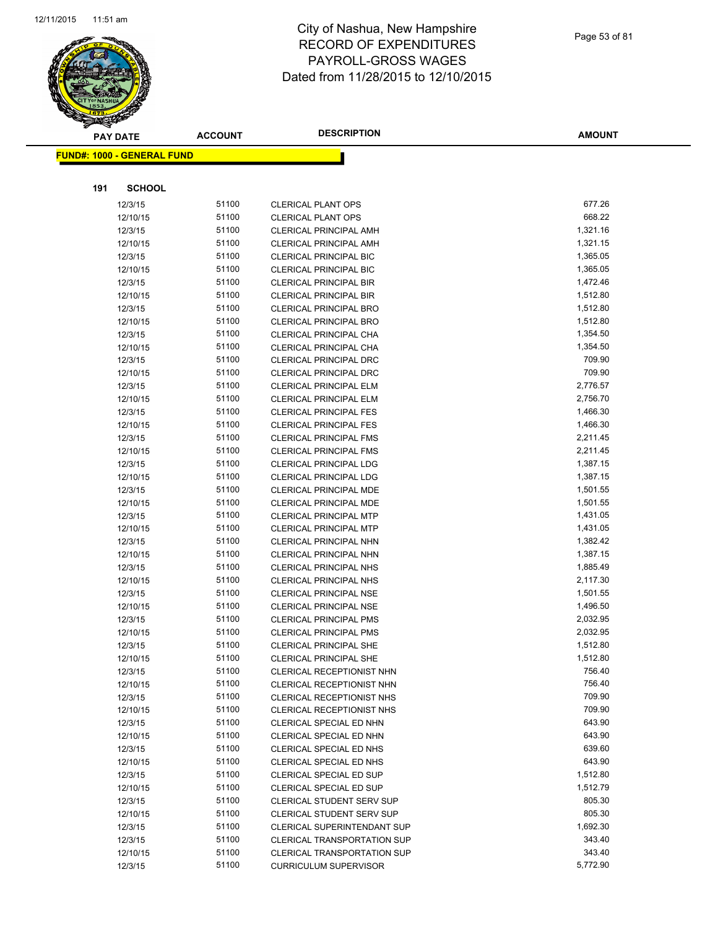

|     | <b>PAY DATE</b>                    | <b>ACCOUNT</b> | <b>DESCRIPTION</b>                                      | <b>AMOUNT</b>        |
|-----|------------------------------------|----------------|---------------------------------------------------------|----------------------|
|     | <u> FUND#: 1000 - GENERAL FUND</u> |                |                                                         |                      |
|     |                                    |                |                                                         |                      |
| 191 | <b>SCHOOL</b>                      |                |                                                         |                      |
|     |                                    |                |                                                         |                      |
|     | 12/3/15                            | 51100          | <b>CLERICAL PLANT OPS</b>                               | 677.26               |
|     | 12/10/15                           | 51100          | <b>CLERICAL PLANT OPS</b>                               | 668.22               |
|     | 12/3/15                            | 51100          | <b>CLERICAL PRINCIPAL AMH</b>                           | 1,321.16             |
|     | 12/10/15                           | 51100          | <b>CLERICAL PRINCIPAL AMH</b>                           | 1,321.15             |
|     | 12/3/15                            | 51100          | <b>CLERICAL PRINCIPAL BIC</b>                           | 1,365.05             |
|     | 12/10/15                           | 51100          | <b>CLERICAL PRINCIPAL BIC</b>                           | 1,365.05             |
|     | 12/3/15                            | 51100<br>51100 | <b>CLERICAL PRINCIPAL BIR</b>                           | 1,472.46<br>1,512.80 |
|     | 12/10/15                           | 51100          | <b>CLERICAL PRINCIPAL BIR</b>                           | 1,512.80             |
|     | 12/3/15                            | 51100          | <b>CLERICAL PRINCIPAL BRO</b>                           | 1,512.80             |
|     | 12/10/15<br>12/3/15                | 51100          | <b>CLERICAL PRINCIPAL BRO</b><br>CLERICAL PRINCIPAL CHA | 1,354.50             |
|     | 12/10/15                           | 51100          | <b>CLERICAL PRINCIPAL CHA</b>                           | 1,354.50             |
|     | 12/3/15                            | 51100          | <b>CLERICAL PRINCIPAL DRC</b>                           | 709.90               |
|     | 12/10/15                           | 51100          | CLERICAL PRINCIPAL DRC                                  | 709.90               |
|     | 12/3/15                            | 51100          | <b>CLERICAL PRINCIPAL ELM</b>                           | 2,776.57             |
|     | 12/10/15                           | 51100          | <b>CLERICAL PRINCIPAL ELM</b>                           | 2,756.70             |
|     | 12/3/15                            | 51100          | <b>CLERICAL PRINCIPAL FES</b>                           | 1,466.30             |
|     | 12/10/15                           | 51100          | <b>CLERICAL PRINCIPAL FES</b>                           | 1,466.30             |
|     | 12/3/15                            | 51100          | <b>CLERICAL PRINCIPAL FMS</b>                           | 2,211.45             |
|     | 12/10/15                           | 51100          | <b>CLERICAL PRINCIPAL FMS</b>                           | 2,211.45             |
|     | 12/3/15                            | 51100          | <b>CLERICAL PRINCIPAL LDG</b>                           | 1,387.15             |
|     | 12/10/15                           | 51100          | <b>CLERICAL PRINCIPAL LDG</b>                           | 1,387.15             |
|     | 12/3/15                            | 51100          | <b>CLERICAL PRINCIPAL MDE</b>                           | 1,501.55             |
|     | 12/10/15                           | 51100          | <b>CLERICAL PRINCIPAL MDE</b>                           | 1,501.55             |
|     | 12/3/15                            | 51100          | <b>CLERICAL PRINCIPAL MTP</b>                           | 1,431.05             |
|     | 12/10/15                           | 51100          | <b>CLERICAL PRINCIPAL MTP</b>                           | 1,431.05             |
|     | 12/3/15                            | 51100          | <b>CLERICAL PRINCIPAL NHN</b>                           | 1,382.42             |
|     | 12/10/15                           | 51100          | CLERICAL PRINCIPAL NHN                                  | 1,387.15             |
|     | 12/3/15                            | 51100          | <b>CLERICAL PRINCIPAL NHS</b>                           | 1,885.49             |
|     | 12/10/15                           | 51100          | <b>CLERICAL PRINCIPAL NHS</b>                           | 2,117.30             |
|     | 12/3/15                            | 51100          | <b>CLERICAL PRINCIPAL NSE</b>                           | 1,501.55             |
|     | 12/10/15                           | 51100          | <b>CLERICAL PRINCIPAL NSE</b>                           | 1,496.50             |
|     | 12/3/15                            | 51100          | <b>CLERICAL PRINCIPAL PMS</b>                           | 2,032.95             |
|     | 12/10/15                           | 51100          | <b>CLERICAL PRINCIPAL PMS</b>                           | 2,032.95             |
|     | 12/3/15                            | 51100          | <b>CLERICAL PRINCIPAL SHE</b>                           | 1,512.80             |
|     | 12/10/15                           | 51100          | <b>CLERICAL PRINCIPAL SHE</b>                           | 1,512.80             |
|     | 12/3/15                            | 51100          | CLERICAL RECEPTIONIST NHN                               | 756.40               |
|     | 12/10/15                           | 51100          | CLERICAL RECEPTIONIST NHN                               | 756.40               |
|     | 12/3/15                            | 51100          | CLERICAL RECEPTIONIST NHS                               | 709.90               |
|     | 12/10/15                           | 51100          | CLERICAL RECEPTIONIST NHS                               | 709.90               |
|     | 12/3/15                            | 51100          | CLERICAL SPECIAL ED NHN                                 | 643.90               |
|     | 12/10/15                           | 51100          | CLERICAL SPECIAL ED NHN                                 | 643.90               |
|     | 12/3/15                            | 51100          | CLERICAL SPECIAL ED NHS                                 | 639.60               |
|     | 12/10/15                           | 51100          | CLERICAL SPECIAL ED NHS                                 | 643.90               |
|     | 12/3/15                            | 51100          | CLERICAL SPECIAL ED SUP                                 | 1,512.80             |
|     | 12/10/15                           | 51100          | <b>CLERICAL SPECIAL ED SUP</b>                          | 1,512.79             |
|     | 12/3/15                            | 51100          | <b>CLERICAL STUDENT SERV SUP</b>                        | 805.30               |
|     | 12/10/15                           | 51100          | <b>CLERICAL STUDENT SERV SUP</b>                        | 805.30               |
|     | 12/3/15                            | 51100          | <b>CLERICAL SUPERINTENDANT SUP</b>                      | 1,692.30             |
|     | 12/3/15                            | 51100          | <b>CLERICAL TRANSPORTATION SUP</b>                      | 343.40               |
|     | 12/10/15                           | 51100          | <b>CLERICAL TRANSPORTATION SUP</b>                      | 343.40               |
|     | 12/3/15                            | 51100          | <b>CURRICULUM SUPERVISOR</b>                            | 5,772.90             |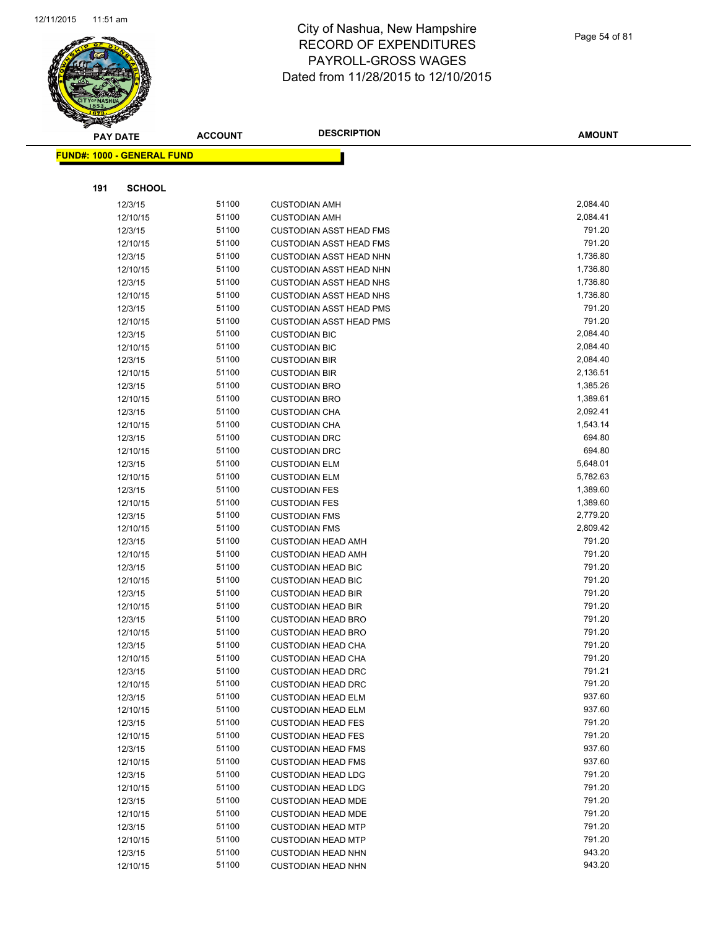

|     | <b>PAY DATE</b>                   | <b>ACCOUNT</b> | <b>DESCRIPTION</b>                                               | <b>AMOUNT</b>      |
|-----|-----------------------------------|----------------|------------------------------------------------------------------|--------------------|
|     | <b>FUND#: 1000 - GENERAL FUND</b> |                |                                                                  |                    |
|     |                                   |                |                                                                  |                    |
|     |                                   |                |                                                                  |                    |
| 191 | <b>SCHOOL</b>                     |                |                                                                  |                    |
|     | 12/3/15                           | 51100          | <b>CUSTODIAN AMH</b>                                             | 2,084.40           |
|     | 12/10/15                          | 51100          | <b>CUSTODIAN AMH</b>                                             | 2,084.41           |
|     | 12/3/15                           | 51100          | <b>CUSTODIAN ASST HEAD FMS</b>                                   | 791.20             |
|     | 12/10/15                          | 51100          | <b>CUSTODIAN ASST HEAD FMS</b>                                   | 791.20             |
|     | 12/3/15                           | 51100          | <b>CUSTODIAN ASST HEAD NHN</b>                                   | 1,736.80           |
|     | 12/10/15                          | 51100          | <b>CUSTODIAN ASST HEAD NHN</b>                                   | 1,736.80           |
|     | 12/3/15                           | 51100          | <b>CUSTODIAN ASST HEAD NHS</b>                                   | 1,736.80           |
|     | 12/10/15                          | 51100          | <b>CUSTODIAN ASST HEAD NHS</b>                                   | 1,736.80<br>791.20 |
|     | 12/3/15                           | 51100<br>51100 | <b>CUSTODIAN ASST HEAD PMS</b><br><b>CUSTODIAN ASST HEAD PMS</b> | 791.20             |
|     | 12/10/15<br>12/3/15               | 51100          | <b>CUSTODIAN BIC</b>                                             | 2,084.40           |
|     | 12/10/15                          | 51100          | <b>CUSTODIAN BIC</b>                                             | 2,084.40           |
|     | 12/3/15                           | 51100          | <b>CUSTODIAN BIR</b>                                             | 2,084.40           |
|     | 12/10/15                          | 51100          | <b>CUSTODIAN BIR</b>                                             | 2,136.51           |
|     | 12/3/15                           | 51100          | <b>CUSTODIAN BRO</b>                                             | 1,385.26           |
|     | 12/10/15                          | 51100          | <b>CUSTODIAN BRO</b>                                             | 1,389.61           |
|     | 12/3/15                           | 51100          | <b>CUSTODIAN CHA</b>                                             | 2,092.41           |
|     | 12/10/15                          | 51100          | <b>CUSTODIAN CHA</b>                                             | 1,543.14           |
|     | 12/3/15                           | 51100          | <b>CUSTODIAN DRC</b>                                             | 694.80             |
|     | 12/10/15                          | 51100          | <b>CUSTODIAN DRC</b>                                             | 694.80             |
|     | 12/3/15                           | 51100          | <b>CUSTODIAN ELM</b>                                             | 5,648.01           |
|     | 12/10/15                          | 51100          | <b>CUSTODIAN ELM</b>                                             | 5,782.63           |
|     | 12/3/15                           | 51100          | <b>CUSTODIAN FES</b>                                             | 1,389.60           |
|     | 12/10/15                          | 51100          | <b>CUSTODIAN FES</b>                                             | 1,389.60           |
|     | 12/3/15                           | 51100          | <b>CUSTODIAN FMS</b>                                             | 2,779.20           |
|     | 12/10/15                          | 51100          | <b>CUSTODIAN FMS</b>                                             | 2,809.42           |
|     | 12/3/15                           | 51100          | <b>CUSTODIAN HEAD AMH</b>                                        | 791.20             |
|     | 12/10/15                          | 51100          | <b>CUSTODIAN HEAD AMH</b>                                        | 791.20             |
|     | 12/3/15                           | 51100          | <b>CUSTODIAN HEAD BIC</b>                                        | 791.20             |
|     | 12/10/15                          | 51100          | <b>CUSTODIAN HEAD BIC</b>                                        | 791.20             |
|     | 12/3/15                           | 51100          | <b>CUSTODIAN HEAD BIR</b>                                        | 791.20             |
|     | 12/10/15                          | 51100          | <b>CUSTODIAN HEAD BIR</b>                                        | 791.20             |
|     | 12/3/15                           | 51100          | <b>CUSTODIAN HEAD BRO</b>                                        | 791.20             |
|     | 12/10/15                          | 51100          | <b>CUSTODIAN HEAD BRO</b>                                        | 791.20             |
|     | 12/3/15                           | 51100          | <b>CUSTODIAN HEAD CHA</b>                                        | 791.20             |
|     | 12/10/15                          | 51100          | <b>CUSTODIAN HEAD CHA</b>                                        | 791.20             |
|     | 12/3/15                           | 51100          | <b>CUSTODIAN HEAD DRC</b>                                        | 791.21             |
|     | 12/10/15                          | 51100          | <b>CUSTODIAN HEAD DRC</b>                                        | 791.20             |
|     | 12/3/15                           | 51100          | <b>CUSTODIAN HEAD ELM</b>                                        | 937.60             |
|     | 12/10/15                          | 51100          | <b>CUSTODIAN HEAD ELM</b>                                        | 937.60             |
|     | 12/3/15                           | 51100          | <b>CUSTODIAN HEAD FES</b>                                        | 791.20             |
|     | 12/10/15                          | 51100          | <b>CUSTODIAN HEAD FES</b>                                        | 791.20             |
|     | 12/3/15                           | 51100          | <b>CUSTODIAN HEAD FMS</b>                                        | 937.60             |
|     | 12/10/15                          | 51100          | <b>CUSTODIAN HEAD FMS</b>                                        | 937.60             |
|     | 12/3/15                           | 51100          | <b>CUSTODIAN HEAD LDG</b>                                        | 791.20             |
|     | 12/10/15                          | 51100          | <b>CUSTODIAN HEAD LDG</b>                                        | 791.20             |
|     | 12/3/15                           | 51100          | <b>CUSTODIAN HEAD MDE</b>                                        | 791.20             |
|     | 12/10/15                          | 51100          | <b>CUSTODIAN HEAD MDE</b>                                        | 791.20             |
|     | 12/3/15                           | 51100          | <b>CUSTODIAN HEAD MTP</b>                                        | 791.20             |
|     | 12/10/15                          | 51100          | <b>CUSTODIAN HEAD MTP</b>                                        | 791.20             |
|     | 12/3/15                           | 51100          | <b>CUSTODIAN HEAD NHN</b>                                        | 943.20             |
|     | 12/10/15                          | 51100          | <b>CUSTODIAN HEAD NHN</b>                                        | 943.20             |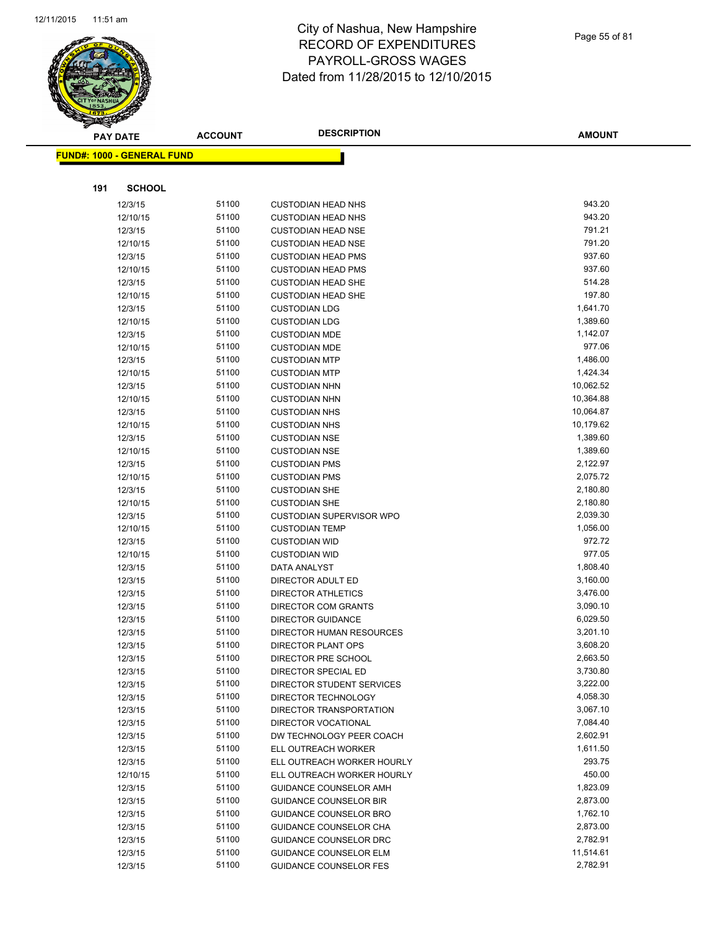

|     | <b>PAY DATE</b>                   | <b>ACCOUNT</b> | <b>DESCRIPTION</b>              | <b>AMOUNT</b> |
|-----|-----------------------------------|----------------|---------------------------------|---------------|
|     | <b>FUND#: 1000 - GENERAL FUND</b> |                |                                 |               |
|     |                                   |                |                                 |               |
| 191 | <b>SCHOOL</b>                     |                |                                 |               |
|     | 12/3/15                           | 51100          | <b>CUSTODIAN HEAD NHS</b>       | 943.20        |
|     | 12/10/15                          | 51100          | <b>CUSTODIAN HEAD NHS</b>       | 943.20        |
|     | 12/3/15                           | 51100          | <b>CUSTODIAN HEAD NSE</b>       | 791.21        |
|     | 12/10/15                          | 51100          | <b>CUSTODIAN HEAD NSE</b>       | 791.20        |
|     | 12/3/15                           | 51100          | <b>CUSTODIAN HEAD PMS</b>       | 937.60        |
|     | 12/10/15                          | 51100          | <b>CUSTODIAN HEAD PMS</b>       | 937.60        |
|     | 12/3/15                           | 51100          | <b>CUSTODIAN HEAD SHE</b>       | 514.28        |
|     | 12/10/15                          | 51100          | <b>CUSTODIAN HEAD SHE</b>       | 197.80        |
|     | 12/3/15                           | 51100          | <b>CUSTODIAN LDG</b>            | 1,641.70      |
|     | 12/10/15                          | 51100          | <b>CUSTODIAN LDG</b>            | 1,389.60      |
|     | 12/3/15                           | 51100          | <b>CUSTODIAN MDE</b>            | 1,142.07      |
|     | 12/10/15                          | 51100          | <b>CUSTODIAN MDE</b>            | 977.06        |
|     | 12/3/15                           | 51100          | <b>CUSTODIAN MTP</b>            | 1,486.00      |
|     | 12/10/15                          | 51100          | <b>CUSTODIAN MTP</b>            | 1,424.34      |
|     | 12/3/15                           | 51100          | <b>CUSTODIAN NHN</b>            | 10,062.52     |
|     | 12/10/15                          | 51100          | <b>CUSTODIAN NHN</b>            | 10,364.88     |
|     | 12/3/15                           | 51100          | <b>CUSTODIAN NHS</b>            | 10,064.87     |
|     | 12/10/15                          | 51100          | <b>CUSTODIAN NHS</b>            | 10,179.62     |
|     | 12/3/15                           | 51100          | <b>CUSTODIAN NSE</b>            | 1,389.60      |
|     | 12/10/15                          | 51100          | <b>CUSTODIAN NSE</b>            | 1,389.60      |
|     | 12/3/15                           | 51100          | <b>CUSTODIAN PMS</b>            | 2,122.97      |
|     | 12/10/15                          | 51100          | <b>CUSTODIAN PMS</b>            | 2,075.72      |
|     | 12/3/15                           | 51100          | <b>CUSTODIAN SHE</b>            | 2,180.80      |
|     | 12/10/15                          | 51100          | <b>CUSTODIAN SHE</b>            | 2,180.80      |
|     | 12/3/15                           | 51100          | <b>CUSTODIAN SUPERVISOR WPO</b> | 2,039.30      |
|     | 12/10/15                          | 51100          | <b>CUSTODIAN TEMP</b>           | 1,056.00      |
|     | 12/3/15                           | 51100          | <b>CUSTODIAN WID</b>            | 972.72        |
|     | 12/10/15                          | 51100          | <b>CUSTODIAN WID</b>            | 977.05        |
|     | 12/3/15                           | 51100          | DATA ANALYST                    | 1,808.40      |
|     | 12/3/15                           | 51100          | DIRECTOR ADULT ED               | 3,160.00      |
|     | 12/3/15                           | 51100          | <b>DIRECTOR ATHLETICS</b>       | 3,476.00      |
|     | 12/3/15                           | 51100          | DIRECTOR COM GRANTS             | 3,090.10      |
|     | 12/3/15                           | 51100          | <b>DIRECTOR GUIDANCE</b>        | 6,029.50      |
|     | 12/3/15                           | 51100          | DIRECTOR HUMAN RESOURCES        | 3,201.10      |
|     | 12/3/15                           | 51100          | <b>DIRECTOR PLANT OPS</b>       | 3,608.20      |
|     | 12/3/15                           | 51100          | DIRECTOR PRE SCHOOL             | 2,663.50      |
|     | 12/3/15                           | 51100          | DIRECTOR SPECIAL ED             | 3,730.80      |
|     | 12/3/15                           | 51100          | DIRECTOR STUDENT SERVICES       | 3,222.00      |
|     | 12/3/15                           | 51100          | DIRECTOR TECHNOLOGY             | 4,058.30      |
|     | 12/3/15                           | 51100          | DIRECTOR TRANSPORTATION         | 3,067.10      |
|     | 12/3/15                           | 51100          | DIRECTOR VOCATIONAL             | 7,084.40      |
|     | 12/3/15                           | 51100          | DW TECHNOLOGY PEER COACH        | 2,602.91      |
|     | 12/3/15                           | 51100          | ELL OUTREACH WORKER             | 1,611.50      |
|     | 12/3/15                           | 51100          | ELL OUTREACH WORKER HOURLY      | 293.75        |
|     | 12/10/15                          | 51100          | ELL OUTREACH WORKER HOURLY      | 450.00        |
|     | 12/3/15                           | 51100          | <b>GUIDANCE COUNSELOR AMH</b>   | 1,823.09      |
|     | 12/3/15                           | 51100          | <b>GUIDANCE COUNSELOR BIR</b>   | 2,873.00      |
|     | 12/3/15                           | 51100          | <b>GUIDANCE COUNSELOR BRO</b>   | 1,762.10      |
|     | 12/3/15                           | 51100          | GUIDANCE COUNSELOR CHA          | 2,873.00      |
|     | 12/3/15                           | 51100          | GUIDANCE COUNSELOR DRC          | 2,782.91      |
|     | 12/3/15                           | 51100          | <b>GUIDANCE COUNSELOR ELM</b>   | 11,514.61     |
|     | 12/3/15                           | 51100          | <b>GUIDANCE COUNSELOR FES</b>   | 2,782.91      |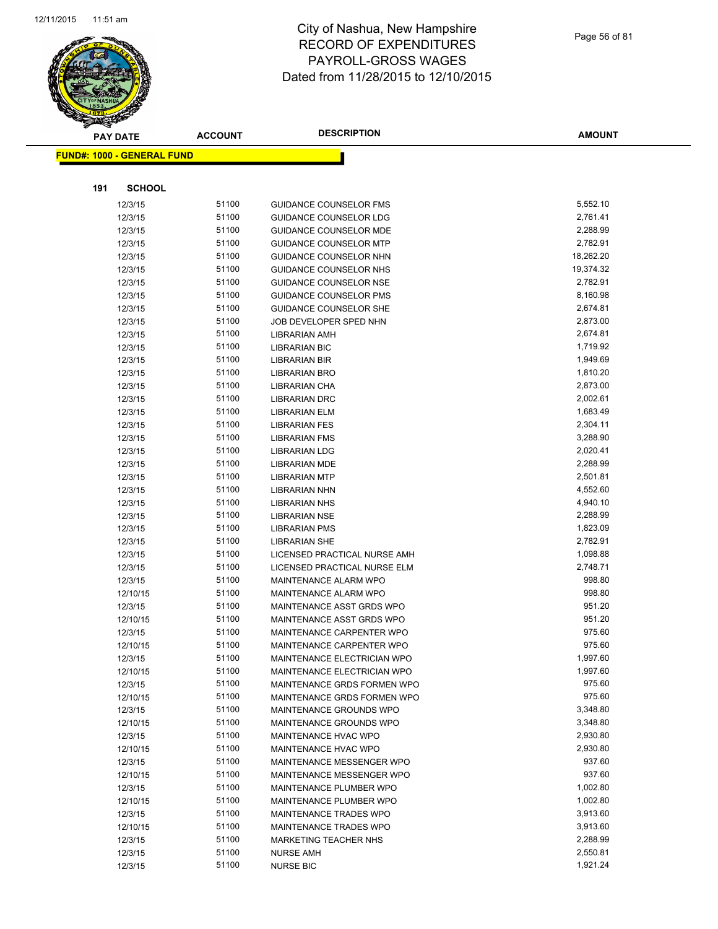

|     | <b>PAY DATE</b>                   | <b>ACCOUNT</b> | <b>DESCRIPTION</b>            | <b>AMOUNT</b> |
|-----|-----------------------------------|----------------|-------------------------------|---------------|
|     | <b>FUND#: 1000 - GENERAL FUND</b> |                |                               |               |
|     |                                   |                |                               |               |
| 191 | <b>SCHOOL</b>                     |                |                               |               |
|     | 12/3/15                           | 51100          | <b>GUIDANCE COUNSELOR FMS</b> | 5,552.10      |
|     | 12/3/15                           | 51100          | GUIDANCE COUNSELOR LDG        | 2,761.41      |
|     | 12/3/15                           | 51100          | <b>GUIDANCE COUNSELOR MDE</b> | 2,288.99      |
|     | 12/3/15                           | 51100          | <b>GUIDANCE COUNSELOR MTP</b> | 2,782.91      |
|     | 12/3/15                           | 51100          | GUIDANCE COUNSELOR NHN        | 18,262.20     |
|     | 12/3/15                           | 51100          | GUIDANCE COUNSELOR NHS        | 19,374.32     |
|     | 12/3/15                           | 51100          | <b>GUIDANCE COUNSELOR NSE</b> | 2,782.91      |
|     | 12/3/15                           | 51100          | <b>GUIDANCE COUNSELOR PMS</b> | 8,160.98      |
|     | 12/3/15                           | 51100          | <b>GUIDANCE COUNSELOR SHE</b> | 2,674.81      |
|     | 12/3/15                           | 51100          | JOB DEVELOPER SPED NHN        | 2,873.00      |
|     | 12/3/15                           | 51100          | LIBRARIAN AMH                 | 2,674.81      |
|     | 12/3/15                           | 51100          | <b>LIBRARIAN BIC</b>          | 1,719.92      |
|     | 12/3/15                           | 51100          | <b>LIBRARIAN BIR</b>          | 1,949.69      |
|     | 12/3/15                           | 51100          | LIBRARIAN BRO                 | 1,810.20      |
|     | 12/3/15                           | 51100          | LIBRARIAN CHA                 | 2,873.00      |
|     | 12/3/15                           | 51100          | <b>LIBRARIAN DRC</b>          | 2,002.61      |
|     | 12/3/15                           | 51100          | <b>LIBRARIAN ELM</b>          | 1,683.49      |
|     | 12/3/15                           | 51100          | <b>LIBRARIAN FES</b>          | 2,304.11      |
|     | 12/3/15                           | 51100          | LIBRARIAN FMS                 | 3,288.90      |
|     | 12/3/15                           | 51100          | <b>LIBRARIAN LDG</b>          | 2,020.41      |
|     | 12/3/15                           | 51100          | <b>LIBRARIAN MDE</b>          | 2,288.99      |
|     | 12/3/15                           | 51100          | <b>LIBRARIAN MTP</b>          | 2,501.81      |
|     | 12/3/15                           | 51100          | LIBRARIAN NHN                 | 4,552.60      |
|     | 12/3/15                           | 51100          | LIBRARIAN NHS                 | 4,940.10      |
|     | 12/3/15                           | 51100          | <b>LIBRARIAN NSE</b>          | 2,288.99      |
|     | 12/3/15                           | 51100          | <b>LIBRARIAN PMS</b>          | 1,823.09      |
|     | 12/3/15                           | 51100          | LIBRARIAN SHE                 | 2,782.91      |
|     | 12/3/15                           | 51100          | LICENSED PRACTICAL NURSE AMH  | 1,098.88      |
|     | 12/3/15                           | 51100          | LICENSED PRACTICAL NURSE ELM  | 2,748.71      |
|     | 12/3/15                           | 51100          | MAINTENANCE ALARM WPO         | 998.80        |
|     | 12/10/15                          | 51100          | MAINTENANCE ALARM WPO         | 998.80        |
|     | 12/3/15                           | 51100          | MAINTENANCE ASST GRDS WPO     | 951.20        |
|     | 12/10/15                          | 51100          | MAINTENANCE ASST GRDS WPO     | 951.20        |
|     | 12/3/15                           | 51100          | MAINTENANCE CARPENTER WPO     | 975.60        |
|     | 12/10/15                          | 51100          | MAINTENANCE CARPENTER WPO     | 975.60        |
|     | 12/3/15                           | 51100          | MAINTENANCE ELECTRICIAN WPO   | 1,997.60      |
|     | 12/10/15                          | 51100          | MAINTENANCE ELECTRICIAN WPO   | 1,997.60      |
|     | 12/3/15                           | 51100          | MAINTENANCE GRDS FORMEN WPO   | 975.60        |
|     | 12/10/15                          | 51100          | MAINTENANCE GRDS FORMEN WPO   | 975.60        |
|     | 12/3/15                           | 51100          | MAINTENANCE GROUNDS WPO       | 3,348.80      |
|     | 12/10/15                          | 51100          | MAINTENANCE GROUNDS WPO       | 3,348.80      |
|     | 12/3/15                           | 51100          | MAINTENANCE HVAC WPO          | 2,930.80      |
|     | 12/10/15                          | 51100          | MAINTENANCE HVAC WPO          | 2,930.80      |
|     | 12/3/15                           | 51100          | MAINTENANCE MESSENGER WPO     | 937.60        |
|     | 12/10/15                          | 51100          | MAINTENANCE MESSENGER WPO     | 937.60        |
|     | 12/3/15                           | 51100          | MAINTENANCE PLUMBER WPO       | 1,002.80      |
|     | 12/10/15                          | 51100          | MAINTENANCE PLUMBER WPO       | 1,002.80      |
|     | 12/3/15                           | 51100          | MAINTENANCE TRADES WPO        | 3,913.60      |
|     | 12/10/15                          | 51100          | MAINTENANCE TRADES WPO        | 3,913.60      |
|     | 12/3/15                           | 51100          | <b>MARKETING TEACHER NHS</b>  | 2,288.99      |
|     | 12/3/15                           | 51100          | <b>NURSE AMH</b>              | 2,550.81      |
|     | 12/3/15                           | 51100          | <b>NURSE BIC</b>              | 1,921.24      |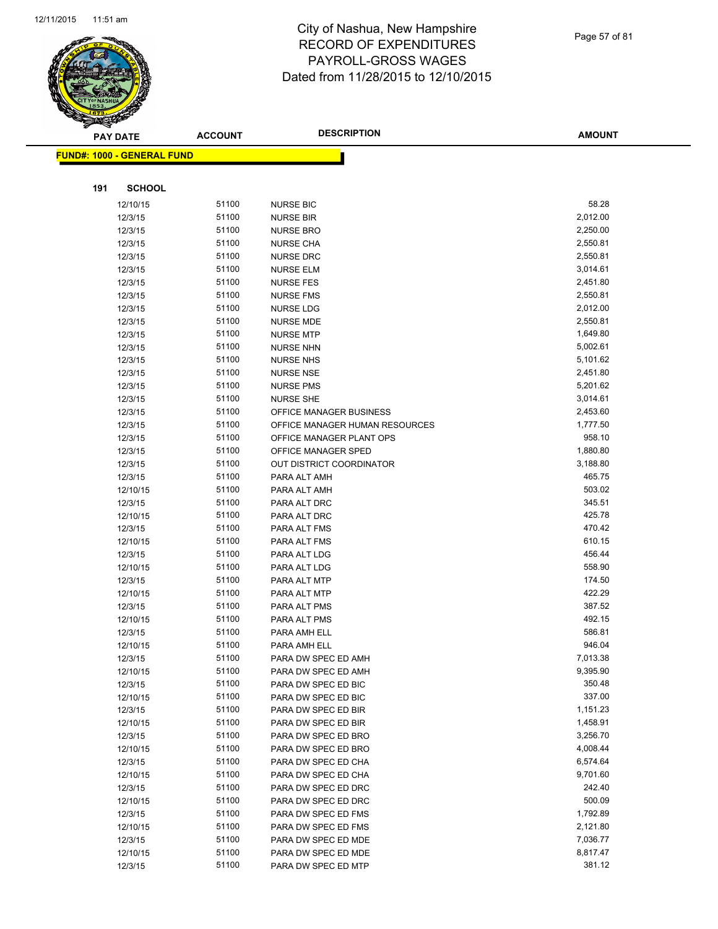

Page 57 of 81

|     | <b>PAY DATE</b>                   | <b>ACCOUNT</b> | <b>DESCRIPTION</b>              | <b>AMOUNT</b> |
|-----|-----------------------------------|----------------|---------------------------------|---------------|
|     | <b>FUND#: 1000 - GENERAL FUND</b> |                |                                 |               |
|     |                                   |                |                                 |               |
|     |                                   |                |                                 |               |
| 191 | <b>SCHOOL</b>                     |                |                                 |               |
|     | 12/10/15                          | 51100          | <b>NURSE BIC</b>                | 58.28         |
|     | 12/3/15                           | 51100          | <b>NURSE BIR</b>                | 2,012.00      |
|     | 12/3/15                           | 51100          | <b>NURSE BRO</b>                | 2,250.00      |
|     | 12/3/15                           | 51100          | <b>NURSE CHA</b>                | 2,550.81      |
|     | 12/3/15                           | 51100          | <b>NURSE DRC</b>                | 2,550.81      |
|     | 12/3/15                           | 51100          | <b>NURSE ELM</b>                | 3,014.61      |
|     | 12/3/15                           | 51100          | <b>NURSE FES</b>                | 2,451.80      |
|     | 12/3/15                           | 51100          | <b>NURSE FMS</b>                | 2,550.81      |
|     | 12/3/15                           | 51100          | <b>NURSE LDG</b>                | 2,012.00      |
|     | 12/3/15                           | 51100          | <b>NURSE MDE</b>                | 2,550.81      |
|     | 12/3/15                           | 51100          | <b>NURSE MTP</b>                | 1,649.80      |
|     | 12/3/15                           | 51100          | <b>NURSE NHN</b>                | 5,002.61      |
|     | 12/3/15                           | 51100          | <b>NURSE NHS</b>                | 5,101.62      |
|     | 12/3/15                           | 51100          | <b>NURSE NSE</b>                | 2,451.80      |
|     | 12/3/15                           | 51100          | <b>NURSE PMS</b>                | 5,201.62      |
|     | 12/3/15                           | 51100          | <b>NURSE SHE</b>                | 3,014.61      |
|     | 12/3/15                           | 51100          | <b>OFFICE MANAGER BUSINESS</b>  | 2,453.60      |
|     | 12/3/15                           | 51100          | OFFICE MANAGER HUMAN RESOURCES  | 1,777.50      |
|     | 12/3/15                           | 51100          | OFFICE MANAGER PLANT OPS        | 958.10        |
|     | 12/3/15                           | 51100          | OFFICE MANAGER SPED             | 1,880.80      |
|     | 12/3/15                           | 51100          | <b>OUT DISTRICT COORDINATOR</b> | 3,188.80      |
|     | 12/3/15                           | 51100          | PARA ALT AMH                    | 465.75        |
|     | 12/10/15                          | 51100          | PARA ALT AMH                    | 503.02        |
|     | 12/3/15                           | 51100          | PARA ALT DRC                    | 345.51        |
|     | 12/10/15                          | 51100          | PARA ALT DRC                    | 425.78        |
|     | 12/3/15                           | 51100          | PARA ALT FMS                    | 470.42        |
|     | 12/10/15                          | 51100          | PARA ALT FMS                    | 610.15        |
|     | 12/3/15                           | 51100          | PARA ALT LDG                    | 456.44        |
|     | 12/10/15                          | 51100          | PARA ALT LDG                    | 558.90        |
|     | 12/3/15                           | 51100          | PARA ALT MTP                    | 174.50        |
|     | 12/10/15                          | 51100          | PARA ALT MTP                    | 422.29        |
|     | 12/3/15                           | 51100          | PARA ALT PMS                    | 387.52        |
|     | 12/10/15                          | 51100          | PARA ALT PMS                    | 492.15        |
|     | 12/3/15                           | 51100          | PARA AMH ELL                    | 586.81        |
|     | 12/10/15                          | 51100          | PARA AMH ELL                    | 946.04        |
|     | 12/3/15                           | 51100          | PARA DW SPEC ED AMH             | 7,013.38      |
|     | 12/10/15                          | 51100          | PARA DW SPEC ED AMH             | 9,395.90      |
|     | 12/3/15                           | 51100          | PARA DW SPEC ED BIC             | 350.48        |
|     | 12/10/15                          | 51100          | PARA DW SPEC ED BIC             | 337.00        |
|     | 12/3/15                           | 51100          | PARA DW SPEC ED BIR             | 1,151.23      |
|     | 12/10/15                          | 51100          | PARA DW SPEC ED BIR             | 1,458.91      |
|     | 12/3/15                           | 51100          | PARA DW SPEC ED BRO             | 3,256.70      |
|     | 12/10/15                          | 51100          | PARA DW SPEC ED BRO             | 4,008.44      |
|     | 12/3/15                           | 51100          | PARA DW SPEC ED CHA             | 6,574.64      |
|     | 12/10/15                          | 51100          | PARA DW SPEC ED CHA             | 9,701.60      |
|     | 12/3/15                           | 51100          | PARA DW SPEC ED DRC             | 242.40        |
|     | 12/10/15                          | 51100          | PARA DW SPEC ED DRC             | 500.09        |
|     | 12/3/15                           | 51100          | PARA DW SPEC ED FMS             | 1,792.89      |
|     | 12/10/15                          | 51100          | PARA DW SPEC ED FMS             | 2,121.80      |
|     | 12/3/15                           | 51100          | PARA DW SPEC ED MDE             | 7,036.77      |
|     | 12/10/15                          | 51100          | PARA DW SPEC ED MDE             | 8,817.47      |
|     | 12/3/15                           | 51100          | PARA DW SPEC ED MTP             | 381.12        |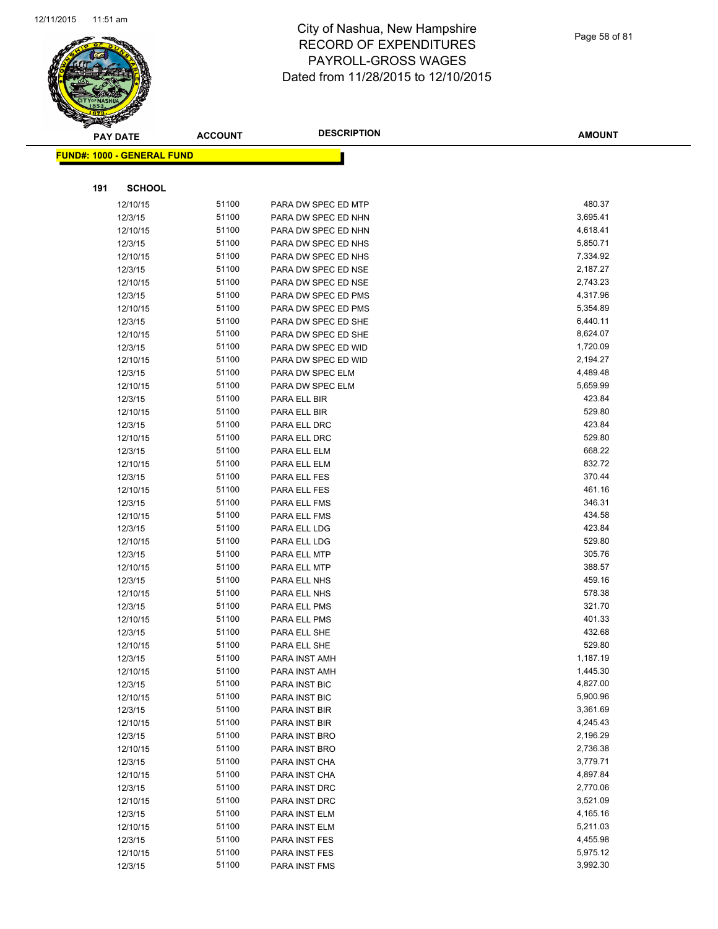

|     | <b>PAY DATE</b>                    | <b>ACCOUNT</b> | <b>DESCRIPTION</b>  | <b>AMOUNT</b> |
|-----|------------------------------------|----------------|---------------------|---------------|
|     | <u> FUND#: 1000 - GENERAL FUND</u> |                |                     |               |
|     |                                    |                |                     |               |
| 191 | <b>SCHOOL</b>                      |                |                     |               |
|     | 12/10/15                           | 51100          | PARA DW SPEC ED MTP | 480.37        |
|     | 12/3/15                            | 51100          | PARA DW SPEC ED NHN | 3,695.41      |
|     | 12/10/15                           | 51100          | PARA DW SPEC ED NHN | 4,618.41      |
|     | 12/3/15                            | 51100          | PARA DW SPEC ED NHS | 5,850.71      |
|     | 12/10/15                           | 51100          | PARA DW SPEC ED NHS | 7,334.92      |
|     | 12/3/15                            | 51100          | PARA DW SPEC ED NSE | 2,187.27      |
|     | 12/10/15                           | 51100          | PARA DW SPEC ED NSE | 2,743.23      |
|     | 12/3/15                            | 51100          | PARA DW SPEC ED PMS | 4,317.96      |
|     | 12/10/15                           | 51100          | PARA DW SPEC ED PMS | 5,354.89      |
|     | 12/3/15                            | 51100          | PARA DW SPEC ED SHE | 6,440.11      |
|     | 12/10/15                           | 51100          | PARA DW SPEC ED SHE | 8,624.07      |
|     | 12/3/15                            | 51100          | PARA DW SPEC ED WID | 1,720.09      |
|     | 12/10/15                           | 51100          | PARA DW SPEC ED WID | 2,194.27      |
|     | 12/3/15                            | 51100          | PARA DW SPEC ELM    | 4,489.48      |
|     | 12/10/15                           | 51100          | PARA DW SPEC ELM    | 5,659.99      |
|     | 12/3/15                            | 51100          | PARA ELL BIR        | 423.84        |
|     | 12/10/15                           | 51100          | PARA ELL BIR        | 529.80        |
|     | 12/3/15                            | 51100          | PARA ELL DRC        | 423.84        |
|     | 12/10/15                           | 51100          | PARA ELL DRC        | 529.80        |
|     | 12/3/15                            | 51100          | PARA ELL ELM        | 668.22        |
|     | 12/10/15                           | 51100          | PARA ELL ELM        | 832.72        |
|     | 12/3/15                            | 51100          | PARA ELL FES        | 370.44        |
|     | 12/10/15                           | 51100          | PARA ELL FES        | 461.16        |
|     | 12/3/15                            | 51100          | PARA ELL FMS        | 346.31        |
|     | 12/10/15                           | 51100          | PARA ELL FMS        | 434.58        |
|     | 12/3/15                            | 51100          | PARA ELL LDG        | 423.84        |
|     | 12/10/15                           | 51100          | PARA ELL LDG        | 529.80        |
|     | 12/3/15                            | 51100          | PARA ELL MTP        | 305.76        |
|     | 12/10/15                           | 51100          | PARA ELL MTP        | 388.57        |
|     | 12/3/15                            | 51100          | PARA ELL NHS        | 459.16        |
|     | 12/10/15                           | 51100          | PARA ELL NHS        | 578.38        |
|     | 12/3/15                            | 51100          | PARA ELL PMS        | 321.70        |
|     | 12/10/15                           | 51100          | PARA ELL PMS        | 401.33        |
|     | 12/3/15                            | 51100          | PARA ELL SHE        | 432.68        |
|     | 12/10/15                           | 51100          | PARA ELL SHE        | 529.80        |
|     | 12/3/15                            | 51100          | PARA INST AMH       | 1,187.19      |
|     | 12/10/15                           | 51100          | PARA INST AMH       | 1,445.30      |
|     | 12/3/15                            | 51100          | PARA INST BIC       | 4,827.00      |
|     | 12/10/15                           | 51100          | PARA INST BIC       | 5,900.96      |
|     | 12/3/15                            | 51100          | PARA INST BIR       | 3,361.69      |
|     | 12/10/15                           | 51100          | PARA INST BIR       | 4,245.43      |
|     | 12/3/15                            | 51100          | PARA INST BRO       | 2,196.29      |
|     | 12/10/15                           | 51100          | PARA INST BRO       | 2,736.38      |
|     | 12/3/15                            | 51100          | PARA INST CHA       | 3,779.71      |
|     | 12/10/15                           | 51100          | PARA INST CHA       | 4,897.84      |
|     | 12/3/15                            | 51100          | PARA INST DRC       | 2,770.06      |
|     | 12/10/15                           | 51100          | PARA INST DRC       | 3,521.09      |
|     | 12/3/15                            | 51100          | PARA INST ELM       | 4,165.16      |
|     | 12/10/15                           | 51100          | PARA INST ELM       | 5,211.03      |
|     | 12/3/15                            | 51100          | PARA INST FES       | 4,455.98      |
|     | 12/10/15                           | 51100          | PARA INST FES       | 5,975.12      |
|     | 12/3/15                            | 51100          | PARA INST FMS       | 3,992.30      |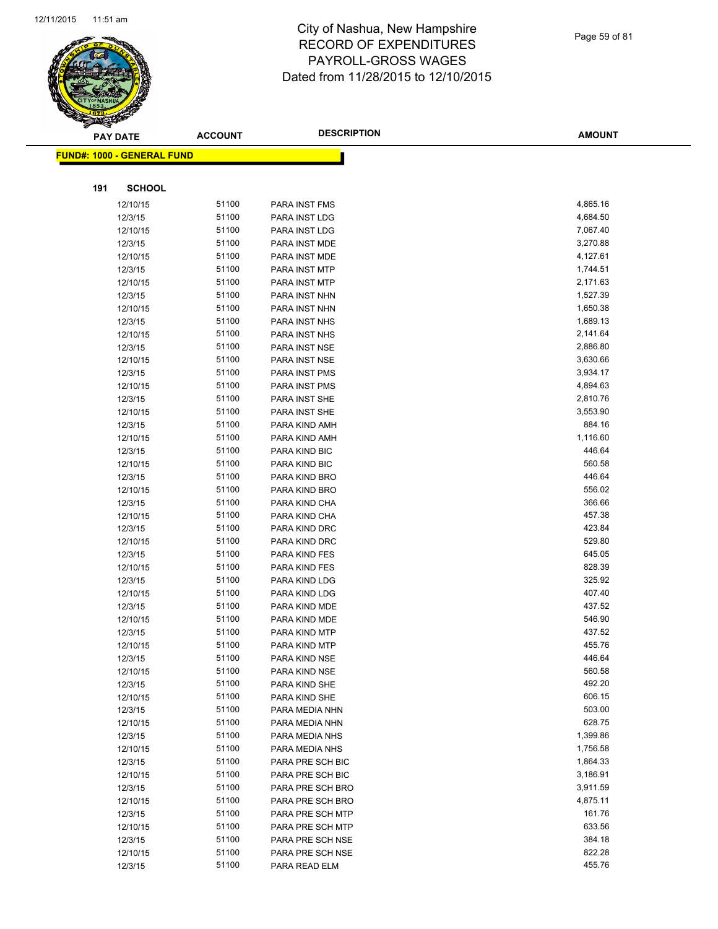

Page 59 of 81

| T<br>B. | <b>PAY DATE</b>                   | <b>ACCOUNT</b> | <b>DESCRIPTION</b>             | <b>AMOUNT</b>    |
|---------|-----------------------------------|----------------|--------------------------------|------------------|
|         | <b>FUND#: 1000 - GENERAL FUND</b> |                |                                |                  |
|         |                                   |                |                                |                  |
| 191     | <b>SCHOOL</b>                     |                |                                |                  |
|         | 12/10/15                          | 51100          | PARA INST FMS                  | 4,865.16         |
|         | 12/3/15                           | 51100          | PARA INST LDG                  | 4,684.50         |
|         | 12/10/15                          | 51100          | PARA INST LDG                  | 7,067.40         |
|         | 12/3/15                           | 51100          | PARA INST MDE                  | 3,270.88         |
|         | 12/10/15                          | 51100          | PARA INST MDE                  | 4,127.61         |
|         | 12/3/15                           | 51100          | PARA INST MTP                  | 1,744.51         |
|         | 12/10/15                          | 51100          | PARA INST MTP                  | 2,171.63         |
|         | 12/3/15                           | 51100          | PARA INST NHN                  | 1,527.39         |
|         | 12/10/15                          | 51100          | PARA INST NHN                  | 1,650.38         |
|         | 12/3/15                           | 51100          | PARA INST NHS                  | 1,689.13         |
|         | 12/10/15                          | 51100          | PARA INST NHS                  | 2,141.64         |
|         | 12/3/15                           | 51100          | PARA INST NSE                  | 2,886.80         |
|         | 12/10/15                          | 51100          | PARA INST NSE                  | 3,630.66         |
|         | 12/3/15                           | 51100          | PARA INST PMS                  | 3,934.17         |
|         | 12/10/15                          | 51100          | PARA INST PMS                  | 4,894.63         |
|         | 12/3/15                           | 51100          | PARA INST SHE                  | 2,810.76         |
|         | 12/10/15                          | 51100          | PARA INST SHE                  | 3,553.90         |
|         | 12/3/15                           | 51100          | PARA KIND AMH                  | 884.16           |
|         | 12/10/15                          | 51100          | PARA KIND AMH                  | 1,116.60         |
|         | 12/3/15                           | 51100          | PARA KIND BIC                  | 446.64           |
|         | 12/10/15                          | 51100          | PARA KIND BIC                  | 560.58           |
|         | 12/3/15                           | 51100          | PARA KIND BRO                  | 446.64           |
|         | 12/10/15                          | 51100          | PARA KIND BRO                  | 556.02           |
|         | 12/3/15                           | 51100          | PARA KIND CHA                  | 366.66           |
|         | 12/10/15                          | 51100          | PARA KIND CHA                  | 457.38           |
|         | 12/3/15                           | 51100          | PARA KIND DRC                  | 423.84           |
|         | 12/10/15                          | 51100          | PARA KIND DRC                  | 529.80           |
|         | 12/3/15                           | 51100          | PARA KIND FES                  | 645.05           |
|         | 12/10/15                          | 51100          | PARA KIND FES                  | 828.39           |
|         | 12/3/15                           | 51100          | PARA KIND LDG                  | 325.92<br>407.40 |
|         | 12/10/15                          | 51100<br>51100 | PARA KIND LDG<br>PARA KIND MDE | 437.52           |
|         | 12/3/15<br>12/10/15               | 51100          |                                | 546.90           |
|         | 12/3/15                           | 51100          | PARA KIND MDE<br>PARA KIND MTP | 437.52           |
|         | 12/10/15                          | 51100          | PARA KIND MTP                  | 455.76           |
|         | 12/3/15                           | 51100          | PARA KIND NSE                  | 446.64           |
|         | 12/10/15                          | 51100          | PARA KIND NSE                  | 560.58           |
|         | 12/3/15                           | 51100          | PARA KIND SHE                  | 492.20           |
|         | 12/10/15                          | 51100          | PARA KIND SHE                  | 606.15           |
|         | 12/3/15                           | 51100          | PARA MEDIA NHN                 | 503.00           |
|         | 12/10/15                          | 51100          | PARA MEDIA NHN                 | 628.75           |
|         | 12/3/15                           | 51100          | PARA MEDIA NHS                 | 1,399.86         |
|         | 12/10/15                          | 51100          | PARA MEDIA NHS                 | 1,756.58         |
|         | 12/3/15                           | 51100          | PARA PRE SCH BIC               | 1,864.33         |
|         | 12/10/15                          | 51100          | PARA PRE SCH BIC               | 3,186.91         |
|         | 12/3/15                           | 51100          | PARA PRE SCH BRO               | 3,911.59         |
|         | 12/10/15                          | 51100          | PARA PRE SCH BRO               | 4,875.11         |
|         | 12/3/15                           | 51100          | PARA PRE SCH MTP               | 161.76           |
|         | 12/10/15                          | 51100          | PARA PRE SCH MTP               | 633.56           |
|         | 12/3/15                           | 51100          | PARA PRE SCH NSE               | 384.18           |
|         | 12/10/15                          | 51100          | PARA PRE SCH NSE               | 822.28           |
|         | 12/3/15                           | 51100          | PARA READ ELM                  | 455.76           |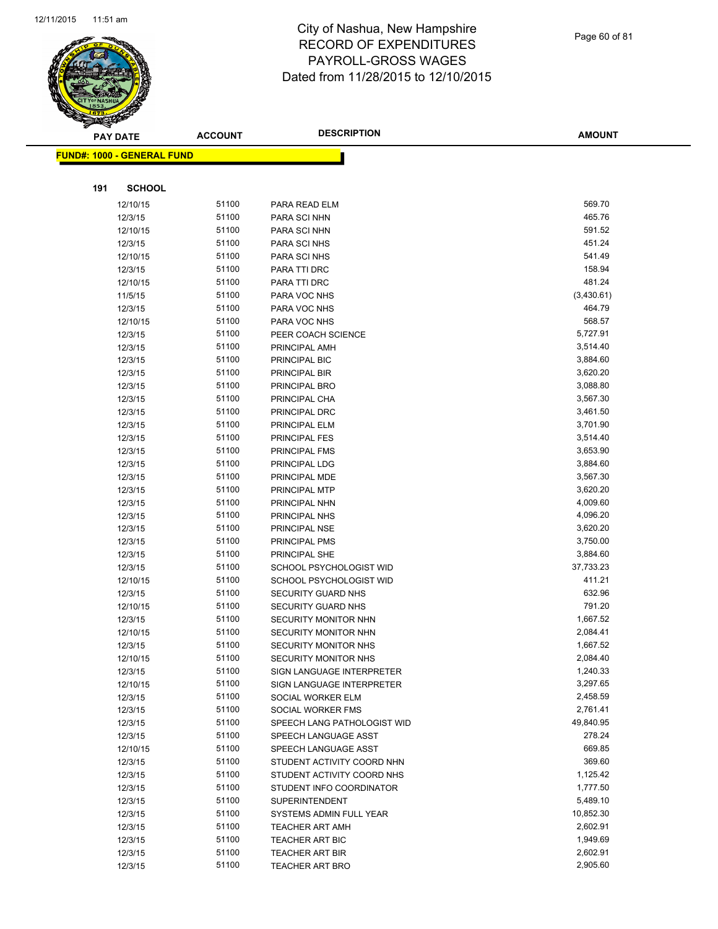

Page 60 of 81

| <b>PAY DATE</b>                   | <b>ACCOUNT</b> | <b>DESCRIPTION</b>                                  | <b>AMOUNT</b>        |
|-----------------------------------|----------------|-----------------------------------------------------|----------------------|
| <b>FUND#: 1000 - GENERAL FUND</b> |                |                                                     |                      |
|                                   |                |                                                     |                      |
|                                   |                |                                                     |                      |
| 191<br><b>SCHOOL</b>              |                |                                                     |                      |
| 12/10/15                          | 51100          | PARA READ ELM                                       | 569.70               |
| 12/3/15                           | 51100          | PARA SCI NHN                                        | 465.76               |
| 12/10/15                          | 51100          | PARA SCI NHN                                        | 591.52               |
| 12/3/15                           | 51100          | PARA SCI NHS                                        | 451.24               |
| 12/10/15                          | 51100          | PARA SCI NHS                                        | 541.49               |
| 12/3/15                           | 51100          | PARA TTI DRC                                        | 158.94               |
| 12/10/15                          | 51100          | PARA TTI DRC                                        | 481.24               |
| 11/5/15                           | 51100          | PARA VOC NHS                                        | (3,430.61)           |
| 12/3/15                           | 51100          | PARA VOC NHS                                        | 464.79               |
| 12/10/15                          | 51100          | PARA VOC NHS                                        | 568.57               |
| 12/3/15                           | 51100          | PEER COACH SCIENCE                                  | 5,727.91             |
| 12/3/15                           | 51100          | PRINCIPAL AMH                                       | 3,514.40             |
| 12/3/15                           | 51100          | PRINCIPAL BIC                                       | 3,884.60             |
| 12/3/15                           | 51100          | PRINCIPAL BIR                                       | 3,620.20             |
| 12/3/15                           | 51100          | PRINCIPAL BRO                                       | 3,088.80             |
| 12/3/15                           | 51100          | PRINCIPAL CHA                                       | 3,567.30             |
| 12/3/15                           | 51100          | PRINCIPAL DRC                                       | 3,461.50             |
| 12/3/15                           | 51100          | PRINCIPAL ELM                                       | 3,701.90             |
| 12/3/15                           | 51100          | <b>PRINCIPAL FES</b>                                | 3,514.40             |
| 12/3/15                           | 51100          | PRINCIPAL FMS                                       | 3,653.90             |
| 12/3/15                           | 51100          | PRINCIPAL LDG                                       | 3,884.60             |
| 12/3/15                           | 51100          | PRINCIPAL MDE                                       | 3,567.30             |
| 12/3/15                           | 51100          | PRINCIPAL MTP                                       | 3,620.20             |
| 12/3/15                           | 51100          | PRINCIPAL NHN                                       | 4,009.60             |
| 12/3/15                           | 51100          | PRINCIPAL NHS                                       | 4,096.20             |
| 12/3/15                           | 51100          | PRINCIPAL NSE                                       | 3,620.20             |
| 12/3/15                           | 51100          | <b>PRINCIPAL PMS</b>                                | 3,750.00             |
| 12/3/15                           | 51100          | PRINCIPAL SHE                                       | 3,884.60             |
| 12/3/15                           | 51100          | SCHOOL PSYCHOLOGIST WID                             | 37,733.23            |
| 12/10/15                          | 51100          | SCHOOL PSYCHOLOGIST WID                             | 411.21               |
| 12/3/15                           | 51100          | SECURITY GUARD NHS                                  | 632.96               |
| 12/10/15                          | 51100          | SECURITY GUARD NHS                                  | 791.20               |
| 12/3/15                           | 51100          | <b>SECURITY MONITOR NHN</b>                         | 1,667.52             |
| 12/10/15                          | 51100<br>51100 | SECURITY MONITOR NHN<br><b>SECURITY MONITOR NHS</b> | 2,084.41<br>1,667.52 |
| 12/3/15<br>12/10/15               | 51100          | SECURITY MONITOR NHS                                | 2,084.40             |
| 12/3/15                           | 51100          | SIGN LANGUAGE INTERPRETER                           | 1,240.33             |
| 12/10/15                          | 51100          | SIGN LANGUAGE INTERPRETER                           | 3,297.65             |
| 12/3/15                           | 51100          | SOCIAL WORKER ELM                                   | 2,458.59             |
| 12/3/15                           | 51100          | SOCIAL WORKER FMS                                   | 2,761.41             |
| 12/3/15                           | 51100          | SPEECH LANG PATHOLOGIST WID                         | 49,840.95            |
| 12/3/15                           | 51100          | SPEECH LANGUAGE ASST                                | 278.24               |
| 12/10/15                          | 51100          | SPEECH LANGUAGE ASST                                | 669.85               |
| 12/3/15                           | 51100          | STUDENT ACTIVITY COORD NHN                          | 369.60               |
| 12/3/15                           | 51100          | STUDENT ACTIVITY COORD NHS                          | 1,125.42             |
| 12/3/15                           | 51100          | STUDENT INFO COORDINATOR                            | 1,777.50             |
| 12/3/15                           | 51100          | SUPERINTENDENT                                      | 5,489.10             |
| 12/3/15                           | 51100          | SYSTEMS ADMIN FULL YEAR                             | 10,852.30            |
| 12/3/15                           | 51100          | <b>TEACHER ART AMH</b>                              | 2,602.91             |
| 12/3/15                           | 51100          | TEACHER ART BIC                                     | 1,949.69             |
| 12/3/15                           | 51100          | <b>TEACHER ART BIR</b>                              | 2,602.91             |
| 12/3/15                           | 51100          | <b>TEACHER ART BRO</b>                              | 2,905.60             |
|                                   |                |                                                     |                      |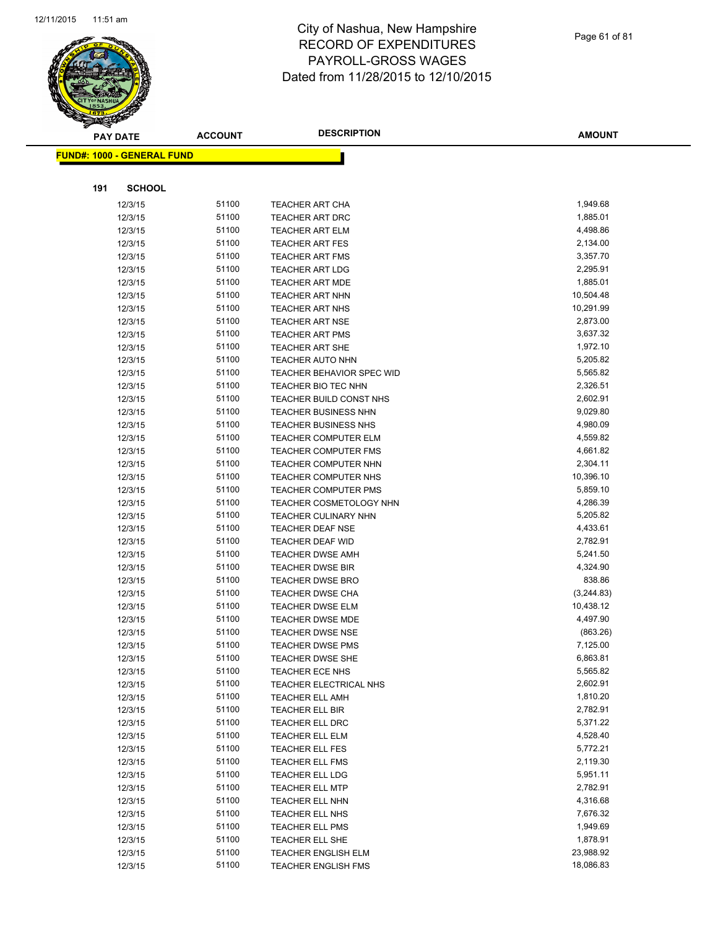

Page 61 of 81

|     | <b>PAY DATE</b>                   | <b>ACCOUNT</b> | <b>DESCRIPTION</b>               | <b>AMOUNT</b> |
|-----|-----------------------------------|----------------|----------------------------------|---------------|
|     | <b>FUND#: 1000 - GENERAL FUND</b> |                |                                  |               |
|     |                                   |                |                                  |               |
|     |                                   |                |                                  |               |
| 191 | <b>SCHOOL</b>                     |                |                                  |               |
|     | 12/3/15                           | 51100          | <b>TEACHER ART CHA</b>           | 1,949.68      |
|     | 12/3/15                           | 51100          | <b>TEACHER ART DRC</b>           | 1,885.01      |
|     | 12/3/15                           | 51100          | <b>TEACHER ART ELM</b>           | 4,498.86      |
|     | 12/3/15                           | 51100          | <b>TEACHER ART FES</b>           | 2,134.00      |
|     | 12/3/15                           | 51100          | <b>TEACHER ART FMS</b>           | 3,357.70      |
|     | 12/3/15                           | 51100          | <b>TEACHER ART LDG</b>           | 2,295.91      |
|     | 12/3/15                           | 51100          | <b>TEACHER ART MDE</b>           | 1,885.01      |
|     | 12/3/15                           | 51100          | <b>TEACHER ART NHN</b>           | 10,504.48     |
|     | 12/3/15                           | 51100          | <b>TEACHER ART NHS</b>           | 10,291.99     |
|     | 12/3/15                           | 51100          | <b>TEACHER ART NSE</b>           | 2,873.00      |
|     | 12/3/15                           | 51100          | <b>TEACHER ART PMS</b>           | 3,637.32      |
|     | 12/3/15                           | 51100          | <b>TEACHER ART SHE</b>           | 1,972.10      |
|     | 12/3/15                           | 51100          | <b>TEACHER AUTO NHN</b>          | 5,205.82      |
|     | 12/3/15                           | 51100          | <b>TEACHER BEHAVIOR SPEC WID</b> | 5,565.82      |
|     | 12/3/15                           | 51100          | <b>TEACHER BIO TEC NHN</b>       | 2,326.51      |
|     | 12/3/15                           | 51100          | TEACHER BUILD CONST NHS          | 2,602.91      |
|     | 12/3/15                           | 51100          | <b>TEACHER BUSINESS NHN</b>      | 9,029.80      |
|     | 12/3/15                           | 51100          | <b>TEACHER BUSINESS NHS</b>      | 4,980.09      |
|     | 12/3/15                           | 51100          | <b>TEACHER COMPUTER ELM</b>      | 4,559.82      |
|     | 12/3/15                           | 51100          | <b>TEACHER COMPUTER FMS</b>      | 4,661.82      |
|     | 12/3/15                           | 51100          | <b>TEACHER COMPUTER NHN</b>      | 2,304.11      |
|     | 12/3/15                           | 51100          | <b>TEACHER COMPUTER NHS</b>      | 10,396.10     |
|     | 12/3/15                           | 51100          | <b>TEACHER COMPUTER PMS</b>      | 5,859.10      |
|     | 12/3/15                           | 51100          | TEACHER COSMETOLOGY NHN          | 4,286.39      |
|     | 12/3/15                           | 51100          | <b>TEACHER CULINARY NHN</b>      | 5,205.82      |
|     | 12/3/15                           | 51100          | <b>TEACHER DEAF NSE</b>          | 4,433.61      |
|     | 12/3/15                           | 51100          | <b>TEACHER DEAF WID</b>          | 2,782.91      |
|     | 12/3/15                           | 51100          | <b>TEACHER DWSE AMH</b>          | 5,241.50      |
|     | 12/3/15                           | 51100          | <b>TEACHER DWSE BIR</b>          | 4,324.90      |
|     | 12/3/15                           | 51100          | <b>TEACHER DWSE BRO</b>          | 838.86        |
|     | 12/3/15                           | 51100          | TEACHER DWSE CHA                 | (3,244.83)    |
|     | 12/3/15                           | 51100          | <b>TEACHER DWSE ELM</b>          | 10,438.12     |
|     | 12/3/15                           | 51100          | TEACHER DWSE MDE                 | 4,497.90      |
|     | 12/3/15                           | 51100          | <b>TEACHER DWSE NSE</b>          | (863.26)      |
|     | 12/3/15                           | 51100          | <b>TEACHER DWSE PMS</b>          | 7,125.00      |
|     | 12/3/15                           | 51100          | TEACHER DWSE SHE                 | 6,863.81      |
|     | 12/3/15                           | 51100          | TEACHER ECE NHS                  | 5,565.82      |
|     | 12/3/15                           | 51100          | TEACHER ELECTRICAL NHS           | 2,602.91      |
|     | 12/3/15                           | 51100          | <b>TEACHER ELL AMH</b>           | 1,810.20      |
|     | 12/3/15                           | 51100          | <b>TEACHER ELL BIR</b>           | 2,782.91      |
|     | 12/3/15                           | 51100          | TEACHER ELL DRC                  | 5,371.22      |
|     | 12/3/15                           | 51100          | TEACHER ELL ELM                  | 4,528.40      |
|     | 12/3/15                           | 51100          | TEACHER ELL FES                  | 5,772.21      |
|     | 12/3/15                           | 51100          | <b>TEACHER ELL FMS</b>           | 2,119.30      |
|     | 12/3/15                           | 51100          | TEACHER ELL LDG                  | 5,951.11      |
|     | 12/3/15                           | 51100          | <b>TEACHER ELL MTP</b>           | 2,782.91      |
|     | 12/3/15                           | 51100          | <b>TEACHER ELL NHN</b>           | 4,316.68      |
|     | 12/3/15                           | 51100          | TEACHER ELL NHS                  | 7,676.32      |
|     | 12/3/15                           | 51100          | <b>TEACHER ELL PMS</b>           | 1,949.69      |
|     | 12/3/15                           | 51100          | TEACHER ELL SHE                  | 1,878.91      |
|     | 12/3/15                           | 51100          | <b>TEACHER ENGLISH ELM</b>       | 23,988.92     |
|     | 12/3/15                           | 51100          | <b>TEACHER ENGLISH FMS</b>       | 18,086.83     |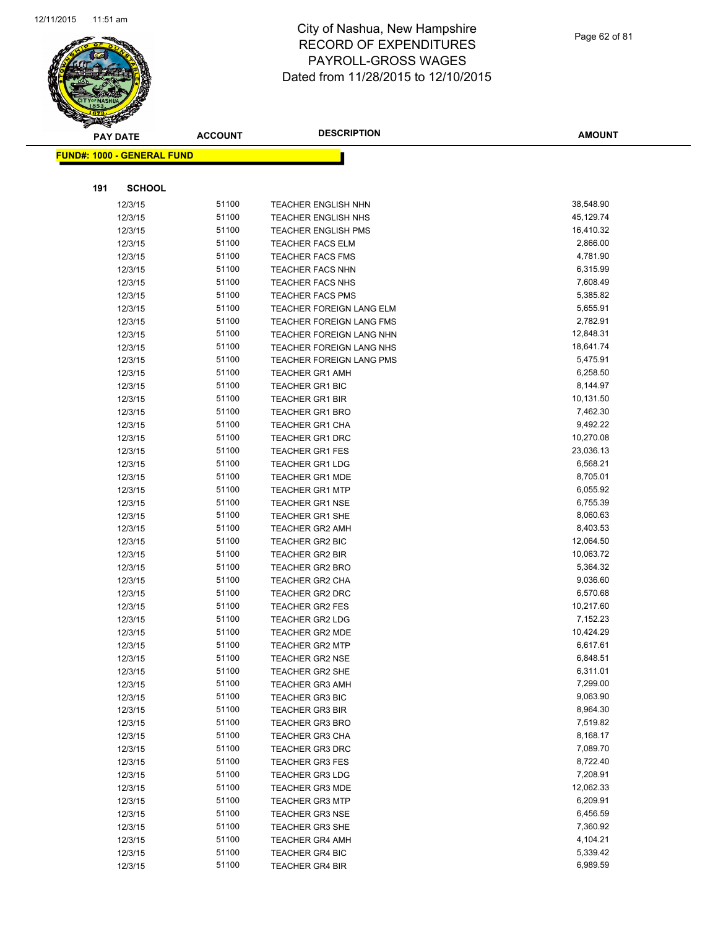

Page 62 of 81

| S<br>$\tilde{\phantom{a}}$ | <b>PAY DATE</b>                   | <b>ACCOUNT</b> | <b>DESCRIPTION</b>                                 | <b>AMOUNT</b>        |
|----------------------------|-----------------------------------|----------------|----------------------------------------------------|----------------------|
|                            | <b>FUND#: 1000 - GENERAL FUND</b> |                |                                                    |                      |
|                            |                                   |                |                                                    |                      |
|                            |                                   |                |                                                    |                      |
| 191                        | <b>SCHOOL</b>                     |                |                                                    |                      |
|                            | 12/3/15                           | 51100          | <b>TEACHER ENGLISH NHN</b>                         | 38,548.90            |
|                            | 12/3/15                           | 51100          | <b>TEACHER ENGLISH NHS</b>                         | 45,129.74            |
|                            | 12/3/15                           | 51100          | <b>TEACHER ENGLISH PMS</b>                         | 16,410.32            |
|                            | 12/3/15                           | 51100          | <b>TEACHER FACS ELM</b>                            | 2,866.00             |
|                            | 12/3/15                           | 51100          | <b>TEACHER FACS FMS</b>                            | 4,781.90<br>6,315.99 |
|                            | 12/3/15<br>12/3/15                | 51100<br>51100 | <b>TEACHER FACS NHN</b>                            | 7,608.49             |
|                            | 12/3/15                           | 51100          | <b>TEACHER FACS NHS</b><br><b>TEACHER FACS PMS</b> | 5,385.82             |
|                            | 12/3/15                           | 51100          | <b>TEACHER FOREIGN LANG ELM</b>                    | 5,655.91             |
|                            | 12/3/15                           | 51100          | TEACHER FOREIGN LANG FMS                           | 2,782.91             |
|                            | 12/3/15                           | 51100          | TEACHER FOREIGN LANG NHN                           | 12,848.31            |
|                            | 12/3/15                           | 51100          | TEACHER FOREIGN LANG NHS                           | 18,641.74            |
|                            | 12/3/15                           | 51100          | TEACHER FOREIGN LANG PMS                           | 5,475.91             |
|                            | 12/3/15                           | 51100          | <b>TEACHER GR1 AMH</b>                             | 6,258.50             |
|                            | 12/3/15                           | 51100          | <b>TEACHER GR1 BIC</b>                             | 8,144.97             |
|                            | 12/3/15                           | 51100          | <b>TEACHER GR1 BIR</b>                             | 10,131.50            |
|                            | 12/3/15                           | 51100          | <b>TEACHER GR1 BRO</b>                             | 7,462.30             |
|                            | 12/3/15                           | 51100          | <b>TEACHER GR1 CHA</b>                             | 9,492.22             |
|                            | 12/3/15                           | 51100          | <b>TEACHER GR1 DRC</b>                             | 10,270.08            |
|                            | 12/3/15                           | 51100          | <b>TEACHER GR1 FES</b>                             | 23,036.13            |
|                            | 12/3/15                           | 51100          | <b>TEACHER GR1 LDG</b>                             | 6,568.21             |
|                            | 12/3/15                           | 51100          | <b>TEACHER GR1 MDE</b>                             | 8,705.01             |
|                            | 12/3/15                           | 51100          | <b>TEACHER GR1 MTP</b>                             | 6,055.92             |
|                            | 12/3/15                           | 51100          | TEACHER GR1 NSE                                    | 6,755.39             |
|                            | 12/3/15                           | 51100          | <b>TEACHER GR1 SHE</b>                             | 8,060.63             |
|                            | 12/3/15                           | 51100          | <b>TEACHER GR2 AMH</b>                             | 8,403.53             |
|                            | 12/3/15                           | 51100          | TEACHER GR2 BIC                                    | 12,064.50            |
|                            | 12/3/15                           | 51100          | <b>TEACHER GR2 BIR</b>                             | 10,063.72            |
|                            | 12/3/15                           | 51100          | <b>TEACHER GR2 BRO</b>                             | 5,364.32             |
|                            | 12/3/15                           | 51100          | <b>TEACHER GR2 CHA</b>                             | 9,036.60             |
|                            | 12/3/15                           | 51100          | <b>TEACHER GR2 DRC</b>                             | 6,570.68             |
|                            | 12/3/15                           | 51100          | <b>TEACHER GR2 FES</b>                             | 10,217.60            |
|                            | 12/3/15                           | 51100          | <b>TEACHER GR2 LDG</b>                             | 7,152.23             |
|                            | 12/3/15                           | 51100          | <b>TEACHER GR2 MDE</b>                             | 10,424.29            |
|                            | 12/3/15                           | 51100          | <b>TEACHER GR2 MTP</b>                             | 6,617.61             |
|                            | 12/3/15                           | 51100          | TEACHER GR2 NSE                                    | 6,848.51             |
|                            | 12/3/15                           | 51100          | TEACHER GR2 SHE                                    | 6,311.01             |
|                            | 12/3/15                           | 51100          | <b>TEACHER GR3 AMH</b>                             | 7,299.00             |
|                            | 12/3/15                           | 51100          | <b>TEACHER GR3 BIC</b>                             | 9,063.90             |
|                            | 12/3/15                           | 51100          | <b>TEACHER GR3 BIR</b>                             | 8,964.30             |
|                            | 12/3/15                           | 51100          | <b>TEACHER GR3 BRO</b>                             | 7,519.82             |
|                            | 12/3/15                           | 51100          | <b>TEACHER GR3 CHA</b>                             | 8,168.17             |
|                            | 12/3/15                           | 51100          | <b>TEACHER GR3 DRC</b>                             | 7,089.70             |
|                            | 12/3/15                           | 51100          | <b>TEACHER GR3 FES</b>                             | 8,722.40             |
|                            | 12/3/15                           | 51100          | <b>TEACHER GR3 LDG</b>                             | 7,208.91             |
|                            | 12/3/15                           | 51100          | <b>TEACHER GR3 MDE</b>                             | 12,062.33            |
|                            | 12/3/15                           | 51100          | <b>TEACHER GR3 MTP</b>                             | 6,209.91             |
|                            | 12/3/15                           | 51100          | <b>TEACHER GR3 NSE</b>                             | 6,456.59             |
|                            | 12/3/15                           | 51100          | <b>TEACHER GR3 SHE</b>                             | 7,360.92             |
|                            | 12/3/15                           | 51100          | <b>TEACHER GR4 AMH</b>                             | 4,104.21             |
|                            | 12/3/15                           | 51100          | <b>TEACHER GR4 BIC</b>                             | 5,339.42             |
|                            | 12/3/15                           | 51100          | <b>TEACHER GR4 BIR</b>                             | 6,989.59             |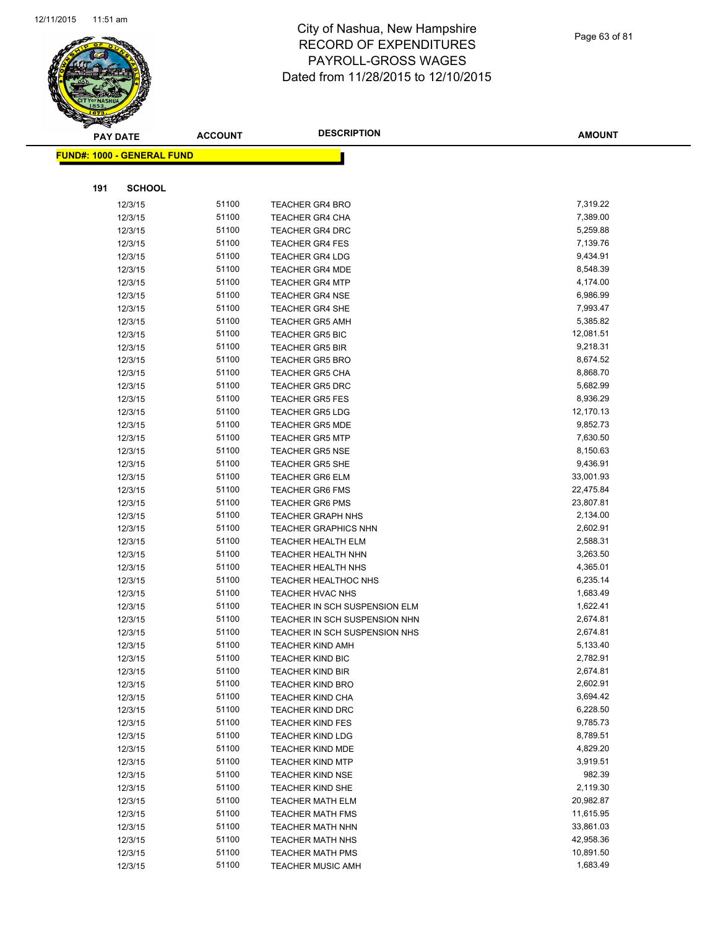

|     | <b>PAY DATE</b>                   | <b>ACCOUNT</b> | <b>DESCRIPTION</b>                                 | <b>AMOUNT</b>        |
|-----|-----------------------------------|----------------|----------------------------------------------------|----------------------|
|     | <b>FUND#: 1000 - GENERAL FUND</b> |                |                                                    |                      |
|     |                                   |                |                                                    |                      |
| 191 | <b>SCHOOL</b>                     |                |                                                    |                      |
|     | 12/3/15                           | 51100          | <b>TEACHER GR4 BRO</b>                             | 7,319.22             |
|     | 12/3/15                           | 51100          | <b>TEACHER GR4 CHA</b>                             | 7,389.00             |
|     | 12/3/15                           | 51100          | <b>TEACHER GR4 DRC</b>                             | 5,259.88             |
|     | 12/3/15                           | 51100          | <b>TEACHER GR4 FES</b>                             | 7,139.76             |
|     | 12/3/15                           | 51100          | <b>TEACHER GR4 LDG</b>                             | 9,434.91             |
|     | 12/3/15                           | 51100          | <b>TEACHER GR4 MDE</b>                             | 8,548.39             |
|     | 12/3/15                           | 51100          | <b>TEACHER GR4 MTP</b>                             | 4,174.00             |
|     | 12/3/15                           | 51100          | <b>TEACHER GR4 NSE</b>                             | 6,986.99             |
|     | 12/3/15                           | 51100          | <b>TEACHER GR4 SHE</b>                             | 7,993.47             |
|     | 12/3/15                           | 51100          | <b>TEACHER GR5 AMH</b>                             | 5,385.82             |
|     | 12/3/15                           | 51100          | <b>TEACHER GR5 BIC</b>                             | 12,081.51            |
|     | 12/3/15                           | 51100          | <b>TEACHER GR5 BIR</b>                             | 9,218.31             |
|     | 12/3/15                           | 51100          | <b>TEACHER GR5 BRO</b>                             | 8,674.52             |
|     | 12/3/15                           | 51100          | <b>TEACHER GR5 CHA</b>                             | 8,868.70             |
|     | 12/3/15                           | 51100          | <b>TEACHER GR5 DRC</b>                             | 5,682.99             |
|     | 12/3/15                           | 51100          | <b>TEACHER GR5 FES</b>                             | 8,936.29             |
|     | 12/3/15                           | 51100          | <b>TEACHER GR5 LDG</b>                             | 12,170.13            |
|     | 12/3/15                           | 51100          | <b>TEACHER GR5 MDE</b>                             | 9,852.73             |
|     | 12/3/15                           | 51100          | <b>TEACHER GR5 MTP</b>                             | 7,630.50             |
|     | 12/3/15                           | 51100          | <b>TEACHER GR5 NSE</b>                             | 8,150.63             |
|     | 12/3/15                           | 51100          | <b>TEACHER GR5 SHE</b>                             | 9,436.91             |
|     | 12/3/15                           | 51100          | <b>TEACHER GR6 ELM</b>                             | 33,001.93            |
|     | 12/3/15                           | 51100          | <b>TEACHER GR6 FMS</b>                             | 22,475.84            |
|     | 12/3/15                           | 51100          | <b>TEACHER GR6 PMS</b>                             | 23,807.81            |
|     | 12/3/15                           | 51100          | <b>TEACHER GRAPH NHS</b>                           | 2,134.00             |
|     | 12/3/15                           | 51100          | <b>TEACHER GRAPHICS NHN</b>                        | 2,602.91             |
|     | 12/3/15                           | 51100          | TEACHER HEALTH ELM                                 | 2,588.31             |
|     | 12/3/15                           | 51100          | <b>TEACHER HEALTH NHN</b>                          | 3,263.50             |
|     | 12/3/15                           | 51100          | TEACHER HEALTH NHS                                 | 4,365.01             |
|     | 12/3/15                           | 51100          | <b>TEACHER HEALTHOC NHS</b>                        | 6,235.14             |
|     | 12/3/15                           | 51100          | <b>TEACHER HVAC NHS</b>                            | 1,683.49             |
|     | 12/3/15                           | 51100          | TEACHER IN SCH SUSPENSION ELM                      | 1,622.41             |
|     | 12/3/15                           | 51100          | TEACHER IN SCH SUSPENSION NHN                      | 2,674.81             |
|     | 12/3/15                           | 51100          | TEACHER IN SCH SUSPENSION NHS                      | 2,674.81             |
|     | 12/3/15                           | 51100          | <b>TEACHER KIND AMH</b>                            | 5,133.40             |
|     | 12/3/15                           | 51100          | <b>TEACHER KIND BIC</b>                            | 2,782.91             |
|     | 12/3/15                           | 51100<br>51100 | <b>TEACHER KIND BIR</b>                            | 2,674.81<br>2,602.91 |
|     | 12/3/15                           | 51100          | <b>TEACHER KIND BRO</b>                            | 3,694.42             |
|     | 12/3/15                           | 51100          | <b>TEACHER KIND CHA</b><br><b>TEACHER KIND DRC</b> | 6,228.50             |
|     | 12/3/15<br>12/3/15                | 51100          | <b>TEACHER KIND FES</b>                            | 9,785.73             |
|     | 12/3/15                           | 51100          | <b>TEACHER KIND LDG</b>                            | 8,789.51             |
|     | 12/3/15                           | 51100          | <b>TEACHER KIND MDE</b>                            | 4,829.20             |
|     | 12/3/15                           | 51100          | <b>TEACHER KIND MTP</b>                            | 3,919.51             |
|     | 12/3/15                           | 51100          | <b>TEACHER KIND NSE</b>                            | 982.39               |
|     | 12/3/15                           | 51100          | <b>TEACHER KIND SHE</b>                            | 2,119.30             |
|     | 12/3/15                           | 51100          | <b>TEACHER MATH ELM</b>                            | 20,982.87            |
|     | 12/3/15                           | 51100          | <b>TEACHER MATH FMS</b>                            | 11,615.95            |
|     | 12/3/15                           | 51100          | <b>TEACHER MATH NHN</b>                            | 33,861.03            |
|     | 12/3/15                           | 51100          | <b>TEACHER MATH NHS</b>                            | 42,958.36            |
|     | 12/3/15                           | 51100          | TEACHER MATH PMS                                   | 10,891.50            |
|     | 12/3/15                           | 51100          | <b>TEACHER MUSIC AMH</b>                           | 1,683.49             |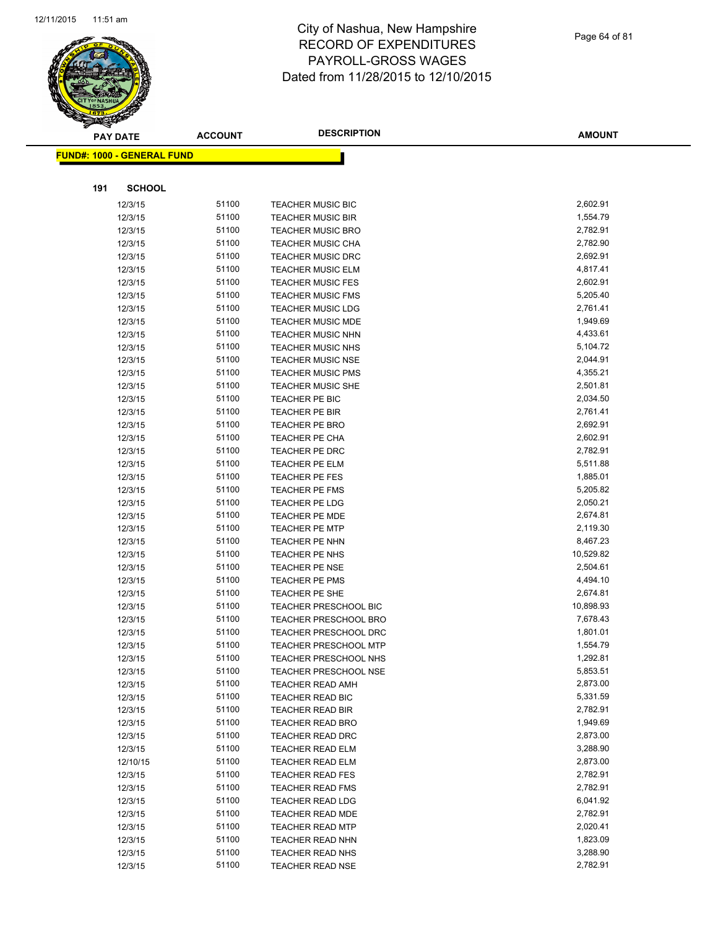

|     | <b>PAY DATE</b>                   | <b>ACCOUNT</b> | <b>DESCRIPTION</b>                                    | <b>AMOUNT</b>         |
|-----|-----------------------------------|----------------|-------------------------------------------------------|-----------------------|
|     | <b>FUND#: 1000 - GENERAL FUND</b> |                |                                                       |                       |
|     |                                   |                |                                                       |                       |
| 191 | <b>SCHOOL</b>                     |                |                                                       |                       |
|     | 12/3/15                           | 51100          | <b>TEACHER MUSIC BIC</b>                              | 2,602.91              |
|     | 12/3/15                           | 51100          | <b>TEACHER MUSIC BIR</b>                              | 1,554.79              |
|     | 12/3/15                           | 51100          | <b>TEACHER MUSIC BRO</b>                              | 2,782.91              |
|     | 12/3/15                           | 51100          | <b>TEACHER MUSIC CHA</b>                              | 2,782.90              |
|     | 12/3/15                           | 51100          | <b>TEACHER MUSIC DRC</b>                              | 2,692.91              |
|     | 12/3/15                           | 51100          | <b>TEACHER MUSIC ELM</b>                              | 4,817.41              |
|     | 12/3/15                           | 51100          | <b>TEACHER MUSIC FES</b>                              | 2,602.91              |
|     | 12/3/15                           | 51100          | <b>TEACHER MUSIC FMS</b>                              | 5,205.40              |
|     | 12/3/15                           | 51100          | <b>TEACHER MUSIC LDG</b>                              | 2,761.41              |
|     | 12/3/15                           | 51100          | <b>TEACHER MUSIC MDE</b>                              | 1,949.69              |
|     | 12/3/15                           | 51100          | <b>TEACHER MUSIC NHN</b>                              | 4,433.61              |
|     | 12/3/15                           | 51100          | <b>TEACHER MUSIC NHS</b>                              | 5,104.72              |
|     | 12/3/15                           | 51100          | <b>TEACHER MUSIC NSE</b>                              | 2,044.91              |
|     | 12/3/15                           | 51100          | <b>TEACHER MUSIC PMS</b>                              | 4,355.21              |
|     | 12/3/15                           | 51100          | <b>TEACHER MUSIC SHE</b>                              | 2,501.81              |
|     | 12/3/15                           | 51100          | TEACHER PE BIC                                        | 2,034.50              |
|     | 12/3/15                           | 51100          | <b>TEACHER PE BIR</b>                                 | 2,761.41              |
|     | 12/3/15                           | 51100          | <b>TEACHER PE BRO</b>                                 | 2,692.91              |
|     | 12/3/15                           | 51100          | <b>TEACHER PE CHA</b>                                 | 2,602.91              |
|     | 12/3/15                           | 51100          | <b>TEACHER PE DRC</b>                                 | 2,782.91              |
|     | 12/3/15                           | 51100          | TEACHER PE ELM                                        | 5,511.88              |
|     | 12/3/15                           | 51100          | <b>TEACHER PE FES</b>                                 | 1,885.01              |
|     | 12/3/15                           | 51100          | <b>TEACHER PE FMS</b>                                 | 5,205.82              |
|     | 12/3/15                           | 51100          | TEACHER PE LDG                                        | 2,050.21              |
|     | 12/3/15                           | 51100          | <b>TEACHER PE MDE</b>                                 | 2,674.81              |
|     | 12/3/15                           | 51100          | <b>TEACHER PE MTP</b>                                 | 2,119.30              |
|     | 12/3/15                           | 51100          | TEACHER PE NHN                                        | 8,467.23              |
|     | 12/3/15                           | 51100          | TEACHER PE NHS                                        | 10,529.82             |
|     | 12/3/15                           | 51100          | <b>TEACHER PE NSE</b>                                 | 2,504.61              |
|     | 12/3/15                           | 51100          | <b>TEACHER PE PMS</b>                                 | 4,494.10              |
|     | 12/3/15<br>12/3/15                | 51100<br>51100 | TEACHER PE SHE<br>TEACHER PRESCHOOL BIC               | 2,674.81<br>10,898.93 |
|     |                                   | 51100          |                                                       | 7,678.43              |
|     | 12/3/15<br>12/3/15                | 51100          | <b>TEACHER PRESCHOOL BRO</b><br>TEACHER PRESCHOOL DRC | 1,801.01              |
|     | 12/3/15                           | 51100          | <b>TEACHER PRESCHOOL MTP</b>                          | 1,554.79              |
|     | 12/3/15                           | 51100          | TEACHER PRESCHOOL NHS                                 | 1,292.81              |
|     | 12/3/15                           | 51100          | <b>TEACHER PRESCHOOL NSE</b>                          | 5,853.51              |
|     | 12/3/15                           | 51100          | <b>TEACHER READ AMH</b>                               | 2,873.00              |
|     | 12/3/15                           | 51100          | TEACHER READ BIC                                      | 5,331.59              |
|     | 12/3/15                           | 51100          | <b>TEACHER READ BIR</b>                               | 2,782.91              |
|     | 12/3/15                           | 51100          | <b>TEACHER READ BRO</b>                               | 1,949.69              |
|     | 12/3/15                           | 51100          | <b>TEACHER READ DRC</b>                               | 2,873.00              |
|     | 12/3/15                           | 51100          | <b>TEACHER READ ELM</b>                               | 3,288.90              |
|     | 12/10/15                          | 51100          | <b>TEACHER READ ELM</b>                               | 2,873.00              |
|     | 12/3/15                           | 51100          | <b>TEACHER READ FES</b>                               | 2,782.91              |
|     | 12/3/15                           | 51100          | <b>TEACHER READ FMS</b>                               | 2,782.91              |
|     | 12/3/15                           | 51100          | <b>TEACHER READ LDG</b>                               | 6,041.92              |
|     | 12/3/15                           | 51100          | TEACHER READ MDE                                      | 2,782.91              |
|     | 12/3/15                           | 51100          | <b>TEACHER READ MTP</b>                               | 2,020.41              |
|     | 12/3/15                           | 51100          | TEACHER READ NHN                                      | 1,823.09              |
|     | 12/3/15                           | 51100          | <b>TEACHER READ NHS</b>                               | 3,288.90              |
|     | 12/3/15                           | 51100          | <b>TEACHER READ NSE</b>                               | 2,782.91              |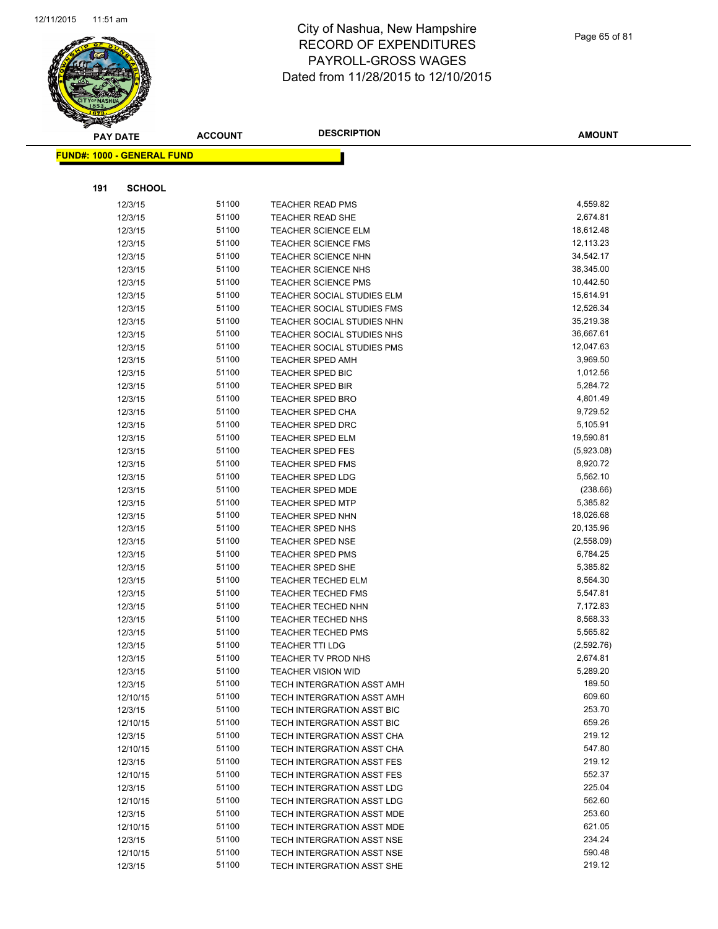

Page 65 of 81

| $\tilde{\phantom{a}}$ | <b>PAY DATE</b>                   | <b>ACCOUNT</b> | <b>DESCRIPTION</b>                                      | <b>AMOUNT</b>          |
|-----------------------|-----------------------------------|----------------|---------------------------------------------------------|------------------------|
|                       | <b>FUND#: 1000 - GENERAL FUND</b> |                |                                                         |                        |
|                       |                                   |                |                                                         |                        |
| 191                   | <b>SCHOOL</b>                     |                |                                                         |                        |
|                       | 12/3/15                           | 51100          | <b>TEACHER READ PMS</b>                                 | 4,559.82               |
|                       | 12/3/15                           | 51100          | <b>TEACHER READ SHE</b>                                 | 2,674.81               |
|                       | 12/3/15                           | 51100          | <b>TEACHER SCIENCE ELM</b>                              | 18,612.48              |
|                       | 12/3/15                           | 51100          | <b>TEACHER SCIENCE FMS</b>                              | 12,113.23              |
|                       | 12/3/15                           | 51100          | <b>TEACHER SCIENCE NHN</b>                              | 34,542.17              |
|                       | 12/3/15                           | 51100          | <b>TEACHER SCIENCE NHS</b>                              | 38,345.00              |
|                       | 12/3/15                           | 51100          | <b>TEACHER SCIENCE PMS</b>                              | 10,442.50              |
|                       | 12/3/15                           | 51100          | TEACHER SOCIAL STUDIES ELM                              | 15,614.91              |
|                       | 12/3/15                           | 51100          | <b>TEACHER SOCIAL STUDIES FMS</b>                       | 12,526.34              |
|                       | 12/3/15                           | 51100          | TEACHER SOCIAL STUDIES NHN                              | 35,219.38              |
|                       | 12/3/15                           | 51100          | TEACHER SOCIAL STUDIES NHS                              | 36,667.61              |
|                       | 12/3/15                           | 51100          | TEACHER SOCIAL STUDIES PMS                              | 12,047.63              |
|                       | 12/3/15                           | 51100          | <b>TEACHER SPED AMH</b>                                 | 3,969.50               |
|                       | 12/3/15                           | 51100          | <b>TEACHER SPED BIC</b>                                 | 1,012.56               |
|                       | 12/3/15                           | 51100          | <b>TEACHER SPED BIR</b>                                 | 5,284.72               |
|                       | 12/3/15                           | 51100          | <b>TEACHER SPED BRO</b>                                 | 4,801.49               |
|                       | 12/3/15                           | 51100          | <b>TEACHER SPED CHA</b>                                 | 9,729.52               |
|                       | 12/3/15                           | 51100          | <b>TEACHER SPED DRC</b>                                 | 5,105.91               |
|                       | 12/3/15                           | 51100          | <b>TEACHER SPED ELM</b>                                 | 19,590.81              |
|                       | 12/3/15                           | 51100          | <b>TEACHER SPED FES</b>                                 | (5,923.08)             |
|                       | 12/3/15                           | 51100          | <b>TEACHER SPED FMS</b>                                 | 8,920.72               |
|                       | 12/3/15                           | 51100          | <b>TEACHER SPED LDG</b>                                 | 5,562.10               |
|                       | 12/3/15                           | 51100          | <b>TEACHER SPED MDE</b>                                 | (238.66)               |
|                       | 12/3/15                           | 51100          | <b>TEACHER SPED MTP</b>                                 | 5,385.82               |
|                       | 12/3/15                           | 51100          | <b>TEACHER SPED NHN</b>                                 | 18,026.68              |
|                       | 12/3/15                           | 51100          | <b>TEACHER SPED NHS</b>                                 | 20,135.96              |
|                       | 12/3/15                           | 51100          | <b>TEACHER SPED NSE</b>                                 | (2,558.09)             |
|                       | 12/3/15                           | 51100          | <b>TEACHER SPED PMS</b>                                 | 6,784.25               |
|                       | 12/3/15                           | 51100          | <b>TEACHER SPED SHE</b>                                 | 5,385.82               |
|                       | 12/3/15                           | 51100          | <b>TEACHER TECHED ELM</b>                               | 8,564.30               |
|                       | 12/3/15                           | 51100          | <b>TEACHER TECHED FMS</b>                               | 5,547.81               |
|                       | 12/3/15                           | 51100          | <b>TEACHER TECHED NHN</b>                               | 7,172.83               |
|                       | 12/3/15                           | 51100          | <b>TEACHER TECHED NHS</b>                               | 8,568.33               |
|                       | 12/3/15                           | 51100          | <b>TEACHER TECHED PMS</b>                               | 5,565.82<br>(2,592.76) |
|                       | 12/3/15                           | 51100          | <b>TEACHER TTI LDG</b><br>TEACHER TV PROD NHS           |                        |
|                       | 12/3/15                           | 51100<br>51100 |                                                         | 2,674.81<br>5,289.20   |
|                       | 12/3/15<br>12/3/15                | 51100          | <b>TEACHER VISION WID</b><br>TECH INTERGRATION ASST AMH | 189.50                 |
|                       | 12/10/15                          | 51100          | TECH INTERGRATION ASST AMH                              | 609.60                 |
|                       | 12/3/15                           | 51100          | TECH INTERGRATION ASST BIC                              | 253.70                 |
|                       | 12/10/15                          | 51100          | TECH INTERGRATION ASST BIC                              | 659.26                 |
|                       | 12/3/15                           | 51100          | TECH INTERGRATION ASST CHA                              | 219.12                 |
|                       | 12/10/15                          | 51100          | TECH INTERGRATION ASST CHA                              | 547.80                 |
|                       | 12/3/15                           | 51100          | TECH INTERGRATION ASST FES                              | 219.12                 |
|                       | 12/10/15                          | 51100          | <b>TECH INTERGRATION ASST FES</b>                       | 552.37                 |
|                       | 12/3/15                           | 51100          | TECH INTERGRATION ASST LDG                              | 225.04                 |
|                       | 12/10/15                          | 51100          | TECH INTERGRATION ASST LDG                              | 562.60                 |
|                       | 12/3/15                           | 51100          | TECH INTERGRATION ASST MDE                              | 253.60                 |
|                       | 12/10/15                          | 51100          | TECH INTERGRATION ASST MDE                              | 621.05                 |
|                       | 12/3/15                           | 51100          | TECH INTERGRATION ASST NSE                              | 234.24                 |
|                       | 12/10/15                          | 51100          | TECH INTERGRATION ASST NSE                              | 590.48                 |
|                       | 12/3/15                           | 51100          | TECH INTERGRATION ASST SHE                              | 219.12                 |
|                       |                                   |                |                                                         |                        |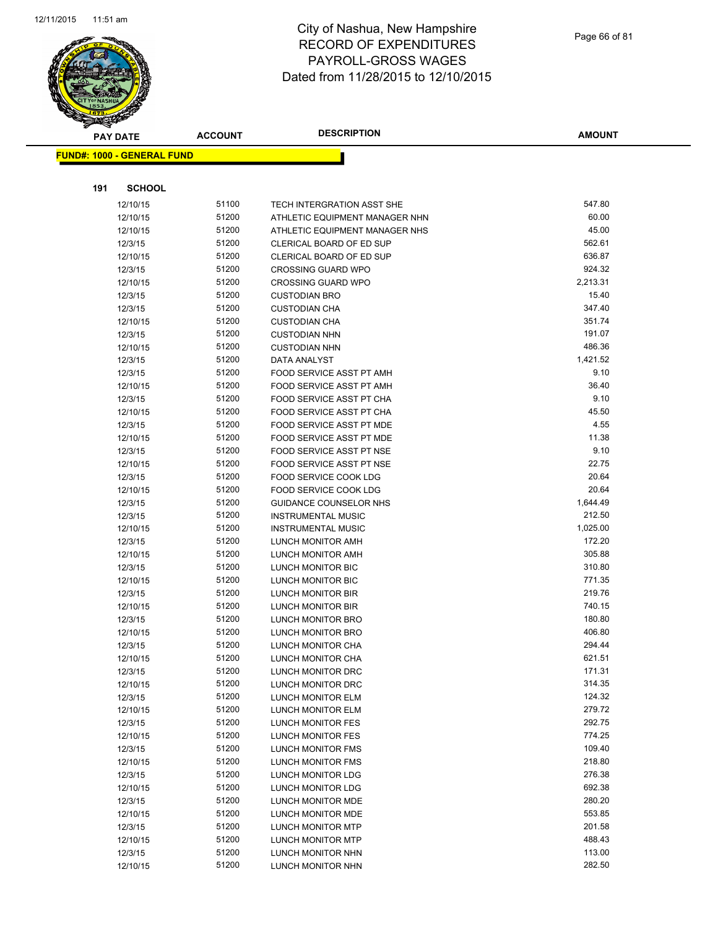

|     | <b>PAY DATE</b>                   | <b>ACCOUNT</b> | <b>DESCRIPTION</b>                           | <b>AMOUNT</b>     |
|-----|-----------------------------------|----------------|----------------------------------------------|-------------------|
|     | <b>FUND#: 1000 - GENERAL FUND</b> |                |                                              |                   |
|     |                                   |                |                                              |                   |
|     |                                   |                |                                              |                   |
| 191 | <b>SCHOOL</b>                     |                |                                              |                   |
|     | 12/10/15                          | 51100          | TECH INTERGRATION ASST SHE                   | 547.80            |
|     | 12/10/15                          | 51200          | ATHLETIC EQUIPMENT MANAGER NHN               | 60.00             |
|     | 12/10/15                          | 51200          | ATHLETIC EQUIPMENT MANAGER NHS               | 45.00             |
|     | 12/3/15                           | 51200          | CLERICAL BOARD OF ED SUP                     | 562.61            |
|     | 12/10/15                          | 51200          | CLERICAL BOARD OF ED SUP                     | 636.87            |
|     | 12/3/15                           | 51200          | <b>CROSSING GUARD WPO</b>                    | 924.32            |
|     | 12/10/15                          | 51200<br>51200 | <b>CROSSING GUARD WPO</b>                    | 2,213.31<br>15.40 |
|     | 12/3/15                           | 51200          | <b>CUSTODIAN BRO</b>                         | 347.40            |
|     | 12/3/15<br>12/10/15               | 51200          | <b>CUSTODIAN CHA</b><br><b>CUSTODIAN CHA</b> | 351.74            |
|     | 12/3/15                           | 51200          | <b>CUSTODIAN NHN</b>                         | 191.07            |
|     | 12/10/15                          | 51200          | <b>CUSTODIAN NHN</b>                         | 486.36            |
|     | 12/3/15                           | 51200          | DATA ANALYST                                 | 1,421.52          |
|     | 12/3/15                           | 51200          | FOOD SERVICE ASST PT AMH                     | 9.10              |
|     | 12/10/15                          | 51200          | FOOD SERVICE ASST PT AMH                     | 36.40             |
|     | 12/3/15                           | 51200          | FOOD SERVICE ASST PT CHA                     | 9.10              |
|     | 12/10/15                          | 51200          | FOOD SERVICE ASST PT CHA                     | 45.50             |
|     | 12/3/15                           | 51200          | FOOD SERVICE ASST PT MDE                     | 4.55              |
|     | 12/10/15                          | 51200          | FOOD SERVICE ASST PT MDE                     | 11.38             |
|     | 12/3/15                           | 51200          | FOOD SERVICE ASST PT NSE                     | 9.10              |
|     | 12/10/15                          | 51200          | FOOD SERVICE ASST PT NSE                     | 22.75             |
|     | 12/3/15                           | 51200          | FOOD SERVICE COOK LDG                        | 20.64             |
|     | 12/10/15                          | 51200          | FOOD SERVICE COOK LDG                        | 20.64             |
|     | 12/3/15                           | 51200          | GUIDANCE COUNSELOR NHS                       | 1,644.49          |
|     | 12/3/15                           | 51200          | <b>INSTRUMENTAL MUSIC</b>                    | 212.50            |
|     | 12/10/15                          | 51200          | <b>INSTRUMENTAL MUSIC</b>                    | 1,025.00          |
|     | 12/3/15                           | 51200          | LUNCH MONITOR AMH                            | 172.20            |
|     | 12/10/15                          | 51200          | LUNCH MONITOR AMH                            | 305.88            |
|     | 12/3/15                           | 51200          | LUNCH MONITOR BIC                            | 310.80            |
|     | 12/10/15                          | 51200          | LUNCH MONITOR BIC                            | 771.35            |
|     | 12/3/15                           | 51200          | <b>LUNCH MONITOR BIR</b>                     | 219.76            |
|     | 12/10/15                          | 51200          | LUNCH MONITOR BIR                            | 740.15            |
|     | 12/3/15                           | 51200          | LUNCH MONITOR BRO                            | 180.80            |
|     | 12/10/15                          | 51200          | <b>LUNCH MONITOR BRO</b>                     | 406.80            |
|     | 12/3/15                           | 51200          | LUNCH MONITOR CHA                            | 294.44            |
|     | 12/10/15                          | 51200          | LUNCH MONITOR CHA                            | 621.51            |
|     | 12/3/15                           | 51200          | LUNCH MONITOR DRC                            | 171.31            |
|     | 12/10/15                          | 51200          | LUNCH MONITOR DRC                            | 314.35            |
|     | 12/3/15                           | 51200          | LUNCH MONITOR ELM                            | 124.32            |
|     | 12/10/15                          | 51200          | LUNCH MONITOR ELM                            | 279.72            |
|     | 12/3/15                           | 51200          | LUNCH MONITOR FES                            | 292.75            |
|     | 12/10/15                          | 51200          | LUNCH MONITOR FES                            | 774.25            |
|     | 12/3/15                           | 51200          | LUNCH MONITOR FMS                            | 109.40            |
|     | 12/10/15                          | 51200          | LUNCH MONITOR FMS                            | 218.80            |
|     | 12/3/15                           | 51200          | <b>LUNCH MONITOR LDG</b>                     | 276.38            |
|     | 12/10/15                          | 51200          | LUNCH MONITOR LDG                            | 692.38            |
|     | 12/3/15                           | 51200          | LUNCH MONITOR MDE                            | 280.20            |
|     | 12/10/15                          | 51200          | LUNCH MONITOR MDE                            | 553.85            |
|     | 12/3/15                           | 51200          | LUNCH MONITOR MTP                            | 201.58            |
|     | 12/10/15                          | 51200          | <b>LUNCH MONITOR MTP</b>                     | 488.43            |
|     | 12/3/15                           | 51200          | LUNCH MONITOR NHN                            | 113.00            |
|     | 12/10/15                          | 51200          | LUNCH MONITOR NHN                            | 282.50            |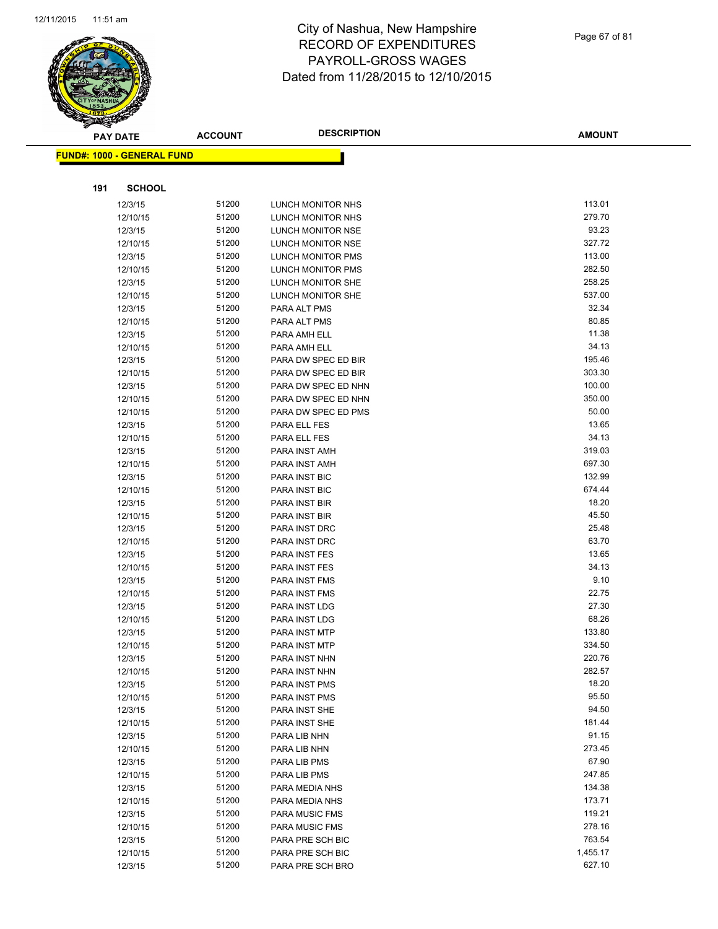

|     | <b>PAY DATE</b>                    | <b>ACCOUNT</b> | <b>DESCRIPTION</b>    | <b>AMOUNT</b>    |
|-----|------------------------------------|----------------|-----------------------|------------------|
|     | <u> FUND#: 1000 - GENERAL FUND</u> |                |                       |                  |
|     |                                    |                |                       |                  |
|     |                                    |                |                       |                  |
| 191 | <b>SCHOOL</b>                      |                |                       |                  |
|     | 12/3/15                            | 51200          | LUNCH MONITOR NHS     | 113.01           |
|     | 12/10/15                           | 51200          | LUNCH MONITOR NHS     | 279.70           |
|     | 12/3/15                            | 51200          | LUNCH MONITOR NSE     | 93.23            |
|     | 12/10/15                           | 51200          | LUNCH MONITOR NSE     | 327.72           |
|     | 12/3/15                            | 51200          | LUNCH MONITOR PMS     | 113.00           |
|     | 12/10/15                           | 51200          | LUNCH MONITOR PMS     | 282.50           |
|     | 12/3/15                            | 51200          | LUNCH MONITOR SHE     | 258.25           |
|     | 12/10/15                           | 51200          | LUNCH MONITOR SHE     | 537.00           |
|     | 12/3/15                            | 51200          | PARA ALT PMS          | 32.34            |
|     | 12/10/15                           | 51200          | PARA ALT PMS          | 80.85            |
|     | 12/3/15                            | 51200          | PARA AMH ELL          | 11.38            |
|     | 12/10/15                           | 51200          | PARA AMH ELL          | 34.13            |
|     | 12/3/15                            | 51200          | PARA DW SPEC ED BIR   | 195.46           |
|     | 12/10/15                           | 51200          | PARA DW SPEC ED BIR   | 303.30           |
|     | 12/3/15                            | 51200          | PARA DW SPEC ED NHN   | 100.00           |
|     | 12/10/15                           | 51200          | PARA DW SPEC ED NHN   | 350.00           |
|     | 12/10/15                           | 51200          | PARA DW SPEC ED PMS   | 50.00            |
|     | 12/3/15                            | 51200          | PARA ELL FES          | 13.65            |
|     | 12/10/15                           | 51200          | PARA ELL FES          | 34.13            |
|     | 12/3/15                            | 51200          | PARA INST AMH         | 319.03           |
|     | 12/10/15                           | 51200          | PARA INST AMH         | 697.30           |
|     | 12/3/15                            | 51200          | PARA INST BIC         | 132.99           |
|     | 12/10/15                           | 51200          | PARA INST BIC         | 674.44           |
|     | 12/3/15                            | 51200          | PARA INST BIR         | 18.20            |
|     | 12/10/15                           | 51200          | PARA INST BIR         | 45.50            |
|     | 12/3/15                            | 51200          | PARA INST DRC         | 25.48            |
|     | 12/10/15                           | 51200          | PARA INST DRC         | 63.70            |
|     | 12/3/15                            | 51200          | PARA INST FES         | 13.65            |
|     | 12/10/15                           | 51200          | PARA INST FES         | 34.13            |
|     | 12/3/15                            | 51200          | PARA INST FMS         | 9.10             |
|     | 12/10/15                           | 51200          | PARA INST FMS         | 22.75            |
|     | 12/3/15                            | 51200          | PARA INST LDG         | 27.30            |
|     | 12/10/15                           | 51200          | PARA INST LDG         | 68.26            |
|     | 12/3/15                            | 51200          | PARA INST MTP         | 133.80           |
|     | 12/10/15                           | 51200          | PARA INST MTP         | 334.50           |
|     | 12/3/15                            | 51200          | PARA INST NHN         | 220.76           |
|     | 12/10/15                           | 51200          | PARA INST NHN         | 282.57           |
|     | 12/3/15                            | 51200          | PARA INST PMS         | 18.20            |
|     | 12/10/15                           | 51200          | PARA INST PMS         | 95.50            |
|     | 12/3/15                            | 51200          | PARA INST SHE         | 94.50            |
|     | 12/10/15                           | 51200          | PARA INST SHE         | 181.44           |
|     | 12/3/15                            | 51200          | PARA LIB NHN          | 91.15            |
|     | 12/10/15                           | 51200          | PARA LIB NHN          | 273.45           |
|     | 12/3/15                            | 51200          | PARA LIB PMS          | 67.90            |
|     | 12/10/15                           | 51200          | PARA LIB PMS          | 247.85           |
|     | 12/3/15                            | 51200          | PARA MEDIA NHS        | 134.38<br>173.71 |
|     | 12/10/15                           | 51200          | PARA MEDIA NHS        |                  |
|     | 12/3/15                            | 51200          | <b>PARA MUSIC FMS</b> | 119.21           |
|     | 12/10/15                           | 51200          | PARA MUSIC FMS        | 278.16           |
|     | 12/3/15                            | 51200          | PARA PRE SCH BIC      | 763.54           |
|     | 12/10/15                           | 51200          | PARA PRE SCH BIC      | 1,455.17         |
|     | 12/3/15                            | 51200          | PARA PRE SCH BRO      | 627.10           |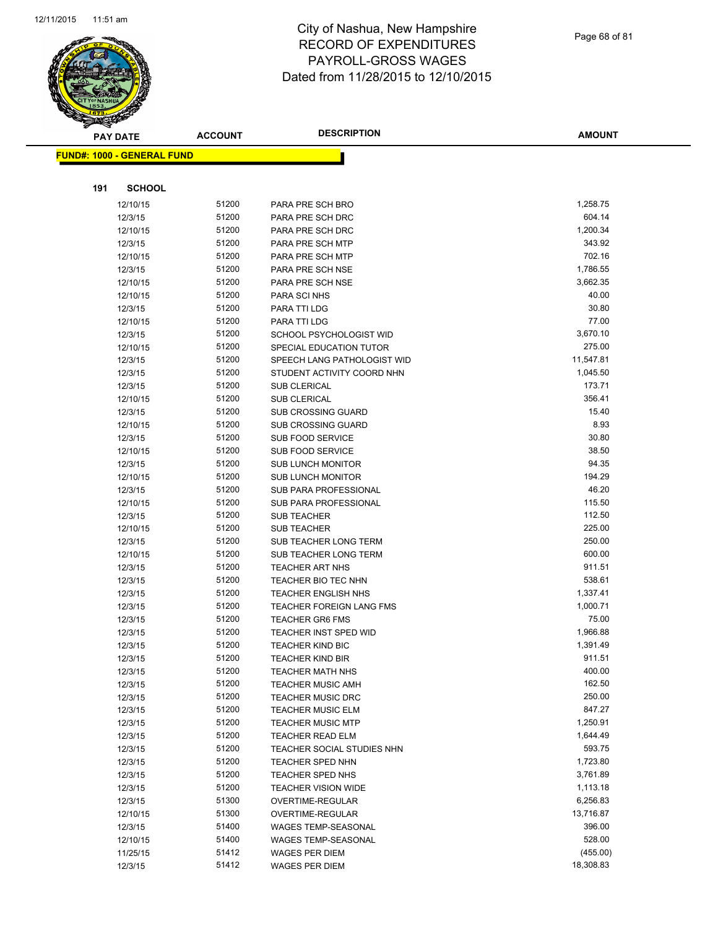

Page 68 of 81

| <b>PAY DATE</b>                   | <b>ACCOUNT</b> | <b>DESCRIPTION</b>                   | <b>AMOUNT</b>        |
|-----------------------------------|----------------|--------------------------------------|----------------------|
| <b>FUND#: 1000 - GENERAL FUND</b> |                |                                      |                      |
|                                   |                |                                      |                      |
|                                   |                |                                      |                      |
| <b>SCHOOL</b><br>191              |                |                                      |                      |
| 12/10/15                          | 51200          | PARA PRE SCH BRO                     | 1,258.75             |
| 12/3/15                           | 51200          | PARA PRE SCH DRC                     | 604.14               |
| 12/10/15                          | 51200          | PARA PRE SCH DRC                     | 1,200.34             |
| 12/3/15                           | 51200          | PARA PRE SCH MTP                     | 343.92               |
| 12/10/15                          | 51200          | PARA PRE SCH MTP<br>PARA PRE SCH NSE | 702.16               |
| 12/3/15                           | 51200<br>51200 | PARA PRE SCH NSE                     | 1,786.55<br>3,662.35 |
| 12/10/15<br>12/10/15              | 51200          | PARA SCI NHS                         | 40.00                |
| 12/3/15                           | 51200          | PARA TTI LDG                         | 30.80                |
| 12/10/15                          | 51200          | PARA TTI LDG                         | 77.00                |
| 12/3/15                           | 51200          | SCHOOL PSYCHOLOGIST WID              | 3,670.10             |
| 12/10/15                          | 51200          | SPECIAL EDUCATION TUTOR              | 275.00               |
| 12/3/15                           | 51200          | SPEECH LANG PATHOLOGIST WID          | 11,547.81            |
| 12/3/15                           | 51200          | STUDENT ACTIVITY COORD NHN           | 1,045.50             |
| 12/3/15                           | 51200          | <b>SUB CLERICAL</b>                  | 173.71               |
| 12/10/15                          | 51200          | <b>SUB CLERICAL</b>                  | 356.41               |
| 12/3/15                           | 51200          | <b>SUB CROSSING GUARD</b>            | 15.40                |
| 12/10/15                          | 51200          | <b>SUB CROSSING GUARD</b>            | 8.93                 |
| 12/3/15                           | 51200          | <b>SUB FOOD SERVICE</b>              | 30.80                |
| 12/10/15                          | 51200          | <b>SUB FOOD SERVICE</b>              | 38.50                |
| 12/3/15                           | 51200          | <b>SUB LUNCH MONITOR</b>             | 94.35                |
| 12/10/15                          | 51200          | <b>SUB LUNCH MONITOR</b>             | 194.29               |
| 12/3/15                           | 51200          | SUB PARA PROFESSIONAL                | 46.20                |
| 12/10/15                          | 51200          | SUB PARA PROFESSIONAL                | 115.50               |
| 12/3/15                           | 51200          | SUB TEACHER                          | 112.50               |
| 12/10/15                          | 51200          | <b>SUB TEACHER</b>                   | 225.00               |
| 12/3/15                           | 51200          | SUB TEACHER LONG TERM                | 250.00               |
| 12/10/15                          | 51200          | SUB TEACHER LONG TERM                | 600.00               |
| 12/3/15                           | 51200          | <b>TEACHER ART NHS</b>               | 911.51               |
| 12/3/15                           | 51200          | TEACHER BIO TEC NHN                  | 538.61               |
| 12/3/15                           | 51200          | <b>TEACHER ENGLISH NHS</b>           | 1,337.41             |
| 12/3/15                           | 51200          | <b>TEACHER FOREIGN LANG FMS</b>      | 1,000.71             |
| 12/3/15                           | 51200          | <b>TEACHER GR6 FMS</b>               | 75.00                |
| 12/3/15                           | 51200          | <b>TEACHER INST SPED WID</b>         | 1,966.88             |
| 12/3/15                           | 51200          | <b>TEACHER KIND BIC</b>              | 1,391.49             |
| 12/3/15                           | 51200          | <b>TEACHER KIND BIR</b>              | 911.51               |
| 12/3/15                           | 51200          | <b>TEACHER MATH NHS</b>              | 400.00               |
| 12/3/15                           | 51200          | <b>TEACHER MUSIC AMH</b>             | 162.50               |
| 12/3/15                           | 51200          | <b>TEACHER MUSIC DRC</b>             | 250.00               |
| 12/3/15                           | 51200          | <b>TEACHER MUSIC ELM</b>             | 847.27               |
| 12/3/15                           | 51200          | <b>TEACHER MUSIC MTP</b>             | 1,250.91             |
| 12/3/15                           | 51200          | <b>TEACHER READ ELM</b>              | 1,644.49             |
| 12/3/15                           | 51200          | TEACHER SOCIAL STUDIES NHN           | 593.75               |
| 12/3/15                           | 51200          | <b>TEACHER SPED NHN</b>              | 1,723.80             |
| 12/3/15                           | 51200          | TEACHER SPED NHS                     | 3,761.89             |
| 12/3/15                           | 51200          | <b>TEACHER VISION WIDE</b>           | 1,113.18             |
| 12/3/15                           | 51300          | OVERTIME-REGULAR                     | 6,256.83             |
| 12/10/15                          | 51300          | OVERTIME-REGULAR                     | 13,716.87            |
| 12/3/15                           | 51400          | <b>WAGES TEMP-SEASONAL</b>           | 396.00               |
| 12/10/15                          | 51400          | WAGES TEMP-SEASONAL                  | 528.00               |
| 11/25/15                          | 51412          | <b>WAGES PER DIEM</b>                | (455.00)             |
| 12/3/15                           | 51412          | WAGES PER DIEM                       | 18,308.83            |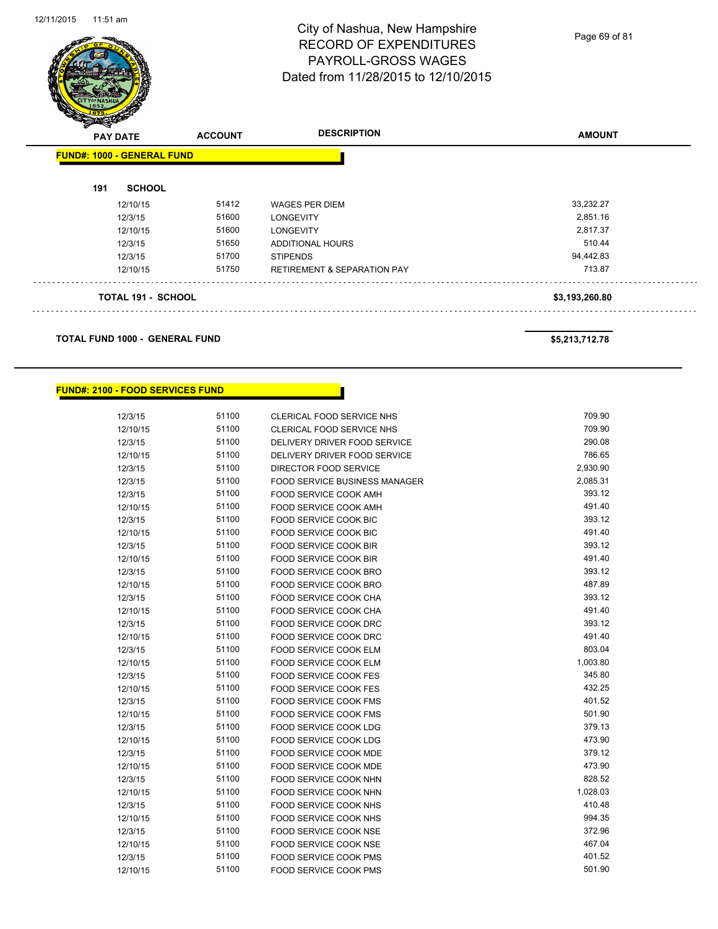Page 69 of 81

|     | <b>PAY DATE</b><br><b>FUND#: 1000 - GENERAL FUND</b> | <b>ACCOUNT</b> |                                        | <b>AMOUNT</b>  |
|-----|------------------------------------------------------|----------------|----------------------------------------|----------------|
| 191 | <b>SCHOOL</b>                                        |                |                                        |                |
|     | 12/10/15                                             | 51412          | <b>WAGES PER DIEM</b>                  | 33,232.27      |
|     | 12/3/15                                              | 51600          | <b>LONGEVITY</b>                       | 2,851.16       |
|     | 12/10/15                                             | 51600          | <b>LONGEVITY</b>                       | 2,817.37       |
|     | 12/3/15                                              | 51650          | <b>ADDITIONAL HOURS</b>                | 510.44         |
|     | 12/3/15                                              | 51700          | <b>STIPENDS</b>                        | 94,442.83      |
|     | 12/10/15                                             | 51750          | <b>RETIREMENT &amp; SEPARATION PAY</b> | 713.87         |
|     | <b>TOTAL 191 - SCHOOL</b>                            |                |                                        | \$3,193,260.80 |

٠

**TOTAL FUND 1000 - GENERAL FUND \$5,213,712.78** 

#### **FUND#: 2100 - FOOD SERVICES FUND**

| 12/3/15  | 51100 | <b>CLERICAL FOOD SERVICE NHS</b>     | 709.90   |
|----------|-------|--------------------------------------|----------|
| 12/10/15 | 51100 | <b>CLERICAL FOOD SERVICE NHS</b>     | 709.90   |
| 12/3/15  | 51100 | DELIVERY DRIVER FOOD SERVICE         | 290.08   |
| 12/10/15 | 51100 | DELIVERY DRIVER FOOD SERVICE         | 786.65   |
| 12/3/15  | 51100 | DIRECTOR FOOD SERVICE                | 2,930.90 |
| 12/3/15  | 51100 | <b>FOOD SERVICE BUSINESS MANAGER</b> | 2,085.31 |
| 12/3/15  | 51100 | <b>FOOD SERVICE COOK AMH</b>         | 393.12   |
| 12/10/15 | 51100 | FOOD SERVICE COOK AMH                | 491.40   |
| 12/3/15  | 51100 | FOOD SERVICE COOK BIC                | 393.12   |
| 12/10/15 | 51100 | FOOD SERVICE COOK BIC                | 491.40   |
| 12/3/15  | 51100 | FOOD SERVICE COOK BIR                | 393.12   |
| 12/10/15 | 51100 | <b>FOOD SERVICE COOK BIR</b>         | 491.40   |
| 12/3/15  | 51100 | FOOD SERVICE COOK BRO                | 393.12   |
| 12/10/15 | 51100 | <b>FOOD SERVICE COOK BRO</b>         | 487.89   |
| 12/3/15  | 51100 | <b>FOOD SERVICE COOK CHA</b>         | 393.12   |
| 12/10/15 | 51100 | <b>FOOD SERVICE COOK CHA</b>         | 491.40   |
| 12/3/15  | 51100 | FOOD SERVICE COOK DRC                | 393.12   |
| 12/10/15 | 51100 | FOOD SERVICE COOK DRC                | 491.40   |
| 12/3/15  | 51100 | FOOD SERVICE COOK ELM                | 803.04   |
| 12/10/15 | 51100 | FOOD SERVICE COOK ELM                | 1,003.80 |
| 12/3/15  | 51100 | <b>FOOD SERVICE COOK FES</b>         | 345.80   |
| 12/10/15 | 51100 | <b>FOOD SERVICE COOK FES</b>         | 432.25   |
| 12/3/15  | 51100 | FOOD SERVICE COOK FMS                | 401.52   |
| 12/10/15 | 51100 | <b>FOOD SERVICE COOK FMS</b>         | 501.90   |
| 12/3/15  | 51100 | <b>FOOD SERVICE COOK LDG</b>         | 379.13   |
| 12/10/15 | 51100 | <b>FOOD SERVICE COOK LDG</b>         | 473.90   |
| 12/3/15  | 51100 | FOOD SERVICE COOK MDE                | 379.12   |
| 12/10/15 | 51100 | <b>FOOD SERVICE COOK MDE</b>         | 473.90   |
| 12/3/15  | 51100 | FOOD SERVICE COOK NHN                | 828.52   |
| 12/10/15 | 51100 | <b>FOOD SERVICE COOK NHN</b>         | 1,028.03 |
| 12/3/15  | 51100 | <b>FOOD SERVICE COOK NHS</b>         | 410.48   |
| 12/10/15 | 51100 | FOOD SERVICE COOK NHS                | 994.35   |
| 12/3/15  | 51100 | <b>FOOD SERVICE COOK NSE</b>         | 372.96   |
| 12/10/15 | 51100 | FOOD SERVICE COOK NSE                | 467.04   |
| 12/3/15  | 51100 | <b>FOOD SERVICE COOK PMS</b>         | 401.52   |
| 12/10/15 | 51100 | FOOD SERVICE COOK PMS                | 501.90   |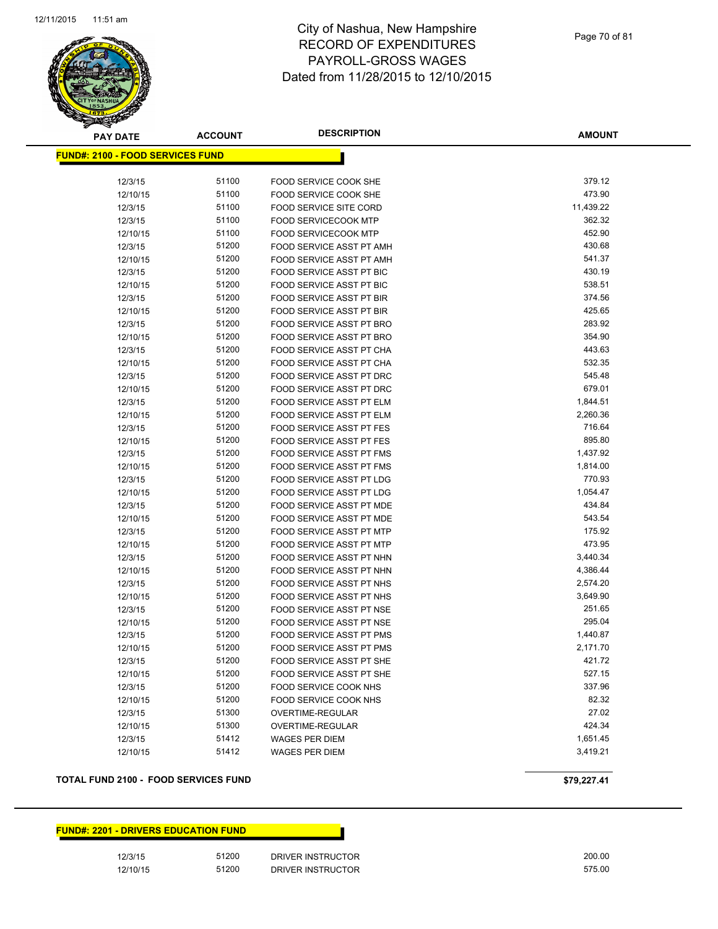

Page 70 of 81

| <b>PAY DATE</b> |                                          | <b>ACCOUNT</b> | <b>DESCRIPTION</b>              | <b>AMOUNT</b> |
|-----------------|------------------------------------------|----------------|---------------------------------|---------------|
|                 | <u> FUND#: 2100 - FOOD SERVICES FUND</u> |                |                                 |               |
|                 |                                          |                |                                 |               |
|                 | 12/3/15                                  | 51100          | FOOD SERVICE COOK SHE           | 379.12        |
|                 | 12/10/15                                 | 51100          | FOOD SERVICE COOK SHE           | 473.90        |
|                 | 12/3/15                                  | 51100          | <b>FOOD SERVICE SITE CORD</b>   | 11,439.22     |
|                 | 12/3/15                                  | 51100          | <b>FOOD SERVICECOOK MTP</b>     | 362.32        |
|                 | 12/10/15                                 | 51100          | <b>FOOD SERVICECOOK MTP</b>     | 452.90        |
|                 | 12/3/15                                  | 51200          | FOOD SERVICE ASST PT AMH        | 430.68        |
|                 | 12/10/15                                 | 51200          | FOOD SERVICE ASST PT AMH        | 541.37        |
|                 | 12/3/15                                  | 51200          | FOOD SERVICE ASST PT BIC        | 430.19        |
|                 | 12/10/15                                 | 51200          | FOOD SERVICE ASST PT BIC        | 538.51        |
|                 | 12/3/15                                  | 51200          | FOOD SERVICE ASST PT BIR        | 374.56        |
|                 | 12/10/15                                 | 51200          | FOOD SERVICE ASST PT BIR        | 425.65        |
|                 | 12/3/15                                  | 51200          | FOOD SERVICE ASST PT BRO        | 283.92        |
|                 | 12/10/15                                 | 51200          | FOOD SERVICE ASST PT BRO        | 354.90        |
|                 | 12/3/15                                  | 51200          | FOOD SERVICE ASST PT CHA        | 443.63        |
|                 | 12/10/15                                 | 51200          | FOOD SERVICE ASST PT CHA        | 532.35        |
|                 | 12/3/15                                  | 51200          | FOOD SERVICE ASST PT DRC        | 545.48        |
|                 | 12/10/15                                 | 51200          | FOOD SERVICE ASST PT DRC        | 679.01        |
|                 | 12/3/15                                  | 51200          | FOOD SERVICE ASST PT ELM        | 1,844.51      |
|                 | 12/10/15                                 | 51200          | FOOD SERVICE ASST PT ELM        | 2,260.36      |
|                 | 12/3/15                                  | 51200          | <b>FOOD SERVICE ASST PT FES</b> | 716.64        |
|                 | 12/10/15                                 | 51200          | FOOD SERVICE ASST PT FES        | 895.80        |
|                 | 12/3/15                                  | 51200          | FOOD SERVICE ASST PT FMS        | 1,437.92      |
|                 | 12/10/15                                 | 51200          | FOOD SERVICE ASST PT FMS        | 1,814.00      |
|                 | 12/3/15                                  | 51200          | FOOD SERVICE ASST PT LDG        | 770.93        |
|                 | 12/10/15                                 | 51200          | FOOD SERVICE ASST PT LDG        | 1,054.47      |
|                 | 12/3/15                                  | 51200          | FOOD SERVICE ASST PT MDE        | 434.84        |
|                 | 12/10/15                                 | 51200          | FOOD SERVICE ASST PT MDE        | 543.54        |
|                 | 12/3/15                                  | 51200          | FOOD SERVICE ASST PT MTP        | 175.92        |
|                 | 12/10/15                                 | 51200          | FOOD SERVICE ASST PT MTP        | 473.95        |
|                 | 12/3/15                                  | 51200          | FOOD SERVICE ASST PT NHN        | 3,440.34      |
|                 | 12/10/15                                 | 51200          | FOOD SERVICE ASST PT NHN        | 4,386.44      |
|                 | 12/3/15                                  | 51200          | FOOD SERVICE ASST PT NHS        | 2,574.20      |
|                 | 12/10/15                                 | 51200          | FOOD SERVICE ASST PT NHS        | 3,649.90      |
|                 | 12/3/15                                  | 51200          | FOOD SERVICE ASST PT NSE        | 251.65        |
|                 | 12/10/15                                 | 51200          | FOOD SERVICE ASST PT NSE        | 295.04        |
|                 | 12/3/15                                  | 51200          | FOOD SERVICE ASST PT PMS        | 1,440.87      |
|                 | 12/10/15                                 | 51200          | FOOD SERVICE ASST PT PMS        | 2,171.70      |
|                 | 12/3/15                                  | 51200          | FOOD SERVICE ASST PT SHE        | 421.72        |
|                 | 12/10/15                                 | 51200          | FOOD SERVICE ASST PT SHE        | 527.15        |
|                 | 12/3/15                                  | 51200          | FOOD SERVICE COOK NHS           | 337.96        |
|                 | 12/10/15                                 | 51200          | <b>FOOD SERVICE COOK NHS</b>    | 82.32         |
|                 | 12/3/15                                  | 51300          | OVERTIME-REGULAR                | 27.02         |
|                 | 12/10/15                                 | 51300          | OVERTIME-REGULAR                | 424.34        |
|                 | 12/3/15                                  | 51412          | <b>WAGES PER DIEM</b>           | 1,651.45      |
|                 | 12/10/15                                 | 51412          | <b>WAGES PER DIEM</b>           | 3,419.21      |
|                 |                                          |                |                                 |               |

#### **TOTAL FUND 2100 - FOOD SERVICES FUND \$79,227.41**

**FUND#: 2201 - DRIVERS EDUCATION FUND**

12/3/15 51200 DRIVER INSTRUCTOR 200.00 12/10/15 51200 DRIVER INSTRUCTOR 575.00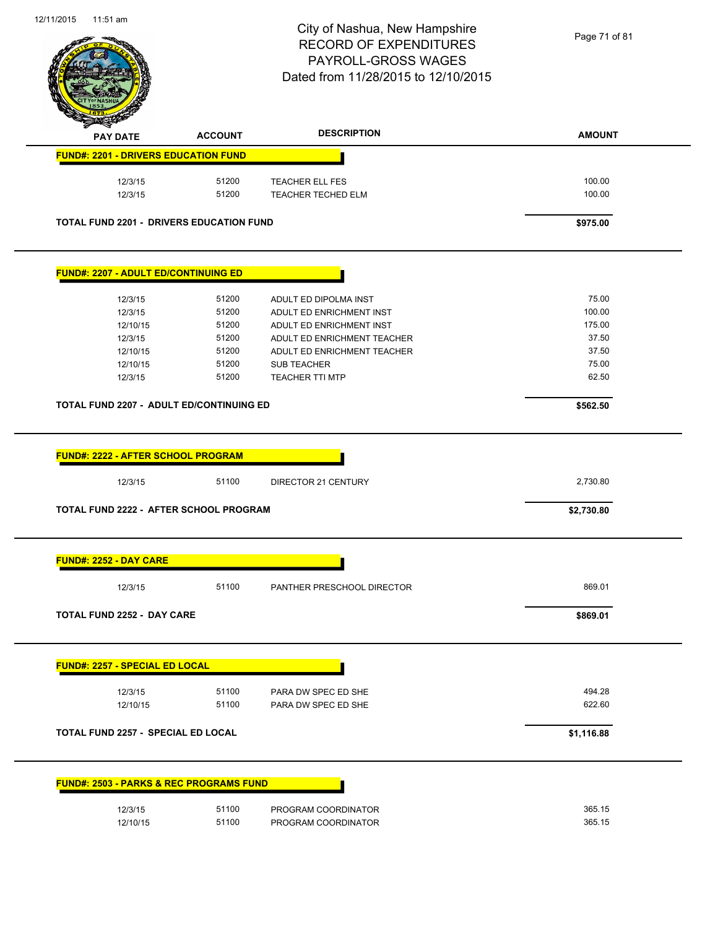Page 71 of 81

| <b>PAY DATE</b>                                                                                                                                                            | <b>ACCOUNT</b> | <b>DESCRIPTION</b>          | <b>AMOUNT</b> |
|----------------------------------------------------------------------------------------------------------------------------------------------------------------------------|----------------|-----------------------------|---------------|
| <b>FUND#: 2201 - DRIVERS EDUCATION FUND</b>                                                                                                                                |                |                             |               |
| 12/3/15                                                                                                                                                                    | 51200          | TEACHER ELL FES             | 100.00        |
| 12/3/15                                                                                                                                                                    | 51200          | TEACHER TECHED ELM          | 100.00        |
| <b>TOTAL FUND 2201 - DRIVERS EDUCATION FUND</b>                                                                                                                            |                |                             | \$975.00      |
| <b>FUND#: 2207 - ADULT ED/CONTINUING ED</b>                                                                                                                                |                |                             |               |
| 12/3/15                                                                                                                                                                    | 51200          | ADULT ED DIPOLMA INST       | 75.00         |
| 12/3/15                                                                                                                                                                    | 51200          | ADULT ED ENRICHMENT INST    | 100.00        |
| 12/10/15                                                                                                                                                                   | 51200          | ADULT ED ENRICHMENT INST    | 175.00        |
| 12/3/15                                                                                                                                                                    | 51200          | ADULT ED ENRICHMENT TEACHER | 37.50         |
| 12/10/15                                                                                                                                                                   | 51200          | ADULT ED ENRICHMENT TEACHER | 37.50         |
| 12/10/15                                                                                                                                                                   | 51200          | <b>SUB TEACHER</b>          | 75.00         |
| 12/3/15                                                                                                                                                                    | 51200          | <b>TEACHER TTI MTP</b>      | 62.50         |
| <b>TOTAL FUND 2207 - ADULT ED/CONTINUING ED</b>                                                                                                                            |                |                             | \$562.50      |
| <b>FUND#: 2222 - AFTER SCHOOL PROGRAM</b><br>12/3/15                                                                                                                       | 51100          | DIRECTOR 21 CENTURY         | 2,730.80      |
| TOTAL FUND 2222 - AFTER SCHOOL PROGRAM                                                                                                                                     |                |                             | \$2,730.80    |
| <b>FUND#: 2252 - DAY CARE</b>                                                                                                                                              |                |                             |               |
| 12/3/15                                                                                                                                                                    | 51100          | PANTHER PRESCHOOL DIRECTOR  | 869.01        |
|                                                                                                                                                                            |                |                             |               |
|                                                                                                                                                                            |                |                             | \$869.01      |
|                                                                                                                                                                            |                |                             |               |
| 12/3/15                                                                                                                                                                    | 51100          | PARA DW SPEC ED SHE         | 494.28        |
| 12/10/15                                                                                                                                                                   | 51100          | PARA DW SPEC ED SHE         | 622.60        |
|                                                                                                                                                                            |                |                             | \$1,116.88    |
|                                                                                                                                                                            |                |                             |               |
| TOTAL FUND 2252 - DAY CARE<br><b>FUND#: 2257 - SPECIAL ED LOCAL</b><br>TOTAL FUND 2257 - SPECIAL ED LOCAL<br><b>FUND#: 2503 - PARKS &amp; REC PROGRAMS FUND</b><br>12/3/15 | 51100          | PROGRAM COORDINATOR         | 365.15        |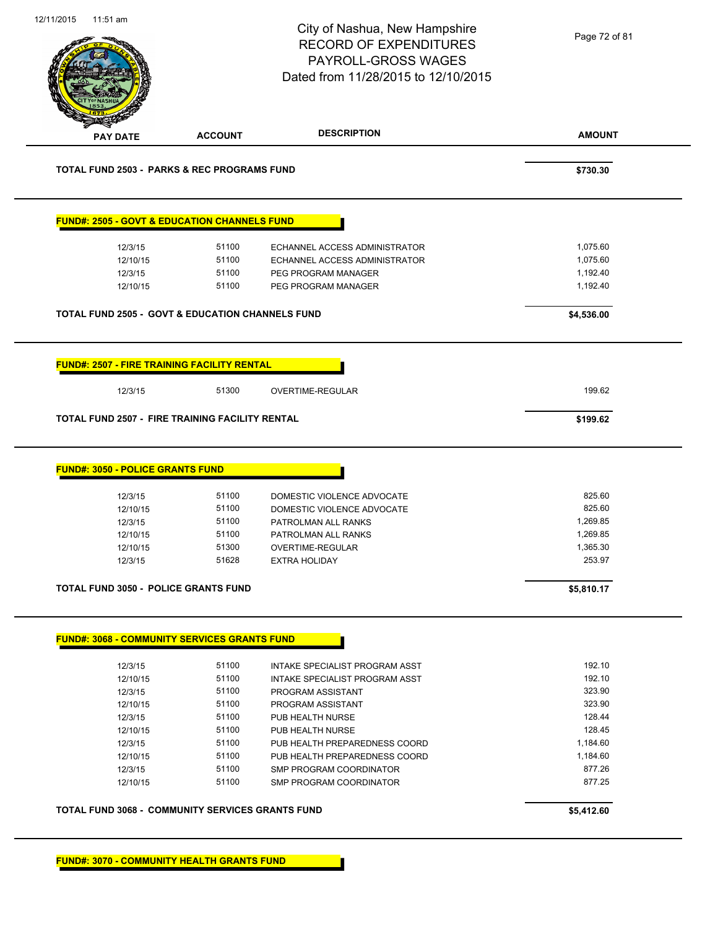|                                         |                                                             | City of Nashua, New Hampshire<br><b>RECORD OF EXPENDITURES</b><br>PAYROLL-GROSS WAGES<br>Dated from 11/28/2015 to 12/10/2015 | Page 72 of 81      |
|-----------------------------------------|-------------------------------------------------------------|------------------------------------------------------------------------------------------------------------------------------|--------------------|
| <b>PAY DATE</b>                         | <b>ACCOUNT</b>                                              | <b>DESCRIPTION</b>                                                                                                           | <b>AMOUNT</b>      |
|                                         | <b>TOTAL FUND 2503 - PARKS &amp; REC PROGRAMS FUND</b>      |                                                                                                                              | \$730.30           |
|                                         | <b>FUND#: 2505 - GOVT &amp; EDUCATION CHANNELS FUND</b>     |                                                                                                                              |                    |
| 12/3/15                                 | 51100                                                       | ECHANNEL ACCESS ADMINISTRATOR                                                                                                | 1,075.60           |
| 12/10/15                                | 51100                                                       | ECHANNEL ACCESS ADMINISTRATOR                                                                                                | 1,075.60           |
| 12/3/15                                 | 51100                                                       | PEG PROGRAM MANAGER                                                                                                          | 1,192.40           |
| 12/10/15                                | 51100                                                       | PEG PROGRAM MANAGER                                                                                                          | 1,192.40           |
|                                         | <b>TOTAL FUND 2505 - GOVT &amp; EDUCATION CHANNELS FUND</b> |                                                                                                                              | \$4,536.00         |
| 12/3/15                                 | 51300                                                       | OVERTIME-REGULAR                                                                                                             | 199.62             |
|                                         | <b>TOTAL FUND 2507 - FIRE TRAINING FACILITY RENTAL</b>      |                                                                                                                              | \$199.62           |
| <b>FUND#: 3050 - POLICE GRANTS FUND</b> |                                                             |                                                                                                                              |                    |
| 12/3/15                                 | 51100                                                       | DOMESTIC VIOLENCE ADVOCATE                                                                                                   | 825.60             |
| 12/10/15                                | 51100                                                       | DOMESTIC VIOLENCE ADVOCATE                                                                                                   | 825.60             |
| 12/3/15                                 | 51100                                                       | PATROLMAN ALL RANKS                                                                                                          | 1,269.85           |
| 12/10/15                                | 51100                                                       | PATROLMAN ALL RANKS                                                                                                          | 1,269.85           |
| 12/10/15<br>12/3/15                     | 51300<br>51628                                              | OVERTIME-REGULAR<br><b>EXTRA HOLIDAY</b>                                                                                     | 1,365.30<br>253.97 |
|                                         | <b>TOTAL FUND 3050 - POLICE GRANTS FUND</b>                 |                                                                                                                              |                    |
|                                         |                                                             |                                                                                                                              | \$5,810.17         |
|                                         | <b>FUND#: 3068 - COMMUNITY SERVICES GRANTS FUND</b>         |                                                                                                                              |                    |
| 12/3/15                                 | 51100                                                       | INTAKE SPECIALIST PROGRAM ASST                                                                                               | 192.10             |
| 12/10/15                                | 51100                                                       | INTAKE SPECIALIST PROGRAM ASST                                                                                               | 192.10             |
| 12/3/15                                 | 51100                                                       | PROGRAM ASSISTANT                                                                                                            | 323.90             |
| 12/10/15                                | 51100                                                       | PROGRAM ASSISTANT                                                                                                            | 323.90             |
| 12/3/15                                 | 51100                                                       | PUB HEALTH NURSE                                                                                                             | 128.44             |
| 12/10/15                                | 51100                                                       | PUB HEALTH NURSE                                                                                                             | 128.45             |
| 12/3/15                                 | 51100                                                       | PUB HEALTH PREPAREDNESS COORD                                                                                                | 1,184.60           |
| 12/10/15                                | 51100                                                       | PUB HEALTH PREPAREDNESS COORD                                                                                                | 1,184.60           |
| 12/3/15<br>12/10/15                     | 51100<br>51100                                              | SMP PROGRAM COORDINATOR<br>SMP PROGRAM COORDINATOR                                                                           | 877.26<br>877.25   |
|                                         | <b>TOTAL FUND 3068 - COMMUNITY SERVICES GRANTS FUND</b>     |                                                                                                                              | \$5,412.60         |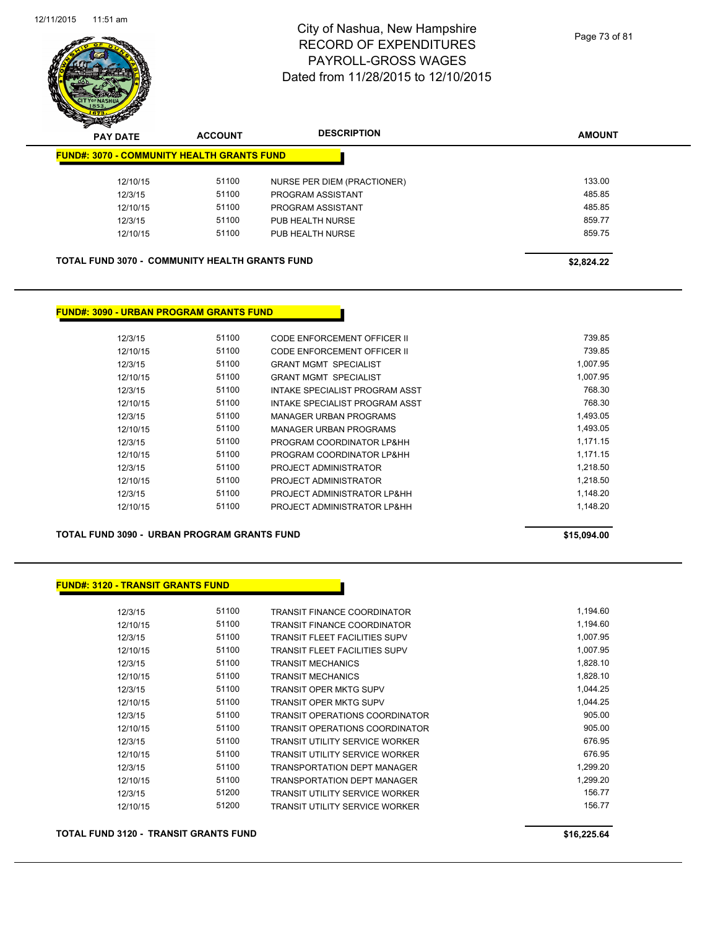

| $\tilde{\phantom{a}}$<br><b>PAY DATE</b> | <b>ACCOUNT</b>                                        | <b>DESCRIPTION</b>          | <b>AMOUNT</b> |
|------------------------------------------|-------------------------------------------------------|-----------------------------|---------------|
|                                          | <b>FUND#: 3070 - COMMUNITY HEALTH GRANTS FUND</b>     |                             |               |
| 12/10/15                                 | 51100                                                 | NURSE PER DIEM (PRACTIONER) | 133.00        |
| 12/3/15                                  | 51100                                                 | PROGRAM ASSISTANT           | 485.85        |
| 12/10/15                                 | 51100                                                 | PROGRAM ASSISTANT           | 485.85        |
| 12/3/15                                  | 51100                                                 | PUB HEALTH NURSE            | 859.77        |
| 12/10/15                                 | 51100                                                 | PUB HEALTH NURSE            | 859.75        |
|                                          |                                                       |                             |               |
|                                          | <b>TOTAL FUND 3070 - COMMUNITY HEALTH GRANTS FUND</b> |                             | \$2,824.22    |

### **FUND#: 3090 - URBAN PROGRAM GRANTS FUND**

| 12/3/15  | 51100 | CODE ENFORCEMENT OFFICER II    | 739.85   |
|----------|-------|--------------------------------|----------|
| 12/10/15 | 51100 | CODE ENFORCEMENT OFFICER II    | 739.85   |
| 12/3/15  | 51100 | <b>GRANT MGMT SPECIALIST</b>   | 1.007.95 |
| 12/10/15 | 51100 | <b>GRANT MGMT SPECIALIST</b>   | 1.007.95 |
| 12/3/15  | 51100 | INTAKE SPECIALIST PROGRAM ASST | 768.30   |
| 12/10/15 | 51100 | INTAKE SPECIALIST PROGRAM ASST | 768.30   |
| 12/3/15  | 51100 | MANAGER URBAN PROGRAMS         | 1.493.05 |
| 12/10/15 | 51100 | MANAGER URBAN PROGRAMS         | 1,493.05 |
| 12/3/15  | 51100 | PROGRAM COORDINATOR LP&HH      | 1.171.15 |
| 12/10/15 | 51100 | PROGRAM COORDINATOR LP&HH      | 1.171.15 |
| 12/3/15  | 51100 | PROJECT ADMINISTRATOR          | 1,218.50 |
| 12/10/15 | 51100 | PROJECT ADMINISTRATOR          | 1.218.50 |
| 12/3/15  | 51100 | PROJECT ADMINISTRATOR LP&HH    | 1.148.20 |
| 12/10/15 | 51100 | PROJECT ADMINISTRATOR LP&HH    | 1.148.20 |
|          |       |                                |          |

**TOTAL FUND 3090 - URBAN PROGRAM GRANTS FUND \$15,094.00** 

#### **FUND#: 3120 - TRANSIT GRANTS FUND**

| 12/3/15  | 51100 | <b>TRANSIT FINANCE COORDINATOR</b>    | 1,194.60 |
|----------|-------|---------------------------------------|----------|
| 12/10/15 | 51100 | <b>TRANSIT FINANCE COORDINATOR</b>    | 1,194.60 |
| 12/3/15  | 51100 | <b>TRANSIT FLEET FACILITIES SUPV</b>  | 1.007.95 |
| 12/10/15 | 51100 | <b>TRANSIT FLEET FACILITIES SUPV</b>  | 1,007.95 |
| 12/3/15  | 51100 | <b>TRANSIT MECHANICS</b>              | 1,828.10 |
| 12/10/15 | 51100 | <b>TRANSIT MECHANICS</b>              | 1,828.10 |
| 12/3/15  | 51100 | TRANSIT OPER MKTG SUPV                | 1,044.25 |
| 12/10/15 | 51100 | TRANSIT OPER MKTG SUPV                | 1.044.25 |
| 12/3/15  | 51100 | <b>TRANSIT OPERATIONS COORDINATOR</b> | 905.00   |
| 12/10/15 | 51100 | TRANSIT OPERATIONS COORDINATOR        | 905.00   |
| 12/3/15  | 51100 | <b>TRANSIT UTILITY SERVICE WORKER</b> | 676.95   |
| 12/10/15 | 51100 | <b>TRANSIT UTILITY SERVICE WORKER</b> | 676.95   |
| 12/3/15  | 51100 | <b>TRANSPORTATION DEPT MANAGER</b>    | 1,299.20 |
| 12/10/15 | 51100 | <b>TRANSPORTATION DEPT MANAGER</b>    | 1.299.20 |
| 12/3/15  | 51200 | <b>TRANSIT UTILITY SERVICE WORKER</b> | 156.77   |
| 12/10/15 | 51200 | <b>TRANSIT UTILITY SERVICE WORKER</b> | 156.77   |
|          |       |                                       |          |

**TOTAL FUND 3120 - TRANSIT GRANTS FUND \$16,225.64**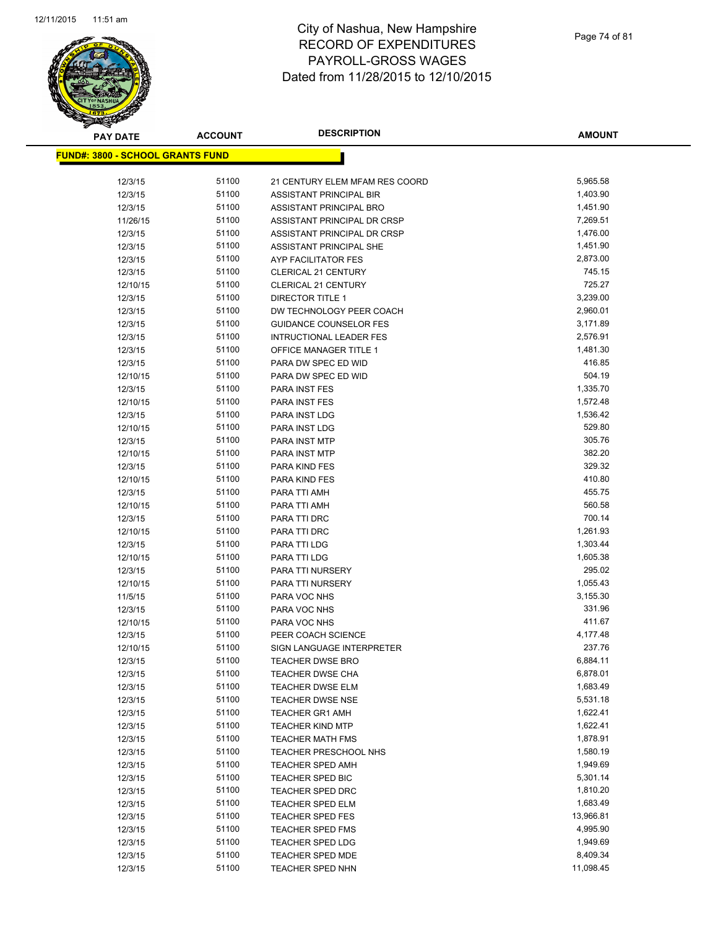

| <b>PAY DATE</b>                          | <b>ACCOUNT</b> | <b>DESCRIPTION</b>                              | <b>AMOUNT</b>      |
|------------------------------------------|----------------|-------------------------------------------------|--------------------|
| <u> FUND#: 3800 - SCHOOL GRANTS FUND</u> |                |                                                 |                    |
|                                          |                |                                                 |                    |
| 12/3/15                                  | 51100          | 21 CENTURY ELEM MFAM RES COORD                  | 5,965.58           |
| 12/3/15                                  | 51100          | ASSISTANT PRINCIPAL BIR                         | 1,403.90           |
| 12/3/15                                  | 51100          | ASSISTANT PRINCIPAL BRO                         | 1,451.90           |
| 11/26/15                                 | 51100          | ASSISTANT PRINCIPAL DR CRSP                     | 7,269.51           |
| 12/3/15                                  | 51100          | ASSISTANT PRINCIPAL DR CRSP                     | 1,476.00           |
| 12/3/15                                  | 51100          | <b>ASSISTANT PRINCIPAL SHE</b>                  | 1,451.90           |
| 12/3/15                                  | 51100          | AYP FACILITATOR FES                             | 2,873.00           |
| 12/3/15                                  | 51100          | <b>CLERICAL 21 CENTURY</b>                      | 745.15             |
| 12/10/15                                 | 51100          | <b>CLERICAL 21 CENTURY</b>                      | 725.27             |
| 12/3/15                                  | 51100          | <b>DIRECTOR TITLE 1</b>                         | 3,239.00           |
| 12/3/15                                  | 51100          | DW TECHNOLOGY PEER COACH                        | 2,960.01           |
| 12/3/15                                  | 51100          | <b>GUIDANCE COUNSELOR FES</b>                   | 3,171.89           |
| 12/3/15                                  | 51100          | <b>INTRUCTIONAL LEADER FES</b>                  | 2,576.91           |
| 12/3/15                                  | 51100          | OFFICE MANAGER TITLE 1                          | 1,481.30           |
| 12/3/15                                  | 51100          | PARA DW SPEC ED WID                             | 416.85             |
| 12/10/15                                 | 51100          | PARA DW SPEC ED WID                             | 504.19             |
| 12/3/15                                  | 51100          | <b>PARA INST FES</b>                            | 1,335.70           |
| 12/10/15                                 | 51100          | PARA INST FES                                   | 1,572.48           |
| 12/3/15                                  | 51100          | PARA INST LDG                                   | 1,536.42           |
| 12/10/15                                 | 51100          | <b>PARA INST LDG</b>                            | 529.80             |
| 12/3/15                                  | 51100          | <b>PARA INST MTP</b>                            | 305.76             |
| 12/10/15                                 | 51100          | <b>PARA INST MTP</b>                            | 382.20             |
| 12/3/15                                  | 51100          | PARA KIND FES                                   | 329.32             |
| 12/10/15                                 | 51100          | PARA KIND FES                                   | 410.80             |
| 12/3/15                                  | 51100          | PARA TTI AMH                                    | 455.75             |
| 12/10/15                                 | 51100          | PARA TTI AMH                                    | 560.58             |
| 12/3/15                                  | 51100          | PARA TTI DRC                                    | 700.14             |
| 12/10/15                                 | 51100          | PARA TTI DRC                                    | 1,261.93           |
| 12/3/15                                  | 51100          | PARA TTI LDG                                    | 1,303.44           |
| 12/10/15                                 | 51100          | PARA TTI LDG                                    | 1,605.38           |
| 12/3/15                                  | 51100          | PARA TTI NURSERY                                | 295.02             |
| 12/10/15                                 | 51100          | PARA TTI NURSERY                                | 1,055.43           |
| 11/5/15                                  | 51100          | PARA VOC NHS                                    | 3,155.30           |
| 12/3/15                                  | 51100          | PARA VOC NHS                                    | 331.96             |
| 12/10/15                                 | 51100<br>51100 | PARA VOC NHS                                    | 411.67<br>4,177.48 |
| 12/3/15<br>12/10/15                      | 51100          | PEER COACH SCIENCE<br>SIGN LANGUAGE INTERPRETER | 237.76             |
|                                          | 51100          | <b>TEACHER DWSE BRO</b>                         | 6,884.11           |
| 12/3/15<br>12/3/15                       | 51100          | <b>TEACHER DWSE CHA</b>                         | 6,878.01           |
| 12/3/15                                  | 51100          | <b>TEACHER DWSE ELM</b>                         | 1,683.49           |
| 12/3/15                                  | 51100          | TEACHER DWSE NSE                                | 5,531.18           |
| 12/3/15                                  | 51100          | <b>TEACHER GR1 AMH</b>                          | 1,622.41           |
| 12/3/15                                  | 51100          | <b>TEACHER KIND MTP</b>                         | 1,622.41           |
| 12/3/15                                  | 51100          | <b>TEACHER MATH FMS</b>                         | 1,878.91           |
| 12/3/15                                  | 51100          | <b>TEACHER PRESCHOOL NHS</b>                    | 1,580.19           |
| 12/3/15                                  | 51100          | <b>TEACHER SPED AMH</b>                         | 1,949.69           |
| 12/3/15                                  | 51100          | TEACHER SPED BIC                                | 5,301.14           |
| 12/3/15                                  | 51100          | <b>TEACHER SPED DRC</b>                         | 1,810.20           |
| 12/3/15                                  | 51100          | <b>TEACHER SPED ELM</b>                         | 1,683.49           |
| 12/3/15                                  | 51100          | <b>TEACHER SPED FES</b>                         | 13,966.81          |
| 12/3/15                                  | 51100          | <b>TEACHER SPED FMS</b>                         | 4,995.90           |
| 12/3/15                                  | 51100          | <b>TEACHER SPED LDG</b>                         | 1,949.69           |
| 12/3/15                                  | 51100          | TEACHER SPED MDE                                | 8,409.34           |
| 12/3/15                                  | 51100          | <b>TEACHER SPED NHN</b>                         | 11,098.45          |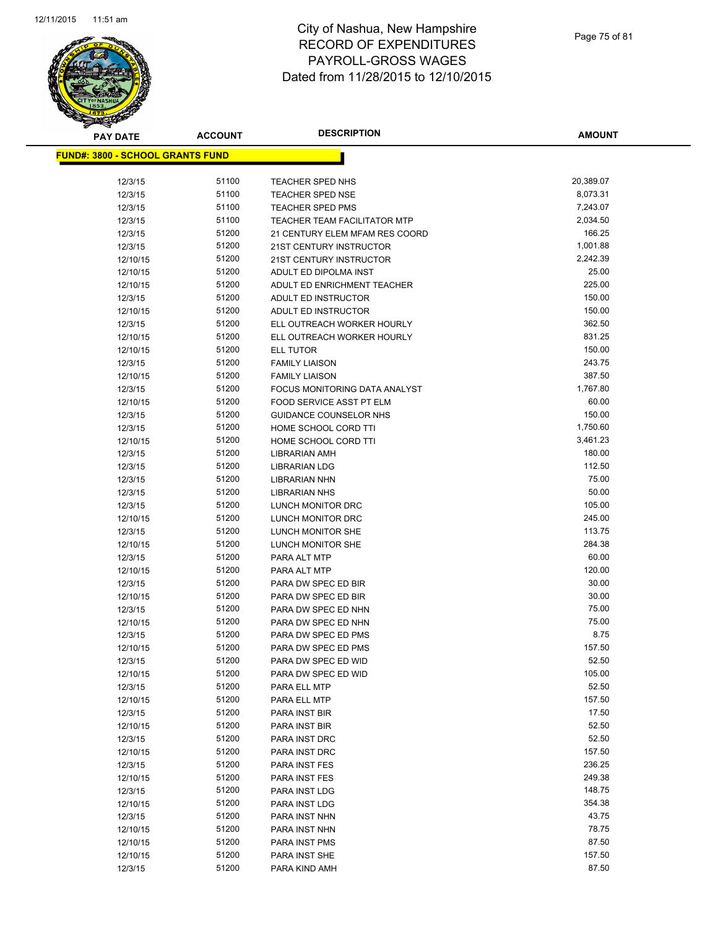

**AMOUNT**

| <u> FUND#: 3800 - SCHOOL GRANTS FUND</u> |                |                                            |                |
|------------------------------------------|----------------|--------------------------------------------|----------------|
|                                          |                |                                            |                |
| 12/3/15                                  | 51100          | TEACHER SPED NHS                           | 20,389.07      |
| 12/3/15                                  | 51100          | <b>TEACHER SPED NSE</b>                    | 8,073.31       |
| 12/3/15                                  | 51100          | <b>TEACHER SPED PMS</b>                    | 7,243.07       |
| 12/3/15                                  | 51100          | <b>TEACHER TEAM FACILITATOR MTP</b>        | 2,034.50       |
| 12/3/15                                  | 51200          | 21 CENTURY ELEM MFAM RES COORD             | 166.25         |
| 12/3/15                                  | 51200          | 21ST CENTURY INSTRUCTOR                    | 1,001.88       |
| 12/10/15                                 | 51200          | 21ST CENTURY INSTRUCTOR                    | 2,242.39       |
| 12/10/15                                 | 51200          | ADULT ED DIPOLMA INST                      | 25.00          |
| 12/10/15                                 | 51200          | ADULT ED ENRICHMENT TEACHER                | 225.00         |
| 12/3/15                                  | 51200          | ADULT ED INSTRUCTOR                        | 150.00         |
| 12/10/15                                 | 51200          | ADULT ED INSTRUCTOR                        | 150.00         |
| 12/3/15                                  | 51200          | ELL OUTREACH WORKER HOURLY                 | 362.50         |
| 12/10/15                                 | 51200          | ELL OUTREACH WORKER HOURLY                 | 831.25         |
| 12/10/15                                 | 51200          | ELL TUTOR                                  | 150.00         |
| 12/3/15                                  | 51200          | <b>FAMILY LIAISON</b>                      | 243.75         |
| 12/10/15                                 | 51200          | <b>FAMILY LIAISON</b>                      | 387.50         |
| 12/3/15                                  | 51200          | FOCUS MONITORING DATA ANALYST              | 1,767.80       |
| 12/10/15                                 | 51200          | FOOD SERVICE ASST PT ELM                   | 60.00          |
| 12/3/15                                  | 51200          | GUIDANCE COUNSELOR NHS                     | 150.00         |
| 12/3/15                                  | 51200          | HOME SCHOOL CORD TTI                       | 1,750.60       |
| 12/10/15                                 | 51200          | HOME SCHOOL CORD TTI                       | 3,461.23       |
| 12/3/15                                  | 51200          | <b>LIBRARIAN AMH</b>                       | 180.00         |
| 12/3/15                                  | 51200          | <b>LIBRARIAN LDG</b>                       | 112.50         |
| 12/3/15                                  | 51200          | <b>LIBRARIAN NHN</b>                       | 75.00          |
| 12/3/15                                  | 51200          | <b>LIBRARIAN NHS</b>                       | 50.00          |
| 12/3/15                                  | 51200          | LUNCH MONITOR DRC                          | 105.00         |
| 12/10/15                                 | 51200          | LUNCH MONITOR DRC                          | 245.00         |
| 12/3/15                                  | 51200          | LUNCH MONITOR SHE                          | 113.75         |
| 12/10/15                                 | 51200          | LUNCH MONITOR SHE                          | 284.38         |
| 12/3/15                                  | 51200          | PARA ALT MTP                               | 60.00          |
| 12/10/15                                 | 51200          | PARA ALT MTP                               | 120.00         |
| 12/3/15                                  | 51200          | PARA DW SPEC ED BIR                        | 30.00          |
| 12/10/15                                 | 51200<br>51200 | PARA DW SPEC ED BIR<br>PARA DW SPEC ED NHN | 30.00<br>75.00 |
| 12/3/15                                  | 51200          |                                            | 75.00          |
| 12/10/15                                 | 51200          | PARA DW SPEC ED NHN                        | 8.75           |
| 12/3/15<br>12/10/15                      | 51200          | PARA DW SPEC ED PMS<br>PARA DW SPEC ED PMS | 157.50         |
| 12/3/15                                  | 51200          | PARA DW SPEC ED WID                        | 52.50          |
| 12/10/15                                 | 51200          | PARA DW SPEC ED WID                        | 105.00         |
| 12/3/15                                  | 51200          | PARA ELL MTP                               | 52.50          |
| 12/10/15                                 | 51200          | PARA ELL MTP                               | 157.50         |
| 12/3/15                                  | 51200          | PARA INST BIR                              | 17.50          |
| 12/10/15                                 | 51200          | PARA INST BIR                              | 52.50          |
| 12/3/15                                  | 51200          | PARA INST DRC                              | 52.50          |
| 12/10/15                                 | 51200          | PARA INST DRC                              | 157.50         |
| 12/3/15                                  | 51200          | PARA INST FES                              | 236.25         |
| 12/10/15                                 | 51200          | PARA INST FES                              | 249.38         |
| 12/3/15                                  | 51200          | PARA INST LDG                              | 148.75         |
| 12/10/15                                 | 51200          | PARA INST LDG                              | 354.38         |
| 12/3/15                                  | 51200          | PARA INST NHN                              | 43.75          |
| 12/10/15                                 | 51200          | PARA INST NHN                              | 78.75          |
| 12/10/15                                 | 51200          | PARA INST PMS                              | 87.50          |
| 12/10/15                                 | 51200          | PARA INST SHE                              | 157.50         |
| 12/3/15                                  | 51200          | PARA KIND AMH                              | 87.50          |
|                                          |                |                                            |                |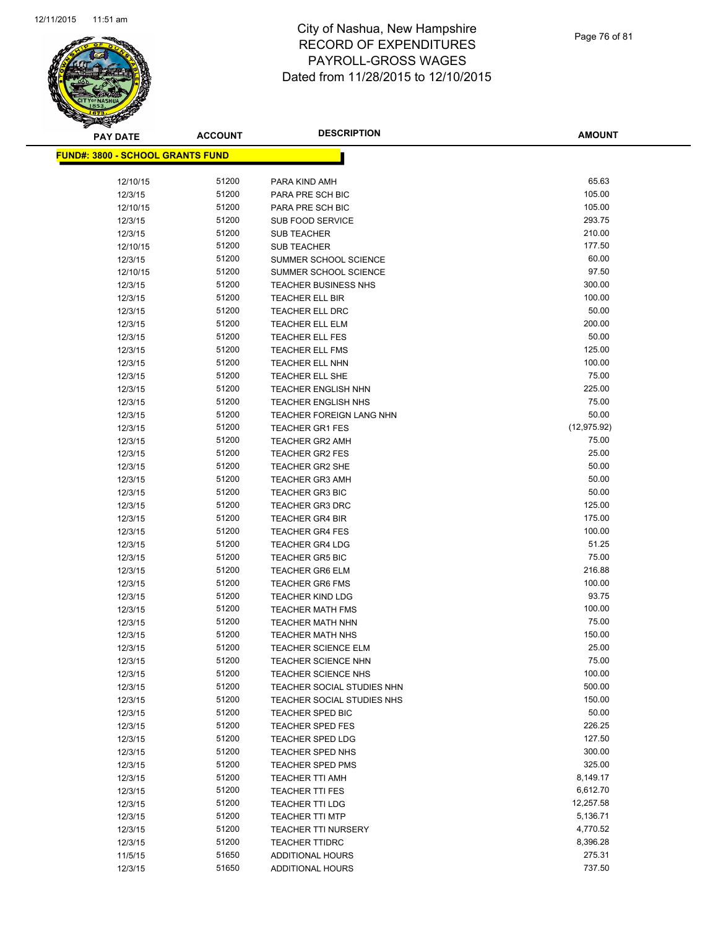

**AMOUNT**

| <u> FUND#: 3800 - SCHOOL GRANTS FUND</u> |                |                                                          |                 |
|------------------------------------------|----------------|----------------------------------------------------------|-----------------|
| 12/10/15                                 | 51200          | PARA KIND AMH                                            | 65.63           |
| 12/3/15                                  | 51200          | PARA PRE SCH BIC                                         | 105.00          |
| 12/10/15                                 | 51200          | PARA PRE SCH BIC                                         | 105.00          |
| 12/3/15                                  | 51200          | <b>SUB FOOD SERVICE</b>                                  | 293.75          |
| 12/3/15                                  | 51200          | <b>SUB TEACHER</b>                                       | 210.00          |
| 12/10/15                                 | 51200          | <b>SUB TEACHER</b>                                       | 177.50          |
| 12/3/15                                  | 51200          | SUMMER SCHOOL SCIENCE                                    | 60.00           |
| 12/10/15                                 | 51200          | SUMMER SCHOOL SCIENCE                                    | 97.50           |
| 12/3/15                                  | 51200          | <b>TEACHER BUSINESS NHS</b>                              | 300.00          |
| 12/3/15                                  | 51200          | TEACHER ELL BIR                                          | 100.00          |
| 12/3/15                                  | 51200          | TEACHER ELL DRC                                          | 50.00           |
| 12/3/15                                  | 51200          | <b>TEACHER ELL ELM</b>                                   | 200.00          |
| 12/3/15                                  | 51200          | <b>TEACHER ELL FES</b>                                   | 50.00           |
| 12/3/15                                  | 51200          | <b>TEACHER ELL FMS</b>                                   | 125.00          |
| 12/3/15                                  | 51200          | TEACHER ELL NHN                                          | 100.00          |
| 12/3/15                                  | 51200          | <b>TEACHER ELL SHE</b>                                   | 75.00           |
| 12/3/15                                  | 51200          | <b>TEACHER ENGLISH NHN</b>                               | 225.00          |
| 12/3/15                                  | 51200          | <b>TEACHER ENGLISH NHS</b>                               | 75.00           |
| 12/3/15                                  | 51200          | <b>TEACHER FOREIGN LANG NHN</b>                          | 50.00           |
| 12/3/15                                  | 51200          | <b>TEACHER GR1 FES</b>                                   | (12, 975.92)    |
| 12/3/15                                  | 51200          | <b>TEACHER GR2 AMH</b>                                   | 75.00           |
| 12/3/15                                  | 51200          | <b>TEACHER GR2 FES</b>                                   | 25.00           |
| 12/3/15                                  | 51200          | <b>TEACHER GR2 SHE</b>                                   | 50.00           |
| 12/3/15                                  | 51200          | <b>TEACHER GR3 AMH</b>                                   | 50.00           |
| 12/3/15                                  | 51200          | <b>TEACHER GR3 BIC</b>                                   | 50.00           |
| 12/3/15                                  | 51200          | <b>TEACHER GR3 DRC</b>                                   | 125.00          |
| 12/3/15                                  | 51200          | <b>TEACHER GR4 BIR</b>                                   | 175.00          |
| 12/3/15                                  | 51200          | <b>TEACHER GR4 FES</b>                                   | 100.00          |
| 12/3/15                                  | 51200          | <b>TEACHER GR4 LDG</b>                                   | 51.25           |
| 12/3/15                                  | 51200          | <b>TEACHER GR5 BIC</b>                                   | 75.00           |
| 12/3/15                                  | 51200          | <b>TEACHER GR6 ELM</b>                                   | 216.88          |
| 12/3/15                                  | 51200          | <b>TEACHER GR6 FMS</b>                                   | 100.00          |
| 12/3/15                                  | 51200          | <b>TEACHER KIND LDG</b>                                  | 93.75           |
| 12/3/15                                  | 51200          | <b>TEACHER MATH FMS</b>                                  | 100.00          |
| 12/3/15                                  | 51200          | <b>TEACHER MATH NHN</b>                                  | 75.00           |
| 12/3/15                                  | 51200          | <b>TEACHER MATH NHS</b>                                  | 150.00          |
| 12/3/15                                  | 51200          | <b>TEACHER SCIENCE ELM</b>                               | 25.00           |
| 12/3/15                                  | 51200<br>51200 | <b>TEACHER SCIENCE NHN</b>                               | 75.00<br>100.00 |
| 12/3/15                                  |                | <b>TEACHER SCIENCE NHS</b><br>TEACHER SOCIAL STUDIES NHN | 500.00          |
| 12/3/15                                  | 51200<br>51200 | TEACHER SOCIAL STUDIES NHS                               | 150.00          |
| 12/3/15<br>12/3/15                       | 51200          | TEACHER SPED BIC                                         | 50.00           |
| 12/3/15                                  | 51200          | <b>TEACHER SPED FES</b>                                  | 226.25          |
| 12/3/15                                  | 51200          | <b>TEACHER SPED LDG</b>                                  | 127.50          |
| 12/3/15                                  | 51200          | TEACHER SPED NHS                                         | 300.00          |
| 12/3/15                                  | 51200          | <b>TEACHER SPED PMS</b>                                  | 325.00          |
| 12/3/15                                  | 51200          | <b>TEACHER TTI AMH</b>                                   | 8,149.17        |
| 12/3/15                                  | 51200          | <b>TEACHER TTI FES</b>                                   | 6,612.70        |
| 12/3/15                                  | 51200          | <b>TEACHER TTI LDG</b>                                   | 12,257.58       |
| 12/3/15                                  | 51200          | <b>TEACHER TTI MTP</b>                                   | 5,136.71        |
| 12/3/15                                  | 51200          | <b>TEACHER TTI NURSERY</b>                               | 4,770.52        |
| 12/3/15                                  | 51200          | <b>TEACHER TTIDRC</b>                                    | 8,396.28        |
| 11/5/15                                  | 51650          | <b>ADDITIONAL HOURS</b>                                  | 275.31          |
| 12/3/15                                  | 51650          | ADDITIONAL HOURS                                         | 737.50          |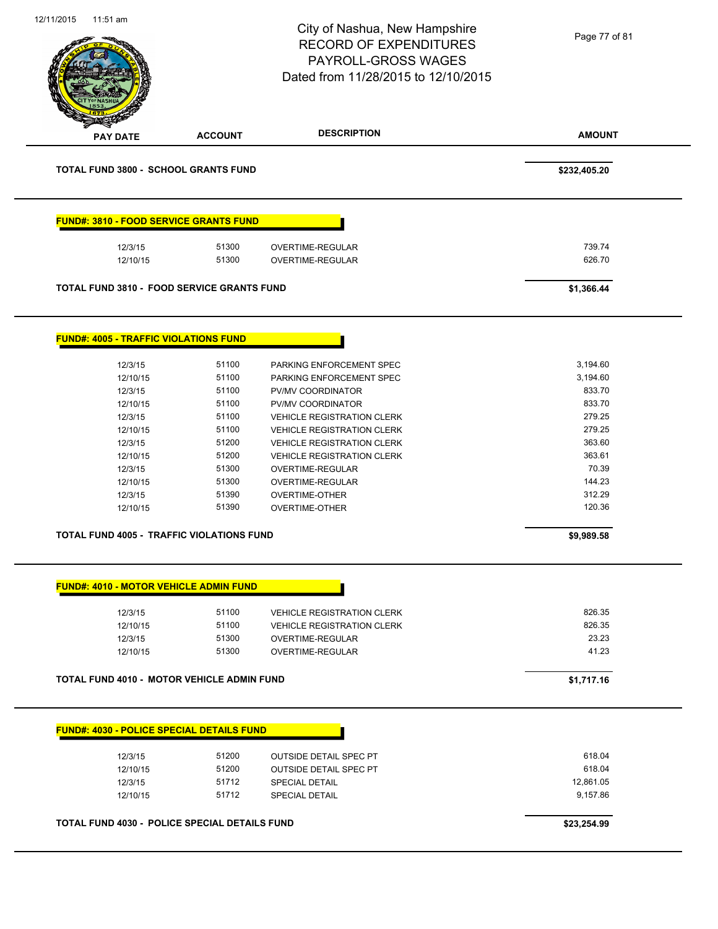|                                                   |                | <b>RECORD OF EXPENDITURES</b><br>PAYROLL-GROSS WAGES<br>Dated from 11/28/2015 to 12/10/2015 | Page 77 of 81   |
|---------------------------------------------------|----------------|---------------------------------------------------------------------------------------------|-----------------|
| <b>PAY DATE</b>                                   | <b>ACCOUNT</b> | <b>DESCRIPTION</b>                                                                          | <b>AMOUNT</b>   |
| <b>TOTAL FUND 3800 - SCHOOL GRANTS FUND</b>       |                |                                                                                             | \$232,405.20    |
| <b>FUND#: 3810 - FOOD SERVICE GRANTS FUND</b>     |                |                                                                                             |                 |
| 12/3/15                                           | 51300          | OVERTIME-REGULAR                                                                            | 739.74          |
| 12/10/15                                          | 51300          | OVERTIME-REGULAR                                                                            | 626.70          |
| <b>TOTAL FUND 3810 - FOOD SERVICE GRANTS FUND</b> |                |                                                                                             | \$1,366.44      |
| <b>FUND#: 4005 - TRAFFIC VIOLATIONS FUND</b>      |                |                                                                                             |                 |
| 12/3/15                                           | 51100          | PARKING ENFORCEMENT SPEC                                                                    | 3,194.60        |
| 12/10/15                                          | 51100          | PARKING ENFORCEMENT SPEC                                                                    | 3,194.60        |
| 12/3/15                                           | 51100          | PV/MV COORDINATOR                                                                           | 833.70          |
| 12/10/15                                          | 51100          | PV/MV COORDINATOR                                                                           | 833.70          |
| 12/3/15                                           | 51100          | <b>VEHICLE REGISTRATION CLERK</b>                                                           | 279.25          |
| 12/10/15                                          | 51100          | <b>VEHICLE REGISTRATION CLERK</b>                                                           | 279.25          |
| 12/3/15                                           | 51200          | <b>VEHICLE REGISTRATION CLERK</b>                                                           | 363.60          |
| 12/10/15                                          | 51200          | <b>VEHICLE REGISTRATION CLERK</b>                                                           | 363.61          |
| 12/3/15                                           | 51300          | OVERTIME-REGULAR                                                                            | 70.39           |
| 12/10/15                                          | 51300          | OVERTIME-REGULAR                                                                            | 144.23          |
| 12/3/15                                           | 51390          | OVERTIME-OTHER                                                                              | 312.29          |
| 12/10/15                                          | 51390          | <b>OVERTIME-OTHER</b>                                                                       | 120.36          |
| TOTAL FUND 4005 - TRAFFIC VIOLATIONS FUND         |                |                                                                                             | \$9,989.58      |
| <b>FUND#: 4010 - MOTOR VEHICLE ADMIN FUND</b>     |                |                                                                                             |                 |
|                                                   |                |                                                                                             |                 |
| 12/3/15                                           | 51100          | <b>VEHICLE REGISTRATION CLERK</b>                                                           | 826.35          |
| 12/10/15                                          | 51100          | <b>VEHICLE REGISTRATION CLERK</b>                                                           | 826.35<br>23.23 |
| 12/3/15<br>12/10/15                               | 51300<br>51300 | OVERTIME-REGULAR<br>OVERTIME-REGULAR                                                        | 41.23           |
| TOTAL FUND 4010 - MOTOR VEHICLE ADMIN FUND        |                |                                                                                             | \$1,717.16      |
|                                                   |                |                                                                                             |                 |
| <b>FUND#: 4030 - POLICE SPECIAL DETAILS FUND</b>  |                |                                                                                             |                 |
| 12/3/15                                           | 51200          | <b>OUTSIDE DETAIL SPEC PT</b>                                                               | 618.04          |
| 12/10/15                                          | 51200          | <b>OUTSIDE DETAIL SPEC PT</b>                                                               | 618.04          |
| 12/3/15                                           | 51712          | <b>SPECIAL DETAIL</b>                                                                       | 12,861.05       |
| 12/10/15                                          | 51712          | <b>SPECIAL DETAIL</b>                                                                       | 9,157.86        |
|                                                   |                |                                                                                             |                 |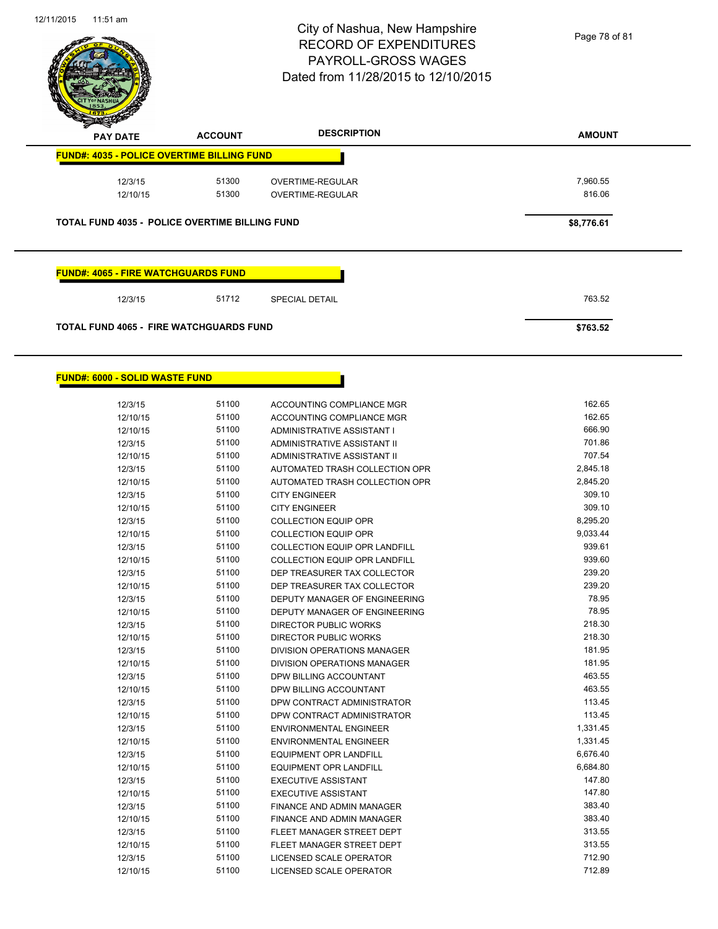

| $\mathbf{z}$<br>$\sim$<br><b>PAY DATE</b>             | <b>ACCOUNT</b> | <b>DESCRIPTION</b>    | <b>AMOUNT</b> |
|-------------------------------------------------------|----------------|-----------------------|---------------|
| <b>FUND#: 4035 - POLICE OVERTIME BILLING FUND</b>     |                |                       |               |
| 12/3/15                                               | 51300          | OVERTIME-REGULAR      | 7,960.55      |
| 12/10/15                                              | 51300          | OVERTIME-REGULAR      | 816.06        |
| <b>TOTAL FUND 4035 - POLICE OVERTIME BILLING FUND</b> |                |                       | \$8,776.61    |
|                                                       |                |                       |               |
|                                                       |                |                       |               |
| <b>FUND#: 4065 - FIRE WATCHGUARDS FUND</b>            |                |                       |               |
| 12/3/15                                               | 51712          | <b>SPECIAL DETAIL</b> | 763.52        |
| <b>TOTAL FUND 4065 - FIRE WATCHGUARDS FUND</b>        |                |                       | \$763.52      |
|                                                       |                |                       |               |

## **FUND#: 6000 - SOLID WASTE FUND**

| 12/3/15  | 51100 | ACCOUNTING COMPLIANCE MGR            | 162.65   |
|----------|-------|--------------------------------------|----------|
| 12/10/15 | 51100 | ACCOUNTING COMPLIANCE MGR            | 162.65   |
| 12/10/15 | 51100 | ADMINISTRATIVE ASSISTANT I           | 666.90   |
| 12/3/15  | 51100 | <b>ADMINISTRATIVE ASSISTANT II</b>   | 701.86   |
| 12/10/15 | 51100 | ADMINISTRATIVE ASSISTANT II          | 707.54   |
| 12/3/15  | 51100 | AUTOMATED TRASH COLLECTION OPR       | 2,845.18 |
| 12/10/15 | 51100 | AUTOMATED TRASH COLLECTION OPR       | 2,845.20 |
| 12/3/15  | 51100 | <b>CITY ENGINEER</b>                 | 309.10   |
| 12/10/15 | 51100 | <b>CITY ENGINEER</b>                 | 309.10   |
| 12/3/15  | 51100 | <b>COLLECTION EQUIP OPR</b>          | 8,295.20 |
| 12/10/15 | 51100 | <b>COLLECTION EQUIP OPR</b>          | 9,033.44 |
| 12/3/15  | 51100 | <b>COLLECTION EQUIP OPR LANDFILL</b> | 939.61   |
| 12/10/15 | 51100 | <b>COLLECTION EQUIP OPR LANDFILL</b> | 939.60   |
| 12/3/15  | 51100 | DEP TREASURER TAX COLLECTOR          | 239.20   |
| 12/10/15 | 51100 | DEP TREASURER TAX COLLECTOR          | 239.20   |
| 12/3/15  | 51100 | DEPUTY MANAGER OF ENGINEERING        | 78.95    |
| 12/10/15 | 51100 | DEPUTY MANAGER OF ENGINEERING        | 78.95    |
| 12/3/15  | 51100 | DIRECTOR PUBLIC WORKS                | 218.30   |
| 12/10/15 | 51100 | DIRECTOR PUBLIC WORKS                | 218.30   |
| 12/3/15  | 51100 | DIVISION OPERATIONS MANAGER          | 181.95   |
| 12/10/15 | 51100 | DIVISION OPERATIONS MANAGER          | 181.95   |
| 12/3/15  | 51100 | DPW BILLING ACCOUNTANT               | 463.55   |
| 12/10/15 | 51100 | DPW BILLING ACCOUNTANT               | 463.55   |
| 12/3/15  | 51100 | DPW CONTRACT ADMINISTRATOR           | 113.45   |
| 12/10/15 | 51100 | DPW CONTRACT ADMINISTRATOR           | 113.45   |
| 12/3/15  | 51100 | <b>ENVIRONMENTAL ENGINEER</b>        | 1,331.45 |
| 12/10/15 | 51100 | <b>ENVIRONMENTAL ENGINEER</b>        | 1,331.45 |
| 12/3/15  | 51100 | <b>EQUIPMENT OPR LANDFILL</b>        | 6,676.40 |
| 12/10/15 | 51100 | <b>EQUIPMENT OPR LANDFILL</b>        | 6,684.80 |
| 12/3/15  | 51100 | <b>EXECUTIVE ASSISTANT</b>           | 147.80   |
| 12/10/15 | 51100 | <b>EXECUTIVE ASSISTANT</b>           | 147.80   |
| 12/3/15  | 51100 | FINANCE AND ADMIN MANAGER            | 383.40   |
| 12/10/15 | 51100 | FINANCE AND ADMIN MANAGER            | 383.40   |
| 12/3/15  | 51100 | FLEET MANAGER STREET DEPT            | 313.55   |
| 12/10/15 | 51100 | FLEET MANAGER STREET DEPT            | 313.55   |
| 12/3/15  | 51100 | <b>LICENSED SCALE OPERATOR</b>       | 712.90   |
| 12/10/15 | 51100 | LICENSED SCALE OPERATOR              | 712.89   |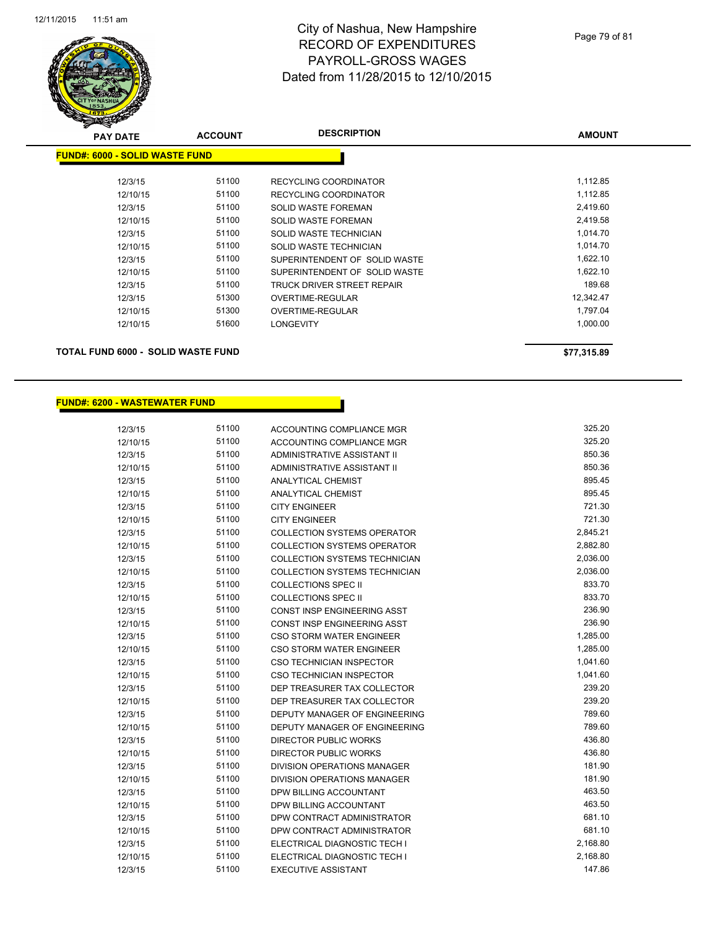

| <b>PAY DATE</b>                           | <b>ACCOUNT</b> | <b>DESCRIPTION</b>            | <b>AMOUNT</b> |
|-------------------------------------------|----------------|-------------------------------|---------------|
| <b>FUND#: 6000 - SOLID WASTE FUND</b>     |                |                               |               |
|                                           |                |                               |               |
| 12/3/15                                   | 51100          | RECYCLING COORDINATOR         | 1,112.85      |
| 12/10/15                                  | 51100          | RECYCLING COORDINATOR         | 1,112.85      |
| 12/3/15                                   | 51100          | <b>SOLID WASTE FOREMAN</b>    | 2,419.60      |
| 12/10/15                                  | 51100          | <b>SOLID WASTE FOREMAN</b>    | 2,419.58      |
| 12/3/15                                   | 51100          | SOLID WASTE TECHNICIAN        | 1,014.70      |
| 12/10/15                                  | 51100          | SOLID WASTE TECHNICIAN        | 1,014.70      |
| 12/3/15                                   | 51100          | SUPERINTENDENT OF SOLID WASTE | 1,622.10      |
| 12/10/15                                  | 51100          | SUPERINTENDENT OF SOLID WASTE | 1,622.10      |
| 12/3/15                                   | 51100          | TRUCK DRIVER STREET REPAIR    | 189.68        |
| 12/3/15                                   | 51300          | OVERTIME-REGULAR              | 12,342.47     |
| 12/10/15                                  | 51300          | <b>OVERTIME-REGULAR</b>       | 1,797.04      |
| 12/10/15                                  | 51600          | <b>LONGEVITY</b>              | 1,000.00      |
| <b>TOTAL FUND 6000 - SOLID WASTE FUND</b> |                |                               | \$77,315.89   |

## **FUND#: 6200 - WASTEWATER FUND**

| 12/3/15  | 51100 | ACCOUNTING COMPLIANCE MGR            | 325.20   |
|----------|-------|--------------------------------------|----------|
| 12/10/15 | 51100 | <b>ACCOUNTING COMPLIANCE MGR</b>     | 325.20   |
| 12/3/15  | 51100 | ADMINISTRATIVE ASSISTANT II          | 850.36   |
| 12/10/15 | 51100 | <b>ADMINISTRATIVE ASSISTANT II</b>   | 850.36   |
| 12/3/15  | 51100 | <b>ANALYTICAL CHEMIST</b>            | 895.45   |
| 12/10/15 | 51100 | <b>ANALYTICAL CHEMIST</b>            | 895.45   |
| 12/3/15  | 51100 | <b>CITY ENGINEER</b>                 | 721.30   |
| 12/10/15 | 51100 | <b>CITY ENGINEER</b>                 | 721.30   |
| 12/3/15  | 51100 | <b>COLLECTION SYSTEMS OPERATOR</b>   | 2,845.21 |
| 12/10/15 | 51100 | <b>COLLECTION SYSTEMS OPERATOR</b>   | 2,882.80 |
| 12/3/15  | 51100 | <b>COLLECTION SYSTEMS TECHNICIAN</b> | 2,036.00 |
| 12/10/15 | 51100 | <b>COLLECTION SYSTEMS TECHNICIAN</b> | 2,036.00 |
| 12/3/15  | 51100 | <b>COLLECTIONS SPEC II</b>           | 833.70   |
| 12/10/15 | 51100 | <b>COLLECTIONS SPEC II</b>           | 833.70   |
| 12/3/15  | 51100 | CONST INSP ENGINEERING ASST          | 236.90   |
| 12/10/15 | 51100 | CONST INSP ENGINEERING ASST          | 236.90   |
| 12/3/15  | 51100 | <b>CSO STORM WATER ENGINEER</b>      | 1,285.00 |
| 12/10/15 | 51100 | <b>CSO STORM WATER ENGINEER</b>      | 1,285.00 |
| 12/3/15  | 51100 | CSO TECHNICIAN INSPECTOR             | 1,041.60 |
| 12/10/15 | 51100 | CSO TECHNICIAN INSPECTOR             | 1,041.60 |
| 12/3/15  | 51100 | DEP TREASURER TAX COLLECTOR          | 239.20   |
| 12/10/15 | 51100 | DEP TREASURER TAX COLLECTOR          | 239.20   |
| 12/3/15  | 51100 | DEPUTY MANAGER OF ENGINEERING        | 789.60   |
| 12/10/15 | 51100 | DEPUTY MANAGER OF ENGINEERING        | 789.60   |
| 12/3/15  | 51100 | DIRECTOR PUBLIC WORKS                | 436.80   |
| 12/10/15 | 51100 | DIRECTOR PUBLIC WORKS                | 436.80   |
| 12/3/15  | 51100 | <b>DIVISION OPERATIONS MANAGER</b>   | 181.90   |
| 12/10/15 | 51100 | <b>DIVISION OPERATIONS MANAGER</b>   | 181.90   |
| 12/3/15  | 51100 | DPW BILLING ACCOUNTANT               | 463.50   |
| 12/10/15 | 51100 | DPW BILLING ACCOUNTANT               | 463.50   |
| 12/3/15  | 51100 | DPW CONTRACT ADMINISTRATOR           | 681.10   |
| 12/10/15 | 51100 | DPW CONTRACT ADMINISTRATOR           | 681.10   |
| 12/3/15  | 51100 | ELECTRICAL DIAGNOSTIC TECH I         | 2,168.80 |
| 12/10/15 | 51100 | ELECTRICAL DIAGNOSTIC TECH I         | 2,168.80 |
| 12/3/15  | 51100 | <b>EXECUTIVE ASSISTANT</b>           | 147.86   |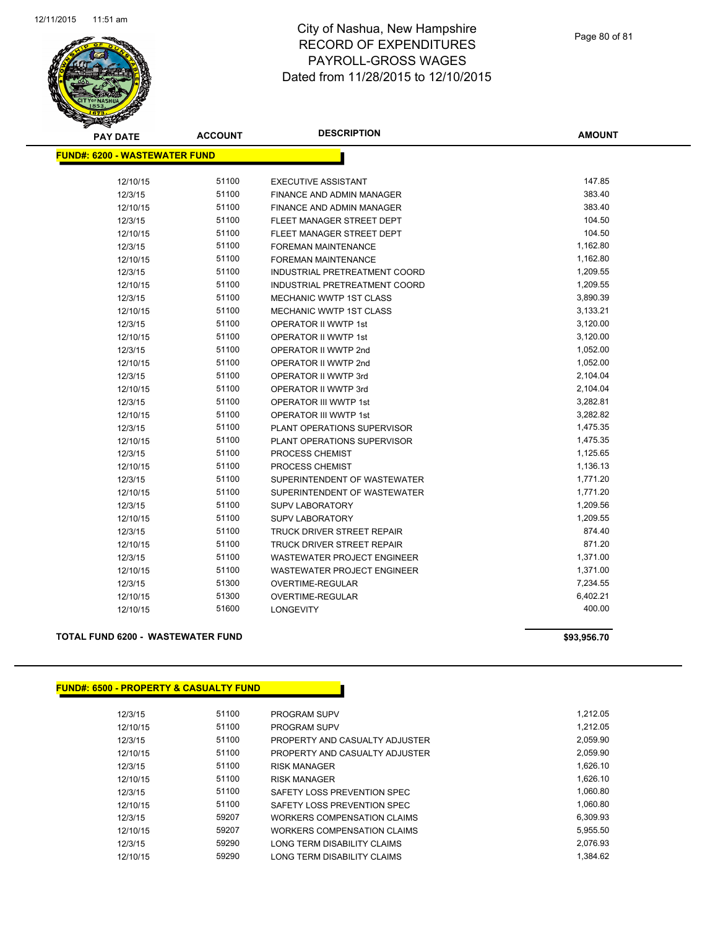

| <b>PAY DATE</b>                      | <b>ACCOUNT</b> | <b>DESCRIPTION</b>                 | <b>AMOUNT</b> |
|--------------------------------------|----------------|------------------------------------|---------------|
| <b>FUND#: 6200 - WASTEWATER FUND</b> |                |                                    |               |
|                                      |                |                                    |               |
| 12/10/15                             | 51100          | <b>EXECUTIVE ASSISTANT</b>         | 147.85        |
| 12/3/15                              | 51100          | FINANCE AND ADMIN MANAGER          | 383.40        |
| 12/10/15                             | 51100          | FINANCE AND ADMIN MANAGER          | 383.40        |
| 12/3/15                              | 51100          | FLEET MANAGER STREET DEPT          | 104.50        |
| 12/10/15                             | 51100          | FLEET MANAGER STREET DEPT          | 104.50        |
| 12/3/15                              | 51100          | <b>FOREMAN MAINTENANCE</b>         | 1,162.80      |
| 12/10/15                             | 51100          | <b>FOREMAN MAINTENANCE</b>         | 1,162.80      |
| 12/3/15                              | 51100          | INDUSTRIAL PRETREATMENT COORD      | 1,209.55      |
| 12/10/15                             | 51100          | INDUSTRIAL PRETREATMENT COORD      | 1,209.55      |
| 12/3/15                              | 51100          | MECHANIC WWTP 1ST CLASS            | 3,890.39      |
| 12/10/15                             | 51100          | <b>MECHANIC WWTP 1ST CLASS</b>     | 3,133.21      |
| 12/3/15                              | 51100          | <b>OPERATOR II WWTP 1st</b>        | 3,120.00      |
| 12/10/15                             | 51100          | <b>OPERATOR II WWTP 1st</b>        | 3,120.00      |
| 12/3/15                              | 51100          | OPERATOR II WWTP 2nd               | 1,052.00      |
| 12/10/15                             | 51100          | OPERATOR II WWTP 2nd               | 1,052.00      |
| 12/3/15                              | 51100          | OPERATOR II WWTP 3rd               | 2,104.04      |
| 12/10/15                             | 51100          | OPERATOR II WWTP 3rd               | 2,104.04      |
| 12/3/15                              | 51100          | OPERATOR III WWTP 1st              | 3,282.81      |
| 12/10/15                             | 51100          | <b>OPERATOR III WWTP 1st</b>       | 3,282.82      |
| 12/3/15                              | 51100          | PLANT OPERATIONS SUPERVISOR        | 1,475.35      |
| 12/10/15                             | 51100          | PLANT OPERATIONS SUPERVISOR        | 1,475.35      |
| 12/3/15                              | 51100          | PROCESS CHEMIST                    | 1,125.65      |
| 12/10/15                             | 51100          | PROCESS CHEMIST                    | 1,136.13      |
| 12/3/15                              | 51100          | SUPERINTENDENT OF WASTEWATER       | 1,771.20      |
| 12/10/15                             | 51100          | SUPERINTENDENT OF WASTEWATER       | 1,771.20      |
| 12/3/15                              | 51100          | <b>SUPV LABORATORY</b>             | 1,209.56      |
| 12/10/15                             | 51100          | <b>SUPV LABORATORY</b>             | 1,209.55      |
| 12/3/15                              | 51100          | TRUCK DRIVER STREET REPAIR         | 874.40        |
| 12/10/15                             | 51100          | TRUCK DRIVER STREET REPAIR         | 871.20        |
| 12/3/15                              | 51100          | <b>WASTEWATER PROJECT ENGINEER</b> | 1,371.00      |
| 12/10/15                             | 51100          | WASTEWATER PROJECT ENGINEER        | 1,371.00      |
| 12/3/15                              | 51300          | OVERTIME-REGULAR                   | 7,234.55      |
| 12/10/15                             | 51300          | OVERTIME-REGULAR                   | 6,402.21      |
| 12/10/15                             | 51600          | <b>LONGEVITY</b>                   | 400.00        |
|                                      |                |                                    |               |

**TOTAL FUND 6200 - WASTEWATER FUND \$93,956.70** 

# **FUND#: 6500 - PROPERTY & CASUALTY FUND**

| 12/3/15  | 51100 | <b>PROGRAM SUPV</b>                | 1.212.05 |
|----------|-------|------------------------------------|----------|
| 12/10/15 | 51100 | <b>PROGRAM SUPV</b>                | 1.212.05 |
| 12/3/15  | 51100 | PROPERTY AND CASUALTY ADJUSTER     | 2.059.90 |
| 12/10/15 | 51100 | PROPERTY AND CASUALTY ADJUSTER     | 2.059.90 |
| 12/3/15  | 51100 | <b>RISK MANAGER</b>                | 1.626.10 |
| 12/10/15 | 51100 | <b>RISK MANAGER</b>                | 1.626.10 |
| 12/3/15  | 51100 | SAFETY LOSS PREVENTION SPEC        | 1.060.80 |
| 12/10/15 | 51100 | SAFETY LOSS PREVENTION SPEC        | 1,060.80 |
| 12/3/15  | 59207 | WORKERS COMPENSATION CLAIMS        | 6.309.93 |
| 12/10/15 | 59207 | <b>WORKERS COMPENSATION CLAIMS</b> | 5.955.50 |
| 12/3/15  | 59290 | LONG TERM DISABILITY CLAIMS        | 2.076.93 |
| 12/10/15 | 59290 | LONG TERM DISABILITY CLAIMS        | 1.384.62 |
|          |       |                                    |          |